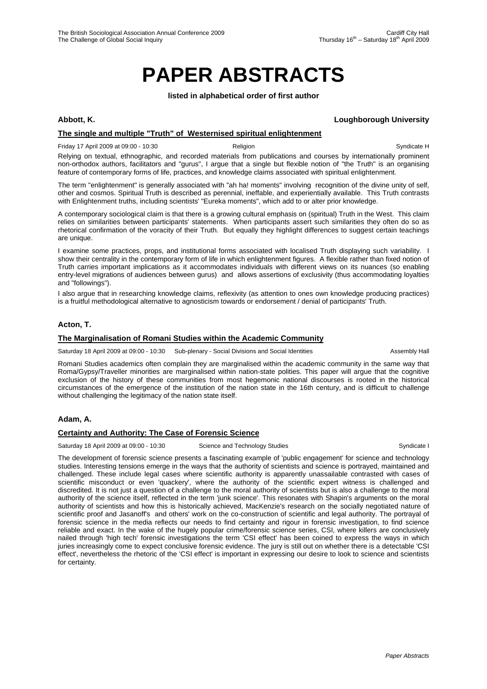# **PAPER ABSTRACTS**

**listed in alphabetical order of first author** 

# **Abbott, K. Loughborough University**

# **The single and multiple "Truth" of Westernised spiritual enlightenment**

Friday 17 April 2009 at 09:00 - 10:30 **Religion** Religion **Syndicate H** Syndicate H Relying on textual, ethnographic, and recorded materials from publications and courses by internationally prominent non-orthodox authors, facilitators and "gurus", I argue that a single but flexible notion of "the Truth" is an organising feature of contemporary forms of life, practices, and knowledge claims associated with spiritual enlightenment.

The term "enlightenment" is generally associated with "ah ha! moments" involving recognition of the divine unity of self, other and cosmos. Spiritual Truth is described as perennial, ineffable, and experientially available. This Truth contrasts with Enlightenment truths, including scientists' "Eureka moments", which add to or alter prior knowledge.

A contemporary sociological claim is that there is a growing cultural emphasis on (spiritual) Truth in the West. This claim relies on similarities between participants' statements. When participants assert such similarities they often do so as rhetorical confirmation of the voracity of their Truth. But equally they highlight differences to suggest certain teachings are unique.

I examine some practices, props, and institutional forms associated with localised Truth displaying such variability. I show their centrality in the contemporary form of life in which enlightenment figures. A flexible rather than fixed notion of Truth carries important implications as it accommodates individuals with different views on its nuances (so enabling entry-level migrations of audiences between gurus) and allows assertions of exclusivity (thus accommodating loyalties and "followings").

I also argue that in researching knowledge claims, reflexivity (as attention to ones own knowledge producing practices) is a fruitful methodological alternative to agnosticism towards or endorsement / denial of participants' Truth.

# **Acton, T.**

### **The Marginalisation of Romani Studies within the Academic Community**

Saturday 18 April 2009 at 09:00 - 10:30 Sub-plenary - Social Divisions and Social Identities Assembly Hall

Romani Studies academics often complain they are marginalised within the academic community in the same way that Roma/Gypsy/Traveller minorities are marginalised within nation-state polities. This paper will argue that the cognitive exclusion of the history of these communities from most hegemonic national discourses is rooted in the historical circumstances of the emergence of the institution of the nation state in the 16th century, and is difficult to challenge without challenging the legitimacy of the nation state itself.

### **Adam, A.**

### **Certainty and Authority: The Case of Forensic Science**

Saturday 18 April 2009 at 09:00 - 10:30 Science and Technology Studies Syndicate I Syndicate I

The development of forensic science presents a fascinating example of 'public engagement' for science and technology studies. Interesting tensions emerge in the ways that the authority of scientists and science is portrayed, maintained and challenged. These include legal cases where scientific authority is apparently unassailable contrasted with cases of scientific misconduct or even 'quackery', where the authority of the scientific expert witness is challenged and discredited. It is not just a question of a challenge to the moral authority of scientists but is also a challenge to the moral authority of the science itself, reflected in the term 'junk science'. This resonates with Shapin's arguments on the moral authority of scientists and how this is historically achieved, MacKenzie's research on the socially negotiated nature of scientific proof and Jasanoff's and others' work on the co-construction of scientific and legal authority. The portrayal of forensic science in the media reflects our needs to find certainty and rigour in forensic investigation, to find science reliable and exact. In the wake of the hugely popular crime/forensic science series, CSI, where killers are conclusively nailed through 'high tech' forensic investigations the term 'CSI effect' has been coined to express the ways in which juries increasingly come to expect conclusive forensic evidence. The jury is still out on whether there is a detectable 'CSI effect', nevertheless the rhetoric of the 'CSI effect' is important in expressing our desire to look to science and scientists for certainty.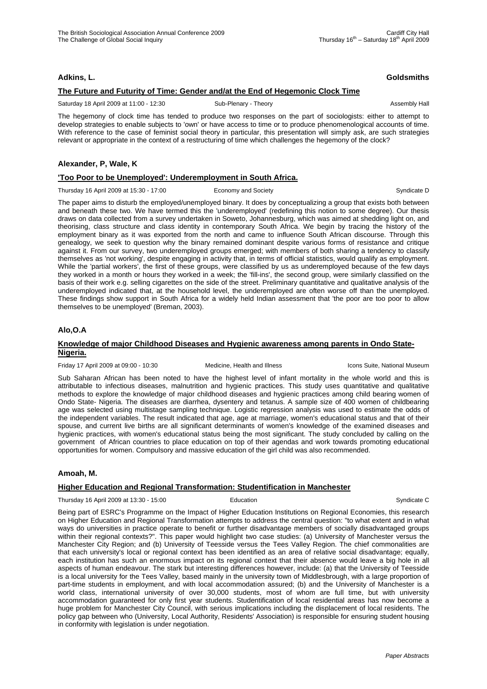**Adkins, L. Goldsmiths**

# **The Future and Futurity of Time: Gender and/at the End of Hegemonic Clock Time**

Saturday 18 April 2009 at 11:00 - 12:30 Sub-Plenary - Theory Sub-Plenary - Theory Sub-Plenary - Theory Assembly Hall

The hegemony of clock time has tended to produce two responses on the part of sociologists: either to attempt to develop strategies to enable subjects to 'own' or have access to time or to produce phenomenological accounts of time. With reference to the case of feminist social theory in particular, this presentation will simply ask, are such strategies relevant or appropriate in the context of a restructuring of time which challenges the hegemony of the clock?

# **Alexander, P, Wale, K**

# **'Too Poor to be Unemployed': Underemployment in South Africa.**

Thursday 16 April 2009 at 15:30 - 17:00 Economy and Society Syndicate D Syndicate D

The paper aims to disturb the employed/unemployed binary. It does by conceptualizing a group that exists both between and beneath these two. We have termed this the 'underemployed' (redefining this notion to some degree). Our thesis draws on data collected from a survey undertaken in Soweto, Johannesburg, which was aimed at shedding light on, and theorising, class structure and class identity in contemporary South Africa. We begin by tracing the history of the employment binary as it was exported from the north and came to influence South African discourse. Through this genealogy, we seek to question why the binary remained dominant despite various forms of resistance and critique against it. From our survey, two underemployed groups emerged; with members of both sharing a tendency to classify themselves as 'not working', despite engaging in activity that, in terms of official statistics, would qualify as employment. While the 'partial workers', the first of these groups, were classified by us as underemployed because of the few days they worked in a month or hours they worked in a week; the 'fill-ins', the second group, were similarly classified on the basis of their work e.g. selling cigarettes on the side of the street. Preliminary quantitative and qualitative analysis of the underemployed indicated that, at the household level, the underemployed are often worse off than the unemployed. These findings show support in South Africa for a widely held Indian assessment that 'the poor are too poor to allow themselves to be unemployed' (Breman, 2003).

# **Alo,O.A**

### **Knowledge of major Childhood Diseases and Hygienic awareness among parents in Ondo State-Nigeria.**

Friday 17 April 2009 at 09:00 - 10:30 Medicine, Health and Illness Icons Suite, National Museum

Sub Saharan African has been noted to have the highest level of infant mortality in the whole world and this is attributable to infectious diseases, malnutrition and hygienic practices. This study uses quantitative and qualitative methods to explore the knowledge of major childhood diseases and hygienic practices among child bearing women of Ondo State- Nigeria. The diseases are diarrhea, dysentery and tetanus. A sample size of 400 women of childbearing age was selected using multistage sampling technique. Logistic regression analysis was used to estimate the odds of the independent variables. The result indicated that age, age at marriage, women's educational status and that of their spouse, and current live births are all significant determinants of women's knowledge of the examined diseases and hygienic practices, with women's educational status being the most significant. The study concluded by calling on the government of African countries to place education on top of their agendas and work towards promoting educational opportunities for women. Compulsory and massive education of the girl child was also recommended.

# **Amoah, M.**

# **Higher Education and Regional Transformation: Studentification in Manchester**

Thursday 16 April 2009 at 13:30 - 15:00 **Education** Education Syndicate C

Being part of ESRC's Programme on the Impact of Higher Education Institutions on Regional Economies, this research on Higher Education and Regional Transformation attempts to address the central question: "to what extent and in what ways do universities in practice operate to benefit or further disadvantage members of socially disadvantaged groups within their regional contexts?". This paper would highlight two case studies: (a) University of Manchester versus the Manchester City Region; and (b) University of Teesside versus the Tees Valley Region. The chief commonalities are that each university's local or regional context has been identified as an area of relative social disadvantage; equally, each institution has such an enormous impact on its regional context that their absence would leave a big hole in all aspects of human endeavour. The stark but interesting differences however, include: (a) that the University of Teesside is a local university for the Tees Valley, based mainly in the university town of Middlesbrough, with a large proportion of part-time students in employment, and with local accommodation assured; (b) and the University of Manchester is a world class, international university of over 30,000 students, most of whom are full time, but with university accommodation guaranteed for only first year students. Studentification of local residential areas has now become a huge problem for Manchester City Council, with serious implications including the displacement of local residents. The policy gap between who (University, Local Authority, Residents' Association) is responsible for ensuring student housing in conformity with legislation is under negotiation.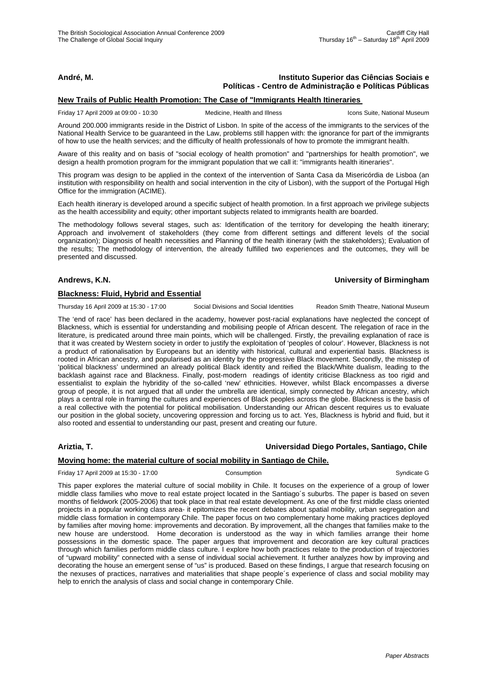# **André, M. Instituto Superior das Ciências Sociais e Políticas - Centro de Administração e Políticas Públicas**

#### **New Trails of Public Health Promotion: The Case of "Immigrants Health Itineraries**

Friday 17 April 2009 at 09:00 - 10:30 Medicine, Health and Illness Icons Suite, National Museum

Around 200.000 immigrants reside in the District of Lisbon. In spite of the access of the immigrants to the services of the National Health Service to be guaranteed in the Law, problems still happen with: the ignorance for part of the immigrants of how to use the health services; and the difficulty of health professionals of how to promote the immigrant health.

Aware of this reality and on basis of "social ecology of health promotion" and "partnerships for health promotion", we design a health promotion program for the immigrant population that we call it: "immigrants health itineraries".

This program was design to be applied in the context of the intervention of Santa Casa da Misericórdia de Lisboa (an institution with responsibility on health and social intervention in the city of Lisbon), with the support of the Portugal High Office for the immigration (ACIME).

Each health itinerary is developed around a specific subject of health promotion. In a first approach we privilege subjects as the health accessibility and equity; other important subjects related to immigrants health are boarded.

The methodology follows several stages, such as: Identification of the territory for developing the health itinerary; Approach and involvement of stakeholders (they come from different settings and different levels of the social organization); Diagnosis of health necessities and Planning of the health itinerary (with the stakeholders); Evaluation of the results; The methodology of intervention, the already fulfilled two experiences and the outcomes, they will be presented and discussed.

### **Andrews, K.N. University of Birmingham**

#### **Blackness: Fluid, Hybrid and Essential**

Thursday 16 April 2009 at 15:30 - 17:00 Social Divisions and Social Identities Readon Smith Theatre, National Museum

The 'end of race' has been declared in the academy, however post-racial explanations have neglected the concept of Blackness, which is essential for understanding and mobilising people of African descent. The relegation of race in the literature, is predicated around three main points, which will be challenged. Firstly, the prevailing explanation of race is that it was created by Western society in order to justify the exploitation of 'peoples of colour'. However, Blackness is not a product of rationalisation by Europeans but an identity with historical, cultural and experiential basis. Blackness is rooted in African ancestry, and popularised as an identity by the progressive Black movement. Secondly, the misstep of 'political blackness' undermined an already political Black identity and reified the Black/White dualism, leading to the backlash against race and Blackness. Finally, post-modern readings of identity criticise Blackness as too rigid and essentialist to explain the hybridity of the so-called 'new' ethnicities. However, whilst Black encompasses a diverse group of people, it is not argued that all under the umbrella are identical, simply connected by African ancestry, which plays a central role in framing the cultures and experiences of Black peoples across the globe. Blackness is the basis of a real collective with the potential for political mobilisation. Understanding our African descent requires us to evaluate our position in the global society, uncovering oppression and forcing us to act. Yes, Blackness is hybrid and fluid, but it also rooted and essential to understanding our past, present and creating our future.

### **Ariztia, T. Universidad Diego Portales, Santiago, Chile**

### **Moving home: the material culture of social mobility in Santiago de Chile.**

Friday 17 April 2009 at 15:30 - 17:00 Consumption Consumption Syndicate G

This paper explores the material culture of social mobility in Chile. It focuses on the experience of a group of lower middle class families who move to real estate project located in the Santiago´s suburbs. The paper is based on seven months of fieldwork (2005-2006) that took place in that real estate development. As one of the first middle class oriented projects in a popular working class area- it epitomizes the recent debates about spatial mobility, urban segregation and middle class formation in contemporary Chile. The paper focus on two complementary home making practices deployed by families after moving home: improvements and decoration. By improvement, all the changes that families make to the new house are understood. Home decoration is understood as the way in which families arrange their home possessions in the domestic space. The paper argues that improvement and decoration are key cultural practices through which families perform middle class culture. I explore how both practices relate to the production of trajectories of "upward mobility" connected with a sense of individual social achievement. It further analyzes how by improving and decorating the house an emergent sense of "us" is produced. Based on these findings, I argue that research focusing on the nexuses of practices, narratives and materialities that shape people´s experience of class and social mobility may help to enrich the analysis of class and social change in contemporary Chile.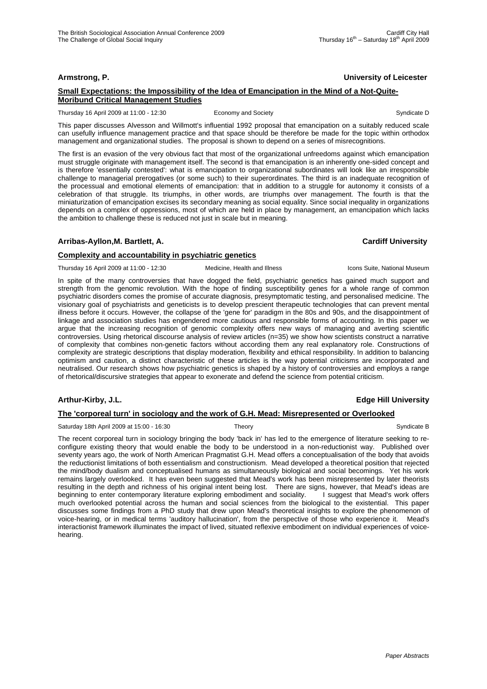### **Armstrong, P. University of Leicester**

### **Small Expectations: the Impossibility of the Idea of Emancipation in the Mind of a Not-Quite-Moribund Critical Management Studies**

Thursday 16 April 2009 at 11:00 - 12:30 Economy and Society Syndicate D<br>
Economy and Society Syndicate D

This paper discusses Alvesson and Willmott's influential 1992 proposal that emancipation on a suitably reduced scale can usefully influence management practice and that space should be therefore be made for the topic within orthodox management and organizational studies. The proposal is shown to depend on a series of misrecognitions.

The first is an evasion of the very obvious fact that most of the organizational unfreedoms against which emancipation must struggle originate with management itself. The second is that emancipation is an inherently one-sided concept and is therefore 'essentially contested': what is emancipation to organizational subordinates will look like an irresponsible challenge to managerial prerogatives (or some such) to their superordinates. The third is an inadequate recognition of the processual and emotional elements of emancipation: that in addition to a struggle for autonomy it consists of a celebration of that struggle. Its triumphs, in other words, are triumphs over management. The fourth is that the miniaturization of emancipation excises its secondary meaning as social equality. Since social inequality in organizations depends on a complex of oppressions, most of which are held in place by management, an emancipation which lacks the ambition to challenge these is reduced not just in scale but in meaning.

# **Arribas-Ayllon,M. Bartlett, A. Cardiff University**

# **Complexity and accountability in psychiatric genetics**

Thursday 16 April 2009 at 11:00 - 12:30 Medicine, Health and Illness Icons Suite, National Museum

In spite of the many controversies that have dogged the field, psychiatric genetics has gained much support and strength from the genomic revolution. With the hope of finding susceptibility genes for a whole range of common psychiatric disorders comes the promise of accurate diagnosis, presymptomatic testing, and personalised medicine. The visionary goal of psychiatrists and geneticists is to develop prescient therapeutic technologies that can prevent mental illness before it occurs. However, the collapse of the 'gene for' paradigm in the 80s and 90s, and the disappointment of linkage and association studies has engendered more cautious and responsible forms of accounting. In this paper we argue that the increasing recognition of genomic complexity offers new ways of managing and averting scientific controversies. Using rhetorical discourse analysis of review articles (n=35) we show how scientists construct a narrative of complexity that combines non-genetic factors without according them any real explanatory role. Constructions of complexity are strategic descriptions that display moderation, flexibility and ethical responsibility. In addition to balancing optimism and caution, a distinct characteristic of these articles is the way potential criticisms are incorporated and neutralised. Our research shows how psychiatric genetics is shaped by a history of controversies and employs a range of rhetorical/discursive strategies that appear to exonerate and defend the science from potential criticism.

### **Arthur-Kirby, J.L. Edge Hill University**

# **The 'corporeal turn' in sociology and the work of G.H. Mead: Misrepresented or Overlooked**

Saturday 18th April 2009 at 15:00 - 16:30 Theory Syndicate B Syndicate B Syndicate B

The recent corporeal turn in sociology bringing the body 'back in' has led to the emergence of literature seeking to reconfigure existing theory that would enable the body to be understood in a non-reductionist way. Published over seventy years ago, the work of North American Pragmatist G.H. Mead offers a conceptualisation of the body that avoids the reductionist limitations of both essentialism and constructionism. Mead developed a theoretical position that rejected the mind/body dualism and conceptualised humans as simultaneously biological and social becomings. Yet his work remains largely overlooked. It has even been suggested that Mead's work has been misrepresented by later theorists resulting in the depth and richness of his original intent being lost. There are signs, however, that Mead's ideas are beginning to enter contemporary literature exploring embodiment and sociality. I suggest that Mead's work offers much overlooked potential across the human and social sciences from the biological to the existential. This paper discusses some findings from a PhD study that drew upon Mead's theoretical insights to explore the phenomenon of voice-hearing, or in medical terms 'auditory hallucination', from the perspective of those who experience it. Mead's interactionist framework illuminates the impact of lived, situated reflexive embodiment on individual experiences of voicehearing.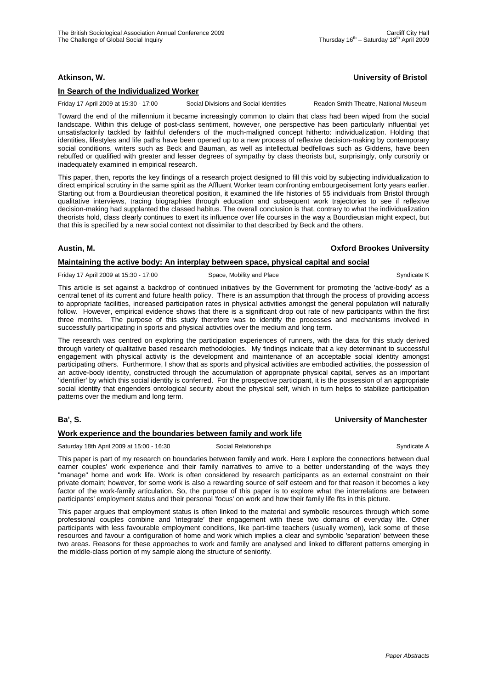# **Atkinson, W. University of Bristol**

### **In Search of the Individualized Worker**

Friday 17 April 2009 at 15:30 - 17:00 Social Divisions and Social Identities Readon Smith Theatre, National Museum

Toward the end of the millennium it became increasingly common to claim that class had been wiped from the social landscape. Within this deluge of post-class sentiment, however, one perspective has been particularly influential yet unsatisfactorily tackled by faithful defenders of the much-maligned concept hitherto: individualization. Holding that identities, lifestyles and life paths have been opened up to a new process of reflexive decision-making by contemporary social conditions, writers such as Beck and Bauman, as well as intellectual bedfellows such as Giddens, have been rebuffed or qualified with greater and lesser degrees of sympathy by class theorists but, surprisingly, only cursorily or inadequately examined in empirical research.

This paper, then, reports the key findings of a research project designed to fill this void by subjecting individualization to direct empirical scrutiny in the same spirit as the Affluent Worker team confronting embourgeoisement forty years earlier. Starting out from a Bourdieusian theoretical position, it examined the life histories of 55 individuals from Bristol through qualitative interviews, tracing biographies through education and subsequent work trajectories to see if reflexive decision-making had supplanted the classed habitus. The overall conclusion is that, contrary to what the individualization theorists hold, class clearly continues to exert its influence over life courses in the way a Bourdieusian might expect, but that this is specified by a new social context not dissimilar to that described by Beck and the others.

### **Austin, M. Oxford Brookes University**

# **Maintaining the active body: An interplay between space, physical capital and social**

Friday 17 April 2009 at 15:30 - 17:00 Space, Mobility and Place Syndicate K Syndicate K

This article is set against a backdrop of continued initiatives by the Government for promoting the 'active-body' as a central tenet of its current and future health policy. There is an assumption that through the process of providing access to appropriate facilities, increased participation rates in physical activities amongst the general population will naturally follow. However, empirical evidence shows that there is a significant drop out rate of new participants within the first three months. The purpose of this study therefore was to identify the processes and mechanisms involved in successfully participating in sports and physical activities over the medium and long term.

The research was centred on exploring the participation experiences of runners, with the data for this study derived through variety of qualitative based research methodologies. My findings indicate that a key determinant to successful engagement with physical activity is the development and maintenance of an acceptable social identity amongst participating others. Furthermore, I show that as sports and physical activities are embodied activities, the possession of an active-body identity, constructed through the accumulation of appropriate physical capital, serves as an important 'identifier' by which this social identity is conferred. For the prospective participant, it is the possession of an appropriate social identity that engenders ontological security about the physical self, which in turn helps to stabilize participation patterns over the medium and long term.

# **Ba', S. University of Manchester**

### **Work experience and the boundaries between family and work life**

Saturday 18th April 2009 at 15:00 - 16:30 Social Relationships Syndicate A

This paper is part of my research on boundaries between family and work. Here I explore the connections between dual earner couples' work experience and their family narratives to arrive to a better understanding of the ways they "manage" home and work life. Work is often considered by research participants as an external constraint on their private domain; however, for some work is also a rewarding source of self esteem and for that reason it becomes a key factor of the work-family articulation. So, the purpose of this paper is to explore what the interrelations are between participants' employment status and their personal 'focus' on work and how their family life fits in this picture.

This paper argues that employment status is often linked to the material and symbolic resources through which some professional couples combine and 'integrate' their engagement with these two domains of everyday life. Other participants with less favourable employment conditions, like part-time teachers (usually women), lack some of these resources and favour a configuration of home and work which implies a clear and symbolic 'separation' between these two areas. Reasons for these approaches to work and family are analysed and linked to different patterns emerging in the middle-class portion of my sample along the structure of seniority.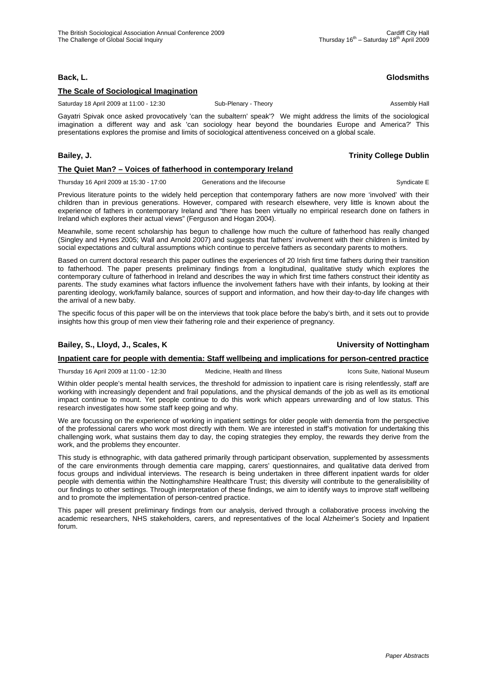# **Back, L. Glodsmiths**

### **The Scale of Sociological Imagination**

Saturday 18 April 2009 at 11:00 - 12:30 Sub-Plenary - Theory Sub-Plenary - Theory Sub-Plenary - Theory Assembly Hall

Gayatri Spivak once asked provocatively 'can the subaltern' speak'? We might address the limits of the sociological imagination a different way and ask 'can sociology hear beyond the boundaries Europe and America?' This presentations explores the promise and limits of sociological attentiveness conceived on a global scale.

### **The Quiet Man? – Voices of fatherhood in contemporary Ireland**

Thursday 16 April 2009 at 15:30 - 17:00 Generations and the lifecourse Syndicate E

Previous literature points to the widely held perception that contemporary fathers are now more 'involved' with their children than in previous generations. However, compared with research elsewhere, very little is known about the experience of fathers in contemporary Ireland and "there has been virtually no empirical research done on fathers in Ireland which explores their actual views" (Ferguson and Hogan 2004).

Meanwhile, some recent scholarship has begun to challenge how much the culture of fatherhood has really changed (Singley and Hynes 2005; Wall and Arnold 2007) and suggests that fathers' involvement with their children is limited by social expectations and cultural assumptions which continue to perceive fathers as secondary parents to mothers.

Based on current doctoral research this paper outlines the experiences of 20 Irish first time fathers during their transition to fatherhood. The paper presents preliminary findings from a longitudinal, qualitative study which explores the contemporary culture of fatherhood in Ireland and describes the way in which first time fathers construct their identity as parents. The study examines what factors influence the involvement fathers have with their infants, by looking at their parenting ideology, work/family balance, sources of support and information, and how their day-to-day life changes with the arrival of a new baby.

The specific focus of this paper will be on the interviews that took place before the baby's birth, and it sets out to provide insights how this group of men view their fathering role and their experience of pregnancy.

# **Bailey, S., Lloyd, J., Scales, K University of Nottingham**

# **Inpatient care for people with dementia: Staff wellbeing and implications for person-centred practice**

Thursday 16 April 2009 at 11:00 - 12:30 Medicine, Health and Illness Icons Suite, National Museum

research investigates how some staff keep going and why.

Within older people's mental health services, the threshold for admission to inpatient care is rising relentlessly, staff are working with increasingly dependent and frail populations, and the physical demands of the job as well as its emotional impact continue to mount. Yet people continue to do this work which appears unrewarding and of low status. This

We are focussing on the experience of working in inpatient settings for older people with dementia from the perspective of the professional carers who work most directly with them. We are interested in staff's motivation for undertaking this challenging work, what sustains them day to day, the coping strategies they employ, the rewards they derive from the work, and the problems they encounter.

This study is ethnographic, with data gathered primarily through participant observation, supplemented by assessments of the care environments through dementia care mapping, carers' questionnaires, and qualitative data derived from focus groups and individual interviews. The research is being undertaken in three different inpatient wards for older people with dementia within the Nottinghamshire Healthcare Trust; this diversity will contribute to the generalisibility of our findings to other settings. Through interpretation of these findings, we aim to identify ways to improve staff wellbeing and to promote the implementation of person-centred practice.

This paper will present preliminary findings from our analysis, derived through a collaborative process involving the academic researchers, NHS stakeholders, carers, and representatives of the local Alzheimer's Society and Inpatient forum.

### **Bailey, J. Trinity College Dublin**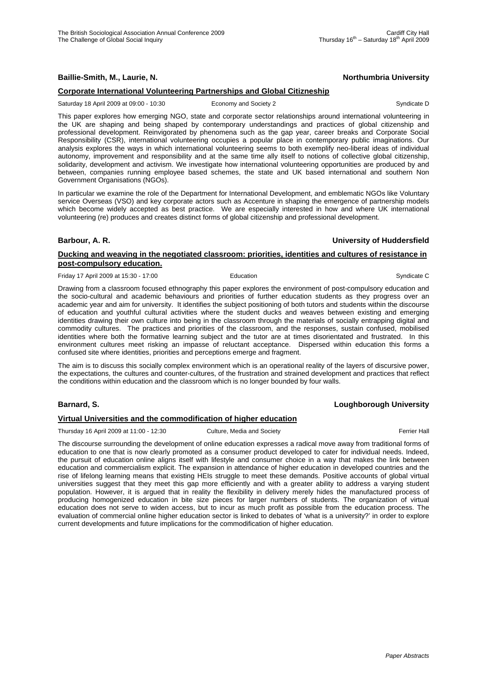**Baillie-Smith, M., Laurie, N. Northumbria University**

# **Corporate International Volunteering Partnerships and Global Citizneship**

Saturday 18 April 2009 at 09:00 - 10:30 Economy and Society 2 Syndicate D Syndicate D

This paper explores how emerging NGO, state and corporate sector relationships around international volunteering in the UK are shaping and being shaped by contemporary understandings and practices of global citizenship and professional development. Reinvigorated by phenomena such as the gap year, career breaks and Corporate Social Responsibility (CSR), international volunteering occupies a popular place in contemporary public imaginations. Our analysis explores the ways in which international volunteering seems to both exemplify neo-liberal ideas of individual autonomy, improvement and responsibility and at the same time ally itself to notions of collective global citizenship, solidarity, development and activism. We investigate how international volunteering opportunities are produced by and between, companies running employee based schemes, the state and UK based international and southern Non Government Organisations (NGOs).

In particular we examine the role of the Department for International Development, and emblematic NGOs like Voluntary service Overseas (VSO) and key corporate actors such as Accenture in shaping the emergence of partnership models which become widely accepted as best practice. We are especially interested in how and where UK international volunteering (re) produces and creates distinct forms of global citizenship and professional development.

**Barbour, A. R. University of Huddersfield**

# **Ducking and weaving in the negotiated classroom: priorities, identities and cultures of resistance in post-compulsory education.**

Friday 17 April 2009 at 15:30 - 17:00 **Education** Education **Syndicate C** Syndicate C

Drawing from a classroom focused ethnography this paper explores the environment of post-compulsory education and the socio-cultural and academic behaviours and priorities of further education students as they progress over an academic year and aim for university. It identifies the subject positioning of both tutors and students within the discourse of education and youthful cultural activities where the student ducks and weaves between existing and emerging identities drawing their own culture into being in the classroom through the materials of socially entrapping digital and commodity cultures. The practices and priorities of the classroom, and the responses, sustain confused, mobilised identities where both the formative learning subject and the tutor are at times disorientated and frustrated. In this environment cultures meet risking an impasse of reluctant acceptance. Dispersed within education this forms a confused site where identities, priorities and perceptions emerge and fragment.

The aim is to discuss this socially complex environment which is an operational reality of the layers of discursive power, the expectations, the cultures and counter-cultures, of the frustration and strained development and practices that reflect the conditions within education and the classroom which is no longer bounded by four walls.

# **Barnard, S. Loughborough University**

# **Virtual Universities and the commodification of higher education**

Thursday 16 April 2009 at 11:00 - 12:30 Culture, Media and Society **Ferrier Hall** Ferrier Hall

The discourse surrounding the development of online education expresses a radical move away from traditional forms of education to one that is now clearly promoted as a consumer product developed to cater for individual needs. Indeed, the pursuit of education online aligns itself with lifestyle and consumer choice in a way that makes the link between education and commercialism explicit. The expansion in attendance of higher education in developed countries and the rise of lifelong learning means that existing HEIs struggle to meet these demands. Positive accounts of global virtual universities suggest that they meet this gap more efficiently and with a greater ability to address a varying student population. However, it is argued that in reality the flexibility in delivery merely hides the manufactured process of producing homogenized education in bite size pieces for larger numbers of students. The organization of virtual education does not serve to widen access, but to incur as much profit as possible from the education process. The evaluation of commercial online higher education sector is linked to debates of 'what is a university?' in order to explore current developments and future implications for the commodification of higher education.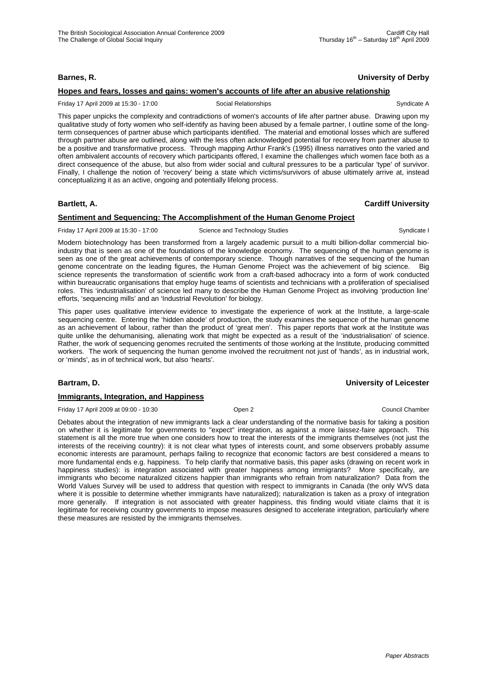# **Barnes, R. University of Derby**

# **Hopes and fears, losses and gains: women's accounts of life after an abusive relationship**

Friday 17 April 2009 at 15:30 - 17:00 Social Relationships Syndicate A

This paper unpicks the complexity and contradictions of women's accounts of life after partner abuse. Drawing upon my qualitative study of forty women who self-identify as having been abused by a female partner, I outline some of the longterm consequences of partner abuse which participants identified. The material and emotional losses which are suffered through partner abuse are outlined, along with the less often acknowledged potential for recovery from partner abuse to be a positive and transformative process. Through mapping Arthur Frank's (1995) illness narratives onto the varied and often ambivalent accounts of recovery which participants offered, I examine the challenges which women face both as a direct consequence of the abuse, but also from wider social and cultural pressures to be a particular 'type' of survivor. Finally, I challenge the notion of 'recovery' being a state which victims/survivors of abuse ultimately arrive at, instead conceptualizing it as an active, ongoing and potentially lifelong process.

# **Bartlett, A. Cardiff University**

# **Sentiment and Sequencing: The Accomplishment of the Human Genome Project**

Friday 17 April 2009 at 15:30 - 17:00 Science and Technology Studies Syndicate I

Modern biotechnology has been transformed from a largely academic pursuit to a multi billion-dollar commercial bioindustry that is seen as one of the foundations of the knowledge economy. The sequencing of the human genome is seen as one of the great achievements of contemporary science. Though narratives of the sequencing of the human genome concentrate on the leading figures, the Human Genome Project was the achievement of big science. Big science represents the transformation of scientific work from a craft-based adhocracy into a form of work conducted within bureaucratic organisations that employ huge teams of scientists and technicians with a proliferation of specialised roles. This 'industrialisation' of science led many to describe the Human Genome Project as involving 'production line' efforts, 'sequencing mills' and an 'Industrial Revolution' for biology.

This paper uses qualitative interview evidence to investigate the experience of work at the Institute, a large-scale sequencing centre. Entering the 'hidden abode' of production, the study examines the sequence of the human genome as an achievement of labour, rather than the product of 'great men'. This paper reports that work at the Institute was quite unlike the dehumanising, alienating work that might be expected as a result of the 'industrialisation' of science. Rather, the work of sequencing genomes recruited the sentiments of those working at the Institute, producing committed workers. The work of sequencing the human genome involved the recruitment not just of 'hands', as in industrial work, or 'minds', as in of technical work, but also 'hearts'.

# **Bartram, D. University of Leicester**

### **Immigrants, Integration, and Happiness**

Friday 17 April 2009 at 09:00 - 10:30 Open 2 Council Chamber

Debates about the integration of new immigrants lack a clear understanding of the normative basis for taking a position on whether it is legitimate for governments to "expect" integration, as against a more laissez-faire approach. This statement is all the more true when one considers how to treat the interests of the immigrants themselves (not just the interests of the receiving country): it is not clear what types of interests count, and some observers probably assume economic interests are paramount, perhaps failing to recognize that economic factors are best considered a means to more fundamental ends e.g. happiness. To help clarify that normative basis, this paper asks (drawing on recent work in happiness studies): is integration associated with greater happiness among immigrants? More specifically, are immigrants who become naturalized citizens happier than immigrants who refrain from naturalization? Data from the World Values Survey will be used to address that question with respect to immigrants in Canada (the only WVS data where it is possible to determine whether immigrants have naturalized); naturalization is taken as a proxy of integration more generally. If integration is not associated with greater happiness, this finding would vitiate claims that it is legitimate for receiving country governments to impose measures designed to accelerate integration, particularly where these measures are resisted by the immigrants themselves.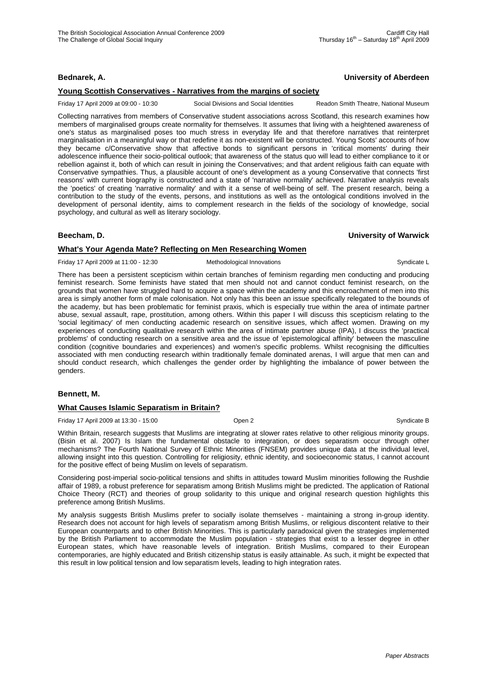### **Bednarek, A. University of Aberdeen**

# **Young Scottish Conservatives - Narratives from the margins of society**

Friday 17 April 2009 at 09:00 - 10:30 Social Divisions and Social Identities Readon Smith Theatre, National Museum

Collecting narratives from members of Conservative student associations across Scotland, this research examines how members of marginalised groups create normality for themselves. It assumes that living with a heightened awareness of one's status as marginalised poses too much stress in everyday life and that therefore narratives that reinterpret marginalisation in a meaningful way or that redefine it as non-existent will be constructed. Young Scots' accounts of how they became c/Conservative show that affective bonds to significant persons in 'critical moments' during their adolescence influence their socio-political outlook; that awareness of the status quo will lead to either compliance to it or rebellion against it, both of which can result in joining the Conservatives; and that ardent religious faith can equate with Conservative sympathies. Thus, a plausible account of one's development as a young Conservative that connects 'first reasons' with current biography is constructed and a state of 'narrative normality' achieved. Narrative analysis reveals the 'poetics' of creating 'narrative normality' and with it a sense of well-being of self. The present research, being a contribution to the study of the events, persons, and institutions as well as the ontological conditions involved in the development of personal identity, aims to complement research in the fields of the sociology of knowledge, social psychology, and cultural as well as literary sociology.

# **Beecham, D. University of Warwick**

# **What's Your Agenda Mate? Reflecting on Men Researching Women**

Friday 17 April 2009 at 11:00 - 12:30 Methodological Innovations Syndicate L

There has been a persistent scepticism within certain branches of feminism regarding men conducting and producing feminist research. Some feminists have stated that men should not and cannot conduct feminist research, on the grounds that women have struggled hard to acquire a space within the academy and this encroachment of men into this area is simply another form of male colonisation. Not only has this been an issue specifically relegated to the bounds of the academy, but has been problematic for feminist praxis, which is especially true within the area of intimate partner abuse, sexual assault, rape, prostitution, among others. Within this paper I will discuss this scepticism relating to the 'social legitimacy' of men conducting academic research on sensitive issues, which affect women. Drawing on my experiences of conducting qualitative research within the area of intimate partner abuse (IPA), I discuss the 'practical problems' of conducting research on a sensitive area and the issue of 'epistemological affinity' between the masculine condition (cognitive boundaries and experiences) and women's specific problems. Whilst recognising the difficulties associated with men conducting research within traditionally female dominated arenas, I will argue that men can and should conduct research, which challenges the gender order by highlighting the imbalance of power between the genders.

### **Bennett, M.**

### **What Causes Islamic Separatism in Britain?**

Friday 17 April 2009 at 13:30 - 15:00 Open 2 Syndicate B

Within Britain, research suggests that Muslims are integrating at slower rates relative to other religious minority groups. (Bisin et al. 2007) Is Islam the fundamental obstacle to integration, or does separatism occur through other mechanisms? The Fourth National Survey of Ethnic Minorities (FNSEM) provides unique data at the individual level, allowing insight into this question. Controlling for religiosity, ethnic identity, and socioeconomic status, I cannot account for the positive effect of being Muslim on levels of separatism.

Considering post-imperial socio-political tensions and shifts in attitudes toward Muslim minorities following the Rushdie affair of 1989, a robust preference for separatism among British Muslims might be predicted. The application of Rational Choice Theory (RCT) and theories of group solidarity to this unique and original research question highlights this preference among British Muslims.

My analysis suggests British Muslims prefer to socially isolate themselves - maintaining a strong in-group identity. Research does not account for high levels of separatism among British Muslims, or religious discontent relative to their European counterparts and to other British Minorities. This is particularly paradoxical given the strategies implemented by the British Parliament to accommodate the Muslim population - strategies that exist to a lesser degree in other European states, which have reasonable levels of integration. British Muslims, compared to their European contemporaries, are highly educated and British citizenship status is easily attainable. As such, it might be expected that this result in low political tension and low separatism levels, leading to high integration rates.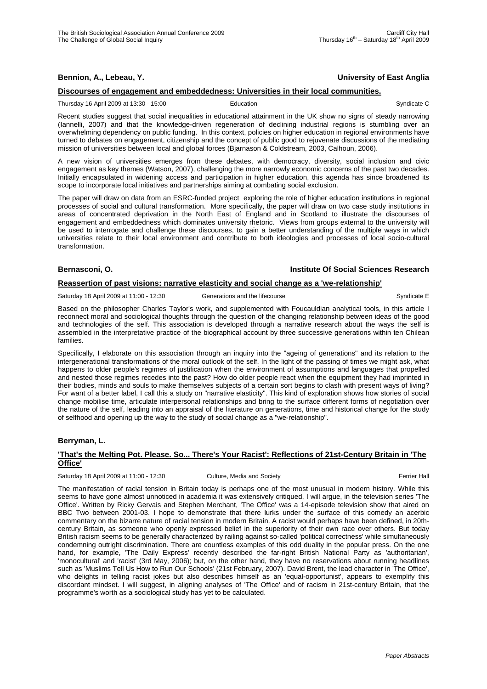# **Bennion, A., Lebeau, Y. University of East Anglia**

# **Discourses of engagement and embeddedness: Universities in their local communities.**

Thursday 16 April 2009 at 13:30 - 15:00 **Education** Education Syndicate C

Recent studies suggest that social inequalities in educational attainment in the UK show no signs of steady narrowing (Iannelli, 2007) and that the knowledge-driven regeneration of declining industrial regions is stumbling over an overwhelming dependency on public funding. In this context, policies on higher education in regional environments have turned to debates on engagement, citizenship and the concept of public good to rejuvenate discussions of the mediating mission of universities between local and global forces (Bjarnason & Coldstream, 2003, Calhoun, 2006).

A new vision of universities emerges from these debates, with democracy, diversity, social inclusion and civic engagement as key themes (Watson, 2007), challenging the more narrowly economic concerns of the past two decades. Initially encapsulated in widening access and participation in higher education, this agenda has since broadened its scope to incorporate local initiatives and partnerships aiming at combating social exclusion.

The paper will draw on data from an ESRC-funded project exploring the role of higher education institutions in regional processes of social and cultural transformation. More specifically, the paper will draw on two case study institutions in areas of concentrated deprivation in the North East of England and in Scotland to illustrate the discourses of engagement and embeddedness which dominates university rhetoric. Views from groups external to the university will be used to interrogate and challenge these discourses, to gain a better understanding of the multiple ways in which universities relate to their local environment and contribute to both ideologies and processes of local socio-cultural transformation.

### **Bernasconi, O. Institute Of Social Sciences Research**

### **Reassertion of past visions: narrative elasticity and social change as a 'we-relationship'**

Saturday 18 April 2009 at 11:00 - 12:30 Generations and the lifecourse Syndicate E

Based on the philosopher Charles Taylor's work, and supplemented with Foucauldian analytical tools, in this article I reconnect moral and sociological thoughts through the question of the changing relationship between ideas of the good and technologies of the self. This association is developed through a narrative research about the ways the self is assembled in the interpretative practice of the biographical account by three successive generations within ten Chilean families.

Specifically, I elaborate on this association through an inquiry into the "ageing of generations" and its relation to the intergenerational transformations of the moral outlook of the self. In the light of the passing of times we might ask, what happens to older people's regimes of justification when the environment of assumptions and languages that propelled and nested those regimes recedes into the past? How do older people react when the equipment they had imprinted in their bodies, minds and souls to make themselves subjects of a certain sort begins to clash with present ways of living? For want of a better label, I call this a study on "narrative elasticity". This kind of exploration shows how stories of social change mobilise time, articulate interpersonal relationships and bring to the surface different forms of negotiation over the nature of the self, leading into an appraisal of the literature on generations, time and historical change for the study of selfhood and opening up the way to the study of social change as a "we-relationship".

### **Berryman, L.**

### **'That's the Melting Pot. Please. So... There's Your Racist': Reflections of 21st-Century Britain in 'The Office'**

Saturday 18 April 2009 at 11:00 - 12:30 Culture, Media and Society **Ferrier Hall** Ferrier Hall

The manifestation of racial tension in Britain today is perhaps one of the most unusual in modern history. While this seems to have gone almost unnoticed in academia it was extensively critiqued, I will argue, in the television series 'The Office'. Written by Ricky Gervais and Stephen Merchant, 'The Office' was a 14-episode television show that aired on BBC Two between 2001-03. I hope to demonstrate that there lurks under the surface of this comedy an acerbic commentary on the bizarre nature of racial tension in modern Britain. A racist would perhaps have been defined, in 20thcentury Britain, as someone who openly expressed belief in the superiority of their own race over others. But today British racism seems to be generally characterized by railing against so-called 'political correctness' while simultaneously condemning outright discrimination. There are countless examples of this odd duality in the popular press. On the one hand, for example, 'The Daily Express' recently described the far-right British National Party as 'authoritarian', 'monocultural' and 'racist' (3rd May, 2006); but, on the other hand, they have no reservations about running headlines such as 'Muslims Tell Us How to Run Our Schools' (21st February, 2007). David Brent, the lead character in 'The Office', who delights in telling racist jokes but also describes himself as an 'equal-opportunist', appears to exemplify this discordant mindset. I will suggest, in aligning analyses of 'The Office' and of racism in 21st-century Britain, that the programme's worth as a sociological study has yet to be calculated.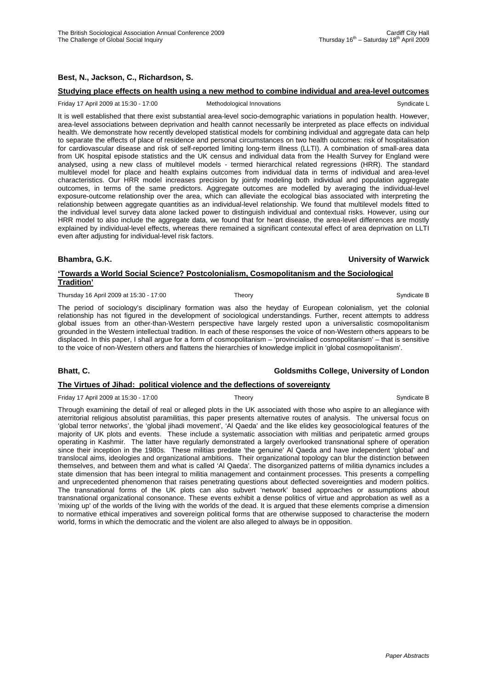# **Best, N., Jackson, C., Richardson, S.**

#### **Studying place effects on health using a new method to combine individual and area-level outcomes**

#### Friday 17 April 2009 at 15:30 - 17:00 Methodological Innovations Syndicate L

It is well established that there exist substantial area-level socio-demographic variations in population health. However, area-level associations between deprivation and health cannot necessarily be interpreted as place effects on individual health. We demonstrate how recently developed statistical models for combining individual and aggregate data can help to separate the effects of place of residence and personal circumstances on two health outcomes: risk of hospitalisation for cardiovascular disease and risk of self-reported limiting long-term illness (LLTI). A combination of small-area data from UK hospital episode statistics and the UK census and individual data from the Health Survey for England were analysed, using a new class of multilevel models - termed hierarchical related regressions (HRR). The standard multilevel model for place and health explains outcomes from individual data in terms of individual and area-level characteristics. Our HRR model increases precision by jointly modeling both individual and population aggregate outcomes, in terms of the same predictors. Aggregate outcomes are modelled by averaging the individual-level exposure-outcome relationship over the area, which can alleviate the ecological bias associated with interpreting the relationship between aggregate quantities as an individual-level relationship. We found that multilevel models fitted to the individual level survey data alone lacked power to distinguish individual and contextual risks. However, using our HRR model to also include the aggregate data, we found that for heart disease, the area-level differences are mostly explained by individual-level effects, whereas there remained a significant contexutal effect of area deprivation on LLTI even after adjusting for individual-level risk factors.

#### **Bhambra, G.K. University of Warwick**

### **'Towards a World Social Science? Postcolonialism, Cosmopolitanism and the Sociological Tradition'**

Thursday 16 April 2009 at 15:30 - 17:00 Theory Syndicate B Syndicate B Syndicate B

The period of sociology's disciplinary formation was also the heyday of European colonialism, yet the colonial relationship has not figured in the development of sociological understandings. Further, recent attempts to address global issues from an other-than-Western perspective have largely rested upon a universalistic cosmopolitanism grounded in the Western intellectual tradition. In each of these responses the voice of non-Western others appears to be displaced. In this paper, I shall argue for a form of cosmopolitanism – 'provincialised cosmopolitanism' – that is sensitive to the voice of non-Western others and flattens the hierarchies of knowledge implicit in 'global cosmopolitanism'.

# **Bhatt, C. Goldsmiths College, University of London The Virtues of Jihad: political violence and the deflections of sovereignty**

Friday 17 April 2009 at 15:30 - 17:00 Theory Theory Syndicate B

Through examining the detail of real or alleged plots in the UK associated with those who aspire to an allegiance with aterritorial religious absolutist paramilitias, this paper presents alternative routes of analysis. The universal focus on 'global terror networks', the 'global jihadi movement', 'Al Qaeda' and the like elides key geosociological features of the majority of UK plots and events. These include a systematic association with militias and peripatetic armed groups operating in Kashmir. The latter have regularly demonstrated a largely overlooked transnational sphere of operation since their inception in the 1980s. These militias predate 'the genuine' Al Qaeda and have independent 'global' and translocal aims, ideologies and organizational ambitions. Their organizational topology can blur the distinction between themselves, and between them and what is called 'Al Qaeda'. The disorganized patterns of militia dynamics includes a state dimension that has been integral to militia management and containment processes. This presents a compelling and unprecedented phenomenon that raises penetrating questions about deflected sovereignties and modern politics. The transnational forms of the UK plots can also subvert 'network' based approaches or assumptions about transnational organizational consonance. These events exhibit a dense politics of virtue and approbation as well as a 'mixing up' of the worlds of the living with the worlds of the dead. It is argued that these elements comprise a dimension to normative ethical imperatives and sovereign political forms that are otherwise supposed to characterise the modern world, forms in which the democratic and the violent are also alleged to always be in opposition.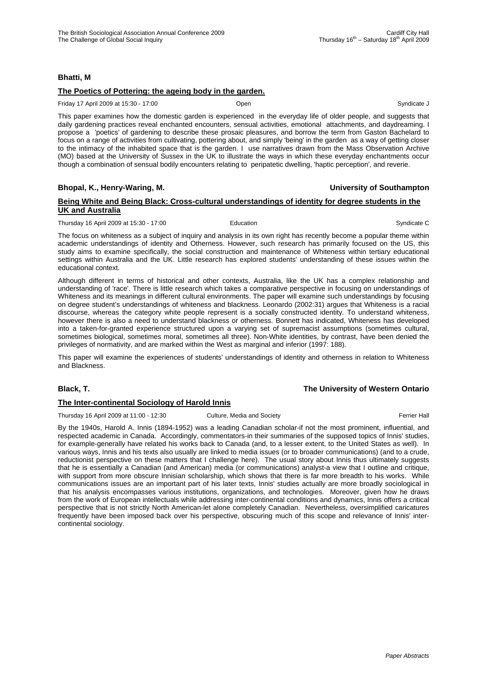# **Bhatti, M**

# **The Poetics of Pottering: the ageing body in the garden.**

Friday 17 April 2009 at 15:30 - 17:00 Open Syndicate J

This paper examines how the domestic garden is experienced in the everyday life of older people, and suggests that daily gardening practices reveal enchanted encounters, sensual activities, emotional attachments, and daydreaming. I propose a 'poetics' of gardening to describe these prosaic pleasures, and borrow the term from Gaston Bachelard to focus on a range of activities from cultivating, pottering about, and simply 'being' in the garden as a way of getting closer to the intimacy of the inhabited space that is the garden. I use narratives drawn from the Mass Observation Archive (MO) based at the University of Sussex in the UK to illustrate the ways in which these everyday enchantments occur though a combination of sensual bodily encounters relating to peripatetic dwelling, 'haptic perception', and reverie.

# **Bhopal, K., Henry-Waring, M. University of Southampton**

### **Being White and Being Black: Cross-cultural understandings of identity for degree students in the UK and Australia**

#### Thursday 16 April 2009 at 15:30 - 17:00 Education Exercísic Control of Syndicate C

The focus on whiteness as a subject of inquiry and analysis in its own right has recently become a popular theme within academic understandings of identity and Otherness. However, such research has primarily focused on the US, this study aims to examine specifically, the social construction and maintenance of Whiteness within tertiary educational settings within Australia and the UK. Little research has explored students' understanding of these issues within the educational context.

Although different in terms of historical and other contexts, Australia, like the UK has a complex relationship and understanding of 'race'. There is little research which takes a comparative perspective in focusing on understandings of Whiteness and its meanings in different cultural environments. The paper will examine such understandings by focusing on degree student's understandings of whiteness and blackness. Leonardo (2002:31) argues that Whiteness is a racial discourse, whereas the category white people represent is a socially constructed identity. To understand whiteness, however there is also a need to understand blackness or otherness. Bonnett has indicated, Whiteness has developed into a taken-for-granted experience structured upon a varying set of supremacist assumptions (sometimes cultural, sometimes biological, sometimes moral, sometimes all three). Non-White identities, by contrast, have been denied the privileges of normativity, and are marked within the West as marginal and inferior (1997: 188).

This paper will examine the experiences of students' understandings of identity and otherness in relation to Whiteness and Blackness.

### **Black, T. The University of Western Ontario**

### **The Inter-continental Sociology of Harold Innis**

Thursday 16 April 2009 at 11:00 - 12:30 Culture, Media and Society **Ferrier Hall** Ferrier Hall

By the 1940s, Harold A. Innis (1894-1952) was a leading Canadian scholar-if not the most prominent, influential, and respected academic in Canada. Accordingly, commentators-in their summaries of the supposed topics of Innis' studies, for example-generally have related his works back to Canada (and, to a lesser extent, to the United States as well). In various ways, Innis and his texts also usually are linked to media issues (or to broader communications) (and to a crude, reductionist perspective on these matters that I challenge here). The usual story about Innis thus ultimately suggests that he is essentially a Canadian (and American) media (or communications) analyst-a view that I outline and critique, with support from more obscure Innisian scholarship, which shows that there is far more breadth to his works. While communications issues are an important part of his later texts, Innis' studies actually are more broadly sociological in that his analysis encompasses various institutions, organizations, and technologies. Moreover, given how he draws from the work of European intellectuals while addressing inter-continental conditions and dynamics, Innis offers a critical perspective that is not strictly North American-let alone completely Canadian. Nevertheless, oversimplified caricatures frequently have been imposed back over his perspective, obscuring much of this scope and relevance of Innis' intercontinental sociology.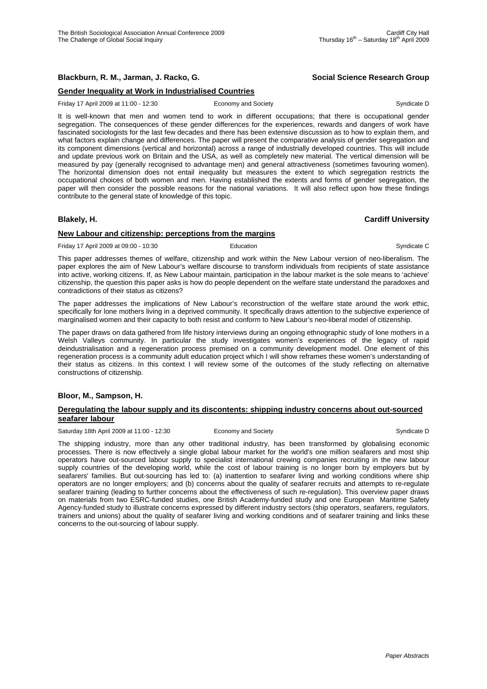# **Blackburn, R. M., Jarman, J. Racko, G. Social Science Research Group**

# **Gender Inequality at Work in Industrialised Countries**

Friday 17 April 2009 at 11:00 - 12:30 Economy and Society Syndicate D Syndicate D

It is well-known that men and women tend to work in different occupations; that there is occupational gender segregation. The consequences of these gender differences for the experiences, rewards and dangers of work have fascinated sociologists for the last few decades and there has been extensive discussion as to how to explain them, and what factors explain change and differences. The paper will present the comparative analysis of gender segregation and its component dimensions (vertical and horizontal) across a range of industrially developed countries. This will include and update previous work on Britain and the USA, as well as completely new material. The vertical dimension will be measured by pay (generally recognised to advantage men) and general attractiveness (sometimes favouring women). The horizontal dimension does not entail inequality but measures the extent to which segregation restricts the occupational choices of both women and men. Having established the extents and forms of gender segregation, the paper will then consider the possible reasons for the national variations. It will also reflect upon how these findings contribute to the general state of knowledge of this topic.

### **Blakely, H. Cardiff University**

# **New Labour and citizenship: perceptions from the margins**

Friday 17 April 2009 at 09:00 - 10:30 **Education** Education Syndicate C

This paper addresses themes of welfare, citizenship and work within the New Labour version of neo-liberalism. The paper explores the aim of New Labour's welfare discourse to transform individuals from recipients of state assistance into active, working citizens. If, as New Labour maintain, participation in the labour market is the sole means to 'achieve' citizenship, the question this paper asks is how do people dependent on the welfare state understand the paradoxes and contradictions of their status as citizens?

The paper addresses the implications of New Labour's reconstruction of the welfare state around the work ethic, specifically for lone mothers living in a deprived community. It specifically draws attention to the subjective experience of marginalised women and their capacity to both resist and conform to New Labour's neo-liberal model of citizenship.

The paper draws on data gathered from life history interviews during an ongoing ethnographic study of lone mothers in a Welsh Valleys community. In particular the study investigates women's experiences of the legacy of rapid deindustrialisation and a regeneration process premised on a community development model. One element of this regeneration process is a community adult education project which I will show reframes these women's understanding of their status as citizens. In this context I will review some of the outcomes of the study reflecting on alternative constructions of citizenship.

### **Bloor, M., Sampson, H.**

### **Deregulating the labour supply and its discontents: shipping industry concerns about out-sourced seafarer labour**

Saturday 18th April 2009 at 11:00 - 12:30 Economy and Society Syndicate D Syndicate D

The shipping industry, more than any other traditional industry, has been transformed by globalising economic processes. There is now effectively a single global labour market for the world's one million seafarers and most ship operators have out-sourced labour supply to specialist international crewing companies recruiting in the new labour supply countries of the developing world, while the cost of labour training is no longer born by employers but by seafarers' families. But out-sourcing has led to: (a) inattention to seafarer living and working conditions where ship operators are no longer employers; and (b) concerns about the quality of seafarer recruits and attempts to re-regulate seafarer training (leading to further concerns about the effectiveness of such re-regulation). This overview paper draws on materials from two ESRC-funded studies, one British Academy-funded study and one European Maritime Safety Agency-funded study to illustrate concerns expressed by different industry sectors (ship operators, seafarers, regulators, trainers and unions) about the quality of seafarer living and working conditions and of seafarer training and links these concerns to the out-sourcing of labour supply.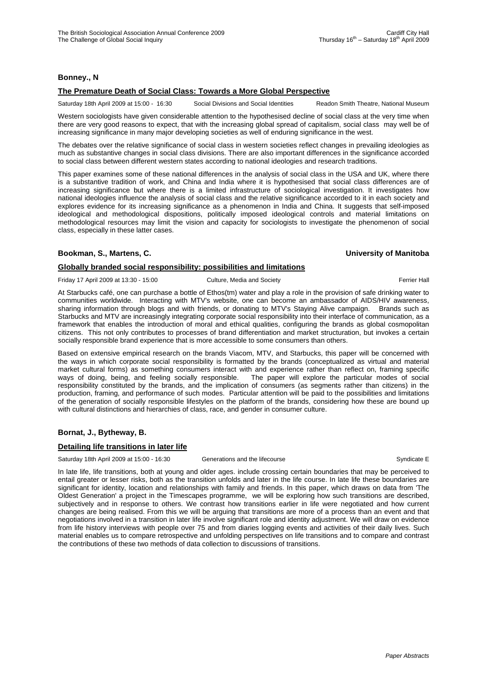# **Bonney., N**

### **The Premature Death of Social Class: Towards a More Global Perspective**

Saturday 18th April 2009 at 15:00 - 16:30 Social Divisions and Social Identities Readon Smith Theatre, National Museum

Western sociologists have given considerable attention to the hypothesised decline of social class at the very time when there are very good reasons to expect, that with the increasing global spread of capitalism, social class may well be of increasing significance in many major developing societies as well of enduring significance in the west.

The debates over the relative significance of social class in western societies reflect changes in prevailing ideologies as much as substantive changes in social class divisions. There are also important differences in the significance accorded to social class between different western states according to national ideologies and research traditions.

This paper examines some of these national differences in the analysis of social class in the USA and UK, where there is a substantive tradition of work, and China and India where it is hypothesised that social class differences are of increasing significance but where there is a limited infrastructure of sociological investigation. It investigates how national ideologies influence the analysis of social class and the relative significance accorded to it in each society and explores evidence for its increasing significance as a phenomenon in India and China. It suggests that self-imposed ideological and methodological dispositions, politically imposed ideological controls and material limitations on methodological resources may limit the vision and capacity for sociologists to investigate the phenomenon of social class, especially in these latter cases.

# **Bookman, S., Martens, C. University of Manitoba**

# **Globally branded social responsibility: possibilities and limitations**

Friday 17 April 2009 at 13:30 - 15:00 Culture, Media and Society Ferrier Hall

At Starbucks café, one can purchase a bottle of Ethos(tm) water and play a role in the provision of safe drinking water to communities worldwide. Interacting with MTV's website, one can become an ambassador of AIDS/HIV awareness, sharing information through blogs and with friends, or donating to MTV's Staying Alive campaign. Brands such as Starbucks and MTV are increasingly integrating corporate social responsibility into their interface of communication, as a framework that enables the introduction of moral and ethical qualities, configuring the brands as global cosmopolitan citizens. This not only contributes to processes of brand differentiation and market structuration, but invokes a certain socially responsible brand experience that is more accessible to some consumers than others.

Based on extensive empirical research on the brands Viacom, MTV, and Starbucks, this paper will be concerned with the ways in which corporate social responsibility is formatted by the brands (conceptualized as virtual and material market cultural forms) as something consumers interact with and experience rather than reflect on, framing specific ways of doing, being, and feeling socially responsible. The paper will explore the particular modes of social responsibility constituted by the brands, and the implication of consumers (as segments rather than citizens) in the production, framing, and performance of such modes. Particular attention will be paid to the possibilities and limitations of the generation of socially responsible lifestyles on the platform of the brands, considering how these are bound up with cultural distinctions and hierarchies of class, race, and gender in consumer culture.

# **Bornat, J., Bytheway, B.**

# **Detailing life transitions in later life**

Saturday 18th April 2009 at 15:00 - 16:30 Generations and the lifecourse Syndicate E

In late life, life transitions, both at young and older ages. include crossing certain boundaries that may be perceived to entail greater or lesser risks, both as the transition unfolds and later in the life course. In late life these boundaries are significant for identity, location and relationships with family and friends. In this paper, which draws on data from 'The Oldest Generation' a project in the Timescapes programme, we will be exploring how such transitions are described, subjectively and in response to others. We contrast how transitions earlier in life were negotiated and how current changes are being realised. From this we will be arguing that transitions are more of a process than an event and that negotiations involved in a transition in later life involve significant role and identity adjustment. We will draw on evidence from life history interviews with people over 75 and from diaries logging events and activities of their daily lives. Such material enables us to compare retrospective and unfolding perspectives on life transitions and to compare and contrast the contributions of these two methods of data collection to discussions of transitions.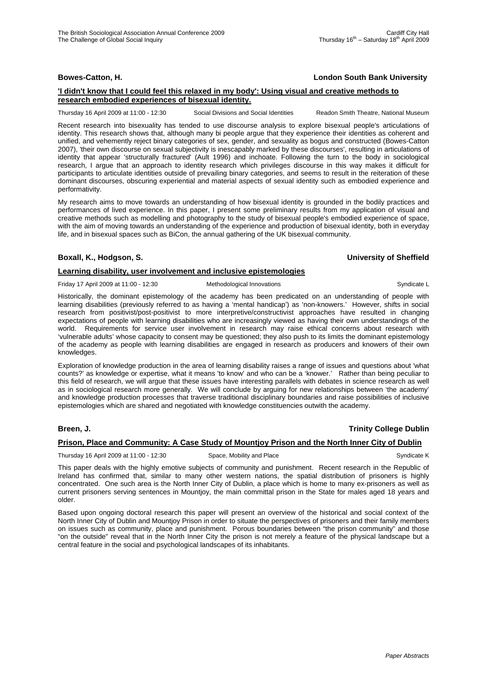# **Bowes-Catton, H. London South Bank University**

# **'I didn't know that I could feel this relaxed in my body': Using visual and creative methods to research embodied experiences of bisexual identity.**

Thursday 16 April 2009 at 11:00 - 12:30 Social Divisions and Social Identities Readon Smith Theatre, National Museum

Recent research into bisexuality has tended to use discourse analysis to explore bisexual people's articulations of identity. This research shows that, although many bi people argue that they experience their identities as coherent and unified, and vehemently reject binary categories of sex, gender, and sexuality as bogus and constructed (Bowes-Catton 2007), 'their own discourse on sexual subjectivity is inescapably marked by these discourses', resulting in articulations of identity that appear 'structurally fractured' (Ault 1996) and inchoate. Following the turn to the body in sociological research, I argue that an approach to identity research which privileges discourse in this way makes it difficult for participants to articulate identities outside of prevailing binary categories, and seems to result in the reiteration of these dominant discourses, obscuring experiential and material aspects of sexual identity such as embodied experience and performativity.

My research aims to move towards an understanding of how bisexual identity is grounded in the bodily practices and performances of lived experience. In this paper, I present some preliminary results from my application of visual and creative methods such as modelling and photography to the study of bisexual people's embodied experience of space, with the aim of moving towards an understanding of the experience and production of bisexual identity, both in everyday life, and in bisexual spaces such as BiCon, the annual gathering of the UK bisexual community.

# **Boxall, K., Hodgson, S. University of Sheffield**

### **Learning disability, user involvement and inclusive epistemologies**

Friday 17 April 2009 at 11:00 - 12:30 Methodological Innovations Syndicate L

Historically, the dominant epistemology of the academy has been predicated on an understanding of people with learning disabilities (previously referred to as having a 'mental handicap') as 'non-knowers.' However, shifts in social research from positivist/post-positivist to more interpretive/constructivist approaches have resulted in changing expectations of people with learning disabilities who are increasingly viewed as having their own understandings of the world. Requirements for service user involvement in research may raise ethical concerns about research with 'vulnerable adults' whose capacity to consent may be questioned; they also push to its limits the dominant epistemology of the academy as people with learning disabilities are engaged in research as producers and knowers of their own knowledges.

Exploration of knowledge production in the area of learning disability raises a range of issues and questions about 'what counts?' as knowledge or expertise, what it means 'to know' and who can be a 'knower.' Rather than being peculiar to this field of research, we will argue that these issues have interesting parallels with debates in science research as well as in sociological research more generally. We will conclude by arguing for new relationships between 'the academy' and knowledge production processes that traverse traditional disciplinary boundaries and raise possibilities of inclusive epistemologies which are shared and negotiated with knowledge constituencies outwith the academy.

# **Breen, J. Trinity College Dublin**

# **Prison, Place and Community: A Case Study of Mountjoy Prison and the North Inner City of Dublin**

Thursday 16 April 2009 at 11:00 - 12:30 Space, Mobility and Place Syndicate K Syndicate K

This paper deals with the highly emotive subjects of community and punishment. Recent research in the Republic of Ireland has confirmed that, similar to many other western nations, the spatial distribution of prisoners is highly concentrated. One such area is the North Inner City of Dublin, a place which is home to many ex-prisoners as well as current prisoners serving sentences in Mountjoy, the main committal prison in the State for males aged 18 years and older.

Based upon ongoing doctoral research this paper will present an overview of the historical and social context of the North Inner City of Dublin and Mountjoy Prison in order to situate the perspectives of prisoners and their family members on issues such as community, place and punishment. Porous boundaries between "the prison community" and those "on the outside" reveal that in the North Inner City the prison is not merely a feature of the physical landscape but a central feature in the social and psychological landscapes of its inhabitants.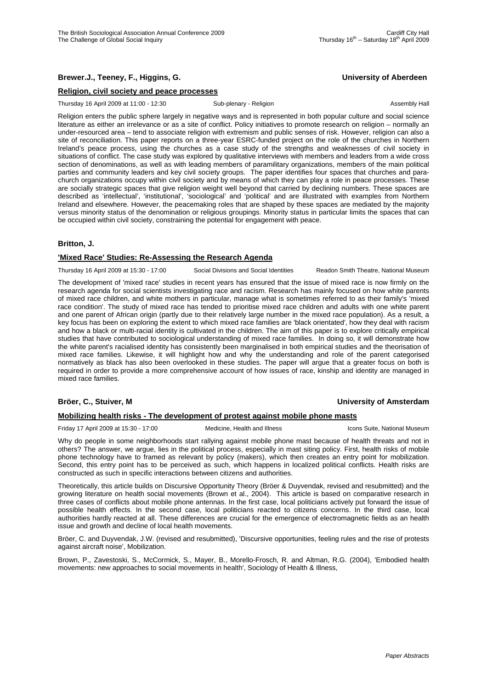# **Brewer.J., Teeney, F., Higgins, G. University of Aberdeen**

### **Religion, civil society and peace processes**

Thursday 16 April 2009 at 11:00 - 12:30 Sub-plenary - Religion Assembly Hall

Religion enters the public sphere largely in negative ways and is represented in both popular culture and social science literature as either an irrelevance or as a site of conflict. Policy initiatives to promote research on religion – normally an under-resourced area – tend to associate religion with extremism and public senses of risk. However, religion can also a site of reconciliation. This paper reports on a three-year ESRC-funded project on the role of the churches in Northern Ireland's peace process, using the churches as a case study of the strengths and weaknesses of civil society in situations of conflict. The case study was explored by qualitative interviews with members and leaders from a wide cross section of denominations, as well as with leading members of paramilitary organizations, members of the main political parties and community leaders and key civil society groups. The paper identifies four spaces that churches and parachurch organizations occupy within civil society and by means of which they can play a role in peace processes. These are socially strategic spaces that give religion weight well beyond that carried by declining numbers. These spaces are described as 'intellectual', 'institutional', 'sociological' and 'political' and are illustrated with examples from Northern Ireland and elsewhere. However, the peacemaking roles that are shaped by these spaces are mediated by the majority versus minority status of the denomination or religious groupings. Minority status in particular limits the spaces that can be occupied within civil society, constraining the potential for engagement with peace.

### **Britton, J.**

### **'Mixed Race' Studies: Re-Assessing the Research Agenda**

Thursday 16 April 2009 at 15:30 - 17:00 Social Divisions and Social Identities Readon Smith Theatre, National Museum

The development of 'mixed race' studies in recent years has ensured that the issue of mixed race is now firmly on the research agenda for social scientists investigating race and racism. Research has mainly focused on how white parents of mixed race children, and white mothers in particular, manage what is sometimes referred to as their family's 'mixed race condition'. The study of mixed race has tended to prioritise mixed race children and adults with one white parent and one parent of African origin (partly due to their relatively large number in the mixed race population). As a result, a key focus has been on exploring the extent to which mixed race families are 'black orientated', how they deal with racism and how a black or multi-racial identity is cultivated in the children. The aim of this paper is to explore critically empirical studies that have contributed to sociological understanding of mixed race families. In doing so, it will demonstrate how the white parent's racialised identity has consistently been marginalised in both empirical studies and the theorisation of mixed race families. Likewise, it will highlight how and why the understanding and role of the parent categorised normatively as black has also been overlooked in these studies. The paper will argue that a greater focus on both is required in order to provide a more comprehensive account of how issues of race, kinship and identity are managed in mixed race families.

### **Bröer, C., Stuiver, M University of Amsterdam**

### **Mobilizing health risks - The development of protest against mobile phone masts**

Friday 17 April 2009 at 15:30 - 17:00 Medicine, Health and Illness Integrational Museum Icons Suite, National Museum

Why do people in some neighborhoods start rallying against mobile phone mast because of health threats and not in others? The answer, we argue, lies in the political process, especially in mast siting policy. First, health risks of mobile phone technology have to framed as relevant by policy (makers), which then creates an entry point for mobilization. Second, this entry point has to be perceived as such, which happens in localized political conflicts. Health risks are constructed as such in specific interactions between citizens and authorities.

Theoretically, this article builds on Discursive Opportunity Theory (Bröer & Duyvendak, revised and resubmitted) and the growing literature on health social movements (Brown et al., 2004). This article is based on comparative research in three cases of conflicts about mobile phone antennas. In the first case, local politicians actively put forward the issue of possible health effects. In the second case, local politicians reacted to citizens concerns. In the third case, local authorities hardly reacted at all. These differences are crucial for the emergence of electromagnetic fields as an health issue and growth and decline of local health movements.

Bröer, C. and Duyvendak, J.W. (revised and resubmitted), 'Discursive opportunities, feeling rules and the rise of protests against aircraft noise', Mobilization.

Brown, P., Zavestoski, S., McCormick, S., Mayer, B., Morello-Frosch, R. and Altman, R.G. (2004), 'Embodied health movements: new approaches to social movements in health', Sociology of Health & Illness,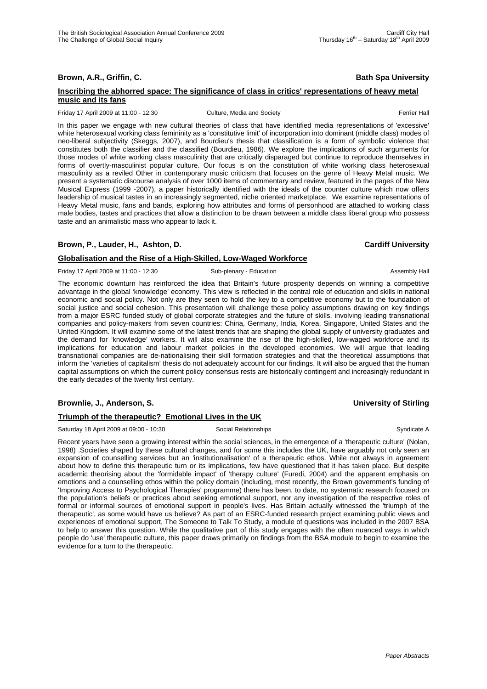**Brown, A.R., Griffin, C. Bath Spa University Bath Spa University** 

### **Inscribing the abhorred space: The significance of class in critics' representations of heavy metal music and its fans**

Friday 17 April 2009 at 11:00 - 12:30 Culture, Media and Society **Ferrier Hall** Ferrier Hall

In this paper we engage with new cultural theories of class that have identified media representations of 'excessive' white heterosexual working class femininity as a 'constitutive limit' of incorporation into dominant (middle class) modes of neo-liberal subjectivity (Skeggs, 2007), and Bourdieu's thesis that classification is a form of symbolic violence that constitutes both the classifier and the classified (Bourdieu, 1986). We explore the implications of such arguments for those modes of white working class masculinity that are critically disparaged but continue to reproduce themselves in forms of overtly-masculinist popular culture. Our focus is on the constitution of white working class heterosexual masculinity as a reviled Other in contemporary music criticism that focuses on the genre of Heavy Metal music. We present a systematic discourse analysis of over 1000 items of commentary and review, featured in the pages of the New Musical Express (1999 -2007), a paper historically identified with the ideals of the counter culture which now offers leadership of musical tastes in an increasingly segmented, niche oriented marketplace. We examine representations of Heavy Metal music, fans and bands, exploring how attributes and forms of personhood are attached to working class male bodies, tastes and practices that allow a distinction to be drawn between a middle class liberal group who possess taste and an animalistic mass who appear to lack it.

# **Brown, P., Lauder, H., Ashton, D. Cardiff University**

#### **Globalisation and the Rise of a High-Skilled, Low-Waged Workforce**

Friday 17 April 2009 at 11:00 - 12:30 Sub-plenary - Education Sub-action Assembly Hall

The economic downturn has reinforced the idea that Britain's future prosperity depends on winning a competitive advantage in the global 'knowledge' economy. This view is reflected in the central role of education and skills in national economic and social policy. Not only are they seen to hold the key to a competitive economy but to the foundation of social justice and social cohesion. This presentation will challenge these policy assumptions drawing on key findings from a major ESRC funded study of global corporate strategies and the future of skills, involving leading transnational companies and policy-makers from seven countries: China, Germany, India, Korea, Singapore, United States and the United Kingdom. It will examine some of the latest trends that are shaping the global supply of university graduates and the demand for 'knowledge' workers. It will also examine the rise of the high-skilled, low-waged workforce and its implications for education and labour market policies in the developed economies. We will argue that leading transnational companies are de-nationalising their skill formation strategies and that the theoretical assumptions that inform the 'varieties of capitalism' thesis do not adequately account for our findings. It will also be argued that the human capital assumptions on which the current policy consensus rests are historically contingent and increasingly redundant in the early decades of the twenty first century.

# **Brownlie, J., Anderson, S. Community of Stirling**

### **Triumph of the therapeutic? Emotional Lives in the UK**

Saturday 18 April 2009 at 09:00 - 10:30 Social Relationships Syndicate A

Recent years have seen a growing interest within the social sciences, in the emergence of a 'therapeutic culture' (Nolan, 1998) .Societies shaped by these cultural changes, and for some this includes the UK, have arguably not only seen an expansion of counselling services but an 'institutionalisation' of a therapeutic ethos. While not always in agreement about how to define this therapeutic turn or its implications, few have questioned that it has taken place. But despite academic theorising about the 'formidable impact' of 'therapy culture' (Furedi, 2004) and the apparent emphasis on emotions and a counselling ethos within the policy domain (including, most recently, the Brown government's funding of 'Improving Access to Psychological Therapies' programme) there has been, to date, no systematic research focused on the population's beliefs or practices about seeking emotional support, nor any investigation of the respective roles of formal or informal sources of emotional support in people's lives. Has Britain actually witnessed the 'triumph of the therapeutic', as some would have us believe? As part of an ESRC-funded research project examining public views and experiences of emotional support, The Someone to Talk To Study, a module of questions was included in the 2007 BSA to help to answer this question. While the qualitative part of this study engages with the often nuanced ways in which people do 'use' therapeutic culture, this paper draws primarily on findings from the BSA module to begin to examine the evidence for a turn to the therapeutic.

Thursday  $16^{th}$  – Saturday  $18^{th}$  April 2009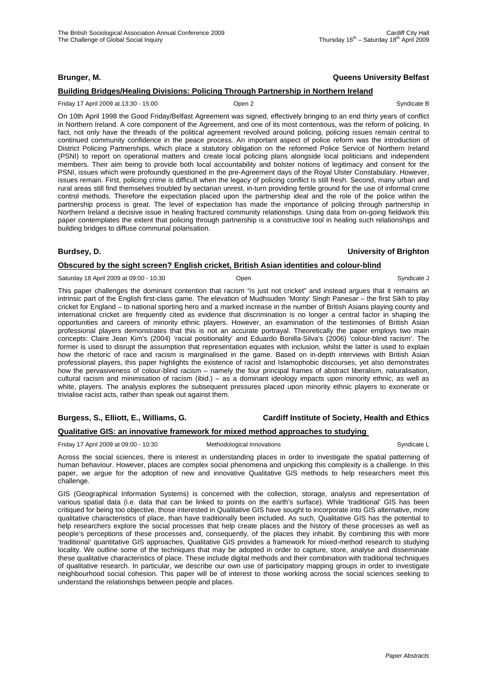# **Brunger, M. Queens University Belfast**

# **Building Bridges/Healing Divisions: Policing Through Partnership in Northern Ireland**

#### Friday 17 April 2009 at 13:30 - 15:00 Open 2 Syndicate B

On 10th April 1998 the Good Friday/Belfast Agreement was signed, effectively bringing to an end thirty years of conflict in Northern Ireland. A core component of the Agreement, and one of its most contentious, was the reform of policing. In fact, not only have the threads of the political agreement revolved around policing, policing issues remain central to continued community confidence in the peace process. An important aspect of police reform was the introduction of District Policing Partnerships, which place a statutory obligation on the reformed Police Service of Northern Ireland (PSNI) to report on operational matters and create local policing plans alongside local politicians and independent members. Their aim being to provide both local accountability and bolster notions of legitimacy and consent for the PSNI, issues which were profoundly questioned in the pre-Agreement days of the Royal Ulster Constabulary. However, issues remain. First, policing crime is difficult when the legacy of policing conflict is still fresh. Second, many urban and rural areas still find themselves troubled by sectarian unrest, in-turn providing fertile ground for the use of informal crime control methods. Therefore the expectation placed upon the partnership ideal and the role of the police within the partnership process is great. The level of expectation has made the importance of policing through partnership in Northern Ireland a decisive issue in healing fractured community relationships. Using data from on-going fieldwork this paper contemplates the extent that policing through partnership is a constructive tool in healing such relationships and building bridges to diffuse communal polarisation.

#### **Burdsey, D. University of Brighton**

### **Obscured by the sight screen? English cricket, British Asian identities and colour-blind**

Saturday 18 April 2009 at 09:00 - 10:30 Coen Chemicate J Coen Syndicate J Syndicate J

This paper challenges the dominant contention that racism "is just not cricket" and instead argues that it remains an intrinsic part of the English first-class game. The elevation of Mudhsuden 'Monty' Singh Panesar – the first Sikh to play cricket for England – to national sporting hero and a marked increase in the number of British Asians playing county and international cricket are frequently cited as evidence that discrimination is no longer a central factor in shaping the opportunities and careers of minority ethnic players. However, an examination of the testimonies of British Asian professional players demonstrates that this is not an accurate portrayal. Theoretically the paper employs two main concepts: Claire Jean Kim's (2004) 'racial positionality' and Eduardo Bonilla-Silva's (2006) 'colour-blind racism'. The former is used to disrupt the assumption that representation equates with inclusion, whilst the latter is used to explain how the rhetoric of race and racism is marginalised in the game. Based on in-depth interviews with British Asian professional players, this paper highlights the existence of racist and Islamophobic discourses, yet also demonstrates how the pervasiveness of colour-blind racism – namely the four principal frames of abstract liberalism, naturalisation, cultural racism and minimisation of racism (ibid.) – as a dominant ideology impacts upon minority ethnic, as well as white, players. The analysis explores the subsequent pressures placed upon minority ethnic players to exonerate or trivialise racist acts, rather than speak out against them.

# **Burgess, S., Elliott, E., Williams, G. Cardiff Institute of Society, Health and Ethics**

# **Qualitative GIS: an innovative framework for mixed method approaches to studying**

Friday 17 April 2009 at 09:00 - 10:30 Methodological Innovations Syndicate L

Across the social sciences, there is interest in understanding places in order to investigate the spatial patterning of human behaviour. However, places are complex social phenomena and unpicking this complexity is a challenge. In this paper, we argue for the adoption of new and innovative Qualitative GIS methods to help researchers meet this challenge.

GIS (Geographical Information Systems) is concerned with the collection, storage, analysis and representation of various spatial data (i.e. data that can be linked to points on the earth's surface). While 'traditional' GIS has been critiqued for being too objective, those interested in Qualitative GIS have sought to incorporate into GIS alternative, more qualitative characteristics of place, than have traditionally been included. As such, Qualitative GIS has the potential to help researchers explore the social processes that help create places and the history of these processes as well as people's perceptions of these processes and, consequently, of the places they inhabit. By combining this with more 'traditional' quantitative GIS approaches, Qualitative GIS provides a framework for mixed-method research to studying locality. We outline some of the techniques that may be adopted in order to capture, store, analyse and disseminate these qualitative characteristics of place. These include digital methods and their combination with traditional techniques of qualitative research. In particular, we describe our own use of participatory mapping groups in order to investigate neighbourhood social cohesion. This paper will be of interest to those working across the social sciences seeking to understand the relationships between people and places.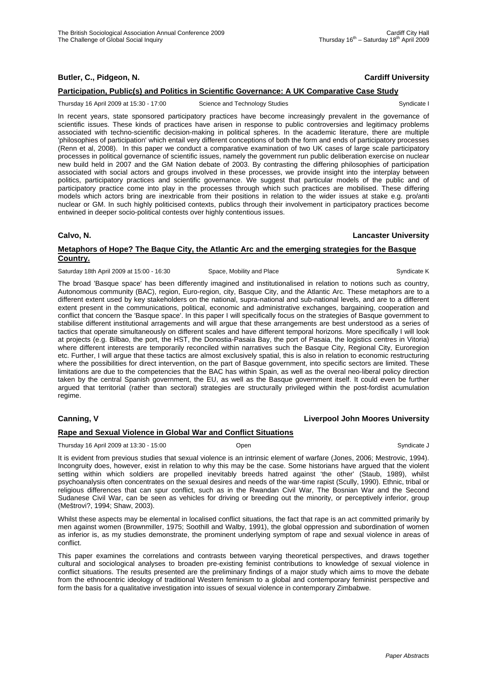# **Butler, C., Pidgeon, N. Cardiff University**

# **Participation, Public(s) and Politics in Scientific Governance: A UK Comparative Case Study**

Thursday 16 April 2009 at 15:30 - 17:00 Science and Technology Studies Syndicate I Syndicate I

In recent years, state sponsored participatory practices have become increasingly prevalent in the governance of scientific issues. These kinds of practices have arisen in response to public controversies and legitimacy problems associated with techno-scientific decision-making in political spheres. In the academic literature, there are multiple 'philosophies of participation' which entail very different conceptions of both the form and ends of participatory processes (Renn et al, 2008). In this paper we conduct a comparative examination of two UK cases of large scale participatory processes in political governance of scientific issues, namely the government run public deliberation exercise on nuclear new build held in 2007 and the GM Nation debate of 2003. By contrasting the differing philosophies of participation associated with social actors and groups involved in these processes, we provide insight into the interplay between politics, participatory practices and scientific governance. We suggest that particular models of the public and of participatory practice come into play in the processes through which such practices are mobilised. These differing models which actors bring are inextricable from their positions in relation to the wider issues at stake e.g. pro/anti nuclear or GM. In such highly politicised contexts, publics through their involvement in participatory practices become entwined in deeper socio-political contests over highly contentious issues.

#### **Calvo, N. Lancaster University**

# **Metaphors of Hope? The Baque City, the Atlantic Arc and the emerging strategies for the Basque Country.**

Saturday 18th April 2009 at 15:00 - 16:30 Space, Mobility and Place Syndicate K Syndicate K

The broad 'Basque space' has been differently imagined and institutionalised in relation to notions such as country, Autonomous community (BAC), region, Euro-region, city, Basque City, and the Atlantic Arc. These metaphors are to a different extent used by key stakeholders on the national, supra-national and sub-national levels, and are to a different extent present in the communications, political, economic and administrative exchanges, bargaining, cooperation and conflict that concern the 'Basque space'. In this paper I will specifically focus on the strategies of Basque government to stabilise different institutional arragements and will argue that these arrangements are best understood as a series of tactics that operate simultaneously on different scales and have different temporal horizons. More specifically I will look at projects (e.g. Bilbao, the port, the HST, the Donostia-Pasaia Bay, the port of Pasaia, the logistics centres in Vitoria) where different interests are temporarily reconciled within narratives such the Basque City, Regional City, Euroregion etc. Further, I will argue that these tactics are almost exclusively spatial, this is also in relation to economic restructuring where the possibilities for direct intervention, on the part of Basque government, into specific sectors are limited. These limitations are due to the competencies that the BAC has within Spain, as well as the overal neo-liberal policy direction taken by the central Spanish government, the EU, as well as the Basque government itself. It could even be further argued that territorial (rather than sectoral) strategies are structurally privileged within the post-fordist acumulation regime.

### **Canning, V Liverpool John Moores University**

### **Rape and Sexual Violence in Global War and Conflict Situations**

Thursday 16 April 2009 at 13:30 - 15:00 Coen Chemicate J Communicate J Syndicate J Syndicate J

It is evident from previous studies that sexual violence is an intrinsic element of warfare (Jones, 2006; Mestrovic, 1994). Incongruity does, however, exist in relation to why this may be the case. Some historians have argued that the violent setting within which soldiers are propelled inevitably breeds hatred against 'the other' (Staub, 1989), whilst psychoanalysis often concentrates on the sexual desires and needs of the war-time rapist (Scully, 1990). Ethnic, tribal or religious differences that can spur conflict, such as in the Rwandan Civil War, The Bosnian War and the Second Sudanese Civil War, can be seen as vehicles for driving or breeding out the minority, or perceptively inferior, group (Meštrovi?, 1994; Shaw, 2003).

Whilst these aspects may be elemental in localised conflict situations, the fact that rape is an act committed primarily by men against women (Brownmiller, 1975; Soothill and Walby, 1991), the global oppression and subordination of women as inferior is, as my studies demonstrate, the prominent underlying symptom of rape and sexual violence in areas of conflict.

This paper examines the correlations and contrasts between varying theoretical perspectives, and draws together cultural and sociological analyses to broaden pre-existing feminist contributions to knowledge of sexual violence in conflict situations. The results presented are the preliminary findings of a major study which aims to move the debate from the ethnocentric ideology of traditional Western feminism to a global and contemporary feminist perspective and form the basis for a qualitative investigation into issues of sexual violence in contemporary Zimbabwe.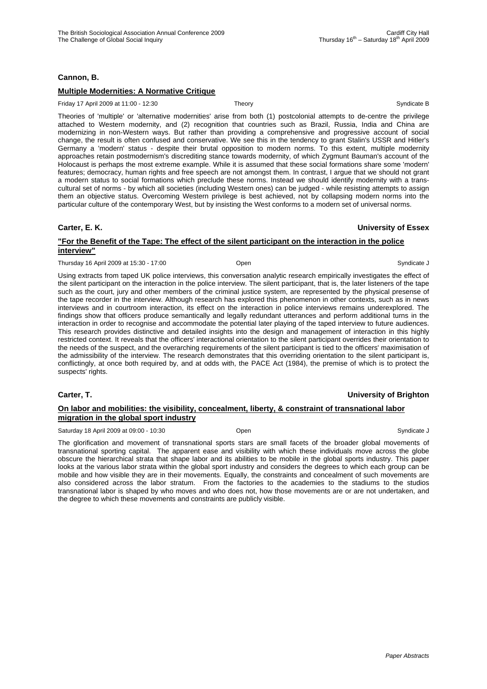# **Cannon, B.**

# **Multiple Modernities: A Normative Critique**

Friday 17 April 2009 at 11:00 - 12:30 Theory Theory Syndicate B

Theories of 'multiple' or 'alternative modernities' arise from both (1) postcolonial attempts to de-centre the privilege attached to Western modernity, and (2) recognition that countries such as Brazil, Russia, India and China are modernizing in non-Western ways. But rather than providing a comprehensive and progressive account of social change, the result is often confused and conservative. We see this in the tendency to grant Stalin's USSR and Hitler's Germany a 'modern' status - despite their brutal opposition to modern norms. To this extent, multiple modernity approaches retain postmodernism's discrediting stance towards modernity, of which Zygmunt Bauman's account of the Holocaust is perhaps the most extreme example. While it is assumed that these social formations share some 'modern' features; democracy, human rights and free speech are not amongst them. In contrast, I argue that we should not grant a modern status to social formations which preclude these norms. Instead we should identify modernity with a transcultural set of norms - by which all societies (including Western ones) can be judged - while resisting attempts to assign them an objective status. Overcoming Western privilege is best achieved, not by collapsing modern norms into the particular culture of the contemporary West, but by insisting the West conforms to a modern set of universal norms.

# **Carter, E. K. University of Essex**

### **"For the Benefit of the Tape: The effect of the silent participant on the interaction in the police interview"**

Thursday 16 April 2009 at 15:30 - 17:00 **Open** Communicate J Syndicate J Syndicate J Syndicate J Syndicate J

Using extracts from taped UK police interviews, this conversation analytic research empirically investigates the effect of the silent participant on the interaction in the police interview. The silent participant, that is, the later listeners of the tape such as the court, jury and other members of the criminal justice system, are represented by the physical presense of the tape recorder in the interview. Although research has explored this phenomenon in other contexts, such as in news interviews and in courtroom interaction, its effect on the interaction in police interviews remains underexplored. The findings show that officers produce semantically and legally redundant utterances and perform additional turns in the interaction in order to recognise and accommodate the potential later playing of the taped interview to future audiences. This research provides distinctive and detailed insights into the design and management of interaction in this highly restricted context. It reveals that the officers' interactional orientation to the silent participant overrides their orientation to the needs of the suspect, and the overarching requirements of the silent participant is tied to the officers' maximisation of the admissibility of the interview. The research demonstrates that this overriding orientation to the silent participant is, conflictingly, at once both required by, and at odds with, the PACE Act (1984), the premise of which is to protect the suspects' rights.

### **Carter, T. University of Brighton**

### **On labor and mobilities: the visibility, concealment, liberty, & constraint of transnational labor migration in the global sport industry**

Saturday 18 April 2009 at 09:00 - 10:30 Coen Chemicate J Coen Syndicate J Syndicate J

The glorification and movement of transnational sports stars are small facets of the broader global movements of transnational sporting capital. The apparent ease and visibility with which these individuals move across the globe obscure the hierarchical strata that shape labor and its abilities to be mobile in the global sports industry. This paper looks at the various labor strata within the global sport industry and considers the degrees to which each group can be mobile and how visible they are in their movements. Equally, the constraints and concealment of such movements are also considered across the labor stratum. From the factories to the academies to the stadiums to the studios transnational labor is shaped by who moves and who does not, how those movements are or are not undertaken, and the degree to which these movements and constraints are publicly visible.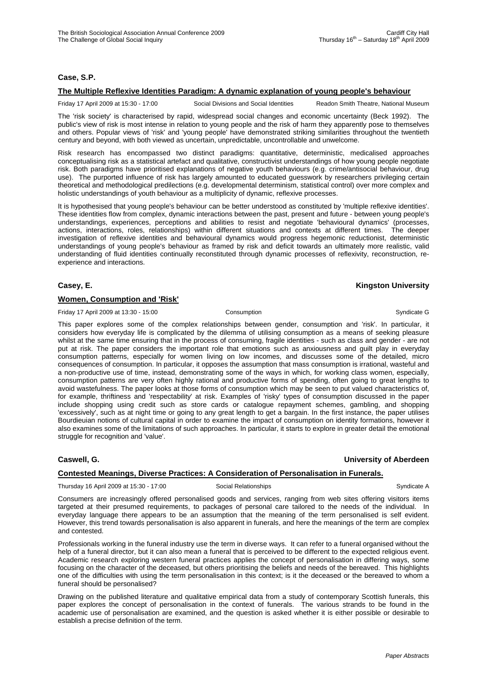# **Case, S.P.**

### **The Multiple Reflexive Identities Paradigm: A dynamic explanation of young people's behaviour**

Friday 17 April 2009 at 15:30 - 17:00 Social Divisions and Social Identities Readon Smith Theatre, National Museum

The 'risk society' is characterised by rapid, widespread social changes and economic uncertainty (Beck 1992). The public's view of risk is most intense in relation to young people and the risk of harm they apparently pose to themselves and others. Popular views of 'risk' and 'young people' have demonstrated striking similarities throughout the twentieth century and beyond, with both viewed as uncertain, unpredictable, uncontrollable and unwelcome.

Risk research has encompassed two distinct paradigms: quantitative, deterministic, medicalised approaches conceptualising risk as a statistical artefact and qualitative, constructivist understandings of how young people negotiate risk. Both paradigms have prioritised explanations of negative youth behaviours (e.g. crime/antisocial behaviour, drug use). The purported influence of risk has largely amounted to educated guesswork by researchers privileging certain theoretical and methodological predilections (e.g. developmental determinism, statistical control) over more complex and holistic understandings of youth behaviour as a multiplicity of dynamic, reflexive processes.

It is hypothesised that young people's behaviour can be better understood as constituted by 'multiple reflexive identities'. These identities flow from complex, dynamic interactions between the past, present and future - between young people's understandings, experiences, perceptions and abilities to resist and negotiate 'behavioural dynamics' (processes, actions, interactions, roles, relationships) within different situations and contexts at different times. The deeper investigation of reflexive identities and behavioural dynamics would progress hegemonic reductionist, deterministic understandings of young people's behaviour as framed by risk and deficit towards an ultimately more realistic, valid understanding of fluid identities continually reconstituted through dynamic processes of reflexivity, reconstruction, reexperience and interactions.

# **Casey, E. Kingston University**

### **Women, Consumption and 'Risk'**

Friday 17 April 2009 at 13:30 - 15:00 Consumption Consumption Consumption Syndicate G

This paper explores some of the complex relationships between gender, consumption and 'risk'. In particular, it considers how everyday life is complicated by the dilemma of utilising consumption as a means of seeking pleasure whilst at the same time ensuring that in the process of consuming, fragile identities - such as class and gender - are not put at risk. The paper considers the important role that emotions such as anxiousness and guilt play in everyday consumption patterns, especially for women living on low incomes, and discusses some of the detailed, micro consequences of consumption. In particular, it opposes the assumption that mass consumption is irrational, wasteful and a non-productive use of time, instead, demonstrating some of the ways in which, for working class women, especially, consumption patterns are very often highly rational and productive forms of spending, often going to great lengths to avoid wastefulness. The paper looks at those forms of consumption which may be seen to put valued characteristics of, for example, thriftiness and 'respectability' at risk. Examples of 'risky' types of consumption discussed in the paper include shopping using credit such as store cards or catalogue repayment schemes, gambling, and shopping 'excessively', such as at night time or going to any great length to get a bargain. In the first instance, the paper utilises Bourdieuian notions of cultural capital in order to examine the impact of consumption on identity formations, however it also examines some of the limitations of such approaches. In particular, it starts to explore in greater detail the emotional struggle for recognition and 'value'.

# **Caswell, G. University of Aberdeen**

# **Contested Meanings, Diverse Practices: A Consideration of Personalisation in Funerals.**

Thursday 16 April 2009 at 15:30 - 17:00 Social Relationships Syndicate A

Consumers are increasingly offered personalised goods and services, ranging from web sites offering visitors items targeted at their presumed requirements, to packages of personal care tailored to the needs of the individual. In everyday language there appears to be an assumption that the meaning of the term personalised is self evident. However, this trend towards personalisation is also apparent in funerals, and here the meanings of the term are complex and contested.

Professionals working in the funeral industry use the term in diverse ways. It can refer to a funeral organised without the help of a funeral director, but it can also mean a funeral that is perceived to be different to the expected religious event. Academic research exploring western funeral practices applies the concept of personalisation in differing ways, some focusing on the character of the deceased, but others prioritising the beliefs and needs of the bereaved. This highlights one of the difficulties with using the term personalisation in this context; is it the deceased or the bereaved to whom a funeral should be personalised?

Drawing on the published literature and qualitative empirical data from a study of contemporary Scottish funerals, this paper explores the concept of personalisation in the context of funerals. The various strands to be found in the academic use of personalisation are examined, and the question is asked whether it is either possible or desirable to establish a precise definition of the term.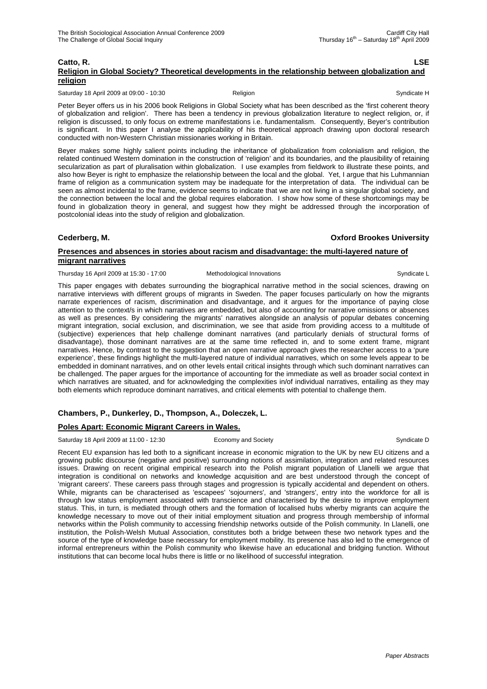#### **Catto, R. LSE Religion in Global Society? Theoretical developments in the relationship between globalization and religion**

Saturday 18 April 2009 at 09:00 - 10:30 Religion Religion Syndicate H Syndicate H

Peter Beyer offers us in his 2006 book Religions in Global Society what has been described as the 'first coherent theory of globalization and religion'. There has been a tendency in previous globalization literature to neglect religion, or, if religion is discussed, to only focus on extreme manifestations i.e. fundamentalism. Consequently, Beyer's contribution is significant. In this paper I analyse the applicability of his theoretical approach drawing upon doctoral research conducted with non-Western Christian missionaries working in Britain.

Beyer makes some highly salient points including the inheritance of globalization from colonialism and religion, the related continued Western domination in the construction of 'religion' and its boundaries, and the plausibility of retaining secularization as part of pluralisation within globalization. I use examples from fieldwork to illustrate these points, and also how Beyer is right to emphasize the relationship between the local and the global. Yet, I argue that his Luhmannian frame of religion as a communication system may be inadequate for the interpretation of data. The individual can be seen as almost incidental to the frame, evidence seems to indicate that we are not living in a singular global society, and the connection between the local and the global requires elaboration. I show how some of these shortcomings may be found in globalization theory in general, and suggest how they might be addressed through the incorporation of postcolonial ideas into the study of religion and globalization.

### **Cederberg, M. Oxford Brookes University**

# **Presences and absences in stories about racism and disadvantage: the multi-layered nature of migrant narratives**

Thursday 16 April 2009 at 15:30 - 17:00 Methodological Innovations Syndicate L

This paper engages with debates surrounding the biographical narrative method in the social sciences, drawing on narrative interviews with different groups of migrants in Sweden. The paper focuses particularly on how the migrants narrate experiences of racism, discrimination and disadvantage, and it argues for the importance of paying close attention to the context/s in which narratives are embedded, but also of accounting for narrative omissions or absences as well as presences. By considering the migrants' narratives alongside an analysis of popular debates concerning migrant integration, social exclusion, and discrimination, we see that aside from providing access to a multitude of (subjective) experiences that help challenge dominant narratives (and particularly denials of structural forms of disadvantage), those dominant narratives are at the same time reflected in, and to some extent frame, migrant narratives. Hence, by contrast to the suggestion that an open narrative approach gives the researcher access to a 'pure experience', these findings highlight the multi-layered nature of individual narratives, which on some levels appear to be embedded in dominant narratives, and on other levels entail critical insights through which such dominant narratives can be challenged. The paper argues for the importance of accounting for the immediate as well as broader social context in which narratives are situated, and for acknowledging the complexities in/of individual narratives, entailing as they may both elements which reproduce dominant narratives, and critical elements with potential to challenge them.

# **Chambers, P., Dunkerley, D., Thompson, A., Doleczek, L.**

# **Poles Apart: Economic Migrant Careers in Wales.**

Saturday 18 April 2009 at 11:00 - 12:30 Economy and Society Syndicate D Syndicate D

Recent EU expansion has led both to a significant increase in economic migration to the UK by new EU citizens and a growing public discourse (negative and positive) surrounding notions of assimilation, integration and related resources issues. Drawing on recent original empirical research into the Polish migrant population of Llanelli we argue that integration is conditional on networks and knowledge acquisition and are best understood through the concept of 'migrant careers'. These careers pass through stages and progression is typically accidental and dependent on others. While, migrants can be characterised as 'escapees' 'sojourners', and 'strangers', entry into the workforce for all is through low status employment associated with transcience and characterised by the desire to improve employment status. This, in turn, is mediated through others and the formation of localised hubs wherby migrants can acquire the knowledge necessary to move out of their initial employment situation and progress through membership of informal networks within the Polish community to accessing friendship networks outside of the Polish community. In Llanelli, one institution, the Polish-Welsh Mutual Association, constitutes both a bridge between these two network types and the source of the type of knowledge base necessary for employment mobility. Its presence has also led to the emergence of informal entrepreneurs within the Polish community who likewise have an educational and bridging function. Without institutions that can become local hubs there is little or no likelihood of successful integration.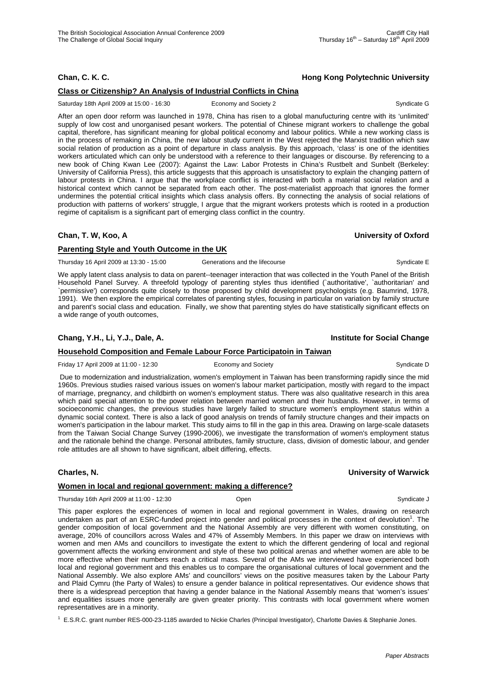# **Class or Citizenship? An Analysis of Industrial Conflicts in China**

Saturday 18th April 2009 at 15:00 - 16:30 Economy and Society 2 Syndicate G

After an open door reform was launched in 1978, China has risen to a global manufucturing centre with its 'unlimited' supply of low cost and unorganised pesant workers. The potential of Chinese migrant workers to challenge the gobal capital, therefore, has significant meaning for global political economy and labour politics. While a new working class is in the process of remaking in China, the new labour study current in the West rejected the Marxist tradition which saw social relation of production as a point of departure in class analysis. By this approach, 'class' is one of the identities workers articulated which can only be understood with a reference to their languages or discourse. By referencing to a new book of Ching Kwan Lee (2007): Against the Law: Labor Protests in China's Rustbelt and Sunbelt (Berkeley: University of California Press), this article suggests that this approach is unsatisfactory to explain the changing pattern of labour protests in China. I argue that the workplace conflict is interacted with both a material social relation and a historical context which cannot be separated from each other. The post-materialist approach that ignores the former undermines the potential critical insights which class analysis offers. By connecting the analysis of social relations of production with patterns of workers' struggle, I argue that the migrant workers protests which is rooted in a production regime of capitalism is a significant part of emerging class conflict in the country.

# **Chan, T. W, Koo, A University of Oxford**

# **Parenting Style and Youth Outcome in the UK**

Thursday 16 April 2009 at 13:30 - 15:00 Generations and the lifecourse Company of the Syndicate E

We apply latent class analysis to data on parent--teenager interaction that was collected in the Youth Panel of the British Household Panel Survey. A threefold typology of parenting styles thus identified (`authoritative', `authoritarian' and `permissive') corresponds quite closely to those proposed by child development psychologists (e.g. Baumrind, 1978, 1991). We then explore the empirical correlates of parenting styles, focusing in particular on variation by family structure and parent's social class and education. Finally, we show that parenting styles do have statistically significant effects on a wide range of youth outcomes,

# **Chang, Y.H., Li, Y.J., Dale, A. Institute for Social Change**

### **Household Composition and Female Labour Force Participatoin in Taiwan**

Friday 17 April 2009 at 11:00 - 12:30 Economy and Society Syndicate D Syndicate D

 Due to modernization and industrialization, women's employment in Taiwan has been transforming rapidly since the mid 1960s. Previous studies raised various issues on women's labour market participation, mostly with regard to the impact of marriage, pregnancy, and childbirth on women's employment status. There was also qualitative research in this area which paid special attention to the power relation between married women and their husbands. However, in terms of socioeconomic changes, the previous studies have largely failed to structure women's employment status within a dynamic social context. There is also a lack of good analysis on trends of family structure changes and their impacts on women's participation in the labour market. This study aims to fill in the gap in this area. Drawing on large-scale datasets from the Taiwan Social Change Survey (1990-2006), we investigate the transformation of women's employment status and the rationale behind the change. Personal attributes, family structure, class, division of domestic labour, and gender role attitudes are all shown to have significant, albeit differing, effects.

### **Charles, N. University of Warwick**

# **Women in local and regional government: making a difference?**

Thursday 16th April 2009 at 11:00 - 12:30 Open Syndicate J

This paper explores the experiences of women in local and regional government in Wales, drawing on research undertaken as part of an ESRC-funded project into gender and political processes in the context of devolution<sup>1</sup>. The gender composition of local government and the National Assembly are very different with women constituting, on average, 20% of councillors across Wales and 47% of Assembly Members. In this paper we draw on interviews with women and men AMs and councillors to investigate the extent to which the different gendering of local and regional government affects the working environment and style of these two political arenas and whether women are able to be more effective when their numbers reach a critical mass. Several of the AMs we interviewed have experienced both local and regional government and this enables us to compare the organisational cultures of local government and the National Assembly. We also explore AMs' and councillors' views on the positive measures taken by the Labour Party and Plaid Cymru (the Party of Wales) to ensure a gender balance in political representatives. Our evidence shows that there is a widespread perception that having a gender balance in the National Assembly means that 'women's issues' and equalities issues more generally are given greater priority. This contrasts with local government where women representatives are in a minority.

1 E.S.R.C. grant number RES-000-23-1185 awarded to Nickie Charles (Principal Investigator), Charlotte Davies & Stephanie Jones.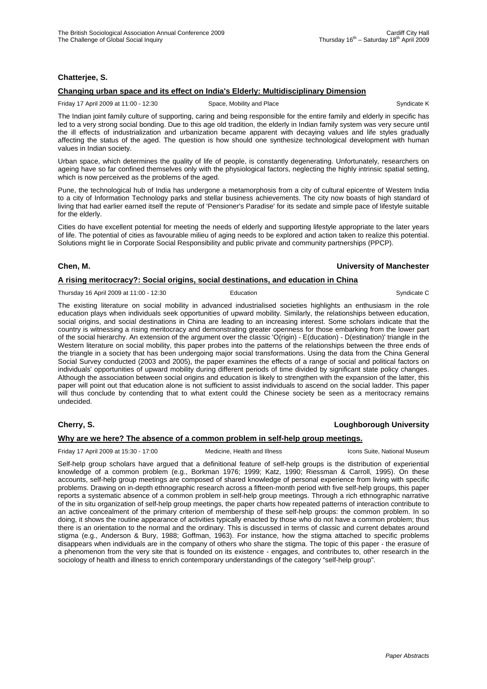# **Chatterjee, S.**

# **Changing urban space and its effect on India's Elderly: Multidisciplinary Dimension**

Friday 17 April 2009 at 11:00 - 12:30 Space, Mobility and Place Syndicate K Syndicate K

The Indian joint family culture of supporting, caring and being responsible for the entire family and elderly in specific has led to a very strong social bonding. Due to this age old tradition, the elderly in Indian family system was very secure until the ill effects of industrialization and urbanization became apparent with decaying values and life styles gradually affecting the status of the aged. The question is how should one synthesize technological development with human values in Indian society.

Urban space, which determines the quality of life of people, is constantly degenerating. Unfortunately, researchers on ageing have so far confined themselves only with the physiological factors, neglecting the highly intrinsic spatial setting, which is now perceived as the problems of the aged.

Pune, the technological hub of India has undergone a metamorphosis from a city of cultural epicentre of Western India to a city of Information Technology parks and stellar business achievements. The city now boasts of high standard of living that had earlier earned itself the repute of 'Pensioner's Paradise' for its sedate and simple pace of lifestyle suitable for the elderly.

Cities do have excellent potential for meeting the needs of elderly and supporting lifestyle appropriate to the later years of life. The potential of cities as favourable milieu of aging needs to be explored and action taken to realize this potential. Solutions might lie in Corporate Social Responsibility and public private and community partnerships (PPCP).

### **Chen, M. University of Manchester**

# **A rising meritocracy?: Social origins, social destinations, and education in China**

Thursday 16 April 2009 at 11:00 - 12:30 Education Education Syndicate C

The existing literature on social mobility in advanced industrialised societies highlights an enthusiasm in the role education plays when individuals seek opportunities of upward mobility. Similarly, the relationships between education, social origins, and social destinations in China are leading to an increasing interest. Some scholars indicate that the country is witnessing a rising meritocracy and demonstrating greater openness for those embarking from the lower part of the social hierarchy. An extension of the argument over the classic 'O(rigin) - E(ducation) - D(estination)' triangle in the Western literature on social mobility, this paper probes into the patterns of the relationships between the three ends of the triangle in a society that has been undergoing major social transformations. Using the data from the China General Social Survey conducted (2003 and 2005), the paper examines the effects of a range of social and political factors on individuals' opportunities of upward mobility during different periods of time divided by significant state policy changes. Although the association between social origins and education is likely to strengthen with the expansion of the latter, this paper will point out that education alone is not sufficient to assist individuals to ascend on the social ladder. This paper will thus conclude by contending that to what extent could the Chinese society be seen as a meritocracy remains undecided.

# **Cherry, S. Loughborough University**

# **Why are we here? The absence of a common problem in self-help group meetings.**

Friday 17 April 2009 at 15:30 - 17:00 Medicine, Health and Illness Icons Suite, National Museum

Self-help group scholars have argued that a definitional feature of self-help groups is the distribution of experiential knowledge of a common problem (e.g., Borkman 1976; 1999; Katz, 1990; Riessman & Carroll, 1995). On these accounts, self-help group meetings are composed of shared knowledge of personal experience from living with specific problems. Drawing on in-depth ethnographic research across a fifteen-month period with five self-help groups, this paper reports a systematic absence of a common problem in self-help group meetings. Through a rich ethnographic narrative of the in situ organization of self-help group meetings, the paper charts how repeated patterns of interaction contribute to an active concealment of the primary criterion of membership of these self-help groups: the common problem. In so doing, it shows the routine appearance of activities typically enacted by those who do not have a common problem; thus there is an orientation to the normal and the ordinary. This is discussed in terms of classic and current debates around stigma (e.g., Anderson & Bury, 1988; Goffman, 1963). For instance, how the stigma attached to specific problems disappears when individuals are in the company of others who share the stigma. The topic of this paper - the erasure of a phenomenon from the very site that is founded on its existence - engages, and contributes to, other research in the sociology of health and illness to enrich contemporary understandings of the category "self-help group".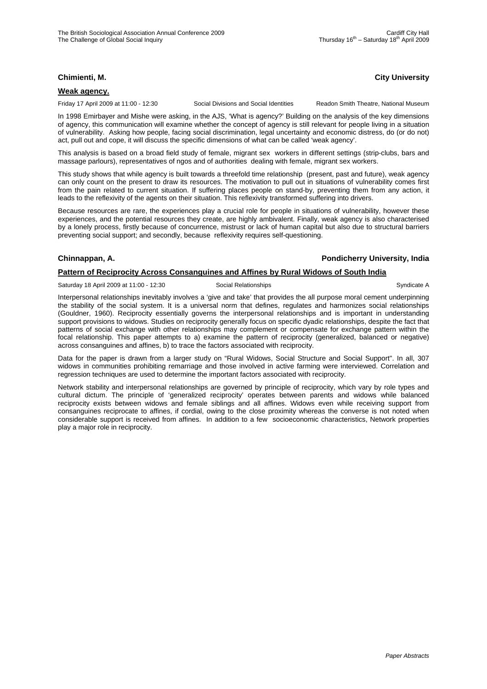# **Chimienti, M. City University**

#### **Weak agency.**

Friday 17 April 2009 at 11:00 - 12:30 Social Divisions and Social Identities Readon Smith Theatre, National Museum

In 1998 Emirbayer and Mishe were asking, in the AJS, 'What is agency?' Building on the analysis of the key dimensions of agency, this communication will examine whether the concept of agency is still relevant for people living in a situation of vulnerability. Asking how people, facing social discrimination, legal uncertainty and economic distress, do (or do not) act, pull out and cope, it will discuss the specific dimensions of what can be called 'weak agency'.

This analysis is based on a broad field study of female, migrant sex workers in different settings (strip-clubs, bars and massage parlours), representatives of ngos and of authorities dealing with female, migrant sex workers.

This study shows that while agency is built towards a threefold time relationship (present, past and future), weak agency can only count on the present to draw its resources. The motivation to pull out in situations of vulnerability comes first from the pain related to current situation. If suffering places people on stand-by, preventing them from any action, it leads to the reflexivity of the agents on their situation. This reflexivity transformed suffering into drivers.

Because resources are rare, the experiences play a crucial role for people in situations of vulnerability, however these experiences, and the potential resources they create, are highly ambivalent. Finally, weak agency is also characterised by a lonely process, firstly because of concurrence, mistrust or lack of human capital but also due to structural barriers preventing social support; and secondly, because reflexivity requires self-questioning.

# **Chinnappan, A. Pondicherry University, India**

### **Pattern of Reciprocity Across Consanguines and Affines by Rural Widows of South India**

Saturday 18 April 2009 at 11:00 - 12:30 Social Relationships Syndicate A

Interpersonal relationships inevitably involves a 'give and take' that provides the all purpose moral cement underpinning the stability of the social system. It is a universal norm that defines, regulates and harmonizes social relationships (Gouldner, 1960). Reciprocity essentially governs the interpersonal relationships and is important in understanding support provisions to widows. Studies on reciprocity generally focus on specific dyadic relationships, despite the fact that patterns of social exchange with other relationships may complement or compensate for exchange pattern within the focal relationship. This paper attempts to a) examine the pattern of reciprocity (generalized, balanced or negative) across consanguines and affines, b) to trace the factors associated with reciprocity.

Data for the paper is drawn from a larger study on "Rural Widows, Social Structure and Social Support". In all, 307 widows in communities prohibiting remarriage and those involved in active farming were interviewed. Correlation and regression techniques are used to determine the important factors associated with reciprocity.

Network stability and interpersonal relationships are governed by principle of reciprocity, which vary by role types and cultural dictum. The principle of 'generalized reciprocity' operates between parents and widows while balanced reciprocity exists between widows and female siblings and all affines. Widows even while receiving support from consanguines reciprocate to affines, if cordial, owing to the close proximity whereas the converse is not noted when considerable support is received from affines. In addition to a few socioeconomic characteristics, Network properties play a major role in reciprocity.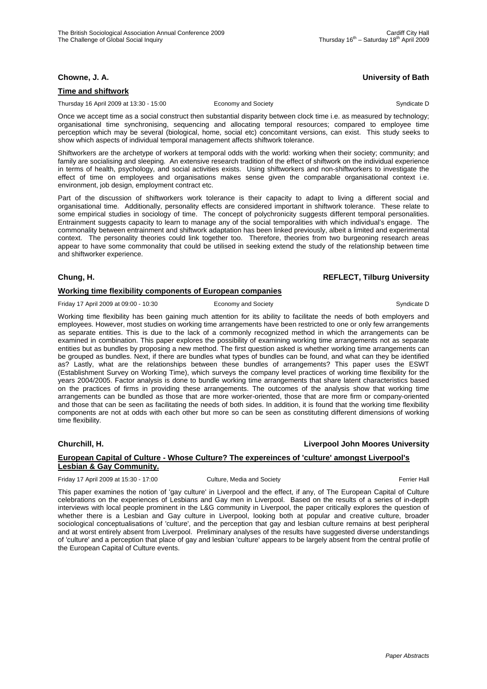# **Chowne, J. A. University of Bath**

### **Time and shiftwork**

Thursday 16 April 2009 at 13:30 - 15:00 Economy and Society Syndicate D Syndicate D

Once we accept time as a social construct then substantial disparity between clock time i.e. as measured by technology; organisational time synchronising, sequencing and allocating temporal resources; compared to employee time perception which may be several (biological, home, social etc) concomitant versions, can exist. This study seeks to show which aspects of individual temporal management affects shiftwork tolerance.

Shiftworkers are the archetype of workers at temporal odds with the world: working when their society; community; and family are socialising and sleeping. An extensive research tradition of the effect of shiftwork on the individual experience in terms of health, psychology, and social activities exists. Using shiftworkers and non-shiftworkers to investigate the effect of time on employees and organisations makes sense given the comparable organisational context i.e. environment, job design, employment contract etc.

Part of the discussion of shiftworkers work tolerance is their capacity to adapt to living a different social and organisational time. Additionally, personality effects are considered important in shiftwork tolerance. These relate to some empirical studies in sociology of time. The concept of polychronicity suggests different temporal personalities. Entrainment suggests capacity to learn to manage any of the social temporalities with which individual's engage. The commonality between entrainment and shiftwork adaptation has been linked previously, albeit a limited and experimental context. The personality theories could link together too. Therefore, theories from two burgeoning research areas appear to have some commonality that could be utilised in seeking extend the study of the relationship between time and shiftworker experience.

# **Chung, H. REFLECT, Tilburg University**

# **Working time flexibility components of European companies**

Friday 17 April 2009 at 09:00 - 10:30 Economy and Society Syndicate D Syndicate D

Working time flexibility has been gaining much attention for its ability to facilitate the needs of both employers and employees. However, most studies on working time arrangements have been restricted to one or only few arrangements as separate entities. This is due to the lack of a commonly recognized method in which the arrangements can be examined in combination. This paper explores the possibility of examining working time arrangements not as separate entities but as bundles by proposing a new method. The first question asked is whether working time arrangements can be grouped as bundles. Next, if there are bundles what types of bundles can be found, and what can they be identified as? Lastly, what are the relationships between these bundles of arrangements? This paper uses the ESWT (Establishment Survey on Working Time), which surveys the company level practices of working time flexibility for the years 2004/2005. Factor analysis is done to bundle working time arrangements that share latent characteristics based on the practices of firms in providing these arrangements. The outcomes of the analysis show that working time arrangements can be bundled as those that are more worker-oriented, those that are more firm or company-oriented and those that can be seen as facilitating the needs of both sides. In addition, it is found that the working time flexibility components are not at odds with each other but more so can be seen as constituting different dimensions of working time flexibility.

# **Churchill, H. Liverpool John Moores University**

# **European Capital of Culture - Whose Culture? The expereinces of 'culture' amongst Liverpool's Lesbian & Gay Community.**

Friday 17 April 2009 at 15:30 - 17:00 Culture, Media and Society Ferrier Hall

This paper examines the notion of 'gay culture' in Liverpool and the effect, if any, of The European Capital of Culture celebrations on the experiences of Lesbians and Gay men in Liverpool. Based on the results of a series of in-depth interviews with local people prominent in the L&G community in Liverpool, the paper critically explores the question of whether there is a Lesbian and Gay culture in Liverpool, looking both at popular and creative culture, broader sociological conceptualisations of 'culture', and the perception that gay and lesbian culture remains at best peripheral and at worst entirely absent from Liverpool. Preliminary analyses of the results have suggested diverse understandings of 'culture' and a perception that place of gay and lesbian 'culture' appears to be largely absent from the central profile of the European Capital of Culture events.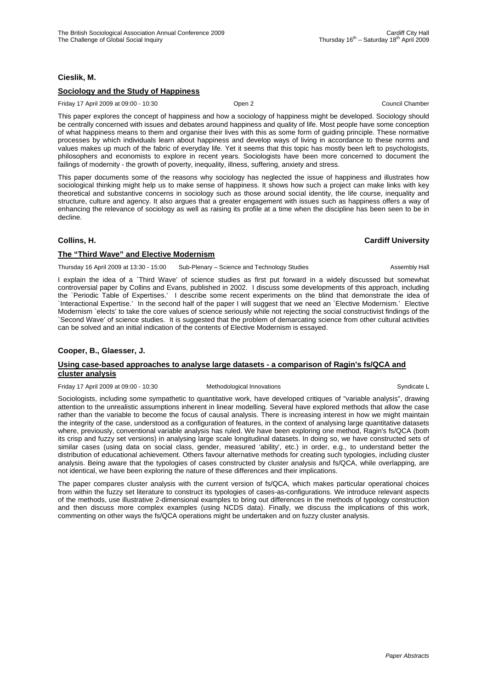# **Cieslik, M.**

# **Sociology and the Study of Happiness**

Friday 17 April 2009 at 09:00 - 10:30 Open 2 Council Chamber

This paper explores the concept of happiness and how a sociology of happiness might be developed. Sociology should be centrally concerned with issues and debates around happiness and quality of life. Most people have some conception of what happiness means to them and organise their lives with this as some form of guiding principle. These normative processes by which individuals learn about happiness and develop ways of living in accordance to these norms and values makes up much of the fabric of everyday life. Yet it seems that this topic has mostly been left to psychologists, philosophers and economists to explore in recent years. Sociologists have been more concerned to document the failings of modernity - the growth of poverty, inequality, illness, suffering, anxiety and stress.

This paper documents some of the reasons why sociology has neglected the issue of happiness and illustrates how sociological thinking might help us to make sense of happiness. It shows how such a project can make links with key theoretical and substantive concerns in sociology such as those around social identity, the life course, inequality and structure, culture and agency. It also argues that a greater engagement with issues such as happiness offers a way of enhancing the relevance of sociology as well as raising its profile at a time when the discipline has been seen to be in decline.

### **Collins, H. Cardiff University**

# **The "Third Wave" and Elective Modernism**

Thursday 16 April 2009 at 13:30 - 15:00 Sub-Plenary – Science and Technology Studies Assembly Hall

I explain the idea of a `Third Wave' of science studies as first put forward in a widely discussed but somewhat controversial paper by Collins and Evans, published in 2002. I discuss some developments of this approach, including the `Periodic Table of Expertises.' I describe some recent experiments on the blind that demonstrate the idea of `Interactional Expertise.' In the second half of the paper I will suggest that we need an `Elective Modernism.' Elective Modernism `elects' to take the core values of science seriously while not rejecting the social constructivist findings of the `Second Wave' of science studies. It is suggested that the problem of demarcating science from other cultural activities can be solved and an initial indication of the contents of Elective Modernism is essayed.

# **Cooper, B., Glaesser, J.**

### **Using case-based approaches to analyse large datasets - a comparison of Ragin's fs/QCA and cluster analysis**

Friday 17 April 2009 at 09:00 - 10:30 Methodological Innovations Syndicate L

Sociologists, including some sympathetic to quantitative work, have developed critiques of "variable analysis", drawing attention to the unrealistic assumptions inherent in linear modelling. Several have explored methods that allow the case rather than the variable to become the focus of causal analysis. There is increasing interest in how we might maintain the integrity of the case, understood as a configuration of features, in the context of analysing large quantitative datasets where, previously, conventional variable analysis has ruled. We have been exploring one method, Ragin's fs/QCA (both its crisp and fuzzy set versions) in analysing large scale longitudinal datasets. In doing so, we have constructed sets of similar cases (using data on social class, gender, measured 'ability', etc.) in order, e.g., to understand better the distribution of educational achievement. Others favour alternative methods for creating such typologies, including cluster analysis. Being aware that the typologies of cases constructed by cluster analysis and fs/QCA, while overlapping, are not identical, we have been exploring the nature of these differences and their implications.

The paper compares cluster analysis with the current version of fs/QCA, which makes particular operational choices from within the fuzzy set literature to construct its typologies of cases-as-configurations. We introduce relevant aspects of the methods, use illustrative 2-dimensional examples to bring out differences in the methods of typology construction and then discuss more complex examples (using NCDS data). Finally, we discuss the implications of this work, commenting on other ways the fs/QCA operations might be undertaken and on fuzzy cluster analysis.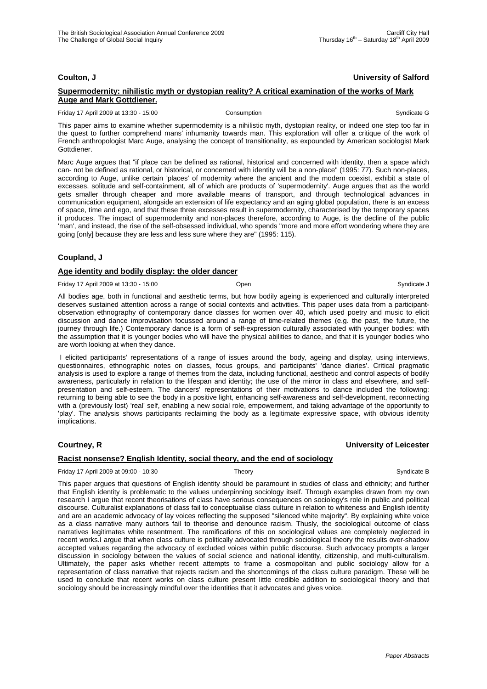# **Coulton, J University of Salford**

### **Supermodernity: nihilistic myth or dystopian reality? A critical examination of the works of Mark Auge and Mark Gottdiener.**

Friday 17 April 2009 at 13:30 - 15:00 Consumption Consumption Consumption Syndicate G

This paper aims to examine whether supermodernity is a nihilistic myth, dystopian reality, or indeed one step too far in the quest to further comprehend mans' inhumanity towards man. This exploration will offer a critique of the work of French anthropologist Marc Auge, analysing the concept of transitionality, as expounded by American sociologist Mark Gottdiener.

Marc Auge argues that "if place can be defined as rational, historical and concerned with identity, then a space which can- not be defined as rational, or historical, or concerned with identity will be a non-place" (1995: 77). Such non-places, according to Auge, unlike certain 'places' of modernity where the ancient and the modern coexist, exhibit a state of excesses, solitude and self-containment, all of which are products of 'supermodernity'. Auge argues that as the world gets smaller through cheaper and more available means of transport, and through technological advances in communication equipment, alongside an extension of life expectancy and an aging global population, there is an excess of space, time and ego, and that these three excesses result in supermodernity, characterised by the temporary spaces it produces. The impact of supermodernity and non-places therefore, according to Auge, is the decline of the public 'man', and instead, the rise of the self-obsessed individual, who spends "more and more effort wondering where they are going [only] because they are less and less sure where they are" (1995: 115).

# **Coupland, J**

### **Age identity and bodily display: the older dancer**

Friday 17 April 2009 at 13:30 - 15:00 Copen Communicate J Contract Communicate J Syndicate J Syndicate J

All bodies age, both in functional and aesthetic terms, but how bodily ageing is experienced and culturally interpreted deserves sustained attention across a range of social contexts and activities. This paper uses data from a participantobservation ethnography of contemporary dance classes for women over 40, which used poetry and music to elicit discussion and dance improvisation focussed around a range of time-related themes (e.g. the past, the future, the journey through life.) Contemporary dance is a form of self-expression culturally associated with younger bodies: with the assumption that it is younger bodies who will have the physical abilities to dance, and that it is younger bodies who are worth looking at when they dance.

 I elicited participants' representations of a range of issues around the body, ageing and display, using interviews, questionnaires, ethnographic notes on classes, focus groups, and participants' 'dance diaries'. Critical pragmatic analysis is used to explore a range of themes from the data, including functional, aesthetic and control aspects of bodily awareness, particularly in relation to the lifespan and identity; the use of the mirror in class and elsewhere, and selfpresentation and self-esteem. The dancers' representations of their motivations to dance included the following: returning to being able to see the body in a positive light, enhancing self-awareness and self-development, reconnecting with a (previously lost) 'real' self, enabling a new social role, empowerment, and taking advantage of the opportunity to 'play'. The analysis shows participants reclaiming the body as a legitimate expressive space, with obvious identity implications.

### **Courtney, R University of Leicester**

### **Racist nonsense? English Identity, social theory, and the end of sociology**

Friday 17 April 2009 at 09:00 - 10:30 Theory Theory Syndicate B Syndicate B

This paper argues that questions of English identity should be paramount in studies of class and ethnicity; and further that English identity is problematic to the values underpinning sociology itself. Through examples drawn from my own research I argue that recent theorisations of class have serious consequences on sociology's role in public and political discourse. Culturalist explanations of class fail to conceptualise class culture in relation to whiteness and English identity and are an academic advocacy of lay voices reflecting the supposed "silenced white majority". By explaining white voice as a class narrative many authors fail to theorise and denounce racism. Thusly, the sociological outcome of class narratives legitimates white resentment. The ramifications of this on sociological values are completely neglected in recent works.I argue that when class culture is politically advocated through sociological theory the results over-shadow accepted values regarding the advocacy of excluded voices within public discourse. Such advocacy prompts a larger discussion in sociology between the values of social science and national identity, citizenship, and multi-culturalism. Ultimately, the paper asks whether recent attempts to frame a cosmopolitan and public sociology allow for a representation of class narrative that rejects racism and the shortcomings of the class culture paradigm. These will be used to conclude that recent works on class culture present little credible addition to sociological theory and that sociology should be increasingly mindful over the identities that it advocates and gives voice.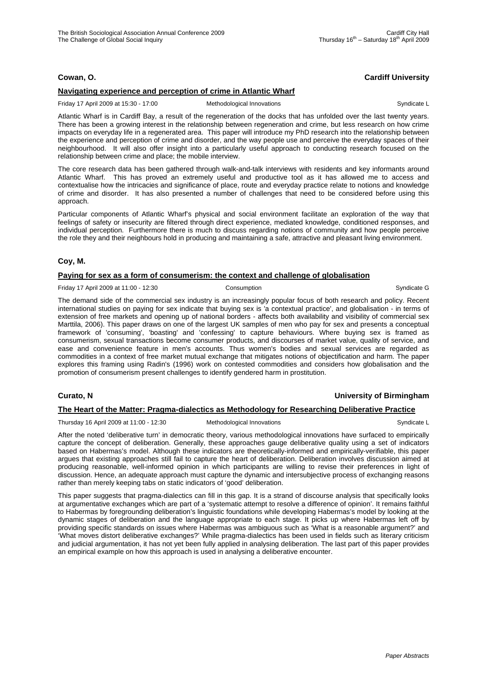# **Cowan, O. Cardiff University**

# **Navigating experience and perception of crime in Atlantic Wharf**

Friday 17 April 2009 at 15:30 - 17:00 Methodological Innovations Syndicate L

Atlantic Wharf is in Cardiff Bay, a result of the regeneration of the docks that has unfolded over the last twenty years. There has been a growing interest in the relationship between regeneration and crime, but less research on how crime impacts on everyday life in a regenerated area. This paper will introduce my PhD research into the relationship between the experience and perception of crime and disorder, and the way people use and perceive the everyday spaces of their neighbourhood. It will also offer insight into a particularly useful approach to conducting research focused on the relationship between crime and place; the mobile interview.

The core research data has been gathered through walk-and-talk interviews with residents and key informants around Atlantic Wharf. This has proved an extremely useful and productive tool as it has allowed me to access and contextualise how the intricacies and significance of place, route and everyday practice relate to notions and knowledge of crime and disorder. It has also presented a number of challenges that need to be considered before using this approach.

Particular components of Atlantic Wharf's physical and social environment facilitate an exploration of the way that feelings of safety or insecurity are filtered through direct experience, mediated knowledge, conditioned responses, and individual perception. Furthermore there is much to discuss regarding notions of community and how people perceive the role they and their neighbours hold in producing and maintaining a safe, attractive and pleasant living environment.

# **Coy, M.**

### **Paying for sex as a form of consumerism: the context and challenge of globalisation**

Friday 17 April 2009 at 11:00 - 12:30 Consumption Consumption Consumption Syndicate G

The demand side of the commercial sex industry is an increasingly popular focus of both research and policy. Recent international studies on paying for sex indicate that buying sex is 'a contextual practice', and globalisation - in terms of extension of free markets and opening up of national borders - affects both availability and visibility of commercial sex Marttila, 2006). This paper draws on one of the largest UK samples of men who pay for sex and presents a conceptual framework of 'consuming', 'boasting' and 'confessing' to capture behaviours. Where buying sex is framed as consumerism, sexual transactions become consumer products, and discourses of market value, quality of service, and ease and convenience feature in men's accounts. Thus women's bodies and sexual services are regarded as commodities in a context of free market mutual exchange that mitigates notions of objectification and harm. The paper explores this framing using Radin's (1996) work on contested commodities and considers how globalisation and the promotion of consumerism present challenges to identify gendered harm in prostitution.

### **Curato, N University of Birmingham**

# **The Heart of the Matter: Pragma-dialectics as Methodology for Researching Deliberative Practice**

Thursday 16 April 2009 at 11:00 - 12:30 Methodological Innovations Syndicate L Syndicate L

After the noted 'deliberative turn' in democratic theory, various methodological innovations have surfaced to empirically capture the concept of deliberation. Generally, these approaches gauge deliberative quality using a set of indicators based on Habermas's model. Although these indicators are theoretically-informed and empirically-verifiable, this paper argues that existing approaches still fail to capture the heart of deliberation. Deliberation involves discussion aimed at producing reasonable, well-informed opinion in which participants are willing to revise their preferences in light of discussion. Hence, an adequate approach must capture the dynamic and intersubjective process of exchanging reasons rather than merely keeping tabs on static indicators of 'good' deliberation.

This paper suggests that pragma-dialectics can fill in this gap. It is a strand of discourse analysis that specifically looks at argumentative exchanges which are part of a 'systematic attempt to resolve a difference of opinion'. It remains faithful to Habermas by foregrounding deliberation's linguistic foundations while developing Habermas's model by looking at the dynamic stages of deliberation and the language appropriate to each stage. It picks up where Habermas left off by providing specific standards on issues where Habermas was ambiguous such as 'What is a reasonable argument?' and 'What moves distort deliberative exchanges?' While pragma-dialectics has been used in fields such as literary criticism and judicial argumentation, it has not yet been fully applied in analysing deliberation. The last part of this paper provides an empirical example on how this approach is used in analysing a deliberative encounter.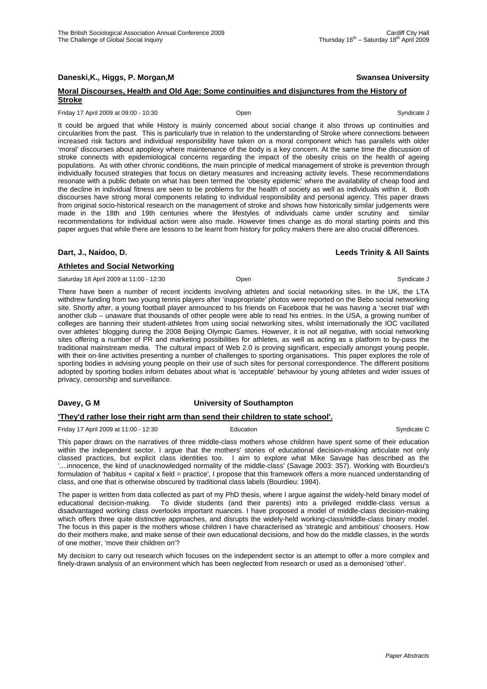**Daneski,K., Higgs, P. Morgan,M Swansea University**

### **Moral Discourses, Health and Old Age: Some continuities and disjunctures from the History of Stroke**

Friday 17 April 2009 at 09:00 - 10:30 Open Syndicate J

It could be argued that while History is mainly concerned about social change it also throws up continuities and circularities from the past. This is particularly true in relation to the understanding of Stroke where connections between increased risk factors and individual responsibility have taken on a moral component which has parallels with older 'moral' discourses about apoplexy where maintenance of the body is a key concern. At the same time the discussion of stroke connects with epidemiological concerns regarding the impact of the obesity crisis on the health of ageing populations. As with other chronic conditions, the main principle of medical management of stroke is prevention through individually focused strategies that focus on dietary measures and increasing activity levels. These recommendations resonate with a public debate on what has been termed the 'obesity epidemic' where the availability of cheap food and the decline in individual fitness are seen to be problems for the health of society as well as individuals within it. Both discourses have strong moral components relating to individual responsibility and personal agency. This paper draws from original socio-historical research on the management of stroke and shows how historically similar judgements were made in the 18th and 19th centuries where the lifestyles of individuals came under scrutiny and similar recommendations for individual action were also made. However times change as do moral starting points and this paper argues that while there are lessons to be learnt from history for policy makers there are also crucial differences.

### **Dart, J., Naidoo, D. Leeds Trinity & All Saints**

### **Athletes and Social Networking**

Saturday 18 April 2009 at 11:00 - 12:30 **Open** Communicate J Syndicate J Syndicate J

There have been a number of recent incidents involving athletes and social networking sites. In the UK, the LTA withdrew funding from two young tennis players after 'inappropriate' photos were reported on the Bebo social networking site. Shortly after, a young football player announced to his friends on Facebook that he was having a 'secret trial' with another club – unaware that thousands of other people were able to read his entries. In the USA, a growing number of colleges are banning their student-athletes from using social networking sites, whilst internationally the IOC vacillated over athletes' blogging during the 2008 Beijing Olympic Games. However, it is not all negative, with social networking sites offering a number of PR and marketing possibilities for athletes, as well as acting as a platform to by-pass the traditional mainstream media. The cultural impact of Web 2.0 is proving significant, especially amongst young people, with their on-line activities presenting a number of challenges to sporting organisations. This paper explores the role of sporting bodies in advising young people on their use of such sites for personal correspondence. The different positions adopted by sporting bodies inform debates about what is 'acceptable' behaviour by young athletes and wider issues of privacy, censorship and surveillance.

### **Davey, G M University of Southampton**

### **'They'd rather lose their right arm than send their children to state school'.**

Friday 17 April 2009 at 11:00 - 12:30 **Education** Education **Syndicate C** Syndicate C

This paper draws on the narratives of three middle-class mothers whose children have spent some of their education within the independent sector. I argue that the mothers' stories of educational decision-making articulate not only classed practices, but explicit class identities too. I aim to explore what Mike Savage has described as the '....innocence, the kind of unacknowledged normality of the middle-class' (Savage 2003: 357). Working with Bourdieu's formulation of 'habitus + capital x field = practice', I propose that this framework offers a more nuanced understanding of class, and one that is otherwise obscured by traditional class labels (Bourdieu: 1984).

The paper is written from data collected as part of my PhD thesis, where I argue against the widely-held binary model of educational decision-making. To divide students (and their parents) into a privileged middle-class versus a disadvantaged working class overlooks important nuances. I have proposed a model of middle-class decision-making which offers three quite distinctive approaches, and disrupts the widely-held working-class/middle-class binary model. The focus in this paper is the mothers whose children I have characterised as 'strategic and ambitious' choosers. How do their mothers make, and make sense of their own educational decisions, and how do the middle classes, in the words of one mother, 'move their children on'?

My decision to carry out research which focuses on the independent sector is an attempt to offer a more complex and finely-drawn analysis of an environment which has been neglected from research or used as a demonised 'other'.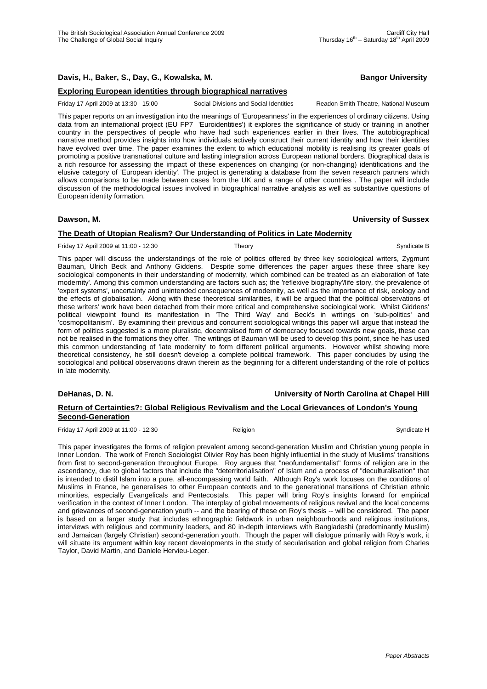# **Davis, H., Baker, S., Day, G., Kowalska, M. Bangor University**

# **Exploring European identities through biographical narratives**

Friday 17 April 2009 at 13:30 - 15:00 Social Divisions and Social Identities Readon Smith Theatre, National Museum

This paper reports on an investigation into the meanings of 'Europeanness' in the experiences of ordinary citizens. Using data from an international project (EU FP7 'Euroidentities') it explores the significance of study or training in another country in the perspectives of people who have had such experiences earlier in their lives. The autobiographical narrative method provides insights into how individuals actively construct their current identity and how their identities have evolved over time. The paper examines the extent to which educational mobility is realising its greater goals of promoting a positive transnational culture and lasting integration across European national borders. Biographical data is a rich resource for assessing the impact of these experiences on changing (or non-changing) identifications and the elusive category of 'European identity'. The project is generating a database from the seven research partners which allows comparisons to be made between cases from the UK and a range of other countries . The paper will include discussion of the methodological issues involved in biographical narrative analysis as well as substantive questions of European identity formation.

### **Dawson, M. University of Sussex**

# **The Death of Utopian Realism? Our Understanding of Politics in Late Modernity**

Friday 17 April 2009 at 11:00 - 12:30 Theory Theory Syndicate B

This paper will discuss the understandings of the role of politics offered by three key sociological writers, Zygmunt Bauman, Ulrich Beck and Anthony Giddens. Despite some differences the paper argues these three share key sociological components in their understanding of modernity, which combined can be treated as an elaboration of 'late modernity'. Among this common understanding are factors such as; the 'reflexive biography'/life story, the prevalence of 'expert systems', uncertainty and unintended consequences of modernity, as well as the importance of risk, ecology and the effects of globalisation. Along with these theoretical similarities, it will be argued that the political observations of these writers' work have been detached from their more critical and comprehensive sociological work. Whilst Giddens' political viewpoint found its manifestation in 'The Third Way' and Beck's in writings on 'sub-politics' and 'cosmopolitanism'. By examining their previous and concurrent sociological writings this paper will argue that instead the form of politics suggested is a more pluralistic, decentralised form of democracy focused towards new goals, these can not be realised in the formations they offer. The writings of Bauman will be used to develop this point, since he has used this common understanding of 'late modernity' to form different political arguments. However whilst showing more theoretical consistency, he still doesn't develop a complete political framework. This paper concludes by using the sociological and political observations drawn therein as the beginning for a different understanding of the role of politics in late modernity.

# **DeHanas, D. N. University of North Carolina at Chapel Hill**

# **Return of Certainties?: Global Religious Revivalism and the Local Grievances of London's Young Second-Generation**

Friday 17 April 2009 at 11:00 - 12:30 **Religion** Religion **Syndicate H** Syndicate H

This paper investigates the forms of religion prevalent among second-generation Muslim and Christian young people in Inner London. The work of French Sociologist Olivier Roy has been highly influential in the study of Muslims' transitions from first to second-generation throughout Europe. Roy argues that "neofundamentalist" forms of religion are in the ascendancy, due to global factors that include the "deterritorialisation" of Islam and a process of "deculturalisation" that is intended to distil Islam into a pure, all-encompassing world faith. Although Roy's work focuses on the conditions of Muslims in France, he generalises to other European contexts and to the generational transitions of Christian ethnic minorities, especially Evangelicals and Pentecostals. This paper will bring Roy's insights forward for empirical verification in the context of Inner London. The interplay of global movements of religious revival and the local concerns and grievances of second-generation youth -- and the bearing of these on Roy's thesis -- will be considered. The paper is based on a larger study that includes ethnographic fieldwork in urban neighbourhoods and religious institutions, interviews with religious and community leaders, and 80 in-depth interviews with Bangladeshi (predominantly Muslim) and Jamaican (largely Christian) second-generation youth. Though the paper will dialogue primarily with Roy's work, it will situate its argument within key recent developments in the study of secularisation and global religion from Charles Taylor, David Martin, and Daniele Hervieu-Leger.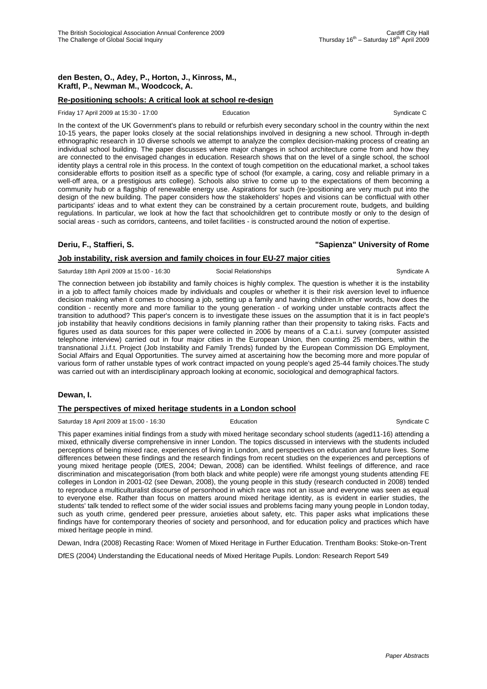# **den Besten, O., Adey, P., Horton, J., Kinross, M., Kraftl, P., Newman M., Woodcock, A.**

# **Re-positioning schools: A critical look at school re-design**

Friday 17 April 2009 at 15:30 - 17:00 Education Education Syndicate C

In the context of the UK Government's plans to rebuild or refurbish every secondary school in the country within the next 10-15 years, the paper looks closely at the social relationships involved in designing a new school. Through in-depth ethnographic research in 10 diverse schools we attempt to analyze the complex decision-making process of creating an individual school building. The paper discusses where major changes in school architecture come from and how they are connected to the envisaged changes in education. Research shows that on the level of a single school, the school identity plays a central role in this process. In the context of tough competition on the educational market, a school takes considerable efforts to position itself as a specific type of school (for example, a caring, cosy and reliable primary in a well-off area, or a prestigious arts college). Schools also strive to come up to the expectations of them becoming a community hub or a flagship of renewable energy use. Aspirations for such (re-)positioning are very much put into the design of the new building. The paper considers how the stakeholders' hopes and visions can be conflictual with other participants' ideas and to what extent they can be constrained by a certain procurement route, budgets, and building regulations. In particular, we look at how the fact that schoolchildren get to contribute mostly or only to the design of social areas - such as corridors, canteens, and toilet facilities - is constructed around the notion of expertise.

#### **Job instability, risk aversion and family choices in four EU-27 major cities**

Saturday 18th April 2009 at 15:00 - 16:30 Social Relationships Syndicate A

The connection between job ibstability and family choices is highly complex. The question is whether it is the instability in a job to affect family choices made by individuals and couples or whether it is their risk aversion level to influence decision making when it comes to choosing a job, setting up a family and having children.In other words, how does the condition - recently more and more familiar to the young generation - of working under unstable contracts affect the transition to aduthood? This paper's concern is to investigate these issues on the assumption that it is in fact people's job instability that heavily conditions decisions in family planning rather than their propensity to taking risks. Facts and figures used as data sources for this paper were collected in 2006 by means of a C.a.t.i. survey (computer assisted telephone interview) carried out in four major cities in the European Union, then counting 25 members, within the transnational J.i.f.t. Project (Job Instability and Family Trends) funded by the European Commission DG Employment, Social Affairs and Equal Opportunities. The survey aimed at ascertaining how the becoming more and more popular of various form of rather unstable types of work contract impacted on young people's aged 25-44 family choices.The study was carried out with an interdisciplinary approach looking at economic, sociological and demographical factors.

### **Dewan, I.**

#### **The perspectives of mixed heritage students in a London school**

Saturday 18 April 2009 at 15:00 - 16:30 **Education** Education **Syndicate C** Syndicate C

This paper examines initial findings from a study with mixed heritage secondary school students (aged11-16) attending a mixed, ethnically diverse comprehensive in inner London. The topics discussed in interviews with the students included perceptions of being mixed race, experiences of living in London, and perspectives on education and future lives. Some differences between these findings and the research findings from recent studies on the experiences and perceptions of young mixed heritage people (DfES, 2004; Dewan, 2008) can be identified. Whilst feelings of difference, and race discrimination and miscategorisation (from both black and white people) were rife amongst young students attending FE colleges in London in 2001-02 (see Dewan, 2008), the young people in this study (research conducted in 2008) tended to reproduce a multiculturalist discourse of personhood in which race was not an issue and everyone was seen as equal to everyone else. Rather than focus on matters around mixed heritage identity, as is evident in earlier studies, the students' talk tended to reflect some of the wider social issues and problems facing many young people in London today, such as youth crime, gendered peer pressure, anxieties about safety, etc. This paper asks what implications these findings have for contemporary theories of society and personhood, and for education policy and practices which have mixed heritage people in mind.

Dewan, Indra (2008) Recasting Race: Women of Mixed Heritage in Further Education. Trentham Books: Stoke-on-Trent

DfES (2004) Understanding the Educational needs of Mixed Heritage Pupils. London: Research Report 549

# **Deriu, F., Staffieri, S. "Sapienza" University of Rome**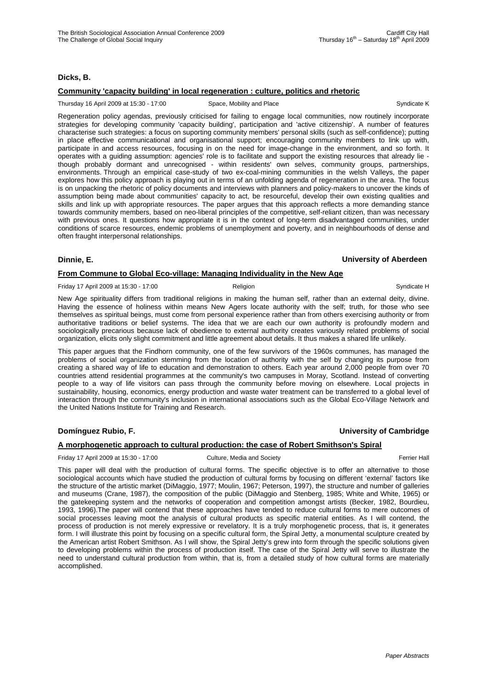### **Dicks, B.**

# **Community 'capacity building' in local regeneration : culture, politics and rhetoric**

Thursday 16 April 2009 at 15:30 - 17:00 Space, Mobility and Place Syndicate K Syndicate K

Regeneration policy agendas, previously criticised for failing to engage local communities, now routinely incorporate strategies for developing community 'capacity building', participation and 'active citizenship'. A number of features characterise such strategies: a focus on suporting community members' personal skills (such as self-confidence); putting in place effective communicational and organisational support; encouraging community members to link up with, participate in and access resources, focusing in on the need for image-change in the environment, and so forth. It operates with a guiding assumption: agencies' role is to facilitate and support the existing resources that already lie though probably dormant and unrecognised - within residents' own selves, community groups, partnerships, environments. Through an empirical case-study of two ex-coal-mining communities in the welsh Valleys, the paper explores how this policy approach is playing out in terms of an unfolding agenda of regeneration in the area. The focus is on unpacking the rhetoric of policy documents and interviews with planners and policy-makers to uncover the kinds of assumption being made about communities' capacity to act, be resourceful, develop their own existing qualities and skills and link up with appropriate resources. The paper argues that this approach reflects a more demanding stance towards community members, based on neo-liberal principles of the competitive, self-reliant citizen, than was necessary with previous ones. It questions how appropriate it is in the context of long-term disadvantaged communities, under conditions of scarce resources, endemic problems of unemployment and poverty, and in neighbourhoods of dense and often fraught interpersonal relationships.

### **Dinnie, E. University of Aberdeen**

# **From Commune to Global Eco-village: Managing Individuality in the New Age**

Friday 17 April 2009 at 15:30 - 17:00 Religion Religion Syndicate H

New Age spirituality differs from traditional religions in making the human self, rather than an external deity, divine. Having the essence of holiness within means New Agers locate authority with the self; truth, for those who see themselves as spiritual beings, must come from personal experience rather than from others exercising authority or from authoritative traditions or belief systems. The idea that we are each our own authority is profoundly modern and sociologically precarious because lack of obedience to external authority creates variously related problems of social organization, elicits only slight commitment and little agreement about details. It thus makes a shared life unlikely.

This paper argues that the Findhorn community, one of the few survivors of the 1960s communes, has managed the problems of social organization stemming from the location of authority with the self by changing its purpose from creating a shared way of life to education and demonstration to others. Each year around 2,000 people from over 70 countries attend residential programmes at the community's two campuses in Moray, Scotland. Instead of converting people to a way of life visitors can pass through the community before moving on elsewhere. Local projects in sustainability, housing, economics, energy production and waste water treatment can be transferred to a global level of interaction through the community's inclusion in international associations such as the Global Eco-Village Network and the United Nations Institute for Training and Research.

# **Domínguez Rubio, F. University of Cambridge**

# **A morphogenetic approach to cultural production: the case of Robert Smithson's Spiral**

Friday 17 April 2009 at 15:30 - 17:00 Culture, Media and Society Ferrier Hall

This paper will deal with the production of cultural forms. The specific objective is to offer an alternative to those sociological accounts which have studied the production of cultural forms by focusing on different 'external' factors like the structure of the artistic market (DiMaggio, 1977; Moulin, 1967; Peterson, 1997), the structure and number of galleries and museums (Crane, 1987), the composition of the public (DiMaggio and Stenberg, 1985; White and White, 1965) or the gatekeeping system and the networks of cooperation and competition amongst artists (Becker, 1982, Bourdieu, 1993, 1996).The paper will contend that these approaches have tended to reduce cultural forms to mere outcomes of social processes leaving moot the analysis of cultural products as specific material entities. As I will contend, the process of production is not merely expressive or revelatory. It is a truly morphogenetic process, that is, it generates form. I will illustrate this point by focusing on a specific cultural form, the Spiral Jetty, a monumental sculpture created by the American artist Robert Smithson. As I will show, the Spiral Jetty's grew into form through the specific solutions given to developing problems within the process of production itself. The case of the Spiral Jetty will serve to illustrate the need to understand cultural production from within, that is, from a detailed study of how cultural forms are materially accomplished.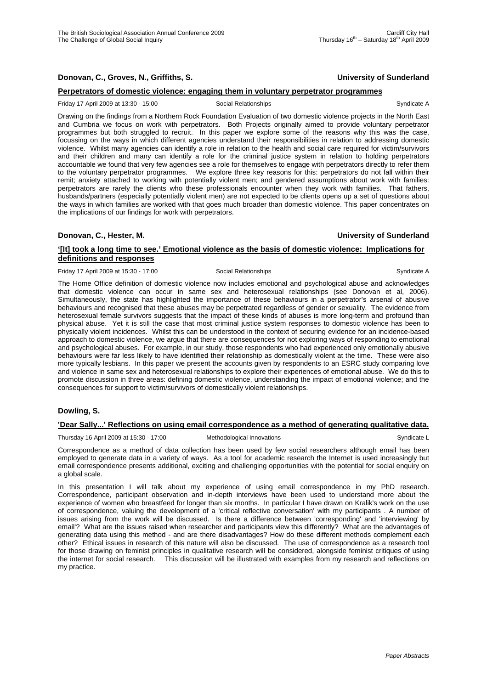# **Donovan, C., Groves, N., Griffiths, S. University of Sunderland**

# **Perpetrators of domestic violence: engaging them in voluntary perpetrator programmes**

#### Friday 17 April 2009 at 13:30 - 15:00 Social Relationships Syndicate A

Drawing on the findings from a Northern Rock Foundation Evaluation of two domestic violence projects in the North East and Cumbria we focus on work with perpetrators. Both Projects originally aimed to provide voluntary perpetrator programmes but both struggled to recruit. In this paper we explore some of the reasons why this was the case, focussing on the ways in which different agencies understand their responsibilities in relation to addressing domestic violence. Whilst many agencies can identify a role in relation to the health and social care required for victim/survivors and their children and many can identify a role for the criminal justice system in relation to holding perpetrators accountable we found that very few agencies see a role for themselves to engage with perpetrators directly to refer them to the voluntary perpetrator programmes. We explore three key reasons for this: perpetrators do not fall within their remit; anxiety attached to working with potentially violent men; and gendered assumptions about work with families: perpetrators are rarely the clients who these professionals encounter when they work with families. That fathers, husbands/partners (especially potentially violent men) are not expected to be clients opens up a set of questions about the ways in which families are worked with that goes much broader than domestic violence. This paper concentrates on the implications of our findings for work with perpetrators.

#### **Donovan, C., Hester, M. University of Sunderland**

### **'[It] took a long time to see.' Emotional violence as the basis of domestic violence: Implications for definitions and responses**

#### Friday 17 April 2009 at 15:30 - 17:00 Social Relationships Syndicate A

The Home Office definition of domestic violence now includes emotional and psychological abuse and acknowledges that domestic violence can occur in same sex and heterosexual relationships (see Donovan et al, 2006). Simultaneously, the state has highlighted the importance of these behaviours in a perpetrator's arsenal of abusive behaviours and recognised that these abuses may be perpetrated regardless of gender or sexuality. The evidence from heterosexual female survivors suggests that the impact of these kinds of abuses is more long-term and profound than physical abuse. Yet it is still the case that most criminal justice system responses to domestic violence has been to physically violent incidences. Whilst this can be understood in the context of securing evidence for an incidence-based approach to domestic violence, we argue that there are consequences for not exploring ways of responding to emotional and psychological abuses. For example, in our study, those respondents who had experienced only emotionally abusive behaviours were far less likely to have identified their relationship as domestically violent at the time. These were also more typically lesbians. In this paper we present the accounts given by respondents to an ESRC study comparing love and violence in same sex and heterosexual relationships to explore their experiences of emotional abuse. We do this to promote discussion in three areas: defining domestic violence, understanding the impact of emotional violence; and the consequences for support to victim/survivors of domestically violent relationships.

### **Dowling, S.**

### **'Dear Sally...' Reflections on using email correspondence as a method of generating qualitative data.**

Thursday 16 April 2009 at 15:30 - 17:00 Methodological Innovations Communicate L

Correspondence as a method of data collection has been used by few social researchers although email has been employed to generate data in a variety of ways. As a tool for academic research the Internet is used increasingly but email correspondence presents additional, exciting and challenging opportunities with the potential for social enquiry on a global scale.

In this presentation I will talk about my experience of using email correspondence in my PhD research. Correspondence, participant observation and in-depth interviews have been used to understand more about the experience of women who breastfeed for longer than six months. In particular I have drawn on Kralik's work on the use of correspondence, valuing the development of a 'critical reflective conversation' with my participants . A number of issues arising from the work will be discussed. Is there a difference between 'corresponding' and 'interviewing' by email'? What are the issues raised when researcher and participants view this differently? What are the advantages of generating data using this method - and are there disadvantages? How do these different methods complement each other? Ethical issues in research of this nature will also be discussed. The use of correspondence as a research tool for those drawing on feminist principles in qualitative research will be considered, alongside feminist critiques of using the internet for social research. This discussion will be illustrated with examples from my research and reflections on my practice.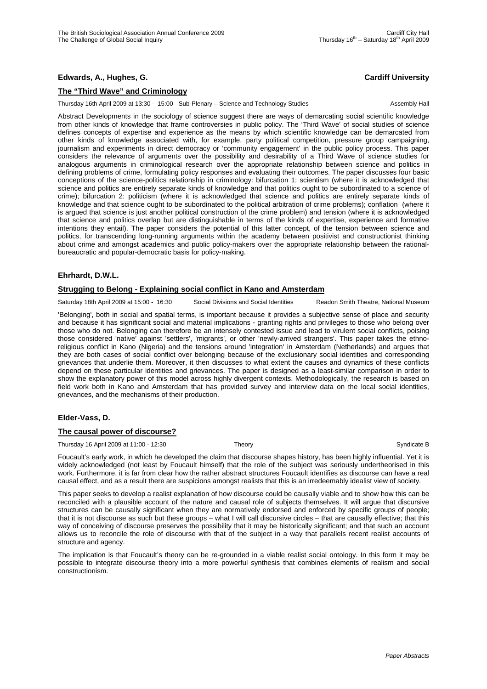# **Edwards, A., Hughes, G. Cardiff University**

# **The "Third Wave" and Criminology**

Thursday 16th April 2009 at 13:30 - 15:00 Sub-Plenary – Science and Technology Studies Assembly Hall

Abstract Developments in the sociology of science suggest there are ways of demarcating social scientific knowledge from other kinds of knowledge that frame controversies in public policy. The 'Third Wave' of social studies of science defines concepts of expertise and experience as the means by which scientific knowledge can be demarcated from other kinds of knowledge associated with, for example, party political competition, pressure group campaigning, journalism and experiments in direct democracy or 'community engagement' in the public policy process. This paper considers the relevance of arguments over the possibility and desirability of a Third Wave of science studies for analogous arguments in criminological research over the appropriate relationship between science and politics in defining problems of crime, formulating policy responses and evaluating their outcomes. The paper discusses four basic conceptions of the science-politics relationship in criminology: bifurcation 1: scientism (where it is acknowledged that science and politics are entirely separate kinds of knowledge and that politics ought to be subordinated to a science of crime); bifurcation 2: politicism (where it is acknowledged that science and politics are entirely separate kinds of knowledge and that science ought to be subordinated to the political arbitration of crime problems); conflation (where it is argued that science is just another political construction of the crime problem) and tension (where it is acknowledged that science and politics overlap but are distinguishable in terms of the kinds of expertise, experience and formative intentions they entail). The paper considers the potential of this latter concept, of the tension between science and politics, for transcending long-running arguments within the academy between positivist and constructionist thinking about crime and amongst academics and public policy-makers over the appropriate relationship between the rationalbureaucratic and popular-democratic basis for policy-making.

### **Ehrhardt, D.W.L.**

# **Strugging to Belong - Explaining social conflict in Kano and Amsterdam**

Saturday 18th April 2009 at 15:00 - 16:30 Social Divisions and Social Identities Readon Smith Theatre, National Museum

'Belonging', both in social and spatial terms, is important because it provides a subjective sense of place and security and because it has significant social and material implications - granting rights and privileges to those who belong over those who do not. Belonging can therefore be an intensely contested issue and lead to virulent social conflicts, poising those considered 'native' against 'settlers', 'migrants', or other 'newly-arrived strangers'. This paper takes the ethnoreligious conflict in Kano (Nigeria) and the tensions around 'integration' in Amsterdam (Netherlands) and argues that they are both cases of social conflict over belonging because of the exclusionary social identities and corresponding grievances that underlie them. Moreover, it then discusses to what extent the causes and dynamics of these conflicts depend on these particular identities and grievances. The paper is designed as a least-similar comparison in order to show the explanatory power of this model across highly divergent contexts. Methodologically, the research is based on field work both in Kano and Amsterdam that has provided survey and interview data on the local social identities, grievances, and the mechanisms of their production.

# **Elder-Vass, D.**

#### **The causal power of discourse?**

Thursday 16 April 2009 at 11:00 - 12:30 Theory Theory Syndicate B Syndicate B

Foucault's early work, in which he developed the claim that discourse shapes history, has been highly influential. Yet it is widely acknowledged (not least by Foucault himself) that the role of the subject was seriously undertheorised in this work. Furthermore, it is far from clear how the rather abstract structures Foucault identifies as discourse can have a real causal effect, and as a result there are suspicions amongst realists that this is an irredeemably idealist view of society.

This paper seeks to develop a realist explanation of how discourse could be causally viable and to show how this can be reconciled with a plausible account of the nature and causal role of subjects themselves. It will argue that discursive structures can be causally significant when they are normatively endorsed and enforced by specific groups of people; that it is not discourse as such but these groups – what I will call discursive circles – that are causally effective; that this way of conceiving of discourse preserves the possibility that it may be historically significant; and that such an account allows us to reconcile the role of discourse with that of the subject in a way that parallels recent realist accounts of structure and agency.

The implication is that Foucault's theory can be re-grounded in a viable realist social ontology. In this form it may be possible to integrate discourse theory into a more powerful synthesis that combines elements of realism and social constructionism.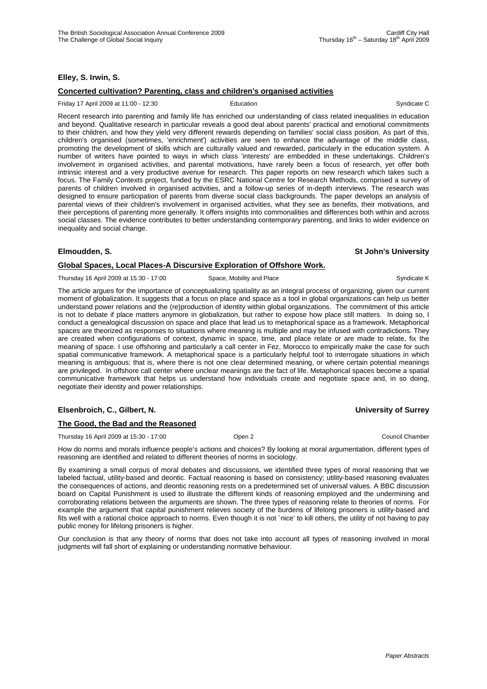# **Elley, S. Irwin, S.**

# **Concerted cultivation? Parenting, class and children's organised activities**

#### Friday 17 April 2009 at 11:00 - 12:30 **Education** Education **Syndicate C** Syndicate C

Recent research into parenting and family life has enriched our understanding of class related inequalities in education and beyond. Qualitative research in particular reveals a good deal about parents' practical and emotional commitments to their children, and how they yield very different rewards depending on families' social class position. As part of this, children's organised (sometimes, 'enrichment') activities are seen to enhance the advantage of the middle class, promoting the development of skills which are culturally valued and rewarded, particularly in the education system. A number of writers have pointed to ways in which class 'interests' are embedded in these undertakings. Children's involvement in organised activities, and parental motivations, have rarely been a focus of research, yet offer both intrinsic interest and a very productive avenue for research. This paper reports on new research which takes such a focus. The Family Contexts project, funded by the ESRC National Centre for Research Methods, comprised a survey of parents of children involved in organised activities, and a follow-up series of in-depth interviews. The research was designed to ensure participation of parents from diverse social class backgrounds. The paper develops an analysis of parental views of their children's involvement in organised activities, what they see as benefits, their motivations, and their perceptions of parenting more generally. It offers insights into commonalities and differences both within and across social classes. The evidence contributes to better understanding contemporary parenting, and links to wider evidence on inequality and social change.

#### **Elmoudden, S. St John's University**

# **Global Spaces, Local Places-A Discursive Exploration of Offshore Work.**

Thursday 16 April 2009 at 15:30 - 17:00 Space, Mobility and Place Syndicate K Syndicate K

The article argues for the importance of conceptualizing spatiality as an integral process of organizing, given our current moment of globalization. It suggests that a focus on place and space as a tool in global organizations can help us better understand power relations and the (re)production of identity within global organizations. The commitment of this article is not to debate if place matters anymore in globalization, but rather to expose how place still matters. In doing so, I conduct a genealogical discussion on space and place that lead us to metaphorical space as a framework. Metaphorical spaces are theorized as responses to situations where meaning is multiple and may be infused with contradictions. They are created when configurations of context, dynamic in space, time, and place relate or are made to relate, fix the meaning of space. I use offshoring and particularly a call center in Fez, Morocco to empirically make the case for such spatial communicative framework. A metaphorical space is a particularly helpful tool to interrogate situations in which meaning is ambiguous; that is, where there is not one clear determined meaning, or where certain potential meanings are privileged. In offshore call center where unclear meanings are the fact of life. Metaphorical spaces become a spatial communicative framework that helps us understand how individuals create and negotiate space and, in so doing, negotiate their identity and power relationships.

# **Elsenbroich, C., Gilbert, N. University of Surrey**

### **The Good, the Bad and the Reasoned**

Thursday 16 April 2009 at 15:30 - 17:00 Open 2 Council Chamber

How do norms and morals influence people's actions and choices? By looking at moral argumentation, different types of reasoning are identified and related to different theories of norms in sociology.

By examining a small corpus of moral debates and discussions, we identified three types of moral reasoning that we labeled factual, utility-based and deontic. Factual reasoning is based on consistency; utility-based reasoning evaluates the consequences of actions, and deontic reasoning rests on a predetermined set of universal values. A BBC discussion board on Capital Punishment is used to illustrate the different kinds of reasoning employed and the undermining and corroborating relations between the arguments are shown. The three types of reasoning relate to theories of norms. For example the argument that capital punishment relieves society of the burdens of lifelong prisoners is utility-based and fits well with a rational choice approach to norms. Even though it is not `nice' to kill others, the utility of not having to pay public money for lifelong prisoners is higher.

Our conclusion is that any theory of norms that does not take into account all types of reasoning involved in moral judgments will fall short of explaining or understanding normative behaviour.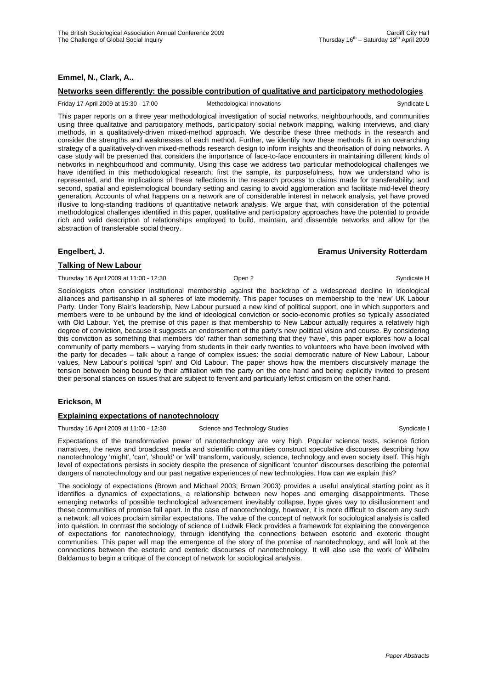### **Emmel, N., Clark, A..**

#### **Networks seen differently: the possible contribution of qualitative and participatory methodologies**

#### Friday 17 April 2009 at 15:30 - 17:00 Methodological Innovations Syndicate L

This paper reports on a three year methodological investigation of social networks, neighbourhoods, and communities using three qualitative and participatory methods, participatory social network mapping, walking interviews, and diary methods, in a qualitatively-driven mixed-method approach. We describe these three methods in the research and consider the strengths and weaknesses of each method. Further, we identify how these methods fit in an overarching strategy of a qualitatively-driven mixed-methods research design to inform insights and theorisation of doing networks. A case study will be presented that considers the importance of face-to-face encounters in maintaining different kinds of networks in neighbourhood and community. Using this case we address two particular methodological challenges we have identified in this methodological research; first the sample, its purposefulness, how we understand who is represented, and the implications of these reflections in the research process to claims made for transferability; and second, spatial and epistemological boundary setting and casing to avoid agglomeration and facilitate mid-level theory generation. Accounts of what happens on a network are of considerable interest in network analysis, yet have proved illusive to long-standing traditions of quantitative network analysis. We argue that, with consideration of the potential methodological challenges identified in this paper, qualitative and participatory approaches have the potential to provide rich and valid description of relationships employed to build, maintain, and dissemble networks and allow for the abstraction of transferable social theory.

#### **Engelbert, J. Eramus University Rotterdam**

#### **Talking of New Labour**

Thursday 16 April 2009 at 11:00 - 12:30 Open 2 Company of Company Syndicate H

Sociologists often consider institutional membership against the backdrop of a widespread decline in ideological alliances and partisanship in all spheres of late modernity. This paper focuses on membership to the 'new' UK Labour Party. Under Tony Blair's leadership, New Labour pursued a new kind of political support, one in which supporters and members were to be unbound by the kind of ideological conviction or socio-economic profiles so typically associated with Old Labour. Yet, the premise of this paper is that membership to New Labour actually requires a relatively high degree of conviction, because it suggests an endorsement of the party's new political vision and course. By considering this conviction as something that members 'do' rather than something that they 'have', this paper explores how a local community of party members – varying from students in their early twenties to volunteers who have been involved with the party for decades – talk about a range of complex issues: the social democratic nature of New Labour, Labour values, New Labour's political 'spin' and Old Labour. The paper shows how the members discursively manage the tension between being bound by their affiliation with the party on the one hand and being explicitly invited to present their personal stances on issues that are subject to fervent and particularly leftist criticism on the other hand.

#### **Erickson, M**

#### **Explaining expectations of nanotechnology**

Thursday 16 April 2009 at 11:00 - 12:30 Science and Technology Studies Syndicate I Syndicate I

Expectations of the transformative power of nanotechnology are very high. Popular science texts, science fiction narratives, the news and broadcast media and scientific communities construct speculative discourses describing how nanotechnology 'might', 'can', 'should' or 'will' transform, variously, science, technology and even society itself. This high level of expectations persists in society despite the presence of significant 'counter' discourses describing the potential dangers of nanotechnology and our past negative experiences of new technologies. How can we explain this?

The sociology of expectations (Brown and Michael 2003; Brown 2003) provides a useful analytical starting point as it identifies a dynamics of expectations, a relationship between new hopes and emerging disappointments. These emerging networks of possible technological advancement inevitably collapse, hype gives way to disillusionment and these communities of promise fall apart. In the case of nanotechnology, however, it is more difficult to discern any such a network: all voices proclaim similar expectations. The value of the concept of network for sociological analysis is called into question. In contrast the sociology of science of Ludwik Fleck provides a framework for explaining the convergence of expectations for nanotechnology, through identifying the connections between esoteric and exoteric thought communities. This paper will map the emergence of the story of the promise of nanotechnology, and will look at the connections between the esoteric and exoteric discourses of nanotechnology. It will also use the work of Wilhelm Baldamus to begin a critique of the concept of network for sociological analysis.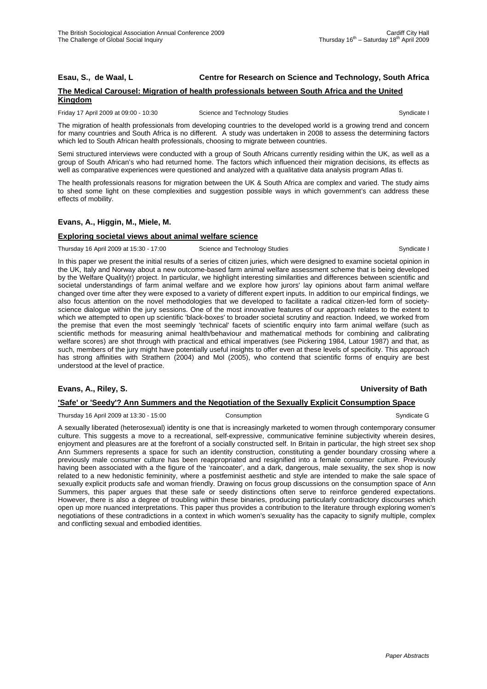#### **Esau, S., de Waal, L Centre for Research on Science and Technology, South Africa**

#### **The Medical Carousel: Migration of health professionals between South Africa and the United Kingdom**

Friday 17 April 2009 at 09:00 - 10:30 Science and Technology Studies Syndicate I Syndicate I

The migration of health professionals from developing countries to the developed world is a growing trend and concern for many countries and South Africa is no different. A study was undertaken in 2008 to assess the determining factors which led to South African health professionals, choosing to migrate between countries.

Semi structured interviews were conducted with a group of South Africans currently residing within the UK, as well as a group of South African's who had returned home. The factors which influenced their migration decisions, its effects as well as comparative experiences were questioned and analyzed with a qualitative data analysis program Atlas ti.

The health professionals reasons for migration between the UK & South Africa are complex and varied. The study aims to shed some light on these complexities and suggestion possible ways in which government's can address these effects of mobility.

### **Evans, A., Higgin, M., Miele, M.**

### **Exploring societal views about animal welfare science**

Thursday 16 April 2009 at 15:30 - 17:00 Science and Technology Studies Syndicate I

In this paper we present the initial results of a series of citizen juries, which were designed to examine societal opinion in the UK, Italy and Norway about a new outcome-based farm animal welfare assessment scheme that is being developed by the Welfare Quality(r) project. In particular, we highlight interesting similarities and differences between scientific and societal understandings of farm animal welfare and we explore how jurors' lay opinions about farm animal welfare changed over time after they were exposed to a variety of different expert inputs. In addition to our empirical findings, we also focus attention on the novel methodologies that we developed to facilitate a radical citizen-led form of societyscience dialogue within the jury sessions. One of the most innovative features of our approach relates to the extent to which we attempted to open up scientific 'black-boxes' to broader societal scrutiny and reaction. Indeed, we worked from the premise that even the most seemingly 'technical' facets of scientific enquiry into farm animal welfare (such as scientific methods for measuring animal health/behaviour and mathematical methods for combining and calibrating welfare scores) are shot through with practical and ethical imperatives (see Pickering 1984, Latour 1987) and that, as such, members of the jury might have potentially useful insights to offer even at these levels of specificity. This approach has strong affinities with Strathern (2004) and Mol (2005), who contend that scientific forms of enquiry are best understood at the level of practice.

### **Evans, A., Riley, S. University of Bath**

#### **'Safe' or 'Seedy'? Ann Summers and the Negotiation of the Sexually Explicit Consumption Space**

Thursday 16 April 2009 at 13:30 - 15:00 Consumption Consumption Consumption Syndicate G

A sexually liberated (heterosexual) identity is one that is increasingly marketed to women through contemporary consumer culture. This suggests a move to a recreational, self-expressive, communicative feminine subjectivity wherein desires, enjoyment and pleasures are at the forefront of a socially constructed self. In Britain in particular, the high street sex shop Ann Summers represents a space for such an identity construction, constituting a gender boundary crossing where a previously male consumer culture has been reappropriated and resignified into a female consumer culture. Previously having been associated with a the figure of the 'raincoater', and a dark, dangerous, male sexuality, the sex shop is now related to a new hedonistic femininity, where a postfeminist aesthetic and style are intended to make the sale space of sexually explicit products safe and woman friendly. Drawing on focus group discussions on the consumption space of Ann Summers, this paper argues that these safe or seedy distinctions often serve to reinforce gendered expectations. However, there is also a degree of troubling within these binaries, producing particularly contradictory discourses which open up more nuanced interpretations. This paper thus provides a contribution to the literature through exploring women's negotiations of these contradictions in a context in which women's sexuality has the capacity to signify multiple, complex and conflicting sexual and embodied identities.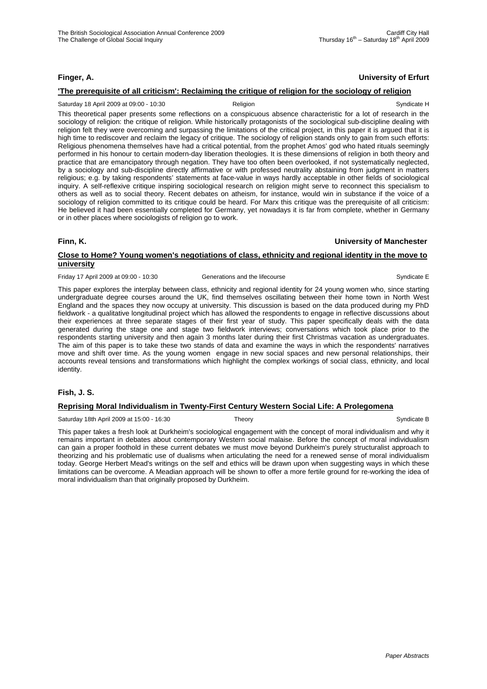# **Finger, A. University of Erfurt**

### **'The prerequisite of all criticism': Reclaiming the critique of religion for the sociology of religion**

#### Saturday 18 April 2009 at 09:00 - 10:30 Religion Religion Syndicate H

This theoretical paper presents some reflections on a conspicuous absence characteristic for a lot of research in the sociology of religion: the critique of religion. While historically protagonists of the sociological sub-discipline dealing with religion felt they were overcoming and surpassing the limitations of the critical project, in this paper it is argued that it is high time to rediscover and reclaim the legacy of critique. The sociology of religion stands only to gain from such efforts: Religious phenomena themselves have had a critical potential, from the prophet Amos' god who hated rituals seemingly performed in his honour to certain modern-day liberation theologies. It is these dimensions of religion in both theory and practice that are emancipatory through negation. They have too often been overlooked, if not systematically neglected, by a sociology and sub-discipline directly affirmative or with professed neutrality abstaining from judgment in matters religious; e.g. by taking respondents' statements at face-value in ways hardly acceptable in other fields of sociological inquiry. A self-reflexive critique inspiring sociological research on religion might serve to reconnect this specialism to others as well as to social theory. Recent debates on atheism, for instance, would win in substance if the voice of a sociology of religion committed to its critique could be heard. For Marx this critique was the prerequisite of all criticism: He believed it had been essentially completed for Germany, yet nowadays it is far from complete, whether in Germany or in other places where sociologists of religion go to work.

**Finn, K. University of Manchester**

### **Close to Home? Young women's negotiations of class, ethnicity and regional identity in the move to university**

Friday 17 April 2009 at 09:00 - 10:30 Generations and the lifecourse Syndicate E

This paper explores the interplay between class, ethnicity and regional identity for 24 young women who, since starting undergraduate degree courses around the UK, find themselves oscillating between their home town in North West England and the spaces they now occupy at university. This discussion is based on the data produced during my PhD fieldwork - a qualitative longitudinal project which has allowed the respondents to engage in reflective discussions about their experiences at three separate stages of their first year of study. This paper specifically deals with the data generated during the stage one and stage two fieldwork interviews; conversations which took place prior to the respondents starting university and then again 3 months later during their first Christmas vacation as undergraduates. The aim of this paper is to take these two stands of data and examine the ways in which the respondents' narratives move and shift over time. As the young women engage in new social spaces and new personal relationships, their accounts reveal tensions and transformations which highlight the complex workings of social class, ethnicity, and local identity.

#### **Fish, J. S.**

### **Reprising Moral Individualism in Twenty-First Century Western Social Life: A Prolegomena**

Saturday 18th April 2009 at 15:00 - 16:30 Theory Theory Syndicate B

This paper takes a fresh look at Durkheim's sociological engagement with the concept of moral individualism and why it remains important in debates about contemporary Western social malaise. Before the concept of moral individualism can gain a proper foothold in these current debates we must move beyond Durkheim's purely structuralist approach to theorizing and his problematic use of dualisms when articulating the need for a renewed sense of moral individualism today. George Herbert Mead's writings on the self and ethics will be drawn upon when suggesting ways in which these limitations can be overcome. A Meadian approach will be shown to offer a more fertile ground for re-working the idea of moral individualism than that originally proposed by Durkheim.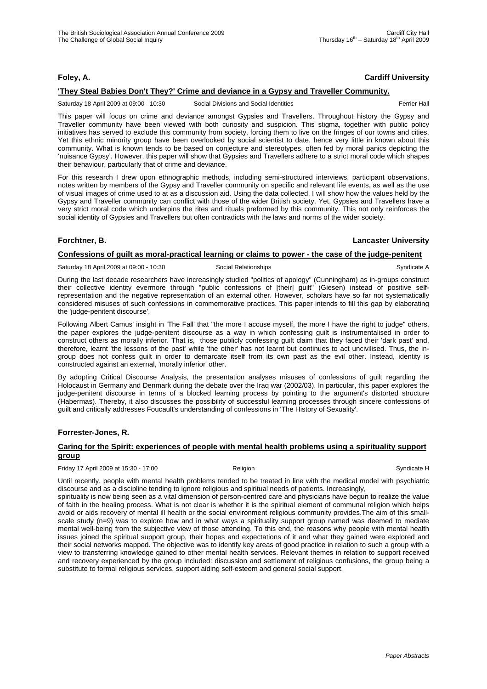# **Foley, A. Cardiff University**

### **'They Steal Babies Don't They?' Crime and deviance in a Gypsy and Traveller Community.**

Saturday 18 April 2009 at 09:00 - 10:30 Social Divisions and Social Identities Ferrier Hall

This paper will focus on crime and deviance amongst Gypsies and Travellers. Throughout history the Gypsy and Traveller community have been viewed with both curiosity and suspicion. This stigma, together with public policy initiatives has served to exclude this community from society, forcing them to live on the fringes of our towns and cities. Yet this ethnic minority group have been overlooked by social scientist to date, hence very little in known about this community. What is known tends to be based on conjecture and stereotypes, often fed by moral panics depicting the 'nuisance Gypsy'. However, this paper will show that Gypsies and Travellers adhere to a strict moral code which shapes their behaviour, particularly that of crime and deviance.

For this research I drew upon ethnographic methods, including semi-structured interviews, participant observations, notes written by members of the Gypsy and Traveller community on specific and relevant life events, as well as the use of visual images of crime used to at as a discussion aid. Using the data collected, I will show how the values held by the Gypsy and Traveller community can conflict with those of the wider British society. Yet, Gypsies and Travellers have a very strict moral code which underpins the rites and rituals preformed by this community. This not only reinforces the social identity of Gypsies and Travellers but often contradicts with the laws and norms of the wider society.

#### **Forchtner, B. Lancaster University**

### **Confessions of guilt as moral-practical learning or claims to power - the case of the judge-penitent**

Saturday 18 April 2009 at 09:00 - 10:30 Social Relationships Syndicate A

During the last decade researchers have increasingly studied "politics of apology" (Cunningham) as in-groups construct their collective identity evermore through "public confessions of [their] guilt" (Giesen) instead of positive selfrepresentation and the negative representation of an external other. However, scholars have so far not systematically considered misuses of such confessions in commemorative practices. This paper intends to fill this gap by elaborating the 'judge-penitent discourse'.

Following Albert Camus' insight in 'The Fall' that "the more I accuse myself, the more I have the right to judge" others, the paper explores the judge-penitent discourse as a way in which confessing guilt is instrumentalised in order to construct others as morally inferior. That is, those publicly confessing guilt claim that they faced their 'dark past' and, therefore, learnt 'the lessons of the past' while 'the other' has not learnt but continues to act uncivilised. Thus, the ingroup does not confess guilt in order to demarcate itself from its own past as the evil other. Instead, identity is constructed against an external, 'morally inferior' other.

By adopting Critical Discourse Analysis, the presentation analyses misuses of confessions of guilt regarding the Holocaust in Germany and Denmark during the debate over the Iraq war (2002/03). In particular, this paper explores the judge-penitent discourse in terms of a blocked learning process by pointing to the argument's distorted structure (Habermas). Thereby, it also discusses the possibility of successful learning processes through sincere confessions of guilt and critically addresses Foucault's understanding of confessions in 'The History of Sexuality'.

#### **Forrester-Jones, R.**

### **Caring for the Spirit: experiences of people with mental health problems using a spirituality support group**

Friday 17 April 2009 at 15:30 - 17:00 **Religion** Religion **Religion** Syndicate H

Until recently, people with mental health problems tended to be treated in line with the medical model with psychiatric discourse and as a discipline tending to ignore religious and spiritual needs of patients. Increasingly,

spirituality is now being seen as a vital dimension of person-centred care and physicians have begun to realize the value of faith in the healing process. What is not clear is whether it is the spiritual element of communal religion which helps avoid or aids recovery of mental ill health or the social environment religious community provides.The aim of this smallscale study (n=9) was to explore how and in what ways a spirituality support group named was deemed to mediate mental well-being from the subjective view of those attending. To this end, the reasons why people with mental health issues joined the spiritual support group, their hopes and expectations of it and what they gained were explored and their social networks mapped. The objective was to identify key areas of good practice in relation to such a group with a view to transferring knowledge gained to other mental health services. Relevant themes in relation to support received and recovery experienced by the group included: discussion and settlement of religious confusions, the group being a substitute to formal religious services, support aiding self-esteem and general social support.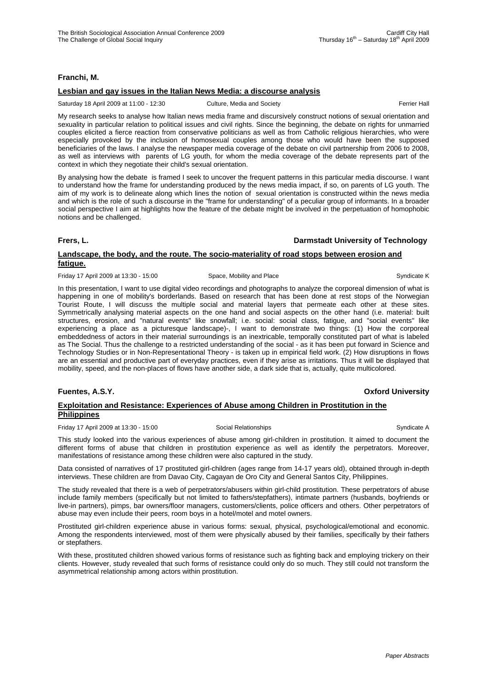### **Franchi, M.**

#### **Lesbian and gay issues in the Italian News Media: a discourse analysis**

Saturday 18 April 2009 at 11:00 - 12:30 Culture, Media and Society **Ferrier Hall** Ferrier Hall

My research seeks to analyse how Italian news media frame and discursively construct notions of sexual orientation and sexuality in particular relation to political issues and civil rights. Since the beginning, the debate on rights for unmarried couples elicited a fierce reaction from conservative politicians as well as from Catholic religious hierarchies, who were especially provoked by the inclusion of homosexual couples among those who would have been the supposed beneficiaries of the laws. I analyse the newspaper media coverage of the debate on civil partnership from 2006 to 2008, as well as interviews with parents of LG youth, for whom the media coverage of the debate represents part of the context in which they negotiate their child's sexual orientation.

By analysing how the debate is framed I seek to uncover the frequent patterns in this particular media discourse. I want to understand how the frame for understanding produced by the news media impact, if so, on parents of LG youth. The aim of my work is to delineate along which lines the notion of sexual orientation is constructed within the news media and which is the role of such a discourse in the "frame for understanding" of a peculiar group of informants. In a broader social perspective I aim at highlights how the feature of the debate might be involved in the perpetuation of homophobic notions and be challenged.

### **Frers, L. Darmstadt University of Technology**

# **Landscape, the body, and the route. The socio-materiality of road stops between erosion and fatigue.**

Friday 17 April 2009 at 13:30 - 15:00 Space, Mobility and Place Syndicate K Syndicate K

In this presentation, I want to use digital video recordings and photographs to analyze the corporeal dimension of what is happening in one of mobility's borderlands. Based on research that has been done at rest stops of the Norwegian Tourist Route, I will discuss the multiple social and material layers that permeate each other at these sites. Symmetrically analysing material aspects on the one hand and social aspects on the other hand (i.e. material: built structures, erosion, and "natural events" like snowfall; i.e. social: social class, fatigue, and "social events" like experiencing a place as a picturesque landscape)-, I want to demonstrate two things: (1) How the corporeal embeddedness of actors in their material surroundings is an inextricable, temporally constituted part of what is labeled as The Social. Thus the challenge to a restricted understanding of the social - as it has been put forward in Science and Technology Studies or in Non-Representational Theory - is taken up in empirical field work. (2) How disruptions in flows are an essential and productive part of everyday practices, even if they arise as irritations. Thus it will be displayed that mobility, speed, and the non-places of flows have another side, a dark side that is, actually, quite multicolored.

# **Exploitation and Resistance: Experiences of Abuse among Children in Prostitution in the Philippines**

Friday 17 April 2009 at 13:30 - 15:00 Social Relationships Syndicate A

This study looked into the various experiences of abuse among girl-children in prostitution. It aimed to document the different forms of abuse that children in prostitution experience as well as identify the perpetrators. Moreover, manifestations of resistance among these children were also captured in the study.

Data consisted of narratives of 17 prostituted girl-children (ages range from 14-17 years old), obtained through in-depth interviews. These children are from Davao City, Cagayan de Oro City and General Santos City, Philippines.

The study revealed that there is a web of perpetrators/abusers within girl-child prostitution. These perpetrators of abuse include family members (specifically but not limited to fathers/stepfathers), intimate partners (husbands, boyfriends or live-in partners), pimps, bar owners/floor managers, customers/clients, police officers and others. Other perpetrators of abuse may even include their peers, room boys in a hotel/motel and motel owners.

Prostituted girl-children experience abuse in various forms: sexual, physical, psychological/emotional and economic. Among the respondents interviewed, most of them were physically abused by their families, specifically by their fathers or stepfathers.

With these, prostituted children showed various forms of resistance such as fighting back and employing trickery on their clients. However, study revealed that such forms of resistance could only do so much. They still could not transform the asymmetrical relationship among actors within prostitution.

#### **Fuentes, A.S.Y. Oxford University**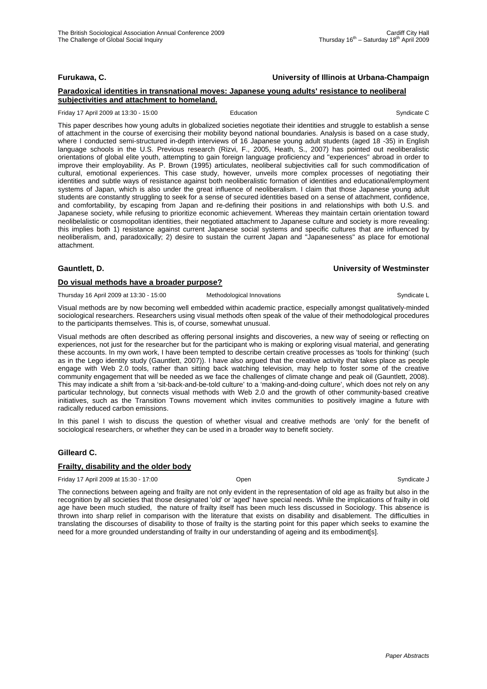### **Furukawa, C. University of Illinois at Urbana-Champaign**

#### **Paradoxical identities in transnational moves: Japanese young adults' resistance to neoliberal subjectivities and attachment to homeland.**

Friday 17 April 2009 at 13:30 - 15:00 **Education** Education **Syndicate C** Syndicate C

This paper describes how young adults in globalized societies negotiate their identities and struggle to establish a sense of attachment in the course of exercising their mobility beyond national boundaries. Analysis is based on a case study, where I conducted semi-structured in-depth interviews of 16 Japanese young adult students (aged 18 -35) in English language schools in the U.S. Previous research (Rizvi, F., 2005, Heath, S., 2007) has pointed out neoliberalistic orientations of global elite youth, attempting to gain foreign language proficiency and "experiences" abroad in order to improve their employability. As P. Brown (1995) articulates, neoliberal subjectivities call for such commodification of cultural, emotional experiences. This case study, however, unveils more complex processes of negotiating their identities and subtle ways of resistance against both neoliberalistic formation of identities and educational/employment systems of Japan, which is also under the great influence of neoliberalism. I claim that those Japanese young adult students are constantly struggling to seek for a sense of secured identities based on a sense of attachment, confidence, and comfortability, by escaping from Japan and re-defining their positions in and relationships with both U.S. and Japanese society, while refusing to prioritize economic achievement. Whereas they maintain certain orientation toward neolibelalistic or cosmopolitan identities, their negotiated attachment to Japanese culture and society is more revealing: this implies both 1) resistance against current Japanese social systems and specific cultures that are influenced by neoliberalism, and, paradoxically; 2) desire to sustain the current Japan and "Japaneseness" as place for emotional attachment.

#### **Gauntlett, D. University of Westminster**

#### **Do visual methods have a broader purpose?**

Thursday 16 April 2009 at 13:30 - 15:00 Methodological Innovations Communicate L

Visual methods are by now becoming well embedded within academic practice, especially amongst qualitatively-minded sociological researchers. Researchers using visual methods often speak of the value of their methodological procedures to the participants themselves. This is, of course, somewhat unusual.

Visual methods are often described as offering personal insights and discoveries, a new way of seeing or reflecting on experiences, not just for the researcher but for the participant who is making or exploring visual material, and generating these accounts. In my own work, I have been tempted to describe certain creative processes as 'tools for thinking' (such as in the Lego identity study (Gauntlett, 2007)). I have also argued that the creative activity that takes place as people engage with Web 2.0 tools, rather than sitting back watching television, may help to foster some of the creative community engagement that will be needed as we face the challenges of climate change and peak oil (Gauntlett, 2008). This may indicate a shift from a 'sit-back-and-be-told culture' to a 'making-and-doing culture', which does not rely on any particular technology, but connects visual methods with Web 2.0 and the growth of other community-based creative initiatives, such as the Transition Towns movement which invites communities to positively imagine a future with radically reduced carbon emissions.

In this panel I wish to discuss the question of whether visual and creative methods are 'only' for the benefit of sociological researchers, or whether they can be used in a broader way to benefit society.

#### **Gilleard C.**

#### **Frailty, disability and the older body**

Friday 17 April 2009 at 15:30 - 17:00 Open Syndicate J

The connections between ageing and frailty are not only evident in the representation of old age as frailty but also in the recognition by all societies that those designated 'old' or 'aged' have special needs. While the implications of frailty in old age have been much studied, the nature of frailty itself has been much less discussed in Sociology. This absence is thrown into sharp relief in comparison with the literature that exists on disability and disablement. The difficulties in translating the discourses of disability to those of frailty is the starting point for this paper which seeks to examine the need for a more grounded understanding of frailty in our understanding of ageing and its embodiment[s].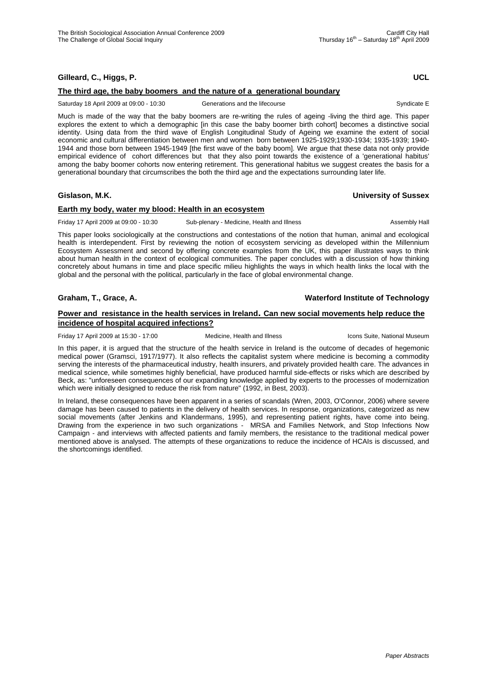# **Gilleard, C., Higgs, P. UCL**

### **The third age, the baby boomers and the nature of a generational boundary**

Saturday 18 April 2009 at 09:00 - 10:30 Generations and the lifecourse Syndicate E

Much is made of the way that the baby boomers are re-writing the rules of ageing -living the third age. This paper explores the extent to which a demographic [in this case the baby boomer birth cohort] becomes a distinctive social identity. Using data from the third wave of English Longitudinal Study of Ageing we examine the extent of social economic and cultural differentiation between men and women born between 1925-1929;1930-1934; 1935-1939; 1940- 1944 and those born between 1945-1949 [the first wave of the baby boom]. We argue that these data not only provide empirical evidence of cohort differences but that they also point towards the existence of a 'generational habitus' among the baby boomer cohorts now entering retirement. This generational habitus we suggest creates the basis for a generational boundary that circumscribes the both the third age and the expectations surrounding later life.

### **Gislason, M.K. University of Sussex**

### **Earth my body, water my blood: Health in an ecosystem**

Friday 17 April 2009 at 09:00 - 10:30 Sub-plenary - Medicine, Health and Illness Assembly Hall

This paper looks sociologically at the constructions and contestations of the notion that human, animal and ecological health is interdependent. First by reviewing the notion of ecosystem servicing as developed within the Millennium Ecosystem Assessment and second by offering concrete examples from the UK, this paper illustrates ways to think about human health in the context of ecological communities. The paper concludes with a discussion of how thinking concretely about humans in time and place specific milieu highlights the ways in which health links the local with the global and the personal with the political, particularly in the face of global environmental change.

### **Graham, T., Grace, A. Waterford Institute of Technology**

### **Power and resistance in the health services in Ireland. Can new social movements help reduce the incidence of hospital acquired infections?**

Friday 17 April 2009 at 15:30 - 17:00 Medicine, Health and Illness Icons Suite, National Museum

In this paper, it is argued that the structure of the health service in Ireland is the outcome of decades of hegemonic medical power (Gramsci, 1917/1977). It also reflects the capitalist system where medicine is becoming a commodity serving the interests of the pharmaceutical industry, health insurers, and privately provided health care. The advances in medical science, while sometimes highly beneficial, have produced harmful side-effects or risks which are described by Beck, as: "unforeseen consequences of our expanding knowledge applied by experts to the processes of modernization which were initially designed to reduce the risk from nature" (1992, in Best, 2003).

In Ireland, these consequences have been apparent in a series of scandals (Wren, 2003, O'Connor, 2006) where severe damage has been caused to patients in the delivery of health services. In response, organizations, categorized as new social movements (after Jenkins and Klandermans, 1995), and representing patient rights, have come into being. Drawing from the experience in two such organizations - MRSA and Families Network, and Stop Infections Now Campaign - and interviews with affected patients and family members, the resistance to the traditional medical power mentioned above is analysed. The attempts of these organizations to reduce the incidence of HCAIs is discussed, and the shortcomings identified.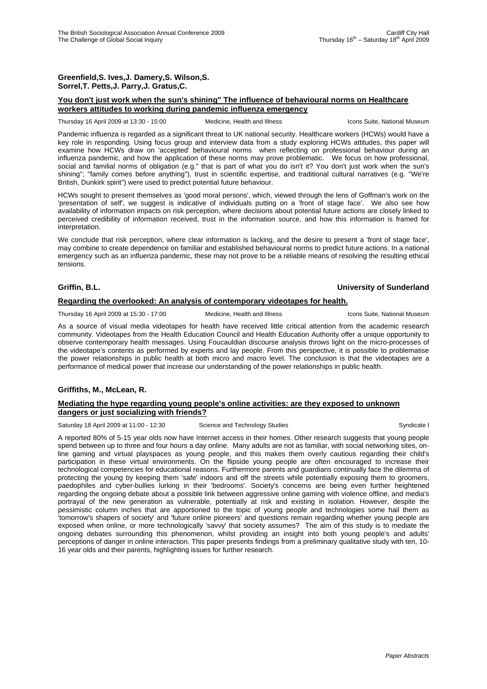### **Greenfield,S. Ives,J. Damery,S. Wilson,S. Sorrel,T. Petts,J. Parry,J. Gratus,C.**

### **You don't just work when the sun's shining" The influence of behavioural norms on Healthcare workers attitudes to working during pandemic influenza emergency**

Thursday 16 April 2009 at 13:30 - 15:00 Medicine, Health and Illness Icons Suite, National Museum

Pandemic influenza is regarded as a significant threat to UK national security. Healthcare workers (HCWs) would have a key role in responding. Using focus group and interview data from a study exploring HCWs attitudes, this paper will examine how HCWs draw on 'accepted' behavioural norms when reflecting on professional behaviour during an influenza pandemic, and how the application of these norms may prove problematic. We focus on how professional, social and familial norms of obligation (e.g." that is part of what you do isn't it? You don't just work when the sun's shining"; "family comes before anything"), trust in scientific expertise, and traditional cultural narratives (e.g. "We're British, Dunkirk spirit") were used to predict potential future behaviour.

HCWs sought to present themselves as 'good moral persons', which, viewed through the lens of Goffman's work on the 'presentation of self', we suggest is indicative of individuals putting on a 'front of stage face'. We also see how availability of information impacts on risk perception, where decisions about potential future actions are closely linked to perceived credibility of information received, trust in the information source, and how this information is framed for interpretation.

We conclude that risk perception, where clear information is lacking, and the desire to present a 'front of stage face', may combine to create dependence on familiar and established behavioural norms to predict future actions. In a national emergency such as an influenza pandemic, these may not prove to be a reliable means of resolving the resulting ethical tensions.

### **Griffin, B.L. University of Sunderland**

#### **Regarding the overlooked: An analysis of contemporary videotapes for health.**

Thursday 16 April 2009 at 15:30 - 17:00 Medicine, Health and Illness Icons Suite, National Museum

As a source of visual media videotapes for health have received little critical attention from the academic research

community. Videotapes from the Health Education Council and Health Education Authority offer a unique opportunity to observe contemporary health messages. Using Foucauldian discourse analysis throws light on the micro-processes of the videotape's contents as performed by experts and lay people. From this perspective, it is possible to problematise the power relationships in public health at both micro and macro level. The conclusion is that the videotapes are a performance of medical power that increase our understanding of the power relationships in public health.

# **Griffiths, M., McLean, R.**

#### **Mediating the hype regarding young people's online activities: are they exposed to unknown dangers or just socializing with friends?**

Saturday 18 April 2009 at 11:00 - 12:30 Science and Technology Studies Syndicate I Syndicate I

A reported 80% of 5-15 year olds now have Internet access in their homes. Other research suggests that young people spend between up to three and four hours a day online. Many adults are not as familiar, with social networking sites, online gaming and virtual playspaces as young people, and this makes them overly cautious regarding their child's participation in these virtual environments. On the flipside young people are often encouraged to increase their technological competencies for educational reasons. Furthermore parents and guardians continually face the dilemma of protecting the young by keeping them 'safe' indoors and off the streets while potentially exposing them to groomers, paedophiles and cyber-bullies lurking in their 'bedrooms'. Society's concerns are being even further heightened regarding the ongoing debate about a possible link between aggressive online gaming with violence offline, and media's portrayal of the new generation as vulnerable, potentially at risk and existing in isolation. However, despite the pessimistic column inches that are apportioned to the topic of young people and technologies some hail them as 'tomorrow's shapers of society' and 'future online pioneers' and questions remain regarding whether young people are exposed when online, or more technologically 'savvy' that society assumes? The aim of this study is to mediate the ongoing debates surrounding this phenomenon, whilst providing an insight into both young people's and adults' perceptions of danger in online interaction. This paper presents findings from a preliminary qualitative study with ten, 10- 16 year olds and their parents, highlighting issues for further research.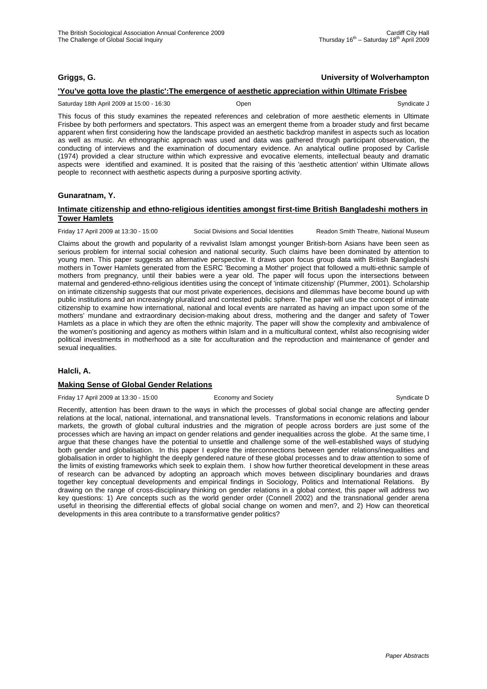### **Griggs, G. University of Wolverhampton**

### **'You've gotta love the plastic':The emergence of aesthetic appreciation within Ultimate Frisbee**

Saturday 18th April 2009 at 15:00 - 16:30 Open Syndicate J

This focus of this study examines the repeated references and celebration of more aesthetic elements in Ultimate Frisbee by both performers and spectators. This aspect was an emergent theme from a broader study and first became apparent when first considering how the landscape provided an aesthetic backdrop manifest in aspects such as location as well as music. An ethnographic approach was used and data was gathered through participant observation, the conducting of interviews and the examination of documentary evidence. An analytical outline proposed by Carlisle (1974) provided a clear structure within which expressive and evocative elements, intellectual beauty and dramatic aspects were identified and examined. It is posited that the raising of this 'aesthetic attention' within Ultimate allows people to reconnect with aesthetic aspects during a purposive sporting activity.

### **Gunaratnam, Y.**

#### **Intimate citizenship and ethno-religious identities amongst first-time British Bangladeshi mothers in Tower Hamlets**

Friday 17 April 2009 at 13:30 - 15:00 Social Divisions and Social Identities Readon Smith Theatre, National Museum

Claims about the growth and popularity of a revivalist Islam amongst younger British-born Asians have been seen as serious problem for internal social cohesion and national security. Such claims have been dominated by attention to young men. This paper suggests an alternative perspective. It draws upon focus group data with British Bangladeshi mothers in Tower Hamlets generated from the ESRC 'Becoming a Mother' project that followed a multi-ethnic sample of mothers from pregnancy, until their babies were a year old. The paper will focus upon the intersections between maternal and gendered-ethno-religious identities using the concept of 'intimate citizenship' (Plummer, 2001). Scholarship on intimate citizenship suggests that our most private experiences, decisions and dilemmas have become bound up with public institutions and an increasingly pluralized and contested public sphere. The paper will use the concept of intimate citizenship to examine how international, national and local events are narrated as having an impact upon some of the mothers' mundane and extraordinary decision-making about dress, mothering and the danger and safety of Tower Hamlets as a place in which they are often the ethnic majority. The paper will show the complexity and ambivalence of the women's positioning and agency as mothers within Islam and in a multicultural context, whilst also recognising wider political investments in motherhood as a site for acculturation and the reproduction and maintenance of gender and sexual inequalities.

#### **Halcli, A.**

#### **Making Sense of Global Gender Relations**

Friday 17 April 2009 at 13:30 - 15:00 Economy and Society Syndicate D Syndicate D

Recently, attention has been drawn to the ways in which the processes of global social change are affecting gender relations at the local, national, international, and transnational levels. Transformations in economic relations and labour markets, the growth of global cultural industries and the migration of people across borders are just some of the processes which are having an impact on gender relations and gender inequalities across the globe. At the same time, I argue that these changes have the potential to unsettle and challenge some of the well-established ways of studying both gender and globalisation. In this paper I explore the interconnections between gender relations/inequalities and globalisation in order to highlight the deeply gendered nature of these global processes and to draw attention to some of the limits of existing frameworks which seek to explain them. I show how further theoretical development in these areas of research can be advanced by adopting an approach which moves between disciplinary boundaries and draws together key conceptual developments and empirical findings in Sociology, Politics and International Relations. By drawing on the range of cross-disciplinary thinking on gender relations in a global context, this paper will address two key questions: 1) Are concepts such as the world gender order (Connell 2002) and the transnational gender arena useful in theorising the differential effects of global social change on women and men?, and 2) How can theoretical developments in this area contribute to a transformative gender politics?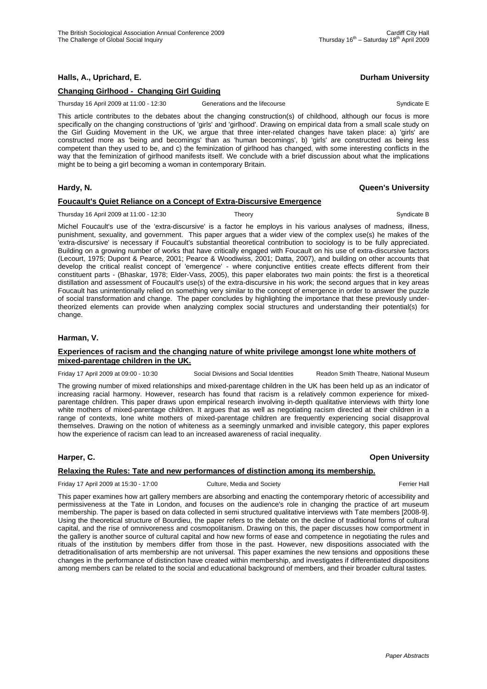# **Halls, A., Uprichard, E. Durham University**

### **Changing Girlhood - Changing Girl Guiding**

Thursday 16 April 2009 at 11:00 - 12:30 Generations and the lifecourse Syndicate E

This article contributes to the debates about the changing construction(s) of childhood, although our focus is more specifically on the changing constructions of 'girls' and 'girlhood'. Drawing on empirical data from a small scale study on the Girl Guiding Movement in the UK, we argue that three inter-related changes have taken place: a) 'girls' are constructed more as 'being and becomings' than as 'human becomings', b) 'girls' are constructed as being less competent than they used to be, and c) the feminization of girlhood has changed, with some interesting conflicts in the way that the feminization of girlhood manifests itself. We conclude with a brief discussion about what the implications might be to being a girl becoming a woman in contemporary Britain.

#### **Hardy, N. Queen's University**

#### **Foucault's Quiet Reliance on a Concept of Extra-Discursive Emergence**

Thursday 16 April 2009 at 11:00 - 12:30 Theory Theory Syndicate B Syndicate B

Michel Foucault's use of the 'extra-discursive' is a factor he employs in his various analyses of madness, illness, punishment, sexuality, and government. This paper argues that a wider view of the complex use(s) he makes of the 'extra-discursive' is necessary if Foucault's substantial theoretical contribution to sociology is to be fully appreciated. Building on a growing number of works that have critically engaged with Foucault on his use of extra-discursive factors (Lecourt, 1975; Dupont & Pearce, 2001; Pearce & Woodiwiss, 2001; Datta, 2007), and building on other accounts that develop the critical realist concept of 'emergence' - where conjunctive entities create effects different from their constituent parts - (Bhaskar, 1978; Elder-Vass, 2005), this paper elaborates two main points: the first is a theoretical distillation and assessment of Foucault's use(s) of the extra-discursive in his work; the second argues that in key areas Foucault has unintentionally relied on something very similar to the concept of emergence in order to answer the puzzle of social transformation and change. The paper concludes by highlighting the importance that these previously undertheorized elements can provide when analyzing complex social structures and understanding their potential(s) for change.

#### **Harman, V.**

#### **Experiences of racism and the changing nature of white privilege amongst lone white mothers of mixed-parentage children in the UK.**

Friday 17 April 2009 at 09:00 - 10:30 Social Divisions and Social Identities Readon Smith Theatre, National Museum

The growing number of mixed relationships and mixed-parentage children in the UK has been held up as an indicator of increasing racial harmony. However, research has found that racism is a relatively common experience for mixedparentage children. This paper draws upon empirical research involving in-depth qualitative interviews with thirty lone white mothers of mixed-parentage children. It argues that as well as negotiating racism directed at their children in a range of contexts, lone white mothers of mixed-parentage children are frequently experiencing social disapproval themselves. Drawing on the notion of whiteness as a seemingly unmarked and invisible category, this paper explores how the experience of racism can lead to an increased awareness of racial inequality.

#### **Harper, C. Open University**

# **Relaxing the Rules: Tate and new performances of distinction among its membership.**

Friday 17 April 2009 at 15:30 - 17:00 Culture, Media and Society Ferrier Hall

This paper examines how art gallery members are absorbing and enacting the contemporary rhetoric of accessibility and permissiveness at the Tate in London, and focuses on the audience's role in changing the practice of art museum membership. The paper is based on data collected in semi structured qualitative interviews with Tate members [2008-9]. Using the theoretical structure of Bourdieu, the paper refers to the debate on the decline of traditional forms of cultural capital, and the rise of omnivoreness and cosmopolitanism. Drawing on this, the paper discusses how comportment in the gallery is another source of cultural capital and how new forms of ease and competence in negotiating the rules and rituals of the institution by members differ from those in the past. However, new dispositions associated with the detraditionalisation of arts membership are not universal. This paper examines the new tensions and oppositions these changes in the performance of distinction have created within membership, and investigates if differentiated dispositions among members can be related to the social and educational background of members, and their broader cultural tastes.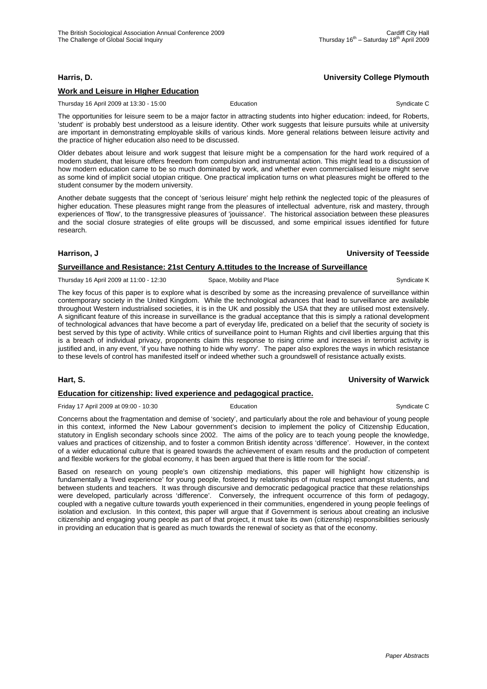### **Harris, D. University College Plymouth**

### **Work and Leisure in HIgher Education**

Thursday 16 April 2009 at 13:30 - 15:00 Education Education Syndicate C

The opportunities for leisure seem to be a major factor in attracting students into higher education: indeed, for Roberts, 'student' is probably best understood as a leisure identity. Other work suggests that leisure pursuits while at university are important in demonstrating employable skills of various kinds. More general relations between leisure activity and the practice of higher education also need to be discussed.

Older debates about leisure and work suggest that leisure might be a compensation for the hard work required of a modern student, that leisure offers freedom from compulsion and instrumental action. This might lead to a discussion of how modern education came to be so much dominated by work, and whether even commercialised leisure might serve as some kind of implicit social utopian critique. One practical implication turns on what pleasures might be offered to the student consumer by the modern university.

Another debate suggests that the concept of 'serious leisure' might help rethink the neglected topic of the pleasures of higher education. These pleasures might range from the pleasures of intellectual adventure, risk and mastery, through experiences of 'flow', to the transgressive pleasures of 'jouissance'. The historical association between these pleasures and the social closure strategies of elite groups will be discussed, and some empirical issues identified for future research.

#### **Harrison, J University of Teesside**

### **Surveillance and Resistance: 21st Century A.ttitudes to the Increase of Surveillance**

Thursday 16 April 2009 at 11:00 - 12:30 Space, Mobility and Place Syndicate K Syndicate K

The key focus of this paper is to explore what is described by some as the increasing prevalence of surveillance within contemporary society in the United Kingdom. While the technological advances that lead to surveillance are available throughout Western industrialised societies, it is in the UK and possibly the USA that they are utilised most extensively. A significant feature of this increase in surveillance is the gradual acceptance that this is simply a rational development of technological advances that have become a part of everyday life, predicated on a belief that the security of society is best served by this type of activity. While critics of surveillance point to Human Rights and civil liberties arguing that this is a breach of individual privacy, proponents claim this response to rising crime and increases in terrorist activity is justified and, in any event, 'if you have nothing to hide why worry'. The paper also explores the ways in which resistance to these levels of control has manifested itself or indeed whether such a groundswell of resistance actually exists.

#### **Hart, S. University of Warwick**

# **Education for citizenship: lived experience and pedagogical practice.**

Friday 17 April 2009 at 09:00 - 10:30 **Education** Education **Syndicate C** Syndicate C

Concerns about the fragmentation and demise of 'society', and particularly about the role and behaviour of young people in this context, informed the New Labour government's decision to implement the policy of Citizenship Education, statutory in English secondary schools since 2002. The aims of the policy are to teach young people the knowledge, values and practices of citizenship, and to foster a common British identity across 'difference'. However, in the context of a wider educational culture that is geared towards the achievement of exam results and the production of competent and flexible workers for the global economy, it has been argued that there is little room for 'the social'.

Based on research on young people's own citizenship mediations, this paper will highlight how citizenship is fundamentally a 'lived experience' for young people, fostered by relationships of mutual respect amongst students, and between students and teachers. It was through discursive and democratic pedagogical practice that these relationships were developed, particularly across 'difference'. Conversely, the infrequent occurrence of this form of pedagogy, coupled with a negative culture towards youth experienced in their communities, engendered in young people feelings of isolation and exclusion. In this context, this paper will argue that if Government is serious about creating an inclusive citizenship and engaging young people as part of that project, it must take its own (citizenship) responsibilities seriously in providing an education that is geared as much towards the renewal of society as that of the economy.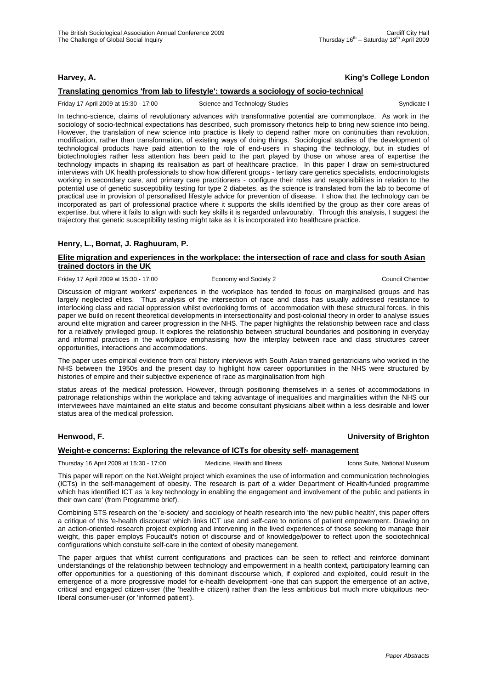# **Harvey, A. King's College London**

### **Translating genomics 'from lab to lifestyle': towards a sociology of socio-technical**

Friday 17 April 2009 at 15:30 - 17:00 Science and Technology Studies Syndicate I Syndicate I

In techno-science, claims of revolutionary advances with transformative potential are commonplace. As work in the sociology of socio-technical expectations has described, such promissory rhetorics help to bring new science into being. However, the translation of new science into practice is likely to depend rather more on continuities than revolution, modification, rather than transformation, of existing ways of doing things. Sociological studies of the development of technological products have paid attention to the role of end-users in shaping the technology, but in studies of biotechnologies rather less attention has been paid to the part played by those on whose area of expertise the technology impacts in shaping its realisation as part of healthcare practice. In this paper I draw on semi-structured interviews with UK health professionals to show how different groups - tertiary care genetics specialists, endocrinologists working in secondary care, and primary care practitioners - configure their roles and responsibilities in relation to the potential use of genetic susceptibility testing for type 2 diabetes, as the science is translated from the lab to become of practical use in provision of personalised lifestyle advice for prevention of disease. I show that the technology can be incorporated as part of professional practice where it supports the skills identified by the group as their core areas of expertise, but where it fails to align with such key skills it is regarded unfavourably. Through this analysis, I suggest the trajectory that genetic susceptibility testing might take as it is incorporated into healthcare practice.

### **Henry, L., Bornat, J. Raghuuram, P.**

#### **Elite migration and experiences in the workplace: the intersection of race and class for south Asian trained doctors in the UK**

Friday 17 April 2009 at 15:30 - 17:00 Economy and Society 2 Council Chamber

Discussion of migrant workers' experiences in the workplace has tended to focus on marginalised groups and has largely neglected elites. Thus analysis of the intersection of race and class has usually addressed resistance to interlocking class and racial oppression whilst overlooking forms of accommodation with these structural forces. In this paper we build on recent theoretical developments in intersectionality and post-colonial theory in order to analyse issues around elite migration and career progression in the NHS. The paper highlights the relationship between race and class for a relatively privileged group. It explores the relationship between structural boundaries and positioning in everyday and informal practices in the workplace emphasising how the interplay between race and class structures career opportunities, interactions and accommodations.

The paper uses empirical evidence from oral history interviews with South Asian trained geriatricians who worked in the NHS between the 1950s and the present day to highlight how career opportunities in the NHS were structured by histories of empire and their subjective experience of race as marginalisation from high

status areas of the medical profession. However, through positioning themselves in a series of accommodations in patronage relationships within the workplace and taking advantage of inequalities and marginalities within the NHS our interviewees have maintained an elite status and become consultant physicians albeit within a less desirable and lower status area of the medical profession.

# **Henwood, F. University of Brighton**

### **Weight-e concerns: Exploring the relevance of ICTs for obesity self- management**

Thursday 16 April 2009 at 15:30 - 17:00 Medicine, Health and Illness Icons Suite, National Museum

This paper will report on the Net.Weight project which examines the use of information and communication technologies (ICTs) in the self-management of obesity. The research is part of a wider Department of Health-funded programme which has identified ICT as 'a key technology in enabling the engagement and involvement of the public and patients in their own care' (from Programme brief).

Combining STS research on the 'e-society' and sociology of health research into 'the new public health', this paper offers a critique of this 'e-health discourse' which links ICT use and self-care to notions of patient empowerment. Drawing on an action-oriented research project exploring and intervening in the lived experiences of those seeking to manage their weight, this paper employs Foucault's notion of discourse and of knowledge/power to reflect upon the sociotechnical configurations which constuite self-care in the context of obesity manegement.

The paper argues that whilst current configurations and practices can be seen to reflect and reinforce dominant understandings of the relationship between technology and empowerment in a health context, participatory learning can offer opportunities for a questioning of this dominant discourse which, if explored and exploited, could result in the emergence of a more progressive model for e-health development -one that can support the emergence of an active, critical and engaged citizen-user (the 'health-e citizen) rather than the less ambitious but much more ubiquitous neoliberal consumer-user (or 'informed patient').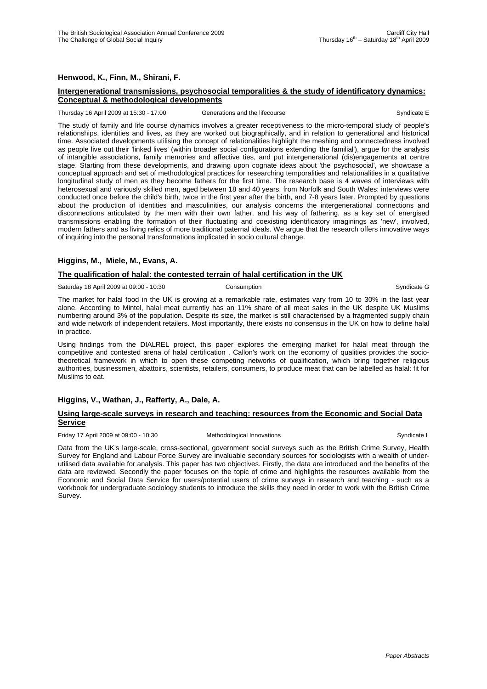### **Henwood, K., Finn, M., Shirani, F.**

#### **Intergenerational transmissions, psychosocial temporalities & the study of identificatory dynamics: Conceptual & methodological developments**

#### Thursday 16 April 2009 at 15:30 - 17:00 Generations and the lifecourse Syndicate E

The study of family and life course dynamics involves a greater receptiveness to the micro-temporal study of people's relationships, identities and lives, as they are worked out biographically, and in relation to generational and historical time. Associated developments utilising the concept of relationalities highlight the meshing and connectedness involved as people live out their 'linked lives' (within broader social configurations extending 'the familial'), argue for the analysis of intangible associations, family memories and affective ties, and put intergenerational (dis)engagements at centre stage. Starting from these developments, and drawing upon cognate ideas about 'the psychosocial', we showcase a conceptual approach and set of methodological practices for researching temporalities and relationalities in a qualitative longitudinal study of men as they become fathers for the first time. The research base is 4 waves of interviews with heterosexual and variously skilled men, aged between 18 and 40 years, from Norfolk and South Wales: interviews were conducted once before the child's birth, twice in the first year after the birth, and 7-8 years later. Prompted by questions about the production of identities and masculinities, our analysis concerns the intergenerational connections and disconnections articulated by the men with their own father, and his way of fathering, as a key set of energised transmissions enabling the formation of their fluctuating and coexisting identificatory imaginings as 'new', involved, modern fathers and as living relics of more traditional paternal ideals. We argue that the research offers innovative ways of inquiring into the personal transformations implicated in socio cultural change.

#### **Higgins, M., Miele, M., Evans, A.**

#### **The qualification of halal: the contested terrain of halal certification in the UK**

Saturday 18 April 2009 at 09:00 - 10:30 Consumption Consumption Consumption Syndicate G

The market for halal food in the UK is growing at a remarkable rate, estimates vary from 10 to 30% in the last year alone. According to Mintel, halal meat currently has an 11% share of all meat sales in the UK despite UK Muslims numbering around 3% of the population. Despite its size, the market is still characterised by a fragmented supply chain and wide network of independent retailers. Most importantly, there exists no consensus in the UK on how to define halal in practice.

Using findings from the DIALREL project, this paper explores the emerging market for halal meat through the competitive and contested arena of halal certification . Callon's work on the economy of qualities provides the sociotheoretical framework in which to open these competing networks of qualification, which bring together religious authorities, businessmen, abattoirs, scientists, retailers, consumers, to produce meat that can be labelled as halal: fit for Muslims to eat.

# **Higgins, V., Wathan, J., Rafferty, A., Dale, A.**

#### **Using large-scale surveys in research and teaching: resources from the Economic and Social Data Service**

Friday 17 April 2009 at 09:00 - 10:30 Methodological Innovations Syndicate L

Data from the UK's large-scale, cross-sectional, government social surveys such as the British Crime Survey, Health Survey for England and Labour Force Survey are invaluable secondary sources for sociologists with a wealth of underutilised data available for analysis. This paper has two objectives. Firstly, the data are introduced and the benefits of the data are reviewed. Secondly the paper focuses on the topic of crime and highlights the resources available from the Economic and Social Data Service for users/potential users of crime surveys in research and teaching - such as a workbook for undergraduate sociology students to introduce the skills they need in order to work with the British Crime Survey.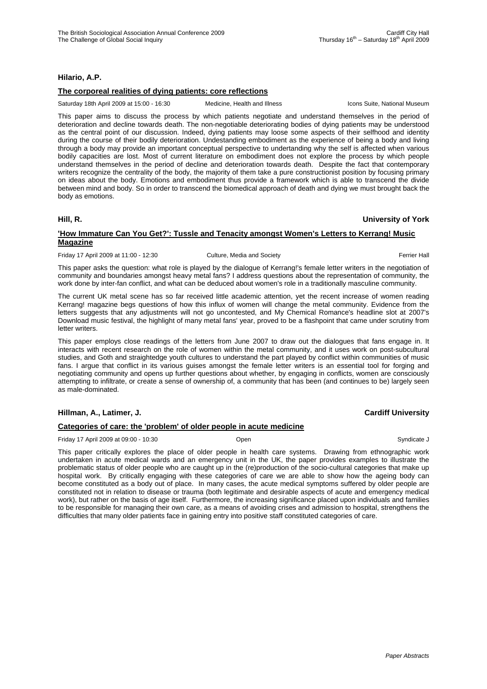### **Hilario, A.P.**

### **The corporeal realities of dying patients: core reflections**

Saturday 18th April 2009 at 15:00 - 16:30 Medicine, Health and Illness Icons Suite, National Museum

This paper aims to discuss the process by which patients negotiate and understand themselves in the period of deterioration and decline towards death. The non-negotiable deteriorating bodies of dying patients may be understood as the central point of our discussion. Indeed, dying patients may loose some aspects of their selfhood and identity during the course of their bodily deterioration. Undestanding embodiment as the experience of being a body and living through a body may provide an important conceptual perspective to undertanding why the self is affected when various bodily capacities are lost. Most of current literature on embodiment does not explore the process by which people understand themselves in the period of decline and deterioration towards death. Despite the fact that contemporary writers recognize the centrality of the body, the majority of them take a pure constructionist position by focusing primary on ideas about the body. Emotions and embodiment thus provide a framework which is able to transcend the divide between mind and body. So in order to transcend the biomedical approach of death and dying we must brought back the body as emotions.

#### **Hill, R. University of York**

### **'How Immature Can You Get?': Tussle and Tenacity amongst Women's Letters to Kerrang! Music Magazine**

Friday 17 April 2009 at 11:00 - 12:30 Culture, Media and Society **Ferrier Hall** Ferrier Hall

This paper asks the question: what role is played by the dialogue of Kerrang!'s female letter writers in the negotiation of community and boundaries amongst heavy metal fans? I address questions about the representation of community, the work done by inter-fan conflict, and what can be deduced about women's role in a traditionally masculine community.

The current UK metal scene has so far received little academic attention, yet the recent increase of women reading Kerrang! magazine begs questions of how this influx of women will change the metal community. Evidence from the letters suggests that any adjustments will not go uncontested, and My Chemical Romance's headline slot at 2007's Download music festival, the highlight of many metal fans' year, proved to be a flashpoint that came under scrutiny from letter writers.

This paper employs close readings of the letters from June 2007 to draw out the dialogues that fans engage in. It interacts with recent research on the role of women within the metal community, and it uses work on post-subcultural studies, and Goth and straightedge youth cultures to understand the part played by conflict within communities of music fans. I argue that conflict in its various guises amongst the female letter writers is an essential tool for forging and negotiating community and opens up further questions about whether, by engaging in conflicts, women are consciously attempting to infiltrate, or create a sense of ownership of, a community that has been (and continues to be) largely seen as male-dominated.

# **Hillman, A., Latimer, J. Cardiff University**

# **Categories of care: the 'problem' of older people in acute medicine**

Friday 17 April 2009 at 09:00 - 10:30 **Open** Communicate J Syndicate J Syndicate J Syndicate J Syndicate J

This paper critically explores the place of older people in health care systems. Drawing from ethnographic work undertaken in acute medical wards and an emergency unit in the UK, the paper provides examples to illustrate the problematic status of older people who are caught up in the (re)production of the socio-cultural categories that make up hospital work. By critically engaging with these categories of care we are able to show how the ageing body can become constituted as a body out of place. In many cases, the acute medical symptoms suffered by older people are constituted not in relation to disease or trauma (both legitimate and desirable aspects of acute and emergency medical work), but rather on the basis of age itself. Furthermore, the increasing significance placed upon individuals and families to be responsible for managing their own care, as a means of avoiding crises and admission to hospital, strengthens the difficulties that many older patients face in gaining entry into positive staff constituted categories of care.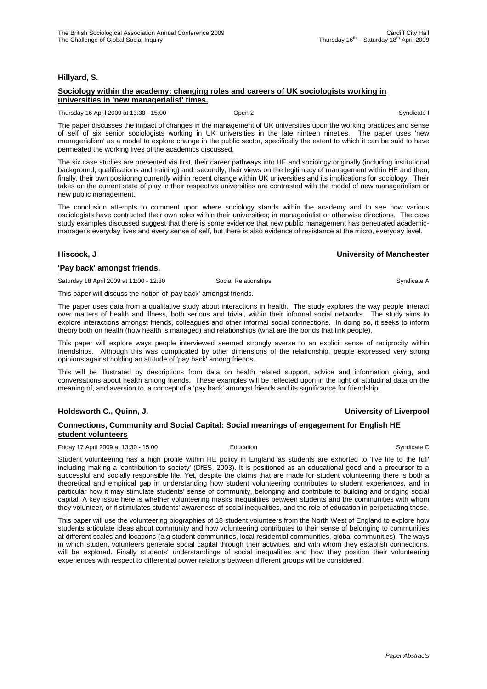#### **Hillyard, S.**

### **Sociology within the academy: changing roles and careers of UK sociologists working in universities in 'new managerialist' times.**

Thursday 16 April 2009 at 13:30 - 15:00 **Open 2** Open 2 Syndicate I Syndicate I Syndicate I

The paper discusses the impact of changes in the management of UK universities upon the working practices and sense of self of six senior sociologists working in UK universities in the late ninteen nineties. The paper uses 'new managerialism' as a model to explore change in the public sector, specifically the extent to which it can be said to have permeated the working lives of the academics discussed.

The six case studies are presented via first, their career pathways into HE and sociology originally (including institutional background, qualifications and training) and, secondly, their views on the legitimacy of management within HE and then, finally, their own positionng currently within recent change within UK universities and its implications for sociology. Their takes on the current state of play in their respective universities are contrasted with the model of new managerialism or new public management.

The conclusion attempts to comment upon where sociology stands within the academy and to see how various osciologists have contructed their own roles within their universities; in managerialist or otherwise directions. The case study examples discussed suggest that there is some evidence that new public management has penetrated academicmanager's everyday lives and every sense of self, but there is also evidence of resistance at the micro, everyday level.

#### **Hiscock, J University of Manchester**

### **'Pay back' amongst friends.**

Saturday 18 April 2009 at 11:00 - 12:30 Social Relationships Syndicate A

This paper will discuss the notion of 'pay back' amongst friends.

The paper uses data from a qualitative study about interactions in health. The study explores the way people interact over matters of health and illness, both serious and trivial, within their informal social networks. The study aims to explore interactions amongst friends, colleagues and other informal social connections. In doing so, it seeks to inform theory both on health (how health is managed) and relationships (what are the bonds that link people).

This paper will explore ways people interviewed seemed strongly averse to an explicit sense of reciprocity within friendships. Although this was complicated by other dimensions of the relationship, people expressed very strong opinions against holding an attitude of 'pay back' among friends.

This will be illustrated by descriptions from data on health related support, advice and information giving, and conversations about health among friends. These examples will be reflected upon in the light of attitudinal data on the meaning of, and aversion to, a concept of a 'pay back' amongst friends and its significance for friendship.

# **Holdsworth C., Quinn, J. University of Liverpool**

### **Connections, Community and Social Capital: Social meanings of engagement for English HE student volunteers**

Friday 17 April 2009 at 13:30 - 15:00 **Education** Education Syndicate C

Student volunteering has a high profile within HE policy in England as students are exhorted to 'live life to the full' including making a 'contribution to society' (DfES, 2003). It is positioned as an educational good and a precursor to a successful and socially responsible life. Yet, despite the claims that are made for student volunteering there is both a theoretical and empirical gap in understanding how student volunteering contributes to student experiences, and in particular how it may stimulate students' sense of community, belonging and contribute to building and bridging social capital. A key issue here is whether volunteering masks inequalities between students and the communities with whom they volunteer, or if stimulates students' awareness of social inequalities, and the role of education in perpetuating these.

This paper will use the volunteering biographies of 18 student volunteers from the North West of England to explore how students articulate ideas about community and how volunteering contributes to their sense of belonging to communities at different scales and locations (e.g student communities, local residential communities, global communities). The ways in which student volunteers generate social capital through their activities, and with whom they establish connections, will be explored. Finally students' understandings of social inequalities and how they position their volunteering experiences with respect to differential power relations between different groups will be considered.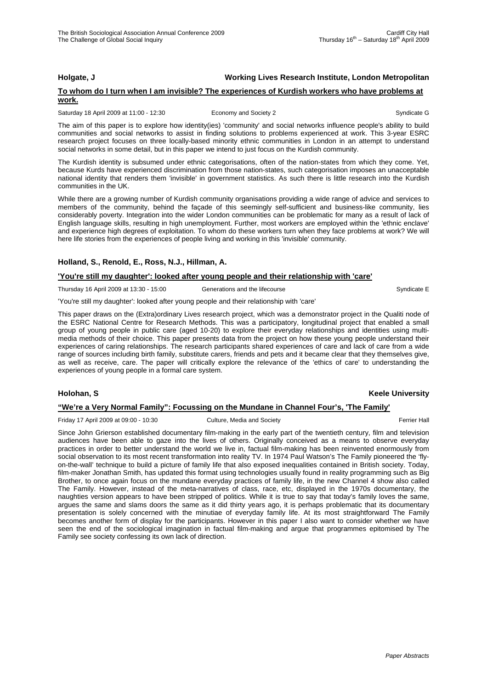# **Holgate, J Working Lives Research Institute, London Metropolitan**

### **To whom do I turn when I am invisible? The experiences of Kurdish workers who have problems at work.**

#### Saturday 18 April 2009 at 11:00 - 12:30 Economy and Society 2 Syndicate G

The aim of this paper is to explore how identity(ies) 'community' and social networks influence people's ability to build communities and social networks to assist in finding solutions to problems experienced at work. This 3-year ESRC research project focuses on three locally-based minority ethnic communities in London in an attempt to understand social networks in some detail, but in this paper we intend to just focus on the Kurdish community.

The Kurdish identity is subsumed under ethnic categorisations, often of the nation-states from which they come. Yet, because Kurds have experienced discrimination from those nation-states, such categorisation imposes an unacceptable national identity that renders them 'invisible' in government statistics. As such there is little research into the Kurdish communities in the UK.

While there are a growing number of Kurdish community organisations providing a wide range of advice and services to members of the community, behind the façade of this seemingly self-sufficient and business-like community, lies considerably poverty. Integration into the wider London communities can be problematic for many as a result of lack of English language skills, resulting in high unemployment. Further, most workers are employed within the 'ethnic enclave' and experience high degrees of exploitation. To whom do these workers turn when they face problems at work? We will here life stories from the experiences of people living and working in this 'invisible' community.

### **Holland, S., Renold, E., Ross, N.J., Hillman, A.**

#### **'You're still my daughter': looked after young people and their relationship with 'care'**

Thursday 16 April 2009 at 13:30 - 15:00 Generations and the lifecourse Syndicate E

'You're still my daughter': looked after young people and their relationship with 'care'

This paper draws on the (Extra)ordinary Lives research project, which was a demonstrator project in the Qualiti node of the ESRC National Centre for Research Methods. This was a participatory, longitudinal project that enabled a small group of young people in public care (aged 10-20) to explore their everyday relationships and identities using multimedia methods of their choice. This paper presents data from the project on how these young people understand their experiences of caring relationships. The research participants shared experiences of care and lack of care from a wide range of sources including birth family, substitute carers, friends and pets and it became clear that they themselves give, as well as receive, care. The paper will critically explore the relevance of the 'ethics of care' to understanding the experiences of young people in a formal care system.

# **Holohan, S Keele University**

# **"We're a Very Normal Family": Focussing on the Mundane in Channel Four's, 'The Family'**

Friday 17 April 2009 at 09:00 - 10:30 Culture, Media and Society Ferrier Hall

Since John Grierson established documentary film-making in the early part of the twentieth century, film and television audiences have been able to gaze into the lives of others. Originally conceived as a means to observe everyday practices in order to better understand the world we live in, factual film-making has been reinvented enormously from social observation to its most recent transformation into reality TV. In 1974 Paul Watson's The Family pioneered the 'flyon-the-wall' technique to build a picture of family life that also exposed inequalities contained in British society. Today, film-maker Jonathan Smith, has updated this format using technologies usually found in reality programming such as Big Brother, to once again focus on the mundane everyday practices of family life, in the new Channel 4 show also called The Family. However, instead of the meta-narratives of class, race, etc, displayed in the 1970s documentary, the naughties version appears to have been stripped of politics. While it is true to say that today's family loves the same, argues the same and slams doors the same as it did thirty years ago, it is perhaps problematic that its documentary presentation is solely concerned with the minutiae of everyday family life. At its most straightforward The Family becomes another form of display for the participants. However in this paper I also want to consider whether we have seen the end of the sociological imagination in factual film-making and argue that programmes epitomised by The Family see society confessing its own lack of direction.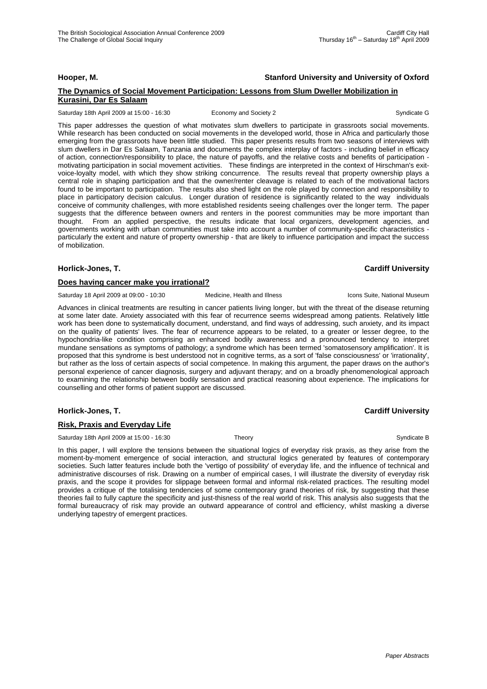### **The Dynamics of Social Movement Participation: Lessons from Slum Dweller Mobilization in Kurasini, Dar Es Salaam**

Saturday 18th April 2009 at 15:00 - 16:30 Economy and Society 2 Syndicate G

This paper addresses the question of what motivates slum dwellers to participate in grassroots social movements. While research has been conducted on social movements in the developed world, those in Africa and particularly those emerging from the grassroots have been little studied. This paper presents results from two seasons of interviews with slum dwellers in Dar Es Salaam, Tanzania and documents the complex interplay of factors - including belief in efficacy of action, connection/responsibility to place, the nature of payoffs, and the relative costs and benefits of participation motivating participation in social movement activities. These findings are interpreted in the context of Hirschman's exitvoice-loyalty model, with which they show striking concurrence. The results reveal that property ownership plays a central role in shaping participation and that the owner/renter cleavage is related to each of the motivational factors found to be important to participation. The results also shed light on the role played by connection and responsibility to place in participatory decision calculus. Longer duration of residence is significantly related to the way individuals conceive of community challenges, with more established residents seeing challenges over the longer term. The paper suggests that the difference between owners and renters in the poorest communities may be more important than thought. From an applied perspective, the results indicate that local organizers, development agencies, and governments working with urban communities must take into account a number of community-specific characteristics particularly the extent and nature of property ownership - that are likely to influence participation and impact the success of mobilization.

#### **Horlick-Jones, T. Cardiff University**

#### **Does having cancer make you irrational?**

Saturday 18 April 2009 at 09:00 - 10:30 Medicine, Health and Illness Icons Suite, National Museum

Advances in clinical treatments are resulting in cancer patients living longer, but with the threat of the disease returning at some later date. Anxiety associated with this fear of recurrence seems widespread among patients. Relatively little work has been done to systematically document, understand, and find ways of addressing, such anxiety, and its impact on the quality of patients' lives. The fear of recurrence appears to be related, to a greater or lesser degree, to the hypochondria-like condition comprising an enhanced bodily awareness and a pronounced tendency to interpret mundane sensations as symptoms of pathology; a syndrome which has been termed 'somatosensory amplification'. It is proposed that this syndrome is best understood not in cognitive terms, as a sort of 'false consciousness' or 'irrationality', but rather as the loss of certain aspects of social competence. In making this argument, the paper draws on the author's personal experience of cancer diagnosis, surgery and adjuvant therapy; and on a broadly phenomenological approach to examining the relationship between bodily sensation and practical reasoning about experience. The implications for counselling and other forms of patient support are discussed.

#### **Horlick-Jones, T. Cardiff University**

#### **Risk, Praxis and Everyday Life**

Saturday 18th April 2009 at 15:00 - 16:30 Theory Syndicate B Syndicate B

In this paper, I will explore the tensions between the situational logics of everyday risk praxis, as they arise from the moment-by-moment emergence of social interaction, and structural logics generated by features of contemporary societies. Such latter features include both the 'vertigo of possibility' of everyday life, and the influence of technical and administrative discourses of risk. Drawing on a number of empirical cases, I will illustrate the diversity of everyday risk praxis, and the scope it provides for slippage between formal and informal risk-related practices. The resulting model provides a critique of the totalising tendencies of some contemporary grand theories of risk, by suggesting that these theories fail to fully capture the specificity and just-thisness of the real world of risk. This analysis also suggests that the formal bureaucracy of risk may provide an outward appearance of control and efficiency, whilst masking a diverse underlying tapestry of emergent practices.

#### **Hooper, M. Stanford University and University of Oxford**

Thursday  $16^{th}$  – Saturday  $18^{th}$  April 2009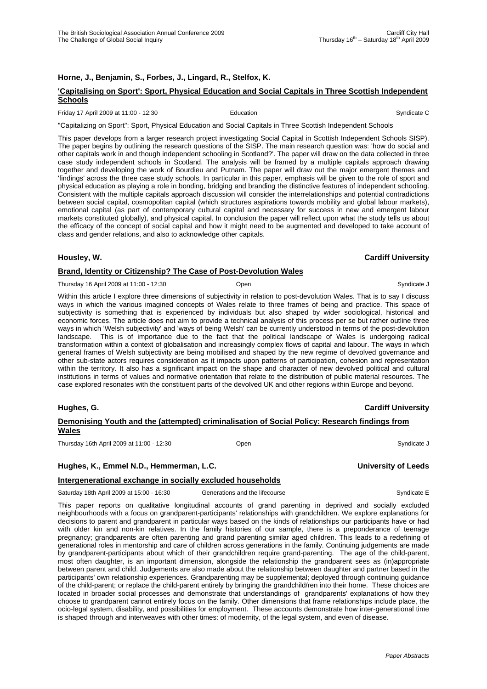### **Horne, J., Benjamin, S., Forbes, J., Lingard, R., Stelfox, K.**

# **'Capitalising on Sport': Sport, Physical Education and Social Capitals in Three Scottish Independent Schools**

Friday 17 April 2009 at 11:00 - 12:30 **Education** Education **Syndicate C** Syndicate C

"Capitalizing on Sport": Sport, Physical Education and Social Capitals in Three Scottish Independent Schools

This paper develops from a larger research project investigating Social Capital in Scottish Independent Schools SISP). The paper begins by outlining the research questions of the SISP. The main research question was: 'how do social and other capitals work in and though independent schooling in Scotland?'. The paper will draw on the data collected in three case study independent schools in Scotland. The analysis will be framed by a multiple capitals approach drawing together and developing the work of Bourdieu and Putnam. The paper will draw out the major emergent themes and 'findings' across the three case study schools. In particular in this paper, emphasis will be given to the role of sport and physical education as playing a role in bonding, bridging and branding the distinctive features of independent schooling. Consistent with the multiple capitals approach discussion will consider the interrelationships and potential contradictions between social capital, cosmopolitan capital (which structures aspirations towards mobility and global labour markets), emotional capital (as part of contemporary cultural capital and necessary for success in new and emergent labour markets constituted globally), and physical capital. In conclusion the paper will reflect upon what the study tells us about the efficacy of the concept of social capital and how it might need to be augmented and developed to take account of class and gender relations, and also to acknowledge other capitals.

# **Housley, W. Cardiff University**

#### **Brand, Identity or Citizenship? The Case of Post-Devolution Wales**

Thursday 16 April 2009 at 11:00 - 12:30 **Open** Open Syndicate J Syndicate J Syndicate J Syndicate J

Within this article I explore three dimensions of subjectivity in relation to post-devolution Wales. That is to say I discuss ways in which the various imagined concepts of Wales relate to three frames of being and practice. This space of subjectivity is something that is experienced by individuals but also shaped by wider sociological, historical and economic forces. The article does not aim to provide a technical analysis of this process per se but rather outline three ways in which 'Welsh subjectivity' and 'ways of being Welsh' can be currently understood in terms of the post-devolution landscape. This is of importance due to the fact that the political landscape of Wales is undergoing radical transformation within a context of globalisation and increasingly complex flows of capital and labour. The ways in which general frames of Welsh subjectivity are being mobilised and shaped by the new regime of devolved governance and other sub-state actors requires consideration as it impacts upon patterns of participation, cohesion and representation within the territory. It also has a significant impact on the shape and character of new devolved political and cultural institutions in terms of values and normative orientation that relate to the distribution of public material resources. The case explored resonates with the constituent parts of the devolved UK and other regions within Europe and beyond.

| Demonising Youth and the (attempted) criminalisation of Social Policy: Research findings from<br>Wales |      |             |
|--------------------------------------------------------------------------------------------------------|------|-------------|
| Thursdav 16th April 2009 at 11:00 - 12:30                                                              | Open | Svndicate J |

#### **Hughes, K., Emmel N.D., Hemmerman, L.C. University of Leeds**

#### **Intergenerational exchange in socially excluded households**

Saturday 18th April 2009 at 15:00 - 16:30 Generations and the lifecourse Syndicate E

This paper reports on qualitative longitudinal accounts of grand parenting in deprived and socially excluded neighbourhoods with a focus on grandparent-participants' relationships with grandchildren. We explore explanations for decisions to parent and grandparent in particular ways based on the kinds of relationships our participants have or had with older kin and non-kin relatives. In the family histories of our sample, there is a preponderance of teenage pregnancy; grandparents are often parenting and grand parenting similar aged children. This leads to a redefining of generational roles in mentorship and care of children across generations in the family. Continuing judgements are made by grandparent-participants about which of their grandchildren require grand-parenting. The age of the child-parent, most often daughter, is an important dimension, alongside the relationship the grandparent sees as (in)appropriate between parent and child. Judgements are also made about the relationship between daughter and partner based in the participants' own relationship experiences. Grandparenting may be supplemental; deployed through continuing guidance of the child-parent; or replace the child-parent entirely by bringing the grandchild/ren into their home. These choices are located in broader social processes and demonstrate that understandings of grandparents' explanations of how they choose to grandparent cannot entirely focus on the family. Other dimensions that frame relationships include place, the ocio-legal system, disability, and possibilities for employment. These accounts demonstrate how inter-generational time is shaped through and interweaves with other times: of modernity, of the legal system, and even of disease.

Thursday  $16^{th}$  – Saturday  $18^{th}$  April 2009

**Cardiff University**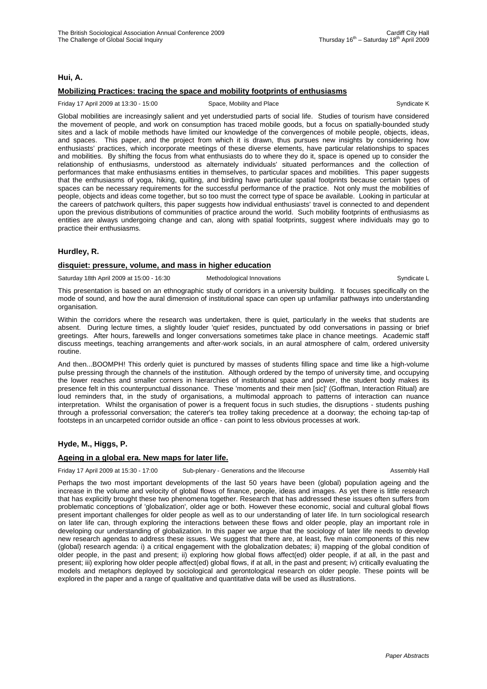#### **Hui, A.**

### **Mobilizing Practices: tracing the space and mobility footprints of enthusiasms**

#### Friday 17 April 2009 at 13:30 - 15:00 Space, Mobility and Place Syndicate K Syndicate K

Global mobilities are increasingly salient and yet understudied parts of social life. Studies of tourism have considered the movement of people, and work on consumption has traced mobile goods, but a focus on spatially-bounded study sites and a lack of mobile methods have limited our knowledge of the convergences of mobile people, objects, ideas, and spaces. This paper, and the project from which it is drawn, thus pursues new insights by considering how enthusiasts' practices, which incorporate meetings of these diverse elements, have particular relationships to spaces and mobilities. By shifting the focus from what enthusiasts do to where they do it, space is opened up to consider the relationship of enthusiasms, understood as alternately individuals' situated performances and the collection of performances that make enthusiasms entities in themselves, to particular spaces and mobilities. This paper suggests that the enthusiasms of yoga, hiking, quilting, and birding have particular spatial footprints because certain types of spaces can be necessary requirements for the successful performance of the practice. Not only must the mobilities of people, objects and ideas come together, but so too must the correct type of space be available. Looking in particular at the careers of patchwork quilters, this paper suggests how individual enthusiasts' travel is connected to and dependent upon the previous distributions of communities of practice around the world. Such mobility footprints of enthusiasms as entities are always undergoing change and can, along with spatial footprints, suggest where individuals may go to practice their enthusiasms.

#### **Hurdley, R.**

#### **disquiet: pressure, volume, and mass in higher education**

Saturday 18th April 2009 at 15:00 - 16:30 Methodological Innovations Communicate L

This presentation is based on an ethnographic study of corridors in a university building. It focuses specifically on the mode of sound, and how the aural dimension of institutional space can open up unfamiliar pathways into understanding organisation.

Within the corridors where the research was undertaken, there is quiet, particularly in the weeks that students are absent. During lecture times, a slightly louder 'quiet' resides, punctuated by odd conversations in passing or brief greetings. After hours, farewells and longer conversations sometimes take place in chance meetings. Academic staff discuss meetings, teaching arrangements and after-work socials, in an aural atmosphere of calm, ordered university routine.

And then...BOOMPH! This orderly quiet is punctured by masses of students filling space and time like a high-volume pulse pressing through the channels of the institution. Although ordered by the tempo of university time, and occupying the lower reaches and smaller corners in hierarchies of institutional space and power, the student body makes its presence felt in this counterpunctual dissonance. These 'moments and their men [sic]' (Goffman, Interaction Ritual) are loud reminders that, in the study of organisations, a multimodal approach to patterns of interaction can nuance interpretation. Whilst the organisation of power is a frequent focus in such studies, the disruptions - students pushing through a professorial conversation; the caterer's tea trolley taking precedence at a doorway; the echoing tap-tap of footsteps in an uncarpeted corridor outside an office - can point to less obvious processes at work.

# **Hyde, M., Higgs, P.**

#### **Ageing in a global era. New maps for later life.**

Friday 17 April 2009 at 15:30 - 17:00 Sub-plenary - Generations and the lifecourse Assembly Hall

Perhaps the two most important developments of the last 50 years have been (global) population ageing and the increase in the volume and velocity of global flows of finance, people, ideas and images. As yet there is little research that has explicitly brought these two phenomena together. Research that has addressed these issues often suffers from problematic conceptions of 'globalization', older age or both. However these economic, social and cultural global flows present important challenges for older people as well as to our understanding of later life. In turn sociological research on later life can, through exploring the interactions between these flows and older people, play an important role in developing our understanding of globalization. In this paper we argue that the sociology of later life needs to develop new research agendas to address these issues. We suggest that there are, at least, five main components of this new (global) research agenda: i) a critical engagement with the globalization debates; ii) mapping of the global condition of older people, in the past and present; ii) exploring how global flows affect(ed) older people, if at all, in the past and present; iii) exploring how older people affect(ed) global flows, if at all, in the past and present; iv) critically evaluating the models and metaphors deployed by sociological and gerontological research on older people. These points will be explored in the paper and a range of qualitative and quantitative data will be used as illustrations.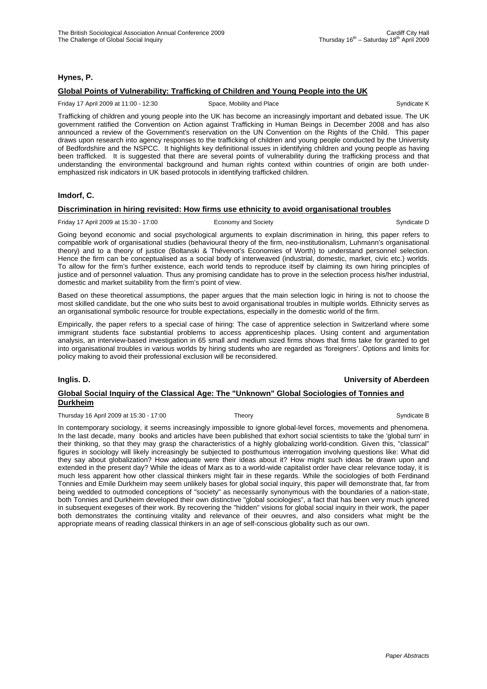#### **Hynes, P.**

### **Global Points of Vulnerability: Trafficking of Children and Young People into the UK**

Friday 17 April 2009 at 11:00 - 12:30 Space, Mobility and Place Syndicate K Syndicate K

Trafficking of children and young people into the UK has become an increasingly important and debated issue. The UK government ratified the Convention on Action against Trafficking in Human Beings in December 2008 and has also announced a review of the Government's reservation on the UN Convention on the Rights of the Child. This paper draws upon research into agency responses to the trafficking of children and young people conducted by the University of Bedfordshire and the NSPCC. It highlights key definitional issues in identifying children and young people as having been trafficked. It is suggested that there are several points of vulnerability during the trafficking process and that understanding the environmental background and human rights context within countries of origin are both underemphasized risk indicators in UK based protocols in identifying trafficked children.

### **Imdorf, C.**

### **Discrimination in hiring revisited: How firms use ethnicity to avoid organisational troubles**

#### Friday 17 April 2009 at 15:30 - 17:00 Economy and Society Syndicate D Syndicate D

Going beyond economic and social psychological arguments to explain discrimination in hiring, this paper refers to compatible work of organisational studies (behavioural theory of the firm, neo-institutionalism, Luhmann's organisational theory) and to a theory of justice (Boltanski & Thévenot's Economies of Worth) to understand personnel selection. Hence the firm can be conceptualised as a social body of interweaved (industrial, domestic, market, civic etc.) worlds. To allow for the firm's further existence, each world tends to reproduce itself by claiming its own hiring principles of justice and of personnel valuation. Thus any promising candidate has to prove in the selection process his/her industrial, domestic and market suitability from the firm's point of view.

Based on these theoretical assumptions, the paper argues that the main selection logic in hiring is not to choose the most skilled candidate, but the one who suits best to avoid organisational troubles in multiple worlds. Ethnicity serves as an organisational symbolic resource for trouble expectations, especially in the domestic world of the firm.

Empirically, the paper refers to a special case of hiring: The case of apprentice selection in Switzerland where some immigrant students face substantial problems to access apprenticeship places. Using content and argumentation analysis, an interview-based investigation in 65 small and medium sized firms shows that firms take for granted to get into organisational troubles in various worlds by hiring students who are regarded as 'foreigners'. Options and limits for policy making to avoid their professional exclusion will be reconsidered.

#### **Inglis. D. University of Aberdeen**

### **Global Social Inquiry of the Classical Age: The "Unknown" Global Sociologies of Tonnies and Durkheim**

Thursday 16 April 2009 at 15:30 - 17:00 Theory Theory Syndicate B

In contemporary sociology, it seems increasingly impossible to ignore global-level forces, movements and phenomena. In the last decade, many books and articles have been published that exhort social scientists to take the 'global turn' in their thinking, so that they may grasp the characteristics of a highly globalizing world-condition. Given this, "classical" figures in sociology will likely increasingly be subjected to posthumous interrogation involving questions like: What did they say about globalization? How adequate were their ideas about it? How might such ideas be drawn upon and extended in the present day? While the ideas of Marx as to a world-wide capitalist order have clear relevance today, it is much less apparent how other classical thinkers might fair in these regards. While the sociologies of both Ferdinand Tonnies and Emile Durkheim may seem unlikely bases for global social inquiry, this paper will demonstrate that, far from being wedded to outmoded conceptions of "society" as necessarily synonymous with the boundaries of a nation-state, both Tonnies and Durkheim developed their own distinctive "global sociologies", a fact that has been very much ignored in subsequent exegeses of their work. By recovering the "hidden" visions for global social inquiry in their work, the paper both demonstrates the continuing vitality and relevance of their oeuvres, and also considers what might be the appropriate means of reading classical thinkers in an age of self-conscious globality such as our own.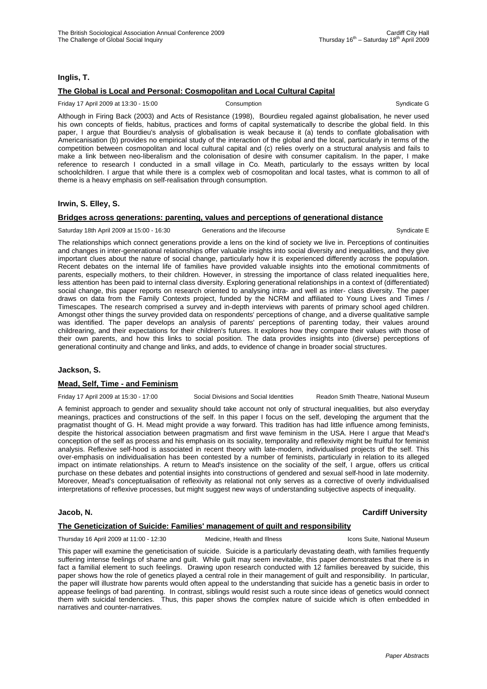### **Inglis, T.**

# **The Global is Local and Personal: Cosmopolitan and Local Cultural Capital**

Friday 17 April 2009 at 13:30 - 15:00 Consumption Consumption Consumption Syndicate G

Although in Firing Back (2003) and Acts of Resistance (1998), Bourdieu regaled against globalisation, he never used his own concepts of fields, habitus, practices and forms of capital systematically to describe the global field. In this paper, I argue that Bourdieu's analysis of globalisation is weak because it (a) tends to conflate globalisation with Americanisation (b) provides no empirical study of the interaction of the global and the local, particularly in terms of the competition between cosmopolitan and local cultural capital and (c) relies overly on a structural analysis and fails to make a link between neo-liberalism and the colonisation of desire with consumer capitalism. In the paper, I make reference to research I conducted in a small village in Co. Meath, particularly to the essays written by local schoolchildren. I argue that while there is a complex web of cosmopolitan and local tastes, what is common to all of theme is a heavy emphasis on self-realisation through consumption.

#### **Irwin, S. Elley, S.**

### **Bridges across generations: parenting, values and perceptions of generational distance**

Saturday 18th April 2009 at 15:00 - 16:30 Generations and the lifecourse Syndicate E

The relationships which connect generations provide a lens on the kind of society we live in. Perceptions of continuities and changes in inter-generational relationships offer valuable insights into social diversity and inequalities, and they give important clues about the nature of social change, particularly how it is experienced differently across the population. Recent debates on the internal life of families have provided valuable insights into the emotional commitments of parents, especially mothers, to their children. However, in stressing the importance of class related inequalities here, less attention has been paid to internal class diversity. Exploring generational relationships in a context of (differentiated) social change, this paper reports on research oriented to analysing intra- and well as inter- class diversity. The paper draws on data from the Family Contexts project, funded by the NCRM and affiliated to Young Lives and Times / Timescapes. The research comprised a survey and in-depth interviews with parents of primary school aged children. Amongst other things the survey provided data on respondents' perceptions of change, and a diverse qualitative sample was identified. The paper develops an analysis of parents' perceptions of parenting today, their values around childrearing, and their expectations for their children's futures. It explores how they compare their values with those of their own parents, and how this links to social position. The data provides insights into (diverse) perceptions of generational continuity and change and links, and adds, to evidence of change in broader social structures.

#### **Jackson, S.**

#### **Mead, Self, Time - and Feminism**

Friday 17 April 2009 at 15:30 - 17:00 Social Divisions and Social Identities Readon Smith Theatre, National Museum

A feminist approach to gender and sexuality should take account not only of structural inequalities, but also everyday meanings, practices and constructions of the self. In this paper I focus on the self, developing the argument that the pragmatist thought of G. H. Mead might provide a way forward. This tradition has had little influence among feminists, despite the historical association between pragmatism and first wave feminism in the USA. Here I argue that Mead's conception of the self as process and his emphasis on its sociality, temporality and reflexivity might be fruitful for feminist analysis. Reflexive self-hood is associated in recent theory with late-modern, individualised projects of the self. This over-emphasis on individualisation has been contested by a number of feminists, particularly in relation to its alleged impact on intimate relationships. A return to Mead's insistence on the sociality of the self, I argue, offers us critical purchase on these debates and potential insights into constructions of gendered and sexual self-hood in late modernity. Moreover, Mead's conceptualisation of reflexivity as relational not only serves as a corrective of overly individualised interpretations of reflexive processes, but might suggest new ways of understanding subjective aspects of inequality.

#### **Jacob, N. Cardiff University**

#### **The Geneticization of Suicide: Families' management of guilt and responsibility**

Thursday 16 April 2009 at 11:00 - 12:30 Medicine, Health and Illness Icons Suite, National Museum

This paper will examine the geneticisation of suicide. Suicide is a particularly devastating death, with families frequently suffering intense feelings of shame and guilt. While guilt may seem inevitable, this paper demonstrates that there is in fact a familial element to such feelings. Drawing upon research conducted with 12 families bereaved by suicide, this paper shows how the role of genetics played a central role in their management of guilt and responsibility. In particular, the paper will illustrate how parents would often appeal to the understanding that suicide has a genetic basis in order to appease feelings of bad parenting. In contrast, siblings would resist such a route since ideas of genetics would connect them with suicidal tendencies. Thus, this paper shows the complex nature of suicide which is often embedded in narratives and counter-narratives.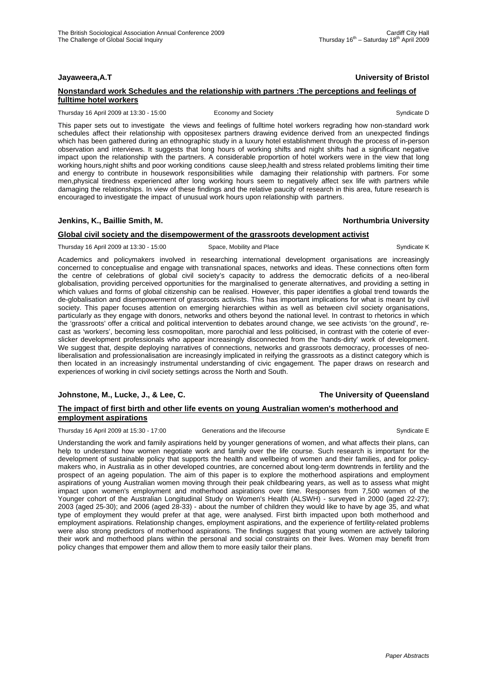# **Jayaweera,A.T University of Bristol**

#### **Nonstandard work Schedules and the relationship with partners :The perceptions and feelings of fulltime hotel workers**

Thursday 16 April 2009 at 13:30 - 15:00 Economy and Society Syndicate D Syndicate D

This paper sets out to investigate the views and feelings of fulltime hotel workers regrading how non-standard work schedules affect their relationship with oppositesex partners drawing evidence derived from an unexpected findings which has been gathered during an ethnographic study in a luxury hotel establishment through the process of in-person observation and interviews. It suggests that long hours of working shifts and night shifts had a significant negative impact upon the relationship with the partners. A considerable proportion of hotel workers were in the view that long working hours,night shifts and poor working conditions cause sleep,health and stress related problems limiting their time and energy to contribute in housework responsibilities while damaging their relationship with partners. For some men,physical tiredness experienced after long working hours seem to negatively affect sex life with partners while damaging the relationships. In view of these findings and the relative paucity of research in this area, future research is encouraged to investigate the impact of unusual work hours upon relationship with partners.

### **Jenkins, K., Baillie Smith, M. Northumbria University**

# **Global civil society and the disempowerment of the grassroots development activist**

Thursday 16 April 2009 at 13:30 - 15:00 Space, Mobility and Place Syndicate K Syndicate K

Academics and policymakers involved in researching international development organisations are increasingly concerned to conceptualise and engage with transnational spaces, networks and ideas. These connections often form the centre of celebrations of global civil society's capacity to address the democratic deficits of a neo-liberal globalisation, providing perceived opportunities for the marginalised to generate alternatives, and providing a setting in which values and forms of global citizenship can be realised. However, this paper identifies a global trend towards the de-globalisation and disempowerment of grassroots activists. This has important implications for what is meant by civil society. This paper focuses attention on emerging hierarchies within as well as between civil society organisations, particularly as they engage with donors, networks and others beyond the national level. In contrast to rhetorics in which the 'grassroots' offer a critical and political intervention to debates around change, we see activists 'on the ground', recast as 'workers', becoming less cosmopolitan, more parochial and less politicised, in contrast with the coterie of everslicker development professionals who appear increasingly disconnected from the 'hands-dirty' work of development. We suggest that, despite deploying narratives of connections, networks and grassroots democracy, processes of neoliberalisation and professionalisation are increasingly implicated in reifying the grassroots as a distinct category which is then located in an increasingly instrumental understanding of civic engagement. The paper draws on research and experiences of working in civil society settings across the North and South.

# **Johnstone, M., Lucke, J., & Lee, C. The University of Queensland**

# **The impact of first birth and other life events on young Australian women's motherhood and employment aspirations**

Thursday 16 April 2009 at 15:30 - 17:00 Generations and the lifecourse Syndicate E

Understanding the work and family aspirations held by younger generations of women, and what affects their plans, can help to understand how women negotiate work and family over the life course. Such research is important for the development of sustainable policy that supports the health and wellbeing of women and their families, and for policymakers who, in Australia as in other developed countries, are concerned about long-term downtrends in fertility and the prospect of an ageing population. The aim of this paper is to explore the motherhood aspirations and employment aspirations of young Australian women moving through their peak childbearing years, as well as to assess what might impact upon women's employment and motherhood aspirations over time. Responses from 7,500 women of the Younger cohort of the Australian Longitudinal Study on Women's Health (ALSWH) - surveyed in 2000 (aged 22-27); 2003 (aged 25-30); and 2006 (aged 28-33) - about the number of children they would like to have by age 35, and what type of employment they would prefer at that age, were analysed. First birth impacted upon both motherhood and employment aspirations. Relationship changes, employment aspirations, and the experience of fertility-related problems were also strong predictors of motherhood aspirations. The findings suggest that young women are actively tailoring their work and motherhood plans within the personal and social constraints on their lives. Women may benefit from policy changes that empower them and allow them to more easily tailor their plans.

*Paper Abstracts*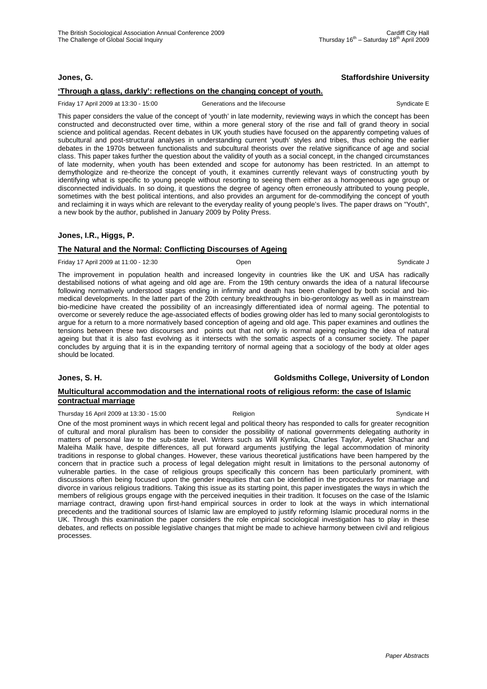#### **Jones, G. Staffordshire University**

### **'Through a glass, darkly': reflections on the changing concept of youth.**

Friday 17 April 2009 at 13:30 - 15:00 Generations and the lifecourse Syndicate E

This paper considers the value of the concept of 'youth' in late modernity, reviewing ways in which the concept has been constructed and deconstructed over time, within a more general story of the rise and fall of grand theory in social science and political agendas. Recent debates in UK youth studies have focused on the apparently competing values of subcultural and post-structural analyses in understanding current 'youth' styles and tribes, thus echoing the earlier debates in the 1970s between functionalists and subcultural theorists over the relative significance of age and social class. This paper takes further the question about the validity of youth as a social concept, in the changed circumstances of late modernity, when youth has been extended and scope for autonomy has been restricted. In an attempt to demythologize and re-theorize the concept of youth, it examines currently relevant ways of constructing youth by identifying what is specific to young people without resorting to seeing them either as a homogeneous age group or disconnected individuals. In so doing, it questions the degree of agency often erroneously attributed to young people, sometimes with the best political intentions, and also provides an argument for de-commodifying the concept of youth and reclaiming it in ways which are relevant to the everyday reality of young people's lives. The paper draws on "Youth", a new book by the author, published in January 2009 by Polity Press.

# **Jones, I.R., Higgs, P.**

# **The Natural and the Normal: Conflicting Discourses of Ageing**

Friday 17 April 2009 at 11:00 - 12:30 Open Syndicate J

The improvement in population health and increased longevity in countries like the UK and USA has radically destabilised notions of what ageing and old age are. From the 19th century onwards the idea of a natural lifecourse following normatively understood stages ending in infirmity and death has been challenged by both social and biomedical developments. In the latter part of the 20th century breakthroughs in bio-gerontology as well as in mainstream bio-medicine have created the possibility of an increasingly differentiated idea of normal ageing. The potential to overcome or severely reduce the age-associated effects of bodies growing older has led to many social gerontologists to argue for a return to a more normatively based conception of ageing and old age. This paper examines and outlines the tensions between these two discourses and points out that not only is normal ageing replacing the idea of natural ageing but that it is also fast evolving as it intersects with the somatic aspects of a consumer society. The paper concludes by arguing that it is in the expanding territory of normal ageing that a sociology of the body at older ages should be located.

**Jones, S. H. Goldsmiths College, University of London**

### **Multicultural accommodation and the international roots of religious reform: the case of Islamic contractual marriage**

Thursday 16 April 2009 at 13:30 - 15:00 Religion Religion Syndicate H

One of the most prominent ways in which recent legal and political theory has responded to calls for greater recognition of cultural and moral pluralism has been to consider the possibility of national governments delegating authority in matters of personal law to the sub-state level. Writers such as Will Kymlicka, Charles Taylor, Ayelet Shachar and Maleiha Malik have, despite differences, all put forward arguments justifying the legal accommodation of minority traditions in response to global changes. However, these various theoretical justifications have been hampered by the concern that in practice such a process of legal delegation might result in limitations to the personal autonomy of vulnerable parties. In the case of religious groups specifically this concern has been particularly prominent, with discussions often being focused upon the gender inequities that can be identified in the procedures for marriage and divorce in various religious traditions. Taking this issue as its starting point, this paper investigates the ways in which the members of religious groups engage with the perceived inequities in their tradition. It focuses on the case of the Islamic marriage contract, drawing upon first-hand empirical sources in order to look at the ways in which international precedents and the traditional sources of Islamic law are employed to justify reforming Islamic procedural norms in the UK. Through this examination the paper considers the role empirical sociological investigation has to play in these debates, and reflects on possible legislative changes that might be made to achieve harmony between civil and religious processes.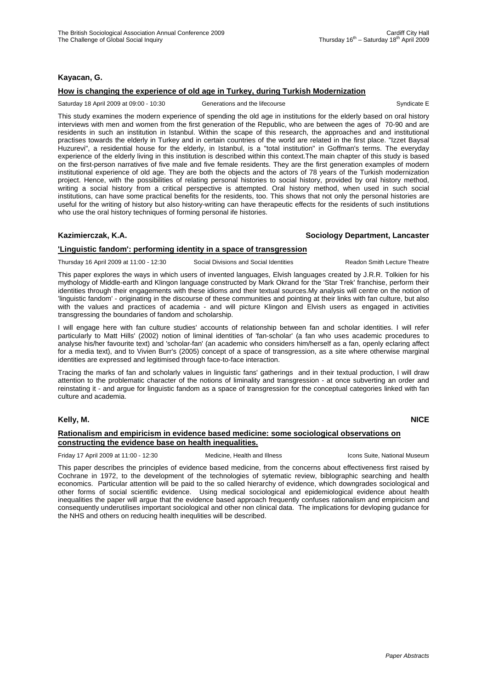### **Kayacan, G.**

#### **How is changing the experience of old age in Turkey, during Turkish Modernization**

Saturday 18 April 2009 at 09:00 - 10:30 Generations and the lifecourse Syndicate E

This study examines the modern experience of spending the old age in institutions for the elderly based on oral history interviews with men and women from the first generation of the Republic, who are between the ages of 70-90 and are residents in such an institution in Istanbul. Within the scape of this research, the approaches and and institutional practises towards the elderly in Turkey and in certain countries of the world are related in the first place. "Izzet Baysal Huzurevi", a residential house for the elderly, in Istanbul, is a "total institution" in Goffman's terms. The everyday experience of the elderly living in this institution is described within this context.The main chapter of this study is based on the first-person narratives of five male and five female residents. They are the first generation examples of modern institutional experience of old age. They are both the objects and the actors of 78 years of the Turkish modernization project. Hence, with the possibilities of relating personal histories to social history, provided by oral history method, writing a social history from a critical perspective is attempted. Oral history method, when used in such social institutions, can have some practical benefits for the residents, too. This shows that not only the personal histories are useful for the writing of history but also history-writing can have therapeutic effects for the residents of such institutions who use the oral history techniques of forming personal ife histories.

#### **Kazimierczak, K.A. Sociology Department, Lancaster**

#### **'Linguistic fandom': performing identity in a space of transgression**

Thursday 16 April 2009 at 11:00 - 12:30 Social Divisions and Social Identities Readon Smith Lecture Theatre

This paper explores the ways in which users of invented languages, Elvish languages created by J.R.R. Tolkien for his mythology of Middle-earth and Klingon language constructed by Mark Okrand for the 'Star Trek' franchise, perform their identities through their engagements with these idioms and their textual sources.My analysis will centre on the notion of 'linguistic fandom' - originating in the discourse of these communities and pointing at their links with fan culture, but also with the values and practices of academia - and will picture Klingon and Elvish users as engaged in activities transgressing the boundaries of fandom and scholarship.

I will engage here with fan culture studies' accounts of relationship between fan and scholar identities. I will refer particularly to Matt Hills' (2002) notion of liminal identities of 'fan-scholar' (a fan who uses academic procedures to analyse his/her favourite text) and 'scholar-fan' (an academic who considers him/herself as a fan, openly eclaring affect for a media text), and to Vivien Burr's (2005) concept of a space of transgression, as a site where otherwise marginal identities are expressed and legitimised through face-to-face interaction.

Tracing the marks of fan and scholarly values in linguistic fans' gatherings and in their textual production, I will draw attention to the problematic character of the notions of liminality and transgression - at once subverting an order and reinstating it - and argue for linguistic fandom as a space of transgression for the conceptual categories linked with fan culture and academia.

# **Kelly, M. NICE**

#### **Rationalism and empiricism in evidence based medicine: some sociological observations on constructing the evidence base on health inequalities.**

Friday 17 April 2009 at 11:00 - 12:30 Medicine, Health and Illness Icons Suite, National Museum

This paper describes the principles of evidence based medicine, from the concerns about effectiveness first raised by Cochrane in 1972, to the development of the technologies of sytematic review, biblographic searching and health economics. Particular attention will be paid to the so called hierarchy of evidence, which downgrades sociological and other forms of social scientific evidence. Using medical sociological and epidemiological evidence about health inequalities the paper will argue that the evidence based approach frequently confuses rationalism and empiricism and consequently underutilises important sociological and other non clinical data. The implications for devloping gudance for the NHS and others on reducing health inequlities will be described.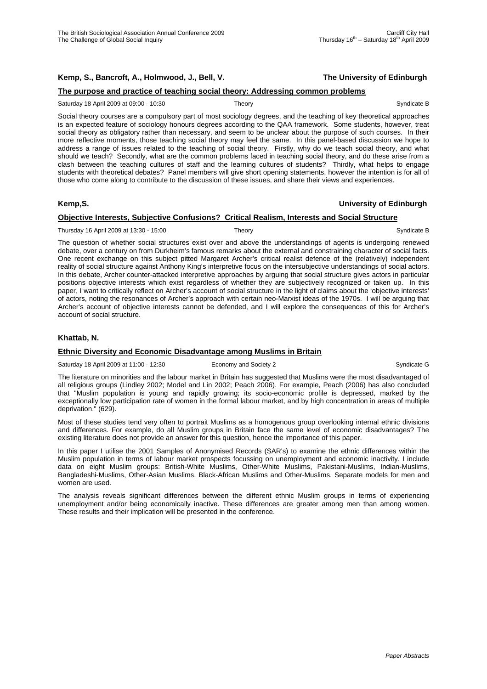# **The purpose and practice of teaching social theory: Addressing common problems**

#### Saturday 18 April 2009 at 09:00 - 10:30 Theory Theory Syndicate B

Social theory courses are a compulsory part of most sociology degrees, and the teaching of key theoretical approaches is an expected feature of sociology honours degrees according to the QAA framework. Some students, however, treat social theory as obligatory rather than necessary, and seem to be unclear about the purpose of such courses. In their more reflective moments, those teaching social theory may feel the same. In this panel-based discussion we hope to address a range of issues related to the teaching of social theory. Firstly, why do we teach social theory, and what should we teach? Secondly, what are the common problems faced in teaching social theory, and do these arise from a clash between the teaching cultures of staff and the learning cultures of students? Thirdly, what helps to engage students with theoretical debates? Panel members will give short opening statements, however the intention is for all of those who come along to contribute to the discussion of these issues, and share their views and experiences.

#### **Kemp,S. University of Edinburgh**

#### **Objective Interests, Subjective Confusions? Critical Realism, Interests and Social Structure**

Thursday 16 April 2009 at 13:30 - 15:00 Theory Theory Syndicate B

The question of whether social structures exist over and above the understandings of agents is undergoing renewed debate, over a century on from Durkheim's famous remarks about the external and constraining character of social facts. One recent exchange on this subject pitted Margaret Archer's critical realist defence of the (relatively) independent reality of social structure against Anthony King's interpretive focus on the intersubjective understandings of social actors. In this debate, Archer counter-attacked interpretive approaches by arguing that social structure gives actors in particular positions objective interests which exist regardless of whether they are subjectively recognized or taken up. In this paper, I want to critically reflect on Archer's account of social structure in the light of claims about the 'objective interests' of actors, noting the resonances of Archer's approach with certain neo-Marxist ideas of the 1970s. I will be arguing that Archer's account of objective interests cannot be defended, and I will explore the consequences of this for Archer's account of social structure.

#### **Khattab, N.**

#### **Ethnic Diversity and Economic Disadvantage among Muslims in Britain**

Saturday 18 April 2009 at 11:00 - 12:30 Economy and Society 2 Syndicate G

The literature on minorities and the labour market in Britain has suggested that Muslims were the most disadvantaged of all religious groups (Lindley 2002; Model and Lin 2002; Peach 2006). For example, Peach (2006) has also concluded that "Muslim population is young and rapidly growing; its socio-economic profile is depressed, marked by the exceptionally low participation rate of women in the formal labour market, and by high concentration in areas of multiple deprivation." (629).

Most of these studies tend very often to portrait Muslims as a homogenous group overlooking internal ethnic divisions and differences. For example, do all Muslim groups in Britain face the same level of economic disadvantages? The existing literature does not provide an answer for this question, hence the importance of this paper.

In this paper I utilise the 2001 Samples of Anonymised Records (SAR's) to examine the ethnic differences within the Muslim population in terms of labour market prospects focussing on unemployment and economic inactivity. I include data on eight Muslim groups: British-White Muslims, Other-White Muslims, Pakistani-Muslims, Indian-Muslims, Bangladeshi-Muslims, Other-Asian Muslims, Black-African Muslims and Other-Muslims. Separate models for men and women are used.

The analysis reveals significant differences between the different ethnic Muslim groups in terms of experiencing unemployment and/or being economically inactive. These differences are greater among men than among women. These results and their implication will be presented in the conference.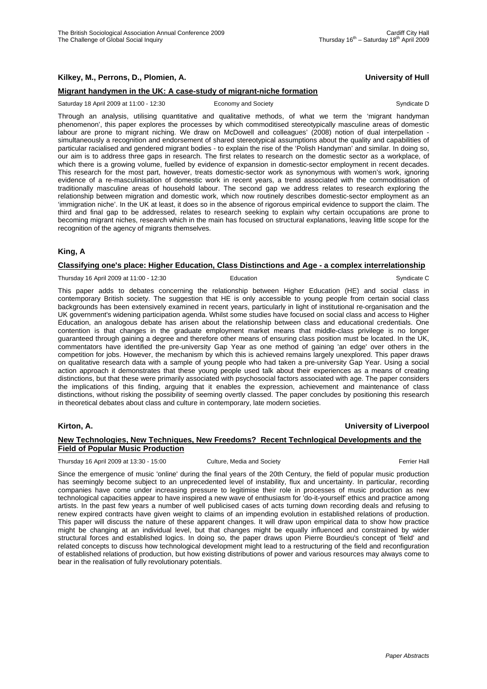# **Kilkey, M., Perrons, D., Plomien, A. University of Hull**

#### **Migrant handymen in the UK: A case-study of migrant-niche formation**

Saturday 18 April 2009 at 11:00 - 12:30 Economy and Society Syndicate D Syndicate D

Through an analysis, utilising quantitative and qualitative methods, of what we term the 'migrant handyman phenomenon', this paper explores the processes by which commoditised stereotypically masculine areas of domestic labour are prone to migrant niching. We draw on McDowell and colleagues' (2008) notion of dual interpellation simultaneously a recognition and endorsement of shared stereotypical assumptions about the quality and capabilities of particular racialised and gendered migrant bodies - to explain the rise of the 'Polish Handyman' and similar. In doing so, our aim is to address three gaps in research. The first relates to research on the domestic sector as a workplace, of which there is a growing volume, fuelled by evidence of expansion in domestic-sector employment in recent decades. This research for the most part, however, treats domestic-sector work as synonymous with women's work, ignoring evidence of a re-masculinisation of domestic work in recent years, a trend associated with the commoditisation of traditionally masculine areas of household labour. The second gap we address relates to research exploring the relationship between migration and domestic work, which now routinely describes domestic-sector employment as an 'immigration niche'. In the UK at least, it does so in the absence of rigorous empirical evidence to support the claim. The third and final gap to be addressed, relates to research seeking to explain why certain occupations are prone to becoming migrant niches, research which in the main has focused on structural explanations, leaving little scope for the recognition of the agency of migrants themselves.

### **King, A**

#### **Classifying one's place: Higher Education, Class Distinctions and Age - a complex interrelationship**

Thursday 16 April 2009 at 11:00 - 12:30 **Education** Education Syndicate C

This paper adds to debates concerning the relationship between Higher Education (HE) and social class in contemporary British society. The suggestion that HE is only accessible to young people from certain social class backgrounds has been extensively examined in recent years, particularly in light of institutional re-organisation and the UK government's widening participation agenda. Whilst some studies have focused on social class and access to Higher Education, an analogous debate has arisen about the relationship between class and educational credentials. One contention is that changes in the graduate employment market means that middle-class privilege is no longer guaranteed through gaining a degree and therefore other means of ensuring class position must be located. In the UK, commentators have identified the pre-university Gap Year as one method of gaining 'an edge' over others in the competition for jobs. However, the mechanism by which this is achieved remains largely unexplored. This paper draws on qualitative research data with a sample of young people who had taken a pre-university Gap Year. Using a social action approach it demonstrates that these young people used talk about their experiences as a means of creating distinctions, but that these were primarily associated with psychosocial factors associated with age. The paper considers the implications of this finding, arguing that it enables the expression, achievement and maintenance of class distinctions, without risking the possibility of seeming overtly classed. The paper concludes by positioning this research in theoretical debates about class and culture in contemporary, late modern societies.

#### **Kirton, A. University of Liverpool**

### **New Technologies, New Techniques, New Freedoms? Recent Technlogical Developments and the Field of Popular Music Production**

Thursday 16 April 2009 at 13:30 - 15:00 Culture, Media and Society Ferrier Hall

Since the emergence of music 'online' during the final years of the 20th Century, the field of popular music production has seemingly become subject to an unprecedented level of instability, flux and uncertainty. In particular, recording companies have come under increasing pressure to legitimise their role in processes of music production as new technological capacities appear to have inspired a new wave of enthusiasm for 'do-it-yourself' ethics and practice among artists. In the past few years a number of well publicised cases of acts turning down recording deals and refusing to renew expired contracts have given weight to claims of an impending evolution in established relations of production. This paper will discuss the nature of these apparent changes. It will draw upon empirical data to show how practice might be changing at an individual level, but that changes might be equally influenced and constrained by wider structural forces and established logics. In doing so, the paper draws upon Pierre Bourdieu's concept of 'field' and related concepts to discuss how technological development might lead to a restructuring of the field and reconfiguration of established relations of production, but how existing distributions of power and various resources may always come to bear in the realisation of fully revolutionary potentials.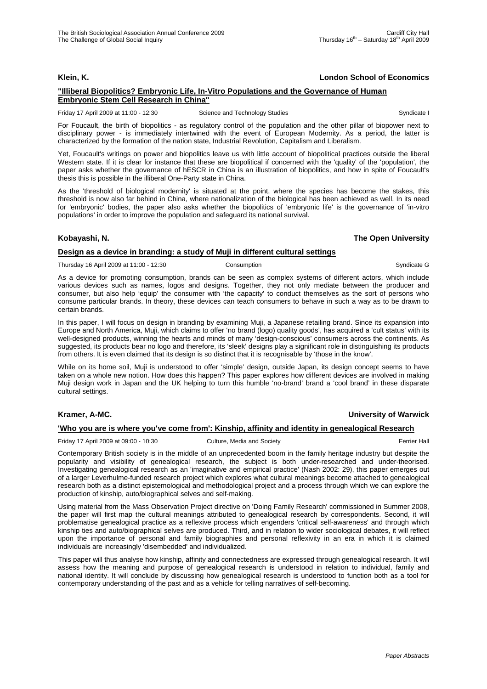# **Klein, K. London School of Economics**

#### **"Illiberal Biopolitics? Embryonic Life, In-Vitro Populations and the Governance of Human Embryonic Stem Cell Research in China"**

Friday 17 April 2009 at 11:00 - 12:30 Science and Technology Studies Syndicate I Syndicate I

For Foucault, the birth of biopolitics - as regulatory control of the population and the other pillar of biopower next to disciplinary power - is immediately intertwined with the event of European Modernity. As a period, the latter is characterized by the formation of the nation state, Industrial Revolution, Capitalism and Liberalism.

Yet, Foucault's writings on power and biopolitics leave us with little account of biopolitical practices outside the liberal Western state. If it is clear for instance that these are biopolitical if concerned with the 'quality' of the 'population', the paper asks whether the governance of hESCR in China is an illustration of biopolitics, and how in spite of Foucault's thesis this is possible in the illiberal One-Party state in China.

As the 'threshold of biological modernity' is situated at the point, where the species has become the stakes, this threshold is now also far behind in China, where nationalization of the biological has been achieved as well. In its need for 'embryonic' bodies, the paper also asks whether the biopolitics of 'embryonic life' is the governance of 'in-vitro populations' in order to improve the population and safeguard its national survival.

#### **Kobayashi, N. The Open University**

### **Design as a device in branding: a study of Muji in different cultural settings**

Thursday 16 April 2009 at 11:00 - 12:30 Consumption Consumption Syndicate G

As a device for promoting consumption, brands can be seen as complex systems of different actors, which include various devices such as names, logos and designs. Together, they not only mediate between the producer and consumer, but also help 'equip' the consumer with 'the capacity' to conduct themselves as the sort of persons who consume particular brands. In theory, these devices can teach consumers to behave in such a way as to be drawn to certain brands.

In this paper, I will focus on design in branding by examining Muji, a Japanese retailing brand. Since its expansion into Europe and North America, Muji, which claims to offer 'no brand (logo) quality goods', has acquired a 'cult status' with its well-designed products, winning the hearts and minds of many 'design-conscious' consumers across the continents. As suggested, its products bear no logo and therefore, its 'sleek' designs play a significant role in distinguishing its products from others. It is even claimed that its design is so distinct that it is recognisable by 'those in the know'.

While on its home soil, Muji is understood to offer 'simple' design, outside Japan, its design concept seems to have taken on a whole new notion. How does this happen? This paper explores how different devices are involved in making Muji design work in Japan and the UK helping to turn this humble 'no-brand' brand a 'cool brand' in these disparate cultural settings.

### **Kramer, A-MC. University of Warwick**

#### **'Who you are is where you've come from': Kinship, affinity and identity in genealogical Research**

Friday 17 April 2009 at 09:00 - 10:30 Culture, Media and Society Ferrier Hall Ferrier Hall

Contemporary British society is in the middle of an unprecedented boom in the family heritage industry but despite the popularity and visibility of genealogical research, the subject is both under-researched and under-theorised. Investigating genealogical research as an 'imaginative and empirical practice' (Nash 2002: 29), this paper emerges out of a larger Leverhulme-funded research project which explores what cultural meanings become attached to genealogical research both as a distinct epistemological and methodological project and a process through which we can explore the production of kinship, auto/biographical selves and self-making.

Using material from the Mass Observation Project directive on 'Doing Family Research' commissioned in Summer 2008, the paper will first map the cultural meanings attributed to genealogical research by correspondents. Second, it will problematise genealogical practice as a reflexive process which engenders 'critical self-awareness' and through which kinship ties and auto/biographical selves are produced. Third, and in relation to wider sociological debates, it will reflect upon the importance of personal and family biographies and personal reflexivity in an era in which it is claimed individuals are increasingly 'disembedded' and individualized.

This paper will thus analyse how kinship, affinity and connectedness are expressed through genealogical research. It will assess how the meaning and purpose of genealogical research is understood in relation to individual, family and national identity. It will conclude by discussing how genealogical research is understood to function both as a tool for contemporary understanding of the past and as a vehicle for telling narratives of self-becoming.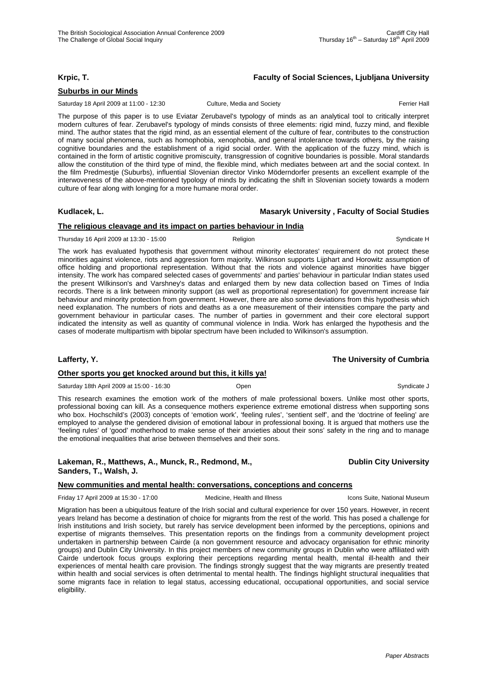### **Krpic, T. Faculty of Social Sciences, Ljubljana University**

### **Suburbs in our Minds**

Saturday 18 April 2009 at 11:00 - 12:30 Culture, Media and Society **Ferrier Hall** Ferrier Hall

The purpose of this paper is to use Eviatar Zerubavel's typology of minds as an analytical tool to critically interpret modern cultures of fear. Zerubavel's typology of minds consists of three elements: rigid mind, fuzzy mind, and flexible mind. The author states that the rigid mind, as an essential element of the culture of fear, contributes to the construction of many social phenomena, such as homophobia, xenophobia, and general intolerance towards others, by the raising cognitive boundaries and the establishment of a rigid social order. With the application of the fuzzy mind, which is contained in the form of artistic cognitive promiscuity, transgression of cognitive boundaries is possible. Moral standards allow the constitution of the third type of mind, the flexible mind, which mediates between art and the social context. In the film Predmestje (Suburbs), influential Slovenian director Vinko Möderndorfer presents an excellent example of the interwoveness of the above-mentioned typology of minds by indicating the shift in Slovenian society towards a modern culture of fear along with longing for a more humane moral order.

#### **Kudlacek, L. Masaryk University , Faculty of Social Studies**

#### **The religious cleavage and its impact on parties behaviour in India**

Thursday 16 April 2009 at 13:30 - 15:00 Religion Religion Religion Syndicate H

The work has evaluated hypothesis that government without minority electorates' requirement do not protect these minorities against violence, riots and aggression form majority. Wilkinson supports Lijphart and Horowitz assumption of office holding and proportional representation. Without that the riots and violence against minorities have bigger intensity. The work has compared selected cases of governments' and parties' behaviour in particular Indian states used the present Wilkinson's and Varshney's datas and enlarged them by new data collection based on Times of India records. There is a link between minority support (as well as proportional representation) for government increase fair behaviour and minority protection from government. However, there are also some deviations from this hypothesis which need explanation. The numbers of riots and deaths as a one measurement of their intensities compare the party and government behaviour in particular cases. The number of parties in government and their core electoral support indicated the intensity as well as quantity of communal violence in India. Work has enlarged the hypothesis and the cases of moderate multipartism with bipolar spectrum have been included to Wilkinson's assumption.

#### **Lafferty, Y. The University of Cumbria**

#### **Other sports you get knocked around but this, it kills ya!**

Saturday 18th April 2009 at 15:00 - 16:30 **Open** Open Syndicate J Syndicate J Syndicate J

This research examines the emotion work of the mothers of male professional boxers. Unlike most other sports, professional boxing can kill. As a consequence mothers experience extreme emotional distress when supporting sons who box. Hochschild's (2003) concepts of 'emotion work', 'feeling rules', 'sentient self', and the 'doctrine of feeling' are employed to analyse the gendered division of emotional labour in professional boxing. It is argued that mothers use the 'feeling rules' of 'good' motherhood to make sense of their anxieties about their sons' safety in the ring and to manage the emotional inequalities that arise between themselves and their sons.

Lakeman, R., Matthews, A., Munck, R., Redmond, M., **B. A. A., S. A., A., C., Dublin City University Sanders, T., Walsh, J.** 

#### **New communities and mental health: conversations, conceptions and concerns**

Friday 17 April 2009 at 15:30 - 17:00 Medicine, Health and Illness Icons Suite, National Museum

Migration has been a ubiquitous feature of the Irish social and cultural experience for over 150 years. However, in recent years Ireland has become a destination of choice for migrants from the rest of the world. This has posed a challenge for Irish institutions and Irish society, but rarely has service development been informed by the perceptions, opinions and expertise of migrants themselves. This presentation reports on the findings from a community development project undertaken in partnership between Cairde (a non government resource and advocacy organisation for ethnic minority groups) and Dublin City University. In this project members of new community groups in Dublin who were affiliated with Cairde undertook focus groups exploring their perceptions regarding mental health, mental ill-health and their experiences of mental health care provision. The findings strongly suggest that the way migrants are presently treated within health and social services is often detrimental to mental health. The findings highlight structural inequalities that some migrants face in relation to legal status, accessing educational, occupational opportunities, and social service eligibility.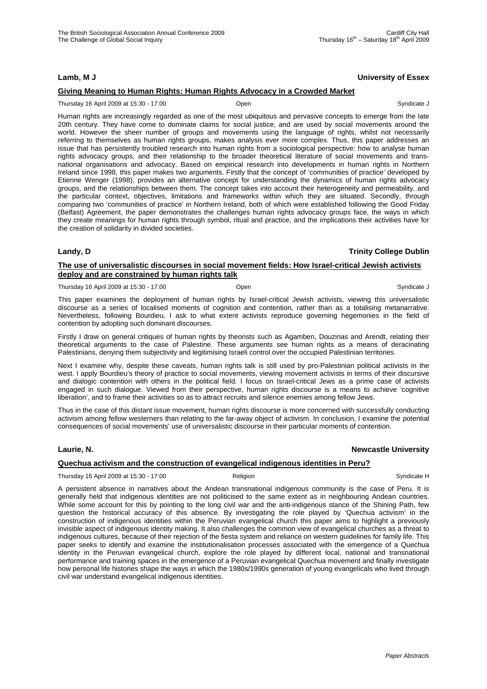### **Lamb, M J University of Essex**

### **Giving Meaning to Human Rights: Human Rights Advocacy in a Crowded Market**

Thursday 16 April 2009 at 15:30 - 17:00 Open Syndicate J

Human rights are increasingly regarded as one of the most ubiquitous and pervasive concepts to emerge from the late 20th century. They have come to dominate claims for social justice, and are used by social movements around the world. However the sheer number of groups and movements using the language of rights, whilst not necessarily referring to themselves as human rights groups, makes analysis ever more complex. Thus, this paper addresses an issue that has persistently troubled research into human rights from a sociological perspective: how to analyse human rights advocacy groups, and their relationship to the broader theoretical literature of social movements and transnational organisations and advocacy. Based on empirical research into developments in human rights in Northern Ireland since 1998, this paper makes two arguments. Firstly that the concept of 'communities of practice' developed by Etienne Wenger (1998), provides an alternative concept for understanding the dynamics of human rights advocacy groups, and the relationships between them. The concept takes into account their heterogeneity and permeability, and the particular context, objectives, limitations and frameworks within which they are situated. Secondly, through comparing two 'communities of practice' in Northern Ireland, both of which were established following the Good Friday (Belfast) Agreement, the paper demonstrates the challenges human rights advocacy groups face, the ways in which they create meanings for human rights through symbol, ritual and practice, and the implications their activities have for the creation of solidarity in divided societies.

**Landy, D Trinity College Dublin**

### **The use of universalistic discourses in social movement fields: How Israel-critical Jewish activists deploy and are constrained by human rights talk**

Thursday 16 April 2009 at 15:30 - 17:00 Coen Communicate J Communicate J Syndicate J Syndicate J

This paper examines the deployment of human rights by Israel-critical Jewish activists, viewing this universalistic discourse as a series of localised moments of cognition and contention, rather than as a totalising metanarrative. Nevertheless, following Bourdieu, I ask to what extent activists reproduce governing hegemonies in the field of contention by adopting such dominant discourses.

Firstly I draw on general critiques of human rights by theorists such as Agamben, Douzinas and Arendt, relating their theoretical arguments to the case of Palestine. These arguments see human rights as a means of deracinating Palestinians, denying them subjectivity and legitimising Israeli control over the occupied Palestinian territories.

Next I examine why, despite these caveats, human rights talk is still used by pro-Palestinian political activists in the west. I apply Bourdieu's theory of practice to social movements, viewing movement activists in terms of their discursive and dialogic contention with others in the political field. I focus on Israel-critical Jews as a prime case of activists engaged in such dialogue. Viewed from their perspective, human rights discourse is a means to achieve 'cognitive liberation', and to frame their activities so as to attract recruits and silence enemies among fellow Jews.

Thus in the case of this distant issue movement, human rights discourse is more concerned with successfully conducting activism among fellow westerners than relating to the far-away object of activism. In conclusion, I examine the potential consequences of social movements' use of universalistic discourse in their particular moments of contention.

#### **Laurie, N. Newcastle University**

#### **Quechua activism and the construction of evangelical indigenous identities in Peru?**

Thursday 16 April 2009 at 15:30 - 17:00 Religion Religion Syndicate H

A persistent absence in narratives about the Andean transnational indigenous community is the case of Peru. It is generally held that indigenous identities are not politicised to the same extent as in neighbouring Andean countries. While some account for this by pointing to the long civil war and the anti-indigenous stance of the Shining Path, few question the historical accuracy of this absence. By investigating the role played by 'Quechua activism' in the construction of indigenous identities within the Peruvian evangelical church this paper aims to highlight a previously invisible aspect of indigenous identity making. It also challenges the common view of evangelical churches as a threat to indigenous cultures, because of their rejection of the fiesta system and reliance on western guidelines for family life. This paper seeks to identify and examine the institutionalisation processes associated with the emergence of a Quechua identity in the Peruvian evangelical church, explore the role played by different local, national and transnational performance and training spaces in the emergence of a Peruvian evangelical Quechua movement and finally investigate how personal life histories shape the ways in which the 1980s/1990s generation of young evangelicals who lived through civil war understand evangelical indigenous identities.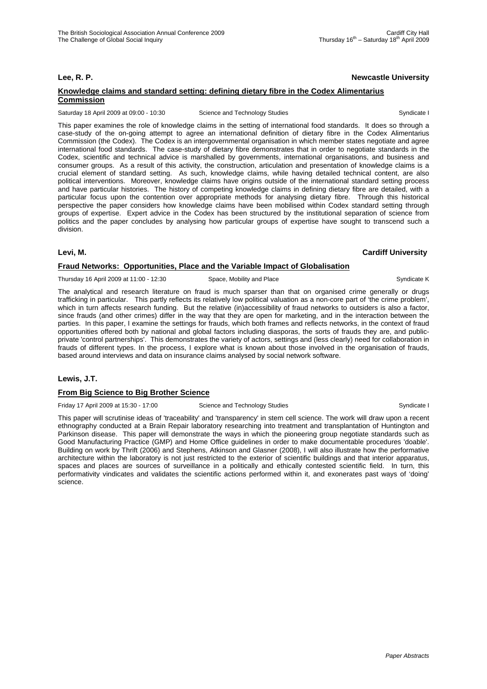### **Lee, R. P. Newcastle University**

### **Knowledge claims and standard setting: defining dietary fibre in the Codex Alimentarius Commission**

Saturday 18 April 2009 at 09:00 - 10:30 Science and Technology Studies Syndicate I Syndicate I

This paper examines the role of knowledge claims in the setting of international food standards. It does so through a case-study of the on-going attempt to agree an international definition of dietary fibre in the Codex Alimentarius Commission (the Codex). The Codex is an intergovernmental organisation in which member states negotiate and agree international food standards. The case-study of dietary fibre demonstrates that in order to negotiate standards in the Codex, scientific and technical advice is marshalled by governments, international organisations, and business and consumer groups. As a result of this activity, the construction, articulation and presentation of knowledge claims is a crucial element of standard setting. As such, knowledge claims, while having detailed technical content, are also political interventions. Moreover, knowledge claims have origins outside of the international standard setting process and have particular histories. The history of competing knowledge claims in defining dietary fibre are detailed, with a particular focus upon the contention over appropriate methods for analysing dietary fibre. Through this historical perspective the paper considers how knowledge claims have been mobilised within Codex standard setting through groups of expertise. Expert advice in the Codex has been structured by the institutional separation of science from politics and the paper concludes by analysing how particular groups of expertise have sought to transcend such a division.

#### **Levi, M. Cardiff University**

#### **Fraud Networks: Opportunities, Place and the Variable Impact of Globalisation**

Thursday 16 April 2009 at 11:00 - 12:30 Space, Mobility and Place Syndicate K Syndicate K

The analytical and research literature on fraud is much sparser than that on organised crime generally or drugs trafficking in particular. This partly reflects its relatively low political valuation as a non-core part of 'the crime problem', which in turn affects research funding. But the relative (in)accessibility of fraud networks to outsiders is also a factor, since frauds (and other crimes) differ in the way that they are open for marketing, and in the interaction between the parties. In this paper, I examine the settings for frauds, which both frames and reflects networks, in the context of fraud opportunities offered both by national and global factors including diasporas, the sorts of frauds they are, and publicprivate 'control partnerships'. This demonstrates the variety of actors, settings and (less clearly) need for collaboration in frauds of different types. In the process, I explore what is known about those involved in the organisation of frauds, based around interviews and data on insurance claims analysed by social network software.

#### **Lewis, J.T.**

#### **From Big Science to Big Brother Science**

Friday 17 April 2009 at 15:30 - 17:00 Science and Technology Studies Syndicate I Syndicate I

This paper will scrutinise ideas of 'traceability' and 'transparency' in stem cell science. The work will draw upon a recent ethnography conducted at a Brain Repair laboratory researching into treatment and transplantation of Huntington and Parkinson disease. This paper will demonstrate the ways in which the pioneering group negotiate standards such as Good Manufacturing Practice (GMP) and Home Office guidelines in order to make documentable procedures 'doable'. Building on work by Thrift (2006) and Stephens, Atkinson and Glasner (2008), I will also illustrate how the performative architecture within the laboratory is not just restricted to the exterior of scientific buildings and that interior apparatus, spaces and places are sources of surveillance in a politically and ethically contested scientific field. In turn, this performativity vindicates and validates the scientific actions performed within it, and exonerates past ways of 'doing' science.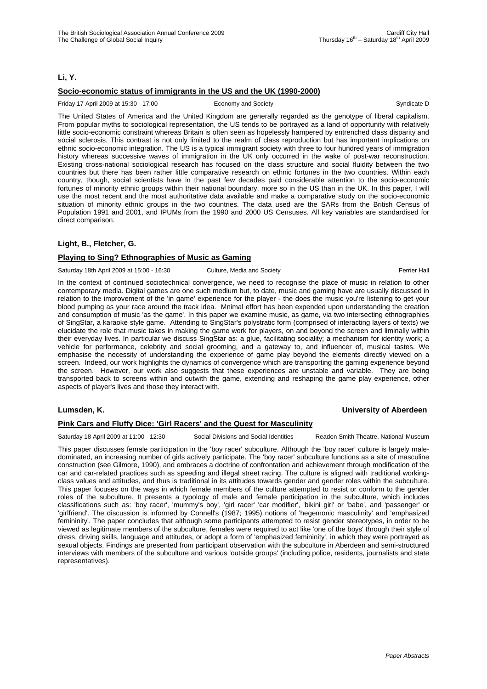### **Li, Y.**

### **Socio-economic status of immigrants in the US and the UK (1990-2000)**

Friday 17 April 2009 at 15:30 - 17:00 Economy and Society Syndicate D Syndicate D

The United States of America and the United Kingdom are generally regarded as the genotype of liberal capitalism. From popular myths to sociological representation, the US tends to be portrayed as a land of opportunity with relatively little socio-economic constraint whereas Britain is often seen as hopelessly hampered by entrenched class disparity and social sclerosis. This contrast is not only limited to the realm of class reproduction but has important implications on ethnic socio-economic integration. The US is a typical immigrant society with three to four hundred years of immigration history whereas successive waves of immigration in the UK only occurred in the wake of post-war reconstruction. Existing cross-national sociological research has focused on the class structure and social fluidity between the two countries but there has been rather little comparative research on ethnic fortunes in the two countries. Within each country, though, social scientists have in the past few decades paid considerable attention to the socio-economic fortunes of minority ethnic groups within their national boundary, more so in the US than in the UK. In this paper, I will use the most recent and the most authoritative data available and make a comparative study on the socio-economic situation of minority ethnic groups in the two countries. The data used are the SARs from the British Census of Population 1991 and 2001, and IPUMs from the 1990 and 2000 US Censuses. All key variables are standardised for direct comparison.

#### **Light, B., Fletcher, G.**

#### **Playing to Sing? Ethnographies of Music as Gaming**

Saturday 18th April 2009 at 15:00 - 16:30 Culture, Media and Society Ferrier Hall

In the context of continued sociotechnical convergence, we need to recognise the place of music in relation to other contemporary media. Digital games are one such medium but, to date, music and gaming have are usually discussed in relation to the improvement of the 'in game' experience for the player - the does the music you're listening to get your blood pumping as your race around the track idea. Mnimal effort has been expended upon understanding the creation and consumption of music 'as the game'. In this paper we examine music, as game, via two intersecting ethnographies of SingStar, a karaoke style game. Attending to SingStar's polystratic form (comprised of interacting layers of texts) we elucidate the role that music takes in making the game work for players, on and beyond the screen and liminally within their everyday lives. In particular we discuss SingStar as: a glue, facilitating sociality; a mechanism for identity work; a vehicle for performance, celebrity and social grooming, and a gateway to, and influencer of, musical tastes. We emphasise the necessity of understanding the experience of game play beyond the elements directly viewed on a screen. Indeed, our work highlights the dynamics of convergence which are transporting the gaming experience beyond the screen. However, our work also suggests that these experiences are unstable and variable. They are being transported back to screens within and outwith the game, extending and reshaping the game play experience, other aspects of player's lives and those they interact with.

#### **Lumsden, K. University of Aberdeen**

#### **Pink Cars and Fluffy Dice: 'Girl Racers' and the Quest for Masculinity**

Saturday 18 April 2009 at 11:00 - 12:30 Social Divisions and Social Identities Readon Smith Theatre, National Museum

This paper discusses female participation in the 'boy racer' subculture. Although the 'boy racer' culture is largely maledominated, an increasing number of girls actively participate. The 'boy racer' subculture functions as a site of masculine construction (see Gilmore, 1990), and embraces a doctrine of confrontation and achievement through modification of the car and car-related practices such as speeding and illegal street racing. The culture is aligned with traditional workingclass values and attitudes, and thus is traditional in its attitudes towards gender and gender roles within the subculture. This paper focuses on the ways in which female members of the culture attempted to resist or conform to the gender roles of the subculture. It presents a typology of male and female participation in the subculture, which includes classifications such as: 'boy racer', 'mummy's boy', 'girl racer' 'car modifier', 'bikini girl' or 'babe', and 'passenger' or 'girlfriend'. The discussion is informed by Connell's (1987; 1995) notions of 'hegemonic masculinity' and 'emphasized femininity'. The paper concludes that although some participants attempted to resist gender stereotypes, in order to be viewed as legitimate members of the subculture, females were required to act like 'one of the boys' through their style of dress, driving skills, language and attitudes, or adopt a form of 'emphasized femininity', in which they were portrayed as sexual objects. Findings are presented from participant observation with the subculture in Aberdeen and semi-structured interviews with members of the subculture and various 'outside groups' (including police, residents, journalists and state representatives).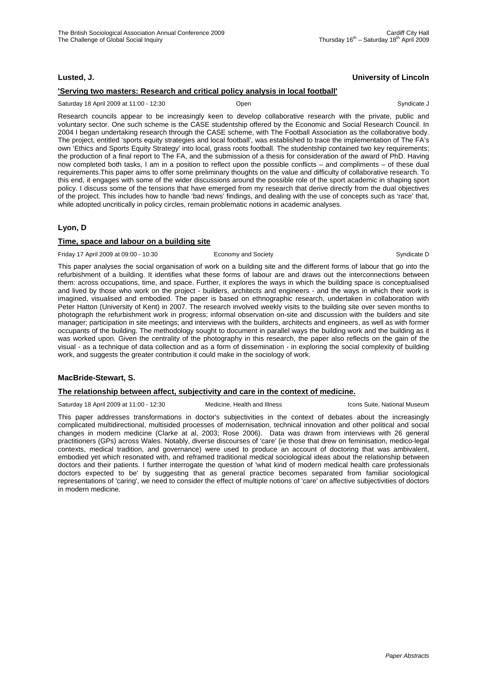# **Lusted, J. University of Lincoln**

### **'Serving two masters: Research and critical policy analysis in local football'**

#### Saturday 18 April 2009 at 11:00 - 12:30 Open Syndicate J

Research councils appear to be increasingly keen to develop collaborative research with the private, public and voluntary sector. One such scheme is the CASE studentship offered by the Economic and Social Research Council. In 2004 I began undertaking research through the CASE scheme, with The Football Association as the collaborative body. The project, entitled 'sports equity strategies and local football', was established to trace the implementation of The FA's own 'Ethics and Sports Equity Strategy' into local, grass roots football. The studentship contained two key requirements; the production of a final report to The FA, and the submission of a thesis for consideration of the award of PhD. Having now completed both tasks, I am in a position to reflect upon the possible conflicts – and compliments – of these dual requirements.This paper aims to offer some preliminary thoughts on the value and difficulty of collaborative research. To this end, it engages with some of the wider discussions around the possible role of the sport academic in shaping sport policy. I discuss some of the tensions that have emerged from my research that derive directly from the dual objectives of the project. This includes how to handle 'bad news' findings, and dealing with the use of concepts such as 'race' that, while adopted uncritically in policy circles, remain problematic notions in academic analyses.

### **Lyon, D**

#### **Time, space and labour on a building site**

Friday 17 April 2009 at 09:00 - 10:30 Economy and Society Syndicate D Syndicate D

This paper analyses the social organisation of work on a building site and the different forms of labour that go into the refurbishment of a building. It identifies what these forms of labour are and draws out the interconnections between them: across occupations, time, and space. Further, it explores the ways in which the building space is conceptualised and lived by those who work on the project - builders, architects and engineers - and the ways in which their work is imagined, visualised and embodied. The paper is based on ethnographic research, undertaken in collaboration with Peter Hatton (University of Kent) in 2007. The research involved weekly visits to the building site over seven months to photograph the refurbishment work in progress; informal observation on-site and discussion with the builders and site manager; participation in site meetings; and interviews with the builders, architects and engineers, as well as with former occupants of the building. The methodology sought to document in parallel ways the building work and the building as it was worked upon. Given the centrality of the photography in this research, the paper also reflects on the gain of the visual - as a technique of data collection and as a form of dissemination - in exploring the social complexity of building work, and suggests the greater contribution it could make in the sociology of work.

#### **MacBride-Stewart, S.**

#### **The relationship between affect, subjectivity and care in the context of medicine.**

Saturday 18 April 2009 at 11:00 - 12:30 Medicine, Health and Illness Icons Suite, National Museum

This paper addresses transformations in doctor's subjectivities in the context of debates about the increasingly complicated multidirectional, multisided processes of modernisation, technical innovation and other political and social changes in modern medicine (Clarke at al, 2003; Rose 2006). Data was drawn from interviews with 26 general practitioners (GPs) across Wales. Notably, diverse discourses of 'care' (ie those that drew on feminisation, medico-legal contexts, medical tradition, and governance) were used to produce an account of doctoring that was ambivalent, embodied yet which resonated with, and reframed traditional medical sociological ideas about the relationship between doctors and their patients. I further interrogate the question of 'what kind of modern medical health care professionals doctors expected to be' by suggesting that as general practice becomes separated from familiar sociological representations of 'caring', we need to consider the effect of multiple notions of 'care' on affective subjectivities of doctors in modern medicine.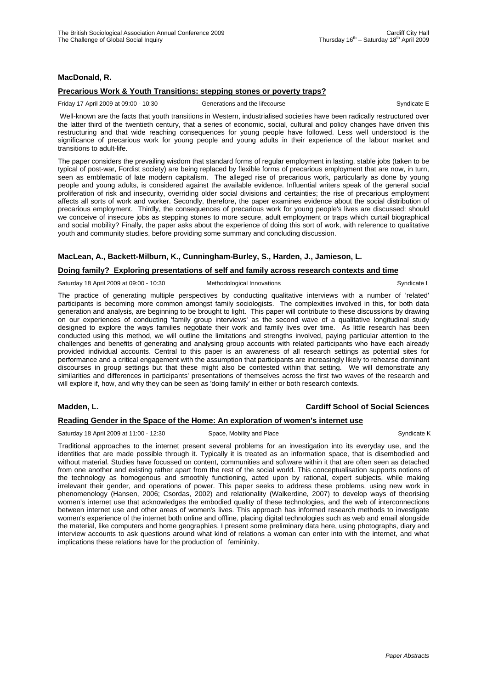# **MacDonald, R.**

#### **Precarious Work & Youth Transitions: stepping stones or poverty traps?**

Friday 17 April 2009 at 09:00 - 10:30 Generations and the lifecourse Syndicate E

 Well-known are the facts that youth transitions in Western, industrialised societies have been radically restructured over the latter third of the twentieth century, that a series of economic, social, cultural and policy changes have driven this restructuring and that wide reaching consequences for young people have followed. Less well understood is the significance of precarious work for young people and young adults in their experience of the labour market and transitions to adult-life.

The paper considers the prevailing wisdom that standard forms of regular employment in lasting, stable jobs (taken to be typical of post-war, Fordist society) are being replaced by flexible forms of precarious employment that are now, in turn, seen as emblematic of late modern capitalism. The alleged rise of precarious work, particularly as done by young people and young adults, is considered against the available evidence. Influential writers speak of the general social proliferation of risk and insecurity, overriding older social divisions and certainties; the rise of precarious employment affects all sorts of work and worker. Secondly, therefore, the paper examines evidence about the social distribution of precarious employment. Thirdly, the consequences of precarious work for young people's lives are discussed: should we conceive of insecure jobs as stepping stones to more secure, adult employment or traps which curtail biographical and social mobility? Finally, the paper asks about the experience of doing this sort of work, with reference to qualitative youth and community studies, before providing some summary and concluding discussion.

# **MacLean, A., Backett-Milburn, K., Cunningham-Burley, S., Harden, J., Jamieson, L.**

#### **Doing family? Exploring presentations of self and family across research contexts and time**

Saturday 18 April 2009 at 09:00 - 10:30 Methodological Innovations Communicate L

The practice of generating multiple perspectives by conducting qualitative interviews with a number of 'related' participants is becoming more common amongst family sociologists. The complexities involved in this, for both data generation and analysis, are beginning to be brought to light. This paper will contribute to these discussions by drawing on our experiences of conducting 'family group interviews' as the second wave of a qualitative longitudinal study designed to explore the ways families negotiate their work and family lives over time. As little research has been conducted using this method, we will outline the limitations and strengths involved, paying particular attention to the challenges and benefits of generating and analysing group accounts with related participants who have each already provided individual accounts. Central to this paper is an awareness of all research settings as potential sites for performance and a critical engagement with the assumption that participants are increasingly likely to rehearse dominant discourses in group settings but that these might also be contested within that setting. We will demonstrate any similarities and differences in participants' presentations of themselves across the first two waves of the research and will explore if, how, and why they can be seen as 'doing family' in either or both research contexts.

# **Madden, L. Cardiff School of Social Sciences**

#### **Reading Gender in the Space of the Home: An exploration of women's internet use**

Saturday 18 April 2009 at 11:00 - 12:30 Space, Mobility and Place Syndicate K Syndicate K

Traditional approaches to the internet present several problems for an investigation into its everyday use, and the identities that are made possible through it. Typically it is treated as an information space, that is disembodied and without material. Studies have focussed on content, communities and software within it that are often seen as detached from one another and existing rather apart from the rest of the social world. This conceptualisation supports notions of the technology as homogenous and smoothly functioning, acted upon by rational, expert subjects, while making irrelevant their gender, and operations of power. This paper seeks to address these problems, using new work in phenomenology (Hansen, 2006; Csordas, 2002) and relationality (Walkerdine, 2007) to develop ways of theorising women's internet use that acknowledges the embodied quality of these technologies, and the web of interconnections between internet use and other areas of women's lives. This approach has informed research methods to investigate women's experience of the internet both online and offline, placing digital technologies such as web and email alongside the material, like computers and home geographies. I present some preliminary data here, using photographs, diary and interview accounts to ask questions around what kind of relations a woman can enter into with the internet, and what implications these relations have for the production of femininity.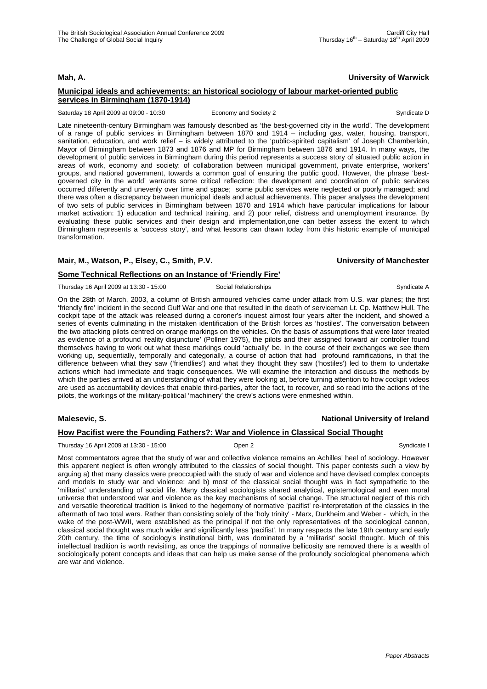# **Mah, A. University of Warwick**

### **Municipal ideals and achievements: an historical sociology of labour market-oriented public services in Birmingham (1870-1914)**

Saturday 18 April 2009 at 09:00 - 10:30 Economy and Society 2 Syndicate D Syndicate D

Late nineteenth-century Birmingham was famously described as 'the best-governed city in the world'. The development of a range of public services in Birmingham between 1870 and 1914 – including gas, water, housing, transport, sanitation, education, and work relief – is widely attributed to the 'public-spirited capitalism' of Joseph Chamberlain, Mayor of Birmingham between 1873 and 1876 and MP for Birmingham between 1876 and 1914. In many ways, the development of public services in Birmingham during this period represents a success story of situated public action in areas of work, economy and society: of collaboration between municipal government, private enterprise, workers' groups, and national government, towards a common goal of ensuring the public good. However, the phrase 'bestgoverned city in the world' warrants some critical reflection: the development and coordination of public services occurred differently and unevenly over time and space; some public services were neglected or poorly managed; and there was often a discrepancy between municipal ideals and actual achievements. This paper analyses the development of two sets of public services in Birmingham between 1870 and 1914 which have particular implications for labour market activation: 1) education and technical training, and 2) poor relief, distress and unemployment insurance. By evaluating these public services and their design and implementation,one can better assess the extent to which Birmingham represents a 'success story', and what lessons can drawn today from this historic example of municipal transformation.

### **Mair, M., Watson, P., Elsey, C., Smith, P.V. University of Manchester**

#### **Some Technical Reflections on an Instance of 'Friendly Fire'**

Thursday 16 April 2009 at 13:30 - 15:00 Social Relationships Syndicate A

On the 28th of March, 2003, a column of British armoured vehicles came under attack from U.S. war planes; the first 'friendly fire' incident in the second Gulf War and one that resulted in the death of serviceman Lt. Cp. Matthew Hull. The cockpit tape of the attack was released during a coroner's inquest almost four years after the incident, and showed a series of events culminating in the mistaken identification of the British forces as 'hostiles'. The conversation between the two attacking pilots centred on orange markings on the vehicles. On the basis of assumptions that were later treated as evidence of a profound 'reality disjuncture' (Pollner 1975), the pilots and their assigned forward air controller found themselves having to work out what these markings could 'actually' be. In the course of their exchanges we see them working up, sequentially, temporally and categorially, a course of action that had profound ramifications, in that the difference between what they saw ('friendlies') and what they thought they saw ('hostiles') led to them to undertake actions which had immediate and tragic consequences. We will examine the interaction and discuss the methods by which the parties arrived at an understanding of what they were looking at, before turning attention to how cockpit videos are used as accountability devices that enable third-parties, after the fact, to recover, and so read into the actions of the pilots, the workings of the military-political 'machinery' the crew's actions were enmeshed within.

### **Malesevic, S. National University of Ireland**

#### **How Pacifist were the Founding Fathers?: War and Violence in Classical Social Thought**

Thursday 16 April 2009 at 13:30 - 15:00 Cpen 2 Cpen 2 Cpen 2 Syndicate I

Most commentators agree that the study of war and collective violence remains an Achilles' heel of sociology. However this apparent neglect is often wrongly attributed to the classics of social thought. This paper contests such a view by arguing a) that many classics were preoccupied with the study of war and violence and have devised complex concepts and models to study war and violence; and b) most of the classical social thought was in fact sympathetic to the 'militarist' understanding of social life. Many classical sociologists shared analytical, epistemological and even moral universe that understood war and violence as the key mechanisms of social change. The structural neglect of this rich and versatile theoretical tradition is linked to the hegemony of normative 'pacifist' re-interpretation of the classics in the aftermath of two total wars. Rather than consisting solely of the 'holy trinity' - Marx, Durkheim and Weber - which, in the wake of the post-WWII, were established as the principal if not the only representatives of the sociological cannon, classical social thought was much wider and significantly less 'pacifist'. In many respects the late 19th century and early 20th century, the time of sociology's institutional birth, was dominated by a 'militarist' social thought. Much of this intellectual tradition is worth revisiting, as once the trappings of normative bellicosity are removed there is a wealth of sociologically potent concepts and ideas that can help us make sense of the profoundly sociological phenomena which are war and violence.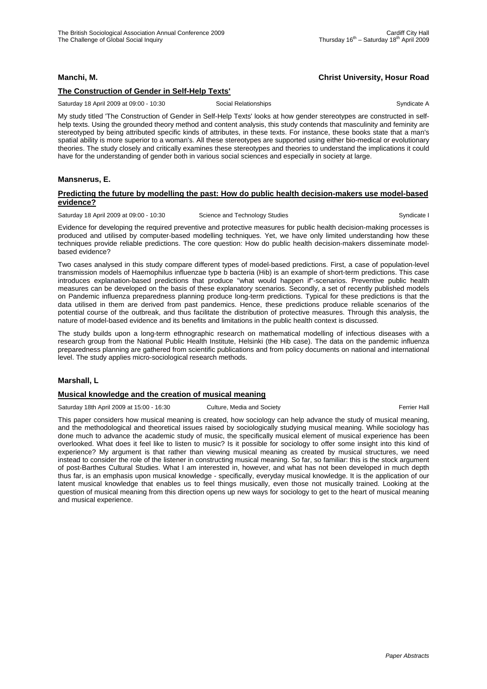### **Manchi, M. Christ University, Hosur Road**

# **The Construction of Gender in Self-Help Texts'**

Saturday 18 April 2009 at 09:00 - 10:30 Social Relationships Syndicate A

My study titled 'The Construction of Gender in Self-Help Texts' looks at how gender stereotypes are constructed in selfhelp texts. Using the grounded theory method and content analysis, this study contends that masculinity and feminity are stereotyped by being attributed specific kinds of attributes, in these texts. For instance, these books state that a man's spatial ability is more superior to a woman's. All these stereotypes are supported using either bio-medical or evolutionary theories. The study closely and critically examines these stereotypes and theories to understand the implications it could have for the understanding of gender both in various social sciences and especially in society at large.

#### **Mansnerus, E.**

#### **Predicting the future by modelling the past: How do public health decision-makers use model-based evidence?**

Saturday 18 April 2009 at 09:00 - 10:30 Science and Technology Studies Syndicate I Syndicate I

Evidence for developing the required preventive and protective measures for public health decision-making processes is produced and utilised by computer-based modelling techniques. Yet, we have only limited understanding how these techniques provide reliable predictions. The core question: How do public health decision-makers disseminate modelbased evidence?

Two cases analysed in this study compare different types of model-based predictions. First, a case of population-level transmission models of Haemophilus influenzae type b bacteria (Hib) is an example of short-term predictions. This case introduces explanation-based predictions that produce "what would happen if"-scenarios. Preventive public health measures can be developed on the basis of these explanatory scenarios. Secondly, a set of recently published models on Pandemic influenza preparedness planning produce long-term predictions. Typical for these predictions is that the data utilised in them are derived from past pandemics. Hence, these predictions produce reliable scenarios of the potential course of the outbreak, and thus facilitate the distribution of protective measures. Through this analysis, the nature of model-based evidence and its benefits and limitations in the public health context is discussed.

The study builds upon a long-term ethnographic research on mathematical modelling of infectious diseases with a research group from the National Public Health Institute, Helsinki (the Hib case). The data on the pandemic influenza preparedness planning are gathered from scientific publications and from policy documents on national and international level. The study applies micro-sociological research methods.

#### **Marshall, L**

#### **Musical knowledge and the creation of musical meaning**

Saturday 18th April 2009 at 15:00 - 16:30 Culture, Media and Society **Ferrier Hall** Ferrier Hall

This paper considers how musical meaning is created, how sociology can help advance the study of musical meaning, and the methodological and theoretical issues raised by sociologically studying musical meaning. While sociology has done much to advance the academic study of music, the specifically musical element of musical experience has been overlooked. What does it feel like to listen to music? Is it possible for sociology to offer some insight into this kind of experience? My argument is that rather than viewing musical meaning as created by musical structures, we need instead to consider the role of the listener in constructing musical meaning. So far, so familiar: this is the stock argument of post-Barthes Cultural Studies. What I am interested in, however, and what has not been developed in much depth thus far, is an emphasis upon musical knowledge - specifically, everyday musical knowledge. It is the application of our latent musical knowledge that enables us to feel things musically, even those not musically trained. Looking at the question of musical meaning from this direction opens up new ways for sociology to get to the heart of musical meaning and musical experience.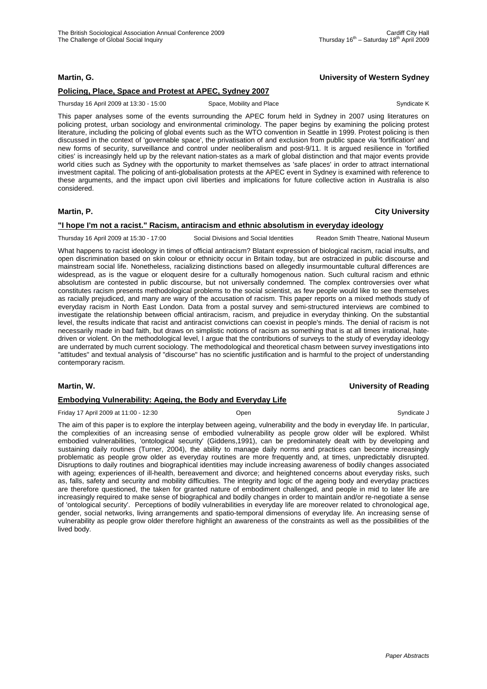# **Martin, G. University of Western Sydney**

### **Policing, Place, Space and Protest at APEC, Sydney 2007**

Thursday 16 April 2009 at 13:30 - 15:00 Space, Mobility and Place Syndicate K Syndicate K

This paper analyses some of the events surrounding the APEC forum held in Sydney in 2007 using literatures on policing protest, urban sociology and environmental criminology. The paper begins by examining the policing protest literature, including the policing of global events such as the WTO convention in Seattle in 1999. Protest policing is then discussed in the context of 'governable space', the privatisation of and exclusion from public space via 'fortification' and new forms of security, surveillance and control under neoliberalism and post-9/11. It is argued resilience in 'fortified cities' is increasingly held up by the relevant nation-states as a mark of global distinction and that major events provide world cities such as Sydney with the opportunity to market themselves as 'safe places' in order to attract international investment capital. The policing of anti-globalisation protests at the APEC event in Sydney is examined with reference to these arguments, and the impact upon civil liberties and implications for future collective action in Australia is also considered.

# **"I hope I'm not a racist." Racism, antiracism and ethnic absolutism in everyday ideology**

Thursday 16 April 2009 at 15:30 - 17:00 Social Divisions and Social Identities Readon Smith Theatre, National Museum

What happens to racist ideology in times of official antiracism? Blatant expression of biological racism, racial insults, and open discrimination based on skin colour or ethnicity occur in Britain today, but are ostracized in public discourse and mainstream social life. Nonetheless, racializing distinctions based on allegedly insurmountable cultural differences are widespread, as is the vague or eloquent desire for a culturally homogenous nation. Such cultural racism and ethnic absolutism are contested in public discourse, but not universally condemned. The complex controversies over what constitutes racism presents methodological problems to the social scientist, as few people would like to see themselves as racially prejudiced, and many are wary of the accusation of racism. This paper reports on a mixed methods study of everyday racism in North East London. Data from a postal survey and semi-structured interviews are combined to investigate the relationship between official antiracism, racism, and prejudice in everyday thinking. On the substantial level, the results indicate that racist and antiracist convictions can coexist in people's minds. The denial of racism is not necessarily made in bad faith, but draws on simplistic notions of racism as something that is at all times irrational, hatedriven or violent. On the methodological level, I argue that the contributions of surveys to the study of everyday ideology are underrated by much current sociology. The methodological and theoretical chasm between survey investigations into "attitudes" and textual analysis of "discourse" has no scientific justification and is harmful to the project of understanding contemporary racism.

#### **Martin, W. University of Reading**

#### **Embodying Vulnerability: Ageing, the Body and Everyday Life**

Friday 17 April 2009 at 11:00 - 12:30 Open Syndicate J

The aim of this paper is to explore the interplay between ageing, vulnerability and the body in everyday life. In particular, the complexities of an increasing sense of embodied vulnerability as people grow older will be explored. Whilst embodied vulnerabilities, 'ontological security' (Giddens,1991), can be predominately dealt with by developing and sustaining daily routines (Turner, 2004), the ability to manage daily norms and practices can become increasingly problematic as people grow older as everyday routines are more frequently and, at times, unpredictably disrupted. Disruptions to daily routines and biographical identities may include increasing awareness of bodily changes associated with ageing; experiences of ill-health, bereavement and divorce; and heightened concerns about everyday risks, such as, falls, safety and security and mobility difficulties. The integrity and logic of the ageing body and everyday practices are therefore questioned, the taken for granted nature of embodiment challenged, and people in mid to later life are increasingly required to make sense of biographical and bodily changes in order to maintain and/or re-negotiate a sense of 'ontological security'. Perceptions of bodily vulnerabilities in everyday life are moreover related to chronological age, gender, social networks, living arrangements and spatio-temporal dimensions of everyday life. An increasing sense of vulnerability as people grow older therefore highlight an awareness of the constraints as well as the possibilities of the lived body.

**Martin, P. City University**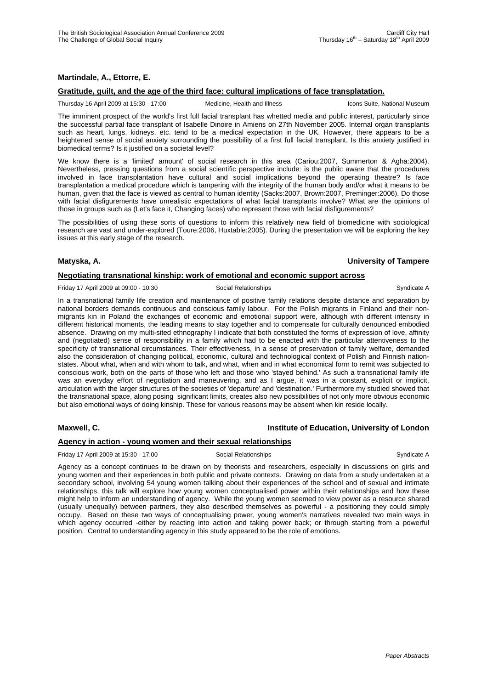# **Martindale, A., Ettorre, E.**

## **Gratitude, guilt, and the age of the third face: cultural implications of face transplatation.**

Thursday 16 April 2009 at 15:30 - 17:00 Medicine, Health and Illness Icons Suite, National Museum

The imminent prospect of the world's first full facial transplant has whetted media and public interest, particularly since the successful partial face transplant of Isabelle Dinoire in Amiens on 27th November 2005. Internal organ transplants such as heart, lungs, kidneys, etc. tend to be a medical expectation in the UK. However, there appears to be a heightened sense of social anxiety surrounding the possibility of a first full facial transplant. Is this anxiety justified in biomedical terms? Is it justified on a societal level?

We know there is a 'limited' amount' of social research in this area (Cariou:2007, Summerton & Agha:2004). Nevertheless, pressing questions from a social scientific perspective include: is the public aware that the procedures involved in face transplantation have cultural and social implications beyond the operating theatre? Is face transplantation a medical procedure which is tampering with the integrity of the human body and/or what it means to be human, given that the face is viewed as central to human identity (Sacks:2007, Brown:2007, Preminger:2006). Do those with facial disfigurements have unrealistic expectations of what facial transplants involve? What are the opinions of those in groups such as (Let's face it, Changing faces) who represent those with facial disfigurements?

The possibilities of using these sorts of questions to inform this relatively new field of biomedicine with sociological research are vast and under-explored (Toure:2006, Huxtable:2005). During the presentation we will be exploring the key issues at this early stage of the research.

#### **Matyska, A. University of Tampere**

## **Negotiating transnational kinship: work of emotional and economic support across**

Friday 17 April 2009 at 09:00 - 10:30 Social Relationships Syndicate A

In a transnational family life creation and maintenance of positive family relations despite distance and separation by national borders demands continuous and conscious family labour. For the Polish migrants in Finland and their nonmigrants kin in Poland the exchanges of economic and emotional support were, although with different intensity in different historical moments, the leading means to stay together and to compensate for culturally denounced embodied absence. Drawing on my multi-sited ethnography I indicate that both constituted the forms of expression of love, affinity and (negotiated) sense of responsibility in a family which had to be enacted with the particular attentiveness to the specificity of transnational circumstances. Their effectiveness, in a sense of preservation of family welfare, demanded also the consideration of changing political, economic, cultural and technological context of Polish and Finnish nationstates. About what, when and with whom to talk, and what, when and in what economical form to remit was subjected to conscious work, both on the parts of those who left and those who 'stayed behind.' As such a transnational family life was an everyday effort of negotiation and maneuvering, and as I argue, it was in a constant, explicit or implicit, articulation with the larger structures of the societies of 'departure' and 'destination.' Furthermore my studied showed that the transnational space, along posing significant limits, creates also new possibilities of not only more obvious economic but also emotional ways of doing kinship. These for various reasons may be absent when kin reside locally.

## **Maxwell, C. Institute of Education, University of London**

## **Agency in action - young women and their sexual relationships**

Friday 17 April 2009 at 15:30 - 17:00 Social Relationships Syndicate A

Agency as a concept continues to be drawn on by theorists and researchers, especially in discussions on girls and young women and their experiences in both public and private contexts. Drawing on data from a study undertaken at a secondary school, involving 54 young women talking about their experiences of the school and of sexual and intimate relationships, this talk will explore how young women conceptualised power within their relationships and how these might help to inform an understanding of agency. While the young women seemed to view power as a resource shared (usually unequally) between partners, they also described themselves as powerful - a positioning they could simply occupy. Based on these two ways of conceptualising power, young women's narratives revealed two main ways in which agency occurred -either by reacting into action and taking power back; or through starting from a powerful position. Central to understanding agency in this study appeared to be the role of emotions.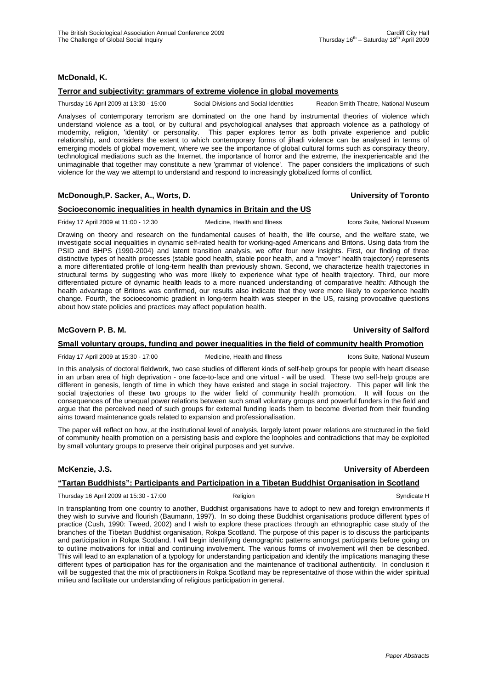## **McDonald, K.**

## **Terror and subjectivity: grammars of extreme violence in global movements**

Thursday 16 April 2009 at 13:30 - 15:00 Social Divisions and Social Identities Readon Smith Theatre, National Museum

Analyses of contemporary terrorism are dominated on the one hand by instrumental theories of violence which understand violence as a tool, or by cultural and psychological analyses that approach violence as a pathology of modernity, religion, 'identity' or personality. This paper explores terror as both private experience and public relationship, and considers the extent to which contemporary forms of jihadi violence can be analysed in terms of emerging models of global movement, where we see the importance of global cultural forms such as conspiracy theory, technological mediations such as the Internet, the importance of horror and the extreme, the inexperiencable and the unimaginable that together may constitute a new 'grammar of violence'. The paper considers the implications of such violence for the way we attempt to understand and respond to increasingly globalized forms of conflict.

## **McDonough,P. Sacker, A., Worts, D. University of Toronto**

# **Socioeconomic inequalities in health dynamics in Britain and the US**

Friday 17 April 2009 at 11:00 - 12:30 Medicine, Health and Illness Icons Suite, National Museum

Drawing on theory and research on the fundamental causes of health, the life course, and the welfare state, we investigate social inequalities in dynamic self-rated health for working-aged Americans and Britons. Using data from the PSID and BHPS (1990-2004) and latent transition analysis, we offer four new insights. First, our finding of three distinctive types of health processes (stable good health, stable poor health, and a "mover" health trajectory) represents a more differentiated profile of long-term health than previously shown. Second, we characterize health trajectories in structural terms by suggesting who was more likely to experience what type of health trajectory. Third, our more differentiated picture of dynamic health leads to a more nuanced understanding of comparative health: Although the health advantage of Britons was confirmed, our results also indicate that they were more likely to experience health change. Fourth, the socioeconomic gradient in long-term health was steeper in the US, raising provocative questions about how state policies and practices may affect population health.

## **McGovern P. B. M. University of Salford**

#### **Small voluntary groups, funding and power inequalities in the field of community health Promotion**

Friday 17 April 2009 at 15:30 - 17:00 Medicine, Health and Illness Icons Suite, National Museum

In this analysis of doctoral fieldwork, two case studies of different kinds of self-help groups for people with heart disease in an urban area of high deprivation - one face-to-face and one virtual - will be used. These two self-help groups are different in genesis, length of time in which they have existed and stage in social trajectory. This paper will link the social trajectories of these two groups to the wider field of community health promotion. It will focus on the consequences of the unequal power relations between such small voluntary groups and powerful funders in the field and argue that the perceived need of such groups for external funding leads them to become diverted from their founding aims toward maintenance goals related to expansion and professionalisation.

The paper will reflect on how, at the institutional level of analysis, largely latent power relations are structured in the field of community health promotion on a persisting basis and explore the loopholes and contradictions that may be exploited by small voluntary groups to preserve their original purposes and yet survive.

## **McKenzie, J.S. University of Aberdeen**

# **"Tartan Buddhists": Participants and Participation in a Tibetan Buddhist Organisation in Scotland**

Thursday 16 April 2009 at 15:30 - 17:00 Religion Religion Religion Syndicate H

In transplanting from one country to another, Buddhist organisations have to adopt to new and foreign environments if they wish to survive and flourish (Baumann, 1997). In so doing these Buddhist organisations produce different types of practice (Cush, 1990: Tweed, 2002) and I wish to explore these practices through an ethnographic case study of the branches of the Tibetan Buddhist organisation, Rokpa Scotland. The purpose of this paper is to discuss the participants and participation in Rokpa Scotland. I will begin identifying demographic patterns amongst participants before going on to outline motivations for initial and continuing involvement. The various forms of involvement will then be described. This will lead to an explanation of a typology for understanding participation and identify the implications managing these different types of participation has for the organisation and the maintenance of traditional authenticity. In conclusion it will be suggested that the mix of practitioners in Rokpa Scotland may be representative of those within the wider spiritual milieu and facilitate our understanding of religious participation in general.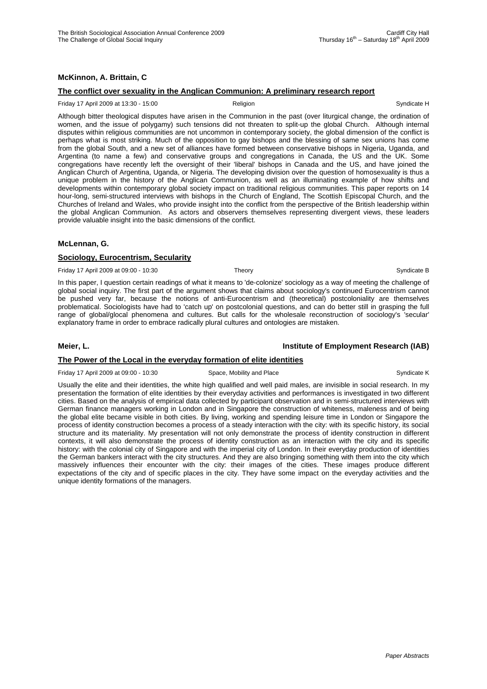# **McKinnon, A. Brittain, C**

## **The conflict over sexuality in the Anglican Communion: A preliminary research report**

#### Friday 17 April 2009 at 13:30 - 15:00 **Religion** Religion **Religion** Syndicate H

Although bitter theological disputes have arisen in the Communion in the past (over liturgical change, the ordination of women, and the issue of polygamy) such tensions did not threaten to split-up the global Church. Although internal disputes within religious communities are not uncommon in contemporary society, the global dimension of the conflict is perhaps what is most striking. Much of the opposition to gay bishops and the blessing of same sex unions has come from the global South, and a new set of alliances have formed between conservative bishops in Nigeria, Uganda, and Argentina (to name a few) and conservative groups and congregations in Canada, the US and the UK. Some congregations have recently left the oversight of their 'liberal' bishops in Canada and the US, and have joined the Anglican Church of Argentina, Uganda, or Nigeria. The developing division over the question of homosexuality is thus a unique problem in the history of the Anglican Communion, as well as an illuminating example of how shifts and developments within contemporary global society impact on traditional religious communities. This paper reports on 14 hour-long, semi-structured interviews with bishops in the Church of England, The Scottish Episcopal Church, and the Churches of Ireland and Wales, who provide insight into the conflict from the perspective of the British leadership within the global Anglican Communion. As actors and observers themselves representing divergent views, these leaders provide valuable insight into the basic dimensions of the conflict.

#### **McLennan, G.**

#### **Sociology, Eurocentrism, Secularity**

Friday 17 April 2009 at 09:00 - 10:30 Theory Theory Syndicate B Syndicate B Syndicate B

In this paper, I question certain readings of what it means to 'de-colonize' sociology as a way of meeting the challenge of global social inquiry. The first part of the argument shows that claims about sociology's continued Eurocentrism cannot be pushed very far, because the notions of anti-Eurocentrism and (theoretical) postcoloniality are themselves problematical. Sociologists have had to 'catch up' on postcolonial questions, and can do better still in grasping the full range of global/glocal phenomena and cultures. But calls for the wholesale reconstruction of sociology's 'secular' explanatory frame in order to embrace radically plural cultures and ontologies are mistaken.

#### **Meier, L. Institute of Employment Research (IAB)**

#### **The Power of the Local in the everyday formation of elite identities**

Friday 17 April 2009 at 09:00 - 10:30 Space, Mobility and Place Syndicate K Syndicate K

Usually the elite and their identities, the white high qualified and well paid males, are invisible in social research. In my presentation the formation of elite identities by their everyday activities and performances is investigated in two different cities. Based on the analysis of empirical data collected by participant observation and in semi-structured interviews with German finance managers working in London and in Singapore the construction of whiteness, maleness and of being the global elite became visible in both cities. By living, working and spending leisure time in London or Singapore the process of identity construction becomes a process of a steady interaction with the city: with its specific history, its social structure and its materiality. My presentation will not only demonstrate the process of identity construction in different contexts, it will also demonstrate the process of identity construction as an interaction with the city and its specific history: with the colonial city of Singapore and with the imperial city of London. In their everyday production of identities the German bankers interact with the city structures. And they are also bringing something with them into the city which massively influences their encounter with the city: their images of the cities. These images produce different expectations of the city and of specific places in the city. They have some impact on the everyday activities and the unique identity formations of the managers.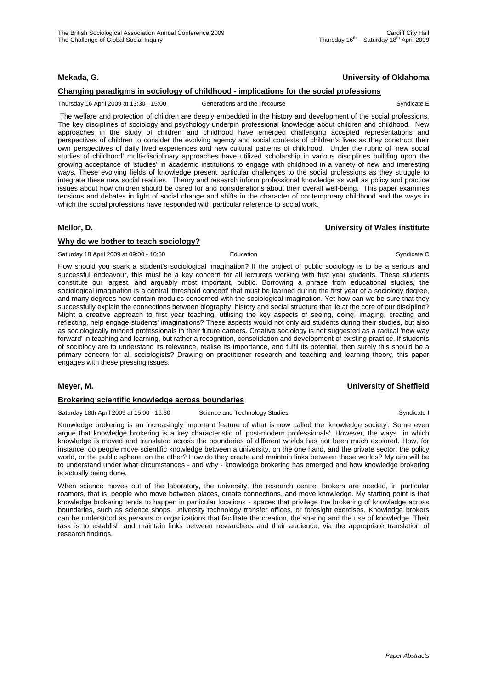# **Mekada, G. University of Oklahoma**

# **Changing paradigms in sociology of childhood - implications for the social professions**

Thursday 16 April 2009 at 13:30 - 15:00 Generations and the lifecourse Syndicate E

 The welfare and protection of children are deeply embedded in the history and development of the social professions. The key disciplines of sociology and psychology underpin professional knowledge about children and childhood. New approaches in the study of children and childhood have emerged challenging accepted representations and perspectives of children to consider the evolving agency and social contexts of children's lives as they construct their own perspectives of daily lived experiences and new cultural patterns of childhood. Under the rubric of 'new social studies of childhood' multi-disciplinary approaches have utilized scholarship in various disciplines building upon the growing acceptance of 'studies' in academic institutions to engage with childhood in a variety of new and interesting ways. These evolving fields of knowledge present particular challenges to the social professions as they struggle to integrate these new social realities. Theory and research inform professional knowledge as well as policy and practice issues about how children should be cared for and considerations about their overall well-being. This paper examines tensions and debates in light of social change and shifts in the character of contemporary childhood and the ways in which the social professions have responded with particular reference to social work.

## **Mellor, D. University of Wales institute**

## **Why do we bother to teach sociology?**

Saturday 18 April 2009 at 09:00 - 10:30 Education Education Syndicate C

How should you spark a student's sociological imagination? If the project of public sociology is to be a serious and successful endeavour, this must be a key concern for all lecturers working with first year students. These students constitute our largest, and arguably most important, public. Borrowing a phrase from educational studies, the sociological imagination is a central 'threshold concept' that must be learned during the first year of a sociology degree, and many degrees now contain modules concerned with the sociological imagination. Yet how can we be sure that they successfully explain the connections between biography, history and social structure that lie at the core of our discipline? Might a creative approach to first year teaching, utilising the key aspects of seeing, doing, imaging, creating and reflecting, help engage students' imaginations? These aspects would not only aid students during their studies, but also as sociologically minded professionals in their future careers. Creative sociology is not suggested as a radical 'new way forward' in teaching and learning, but rather a recognition, consolidation and development of existing practice. If students of sociology are to understand its relevance, realise its importance, and fulfil its potential, then surely this should be a primary concern for all sociologists? Drawing on practitioner research and teaching and learning theory, this paper engages with these pressing issues.

## **Meyer, M. University of Sheffield**

## **Brokering scientific knowledge across boundaries**

Saturday 18th April 2009 at 15:00 - 16:30 Science and Technology Studies Syndicate I Syndicate I

Knowledge brokering is an increasingly important feature of what is now called the 'knowledge society'. Some even argue that knowledge brokering is a key characteristic of 'post-modern professionals'. However, the ways in which knowledge is moved and translated across the boundaries of different worlds has not been much explored. How, for instance, do people move scientific knowledge between a university, on the one hand, and the private sector, the policy world, or the public sphere, on the other? How do they create and maintain links between these worlds? My aim will be to understand under what circumstances - and why - knowledge brokering has emerged and how knowledge brokering is actually being done.

When science moves out of the laboratory, the university, the research centre, brokers are needed, in particular roamers, that is, people who move between places, create connections, and move knowledge. My starting point is that knowledge brokering tends to happen in particular locations - spaces that privilege the brokering of knowledge across boundaries, such as science shops, university technology transfer offices, or foresight exercises. Knowledge brokers can be understood as persons or organizations that facilitate the creation, the sharing and the use of knowledge. Their task is to establish and maintain links between researchers and their audience, via the appropriate translation of research findings.

*Paper Abstracts*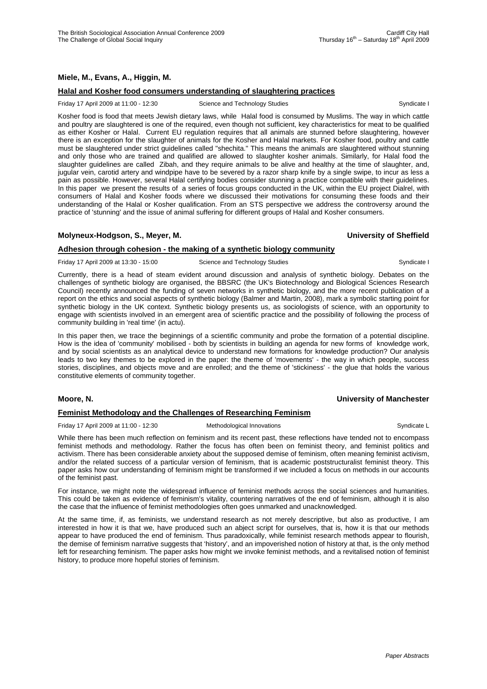## **Miele, M., Evans, A., Higgin, M.**

## **Halal and Kosher food consumers understanding of slaughtering practices**

#### Friday 17 April 2009 at 11:00 - 12:30 Science and Technology Studies Syndicate I Syndicate I

Kosher food is food that meets Jewish dietary laws, while Halal food is consumed by Muslims. The way in which cattle and poultry are slaughtered is one of the required, even though not sufficient, key characteristics for meat to be qualified as either Kosher or Halal. Current EU regulation requires that all animals are stunned before slaughtering, however there is an exception for the slaughter of animals for the Kosher and Halal markets. For Kosher food, poultry and cattle must be slaughtered under strict guidelines called "shechita." This means the animals are slaughtered without stunning and only those who are trained and qualified are allowed to slaughter kosher animals. Similarly, for Halal food the slaughter guidelines are called Zibah, and they require animals to be alive and healthy at the time of slaughter, and, jugular vein, carotid artery and windpipe have to be severed by a razor sharp knife by a single swipe, to incur as less a pain as possible. However, several Halal certifying bodies consider stunning a practice compatible with their guidelines. In this paper we present the results of a series of focus groups conducted in the UK, within the EU project Dialrel, with consumers of Halal and Kosher foods where we discussed their motivations for consuming these foods and their understanding of the Halal or Kosher qualification. From an STS perspective we address the controversy around the practice of 'stunning' and the issue of animal suffering for different groups of Halal and Kosher consumers.

# **Molyneux-Hodgson, S., Meyer, M. University of Sheffield**

## **Adhesion through cohesion - the making of a synthetic biology community**

Friday 17 April 2009 at 13:30 - 15:00 Science and Technology Studies Syndicate I

Currently, there is a head of steam evident around discussion and analysis of synthetic biology. Debates on the challenges of synthetic biology are organised, the BBSRC (the UK's Biotechnology and Biological Sciences Research Council) recently announced the funding of seven networks in synthetic biology, and the more recent publication of a report on the ethics and social aspects of synthetic biology (Balmer and Martin, 2008), mark a symbolic starting point for synthetic biology in the UK context. Synthetic biology presents us, as sociologists of science, with an opportunity to engage with scientists involved in an emergent area of scientific practice and the possibility of following the process of community building in 'real time' (in actu).

In this paper then, we trace the beginnings of a scientific community and probe the formation of a potential discipline. How is the idea of 'community' mobilised - both by scientists in building an agenda for new forms of knowledge work, and by social scientists as an analytical device to understand new formations for knowledge production? Our analysis leads to two key themes to be explored in the paper: the theme of 'movements' - the way in which people, success stories, disciplines, and objects move and are enrolled; and the theme of 'stickiness' - the glue that holds the various constitutive elements of community together.

## **Moore, N. University of Manchester**

## **Feminist Methodology and the Challenges of Researching Feminism**

Friday 17 April 2009 at 11:00 - 12:30 Methodological Innovations Syndicate L

While there has been much reflection on feminism and its recent past, these reflections have tended not to encompass feminist methods and methodology. Rather the focus has often been on feminist theory, and feminist politics and activism. There has been considerable anxiety about the supposed demise of feminism, often meaning feminist activism, and/or the related success of a particular version of feminism, that is academic poststructuralist feminist theory. This paper asks how our understanding of feminism might be transformed if we included a focus on methods in our accounts of the feminist past.

For instance, we might note the widespread influence of feminist methods across the social sciences and humanities. This could be taken as evidence of feminism's vitality, countering narratives of the end of feminism, although it is also the case that the influence of feminist methodologies often goes unmarked and unacknowledged.

At the same time, if, as feminists, we understand research as not merely descriptive, but also as productive, I am interested in how it is that we, have produced such an abject script for ourselves, that is, how it is that our methods appear to have produced the end of feminism. Thus paradoxically, while feminist research methods appear to flourish, the demise of feminism narrative suggests that 'history', and an impoverished notion of history at that, is the only method left for researching feminism. The paper asks how might we invoke feminist methods, and a revitalised notion of feminist history, to produce more hopeful stories of feminism.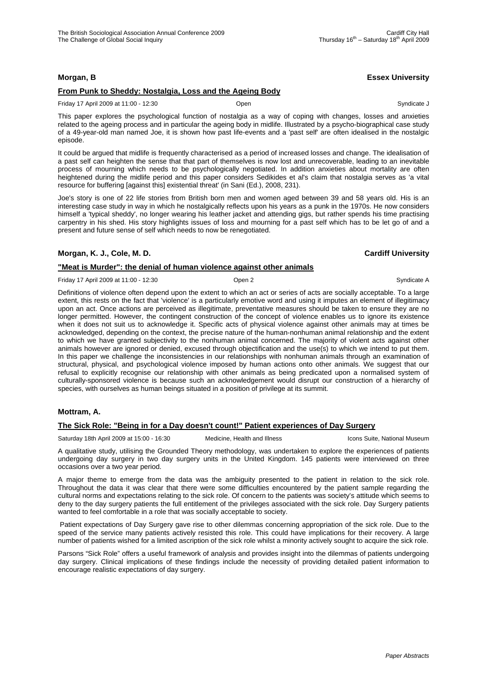## **Morgan, B Essex University**

# **From Punk to Sheddy: Nostalgia, Loss and the Ageing Body**

#### Friday 17 April 2009 at 11:00 - 12:30 Open Syndicate J

This paper explores the psychological function of nostalgia as a way of coping with changes, losses and anxieties related to the ageing process and in particular the ageing body in midlife. Illustrated by a psycho-biographical case study of a 49-year-old man named Joe, it is shown how past life-events and a 'past self' are often idealised in the nostalgic episode.

It could be argued that midlife is frequently characterised as a period of increased losses and change. The idealisation of a past self can heighten the sense that that part of themselves is now lost and unrecoverable, leading to an inevitable process of mourning which needs to be psychologically negotiated. In addition anxieties about mortality are often heightened during the midlife period and this paper considers Sedikides et al's claim that nostalgia serves as 'a vital resource for buffering [against this] existential threat' (in Sani (Ed.), 2008, 231).

Joe's story is one of 22 life stories from British born men and women aged between 39 and 58 years old. His is an interesting case study in way in which he nostalgically reflects upon his years as a punk in the 1970s. He now considers himself a 'typical sheddy', no longer wearing his leather jacket and attending gigs, but rather spends his time practising carpentry in his shed. His story highlights issues of loss and mourning for a past self which has to be let go of and a present and future sense of self which needs to now be renegotiated.

## **Morgan, K. J., Cole, M. D. Cardiff University**

# **"Meat is Murder": the denial of human violence against other animals**

Friday 17 April 2009 at 11:00 - 12:30 **Open 2** Open 2 **Open 2** Syndicate A

Definitions of violence often depend upon the extent to which an act or series of acts are socially acceptable. To a large extent, this rests on the fact that 'violence' is a particularly emotive word and using it imputes an element of illegitimacy upon an act. Once actions are perceived as illegitimate, preventative measures should be taken to ensure they are no longer permitted. However, the contingent construction of the concept of violence enables us to ignore its existence when it does not suit us to acknowledge it. Specific acts of physical violence against other animals may at times be acknowledged, depending on the context, the precise nature of the human-nonhuman animal relationship and the extent to which we have granted subjectivity to the nonhuman animal concerned. The majority of violent acts against other animals however are ignored or denied, excused through objectification and the use(s) to which we intend to put them. In this paper we challenge the inconsistencies in our relationships with nonhuman animals through an examination of structural, physical, and psychological violence imposed by human actions onto other animals. We suggest that our refusal to explicitly recognise our relationship with other animals as being predicated upon a normalised system of culturally-sponsored violence is because such an acknowledgement would disrupt our construction of a hierarchy of species, with ourselves as human beings situated in a position of privilege at its summit.

# **Mottram, A.**

# **The Sick Role: "Being in for a Day doesn't count!" Patient experiences of Day Surgery**

Saturday 18th April 2009 at 15:00 - 16:30 Medicine, Health and Illness Icons Suite, National Museum

A qualitative study, utilising the Grounded Theory methodology, was undertaken to explore the experiences of patients undergoing day surgery in two day surgery units in the United Kingdom. 145 patients were interviewed on three occasions over a two year period.

A major theme to emerge from the data was the ambiguity presented to the patient in relation to the sick role. Throughout the data it was clear that there were some difficulties encountered by the patient sample regarding the cultural norms and expectations relating to the sick role. Of concern to the patients was society's attitude which seems to deny to the day surgery patients the full entitlement of the privileges associated with the sick role. Day Surgery patients wanted to feel comfortable in a role that was socially acceptable to society.

 Patient expectations of Day Surgery gave rise to other dilemmas concerning appropriation of the sick role. Due to the speed of the service many patients actively resisted this role. This could have implications for their recovery. A large number of patients wished for a limited ascription of the sick role whilst a minority actively sought to acquire the sick role.

Parsons "Sick Role" offers a useful framework of analysis and provides insight into the dilemmas of patients undergoing day surgery. Clinical implications of these findings include the necessity of providing detailed patient information to encourage realistic expectations of day surgery.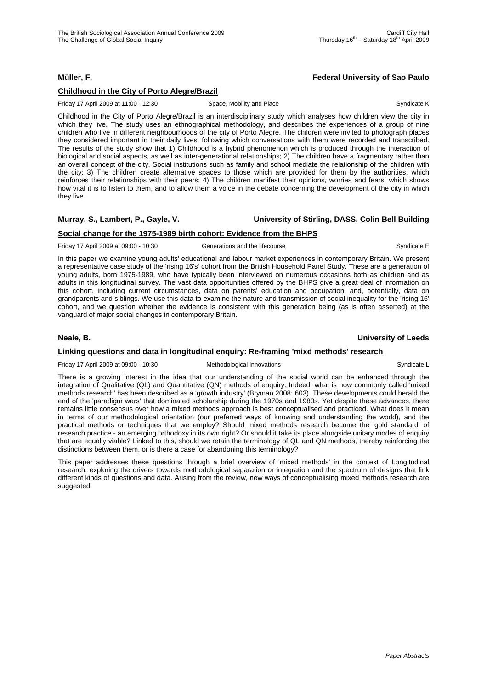## **Müller, F. Federal University of Sao Paulo**

## **Childhood in the City of Porto Alegre/Brazil**

Friday 17 April 2009 at 11:00 - 12:30 Space, Mobility and Place Syndicate K Syndicate K

Childhood in the City of Porto Alegre/Brazil is an interdisciplinary study which analyses how children view the city in which they live. The study uses an ethnographical methodology, and describes the experiences of a group of nine children who live in different neighbourhoods of the city of Porto Alegre. The children were invited to photograph places they considered important in their daily lives, following which conversations with them were recorded and transcribed. The results of the study show that 1) Childhood is a hybrid phenomenon which is produced through the interaction of biological and social aspects, as well as inter-generational relationships; 2) The children have a fragmentary rather than an overall concept of the city. Social institutions such as family and school mediate the relationship of the children with the city; 3) The children create alternative spaces to those which are provided for them by the authorities, which reinforces their relationships with their peers; 4) The children manifest their opinions, worries and fears, which shows how vital it is to listen to them, and to allow them a voice in the debate concerning the development of the city in which they live.

# **Murray, S., Lambert, P., Gayle, V. University of Stirling, DASS, Colin Bell Building**

# **Social change for the 1975-1989 birth cohort: Evidence from the BHPS**

Friday 17 April 2009 at 09:00 - 10:30 Generations and the lifecourse Syndicate E

In this paper we examine young adults' educational and labour market experiences in contemporary Britain. We present a representative case study of the 'rising 16's' cohort from the British Household Panel Study. These are a generation of

young adults, born 1975-1989, who have typically been interviewed on numerous occasions both as children and as adults in this longitudinal survey. The vast data opportunities offered by the BHPS give a great deal of information on this cohort, including current circumstances, data on parents' education and occupation, and, potentially, data on grandparents and siblings. We use this data to examine the nature and transmission of social inequality for the 'rising 16' cohort, and we question whether the evidence is consistent with this generation being (as is often asserted) at the vanguard of major social changes in contemporary Britain.

## **Neale, B. University of Leeds**

# **Linking questions and data in longitudinal enquiry: Re-framing 'mixd methods' research**

Friday 17 April 2009 at 09:00 - 10:30 Methodological Innovations Syndicate L

There is a growing interest in the idea that our understanding of the social world can be enhanced through the integration of Qualitative (QL) and Quantitative (QN) methods of enquiry. Indeed, what is now commonly called 'mixed methods research' has been described as a 'growth industry' (Bryman 2008: 603). These developments could herald the end of the 'paradigm wars' that dominated scholarship during the 1970s and 1980s. Yet despite these advances, there remains little consensus over how a mixed methods approach is best conceptualised and practiced. What does it mean in terms of our methodological orientation (our preferred ways of knowing and understanding the world), and the practical methods or techniques that we employ? Should mixed methods research become the 'gold standard' of research practice - an emerging orthodoxy in its own right? Or should it take its place alongside unitary modes of enquiry that are equally viable? Linked to this, should we retain the terminology of QL and QN methods, thereby reinforcing the distinctions between them, or is there a case for abandoning this terminology?

This paper addresses these questions through a brief overview of 'mixed methods' in the context of Longitudinal research, exploring the drivers towards methodological separation or integration and the spectrum of designs that link different kinds of questions and data. Arising from the review, new ways of conceptualising mixed methods research are suggested.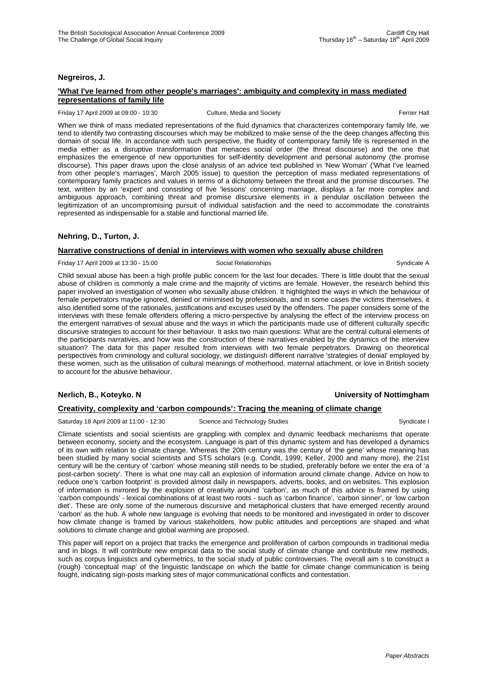## **Negreiros, J.**

## **'What I've learned from other people's marriages': ambiguity and complexity in mass mediated representations of family life**

#### Friday 17 April 2009 at 09:00 - 10:30 Culture, Media and Society Ferrier Hall

When we think of mass mediated representations of the fluid dynamics that characterizes contemporary family life, we tend to identify two contrasting discourses which may be mobilized to make sense of the the deep changes affecting this domain of social life. In accordance with such perspective, the fluidity of contemporary family life is represented in the media either as a disruptive transformation that menaces social order (the threat discourse) and the one that emphasizes the emergence of new opportunities for self-identity development and personal autonomy (the promise discourse). This paper draws upon the close analysis of an advice text published in 'New Woman' ('What I've learned from other people's marriages', March 2005 issue) to question the perception of mass mediated representations of contemporary family practices and values in terms of a dichotomy between the threat and the promise discourses. The text, written by an 'expert' and consisting of five 'lessons' concerning marriage, displays a far more complex and ambiguous approach, combining threat and promise discursive elements in a pendular oscillation between the legitimization of an uncompromising pursuit of individual satisfaction and the need to accommodate the constraints represented as indispensable for a stable and functional married life.

## **Nehring, D., Turton, J.**

## **Narrative constructions of denial in interviews with women who sexually abuse children**

#### Friday 17 April 2009 at 13:30 - 15:00 Social Relationships Syndicate A

Child sexual abuse has been a high profile public concern for the last four decades. There is little doubt that the sexual abuse of children is commonly a male crime and the majority of victims are female. However, the research behind this paper involved an investigation of women who sexually abuse children. It highlighted the ways in which the behaviour of female perpetrators maybe ignored, denied or minimised by professionals, and in some cases the victims themselves, it also identified some of the rationales, justifications and excuses used by the offenders. The paper considers some of the interviews with these female offenders offering a micro-perspective by analysing the effect of the interview process on the emergent narratives of sexual abuse and the ways in which the participants made use of different culturally specific discursive strategies to account for their behaviour. It asks two main questions: What are the central cultural elements of the participants narratives, and how was the construction of these narratives enabled by the dynamics of the interview situation? The data for this paper resulted from interviews with two female perpetrators. Drawing on theoretical perspectives from criminology and cultural sociology, we distinguish different narrative 'strategies of denial' employed by these women, such as the utilisation of cultural meanings of motherhood, maternal attachment, or love in British society to account for the abusive behaviour.

## **Nerlich, B., Koteyko. N University of Nottimgham**

## **Creativity, complexity and 'carbon compounds': Tracing the meaning of climate change**

Saturday 18 April 2009 at 11:00 - 12:30 Science and Technology Studies Syndicate I Syndicate I

Climate scientists and social scientists are grappling with complex and dynamic feedback mechanisms that operate between economy, society and the ecosystem. Language is part of this dynamic system and has developed a dynamics of its own with relation to climate change. Whereas the 20th century was the century of 'the gene' whose meaning has been studied by many social scientists and STS scholars (e.g. Condit, 1999; Keller, 2000 and many more), the 21st century will be the century of 'carbon' whose meaning still needs to be studied, preferably before we enter the era of 'a post-carbon society'. There is what one may call an explosion of information around climate change. Advice on how to reduce one's 'carbon footprint' is provided almost daily in newspapers, adverts, books, and on websites. This explosion of information is mirrored by the explosion of creativity around 'carbon', as much of this advice is framed by using 'carbon compounds' - lexical combinations of at least two roots - such as 'carbon finance', 'carbon sinner', or 'low carbon diet'. These are only some of the numerous discursive and metaphorical clusters that have emerged recently around 'carbon' as the hub. A whole new language is evolving that needs to be monitored and investigated in order to discover how climate change is framed by various stakeholders, how public attitudes and perceptions are shaped and what solutions to climate change and global warming are proposed.

This paper will report on a project that tracks the emergence and proliferation of carbon compounds in traditional media and in blogs. It will contribute new empirical data to the social study of climate change and contribute new methods, such as corpus linguistics and cybermetrics, to the social study of public controversies. The overall aim s to construct a (rough) 'conceptual map' of the linguistic landscape on which the battle for climate change communication is being fought, indicating sign-posts marking sites of major communicational conflicts and contestation.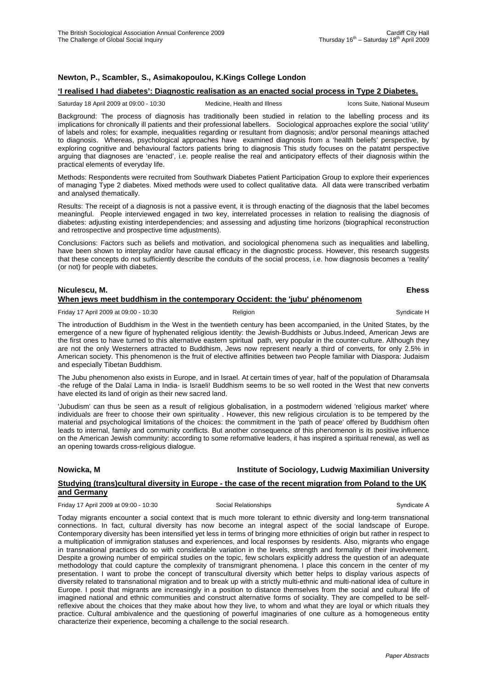# **Newton, P., Scambler, S., Asimakopoulou, K.Kings College London**

## **'I realised I had diabetes': Diagnostic realisation as an enacted social process in Type 2 Diabetes.**

Saturday 18 April 2009 at 09:00 - 10:30 Medicine, Health and Illness Icons Suite, National Museum

Background: The process of diagnosis has traditionally been studied in relation to the labelling process and its implications for chronically ill patients and their professional labellers. Sociological approaches explore the social 'utility' of labels and roles; for example, inequalities regarding or resultant from diagnosis; and/or personal meanings attached to diagnosis. Whereas, psychological approaches have examined diagnosis from a 'health beliefs' perspective, by exploring cognitive and behavioural factors patients bring to diagnosis This study focuses on the patatnt perspective arguing that diagnoses are 'enacted', i.e. people realise the real and anticipatory effects of their diagnosis within the practical elements of everyday life.

Methods: Respondents were recruited from Southwark Diabetes Patient Participation Group to explore their experiences of managing Type 2 diabetes. Mixed methods were used to collect qualitative data. All data were transcribed verbatim and analysed thematically.

Results: The receipt of a diagnosis is not a passive event, it is through enacting of the diagnosis that the label becomes meaningful. People interviewed engaged in two key, interrelated processes in relation to realising the diagnosis of diabetes: adjusting existing interdependencies; and assessing and adjusting time horizons (biographical reconstruction and retrospective and prospective time adjustments).

Conclusions: Factors such as beliefs and motivation, and sociological phenomena such as inequalities and labelling, have been shown to interplay and/or have causal efficacy in the diagnostic process. However, this research suggests that these concepts do not sufficiently describe the conduits of the social process, i.e. how diagnosis becomes a 'reality' (or not) for people with diabetes.

# **Niculescu, M. Ehess**

|  |  |  | When jews meet buddhism in the contemporary Occident: the 'jubu' phénomenom |  |
|--|--|--|-----------------------------------------------------------------------------|--|
|  |  |  |                                                                             |  |

Friday 17 April 2009 at 09:00 - 10:30 **Religion** Religion **Syndicate H** Syndicate H

The introduction of Buddhism in the West in the twentieth century has been accompanied, in the United States, by the emergence of a new figure of hyphenated religious identity: the Jewish-Buddhists or Jubus.Indeed, American Jews are the first ones to have turned to this alternative eastern spiritual path, very popular in the counter-culture. Although they are not the only Westerners attracted to Buddhism, Jews now represent nearly a third of converts, for only 2.5% in American society. This phenomenon is the fruit of elective affinities between two People familiar with Diaspora: Judaism and especially Tibetan Buddhism.

The Jubu phenomenon also exists in Europe, and in Israel. At certain times of year, half of the population of Dharamsala -the refuge of the Dalaï Lama in India- is Israeli! Buddhism seems to be so well rooted in the West that new converts have elected its land of origin as their new sacred land.

'Jubudism' can thus be seen as a result of religious globalisation, in a postmodern widened 'religious market' where individuals are freer to choose their own spirituality . However, this new religious circulation is to be tempered by the material and psychological limitations of the choices: the commitment in the 'path of peace' offered by Buddhism often leads to internal, family and community conflicts. But another consequence of this phenomenon is its positive influence on the American Jewish community: according to some reformative leaders, it has inspired a spiritual renewal, as well as an opening towards cross-religious dialogue.

# **Nowicka, M Institute of Sociology, Ludwig Maximilian University Nowicka**, M **Studying (trans)cultural diversity in Europe - the case of the recent migration from Poland to the UK and Germany**

Friday 17 April 2009 at 09:00 - 10:30 Social Relationships Syndicate A

Today migrants encounter a social context that is much more tolerant to ethnic diversity and long-term transnational connections. In fact, cultural diversity has now become an integral aspect of the social landscape of Europe. Contemporary diversity has been intensified yet less in terms of bringing more ethnicities of origin but rather in respect to a multiplication of immigration statuses and experiences, and local responses by residents. Also, migrants who engage in transnational practices do so with considerable variation in the levels, strength and formality of their involvement. Despite a growing number of empirical studies on the topic, few scholars explicitly address the question of an adequate methodology that could capture the complexity of transmigrant phenomena. I place this concern in the center of my presentation. I want to probe the concept of transcultural diversity which better helps to display various aspects of diversity related to transnational migration and to break up with a strictly multi-ethnic and multi-national idea of culture in Europe. I posit that migrants are increasingly in a position to distance themselves from the social and cultural life of imagined national and ethnic communities and construct alternative forms of sociality. They are compelled to be selfreflexive about the choices that they make about how they live, to whom and what they are loyal or which rituals they practice. Cultural ambivalence and the questioning of powerful imaginaries of one culture as a homogeneous entity characterize their experience, becoming a challenge to the social research.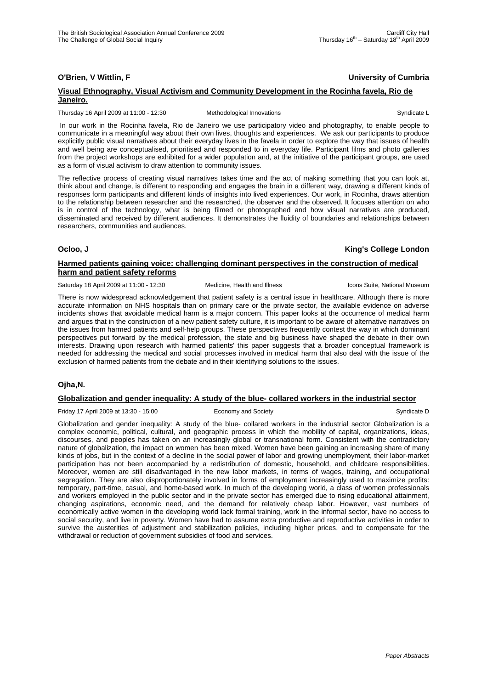## **O'Brien, V Wittlin, F University of Cumbria**

## **Visual Ethnography, Visual Activism and Community Development in the Rocinha favela, Rio de Janeiro.**

Thursday 16 April 2009 at 11:00 - 12:30 Methodological Innovations Syndicate L

 In our work in the Rocinha favela, Rio de Janeiro we use participatory video and photography, to enable people to communicate in a meaningful way about their own lives, thoughts and experiences. We ask our participants to produce explicitly public visual narratives about their everyday lives in the favela in order to explore the way that issues of health and well being are conceptualised, prioritised and responded to in everyday life. Participant films and photo galleries from the project workshops are exhibited for a wider population and, at the initiative of the participant groups, are used as a form of visual activism to draw attention to community issues.

The reflective process of creating visual narratives takes time and the act of making something that you can look at, think about and change, is different to responding and engages the brain in a different way, drawing a different kinds of responses form participants and different kinds of insights into lived experiences. Our work, in Rocinha, draws attention to the relationship between researcher and the researched, the observer and the observed. It focuses attention on who is in control of the technology, what is being filmed or photographed and how visual narratives are produced, disseminated and received by different audiences. It demonstrates the fluidity of boundaries and relationships between researchers, communities and audiences.

**Ocloo, J King's College London**

## **Harmed patients gaining voice: challenging dominant perspectives in the construction of medical harm and patient safety reforms**

Saturday 18 April 2009 at 11:00 - 12:30 Medicine, Health and Illness Icons Suite, National Museum

There is now widespread acknowledgement that patient safety is a central issue in healthcare. Although there is more accurate information on NHS hospitals than on primary care or the private sector, the available evidence on adverse incidents shows that avoidable medical harm is a major concern. This paper looks at the occurrence of medical harm and argues that in the construction of a new patient safety culture, it is important to be aware of alternative narratives on the issues from harmed patients and self-help groups. These perspectives frequently contest the way in which dominant perspectives put forward by the medical profession, the state and big business have shaped the debate in their own interests. Drawing upon research with harmed patients' this paper suggests that a broader conceptual framework is needed for addressing the medical and social processes involved in medical harm that also deal with the issue of the exclusion of harmed patients from the debate and in their identifying solutions to the issues.

# **Ojha,N.**

## **Globalization and gender inequality: A study of the blue- collared workers in the industrial sector**

Friday 17 April 2009 at 13:30 - 15:00 **Economy and Society** Syndicate D Syndicate D

Globalization and gender inequality: A study of the blue- collared workers in the industrial sector Globalization is a complex economic, political, cultural, and geographic process in which the mobility of capital, organizations, ideas, discourses, and peoples has taken on an increasingly global or transnational form. Consistent with the contradictory nature of globalization, the impact on women has been mixed. Women have been gaining an increasing share of many kinds of jobs, but in the context of a decline in the social power of labor and growing unemployment, their labor-market participation has not been accompanied by a redistribution of domestic, household, and childcare responsibilities. Moreover, women are still disadvantaged in the new labor markets, in terms of wages, training, and occupational segregation. They are also disproportionately involved in forms of employment increasingly used to maximize profits: temporary, part-time, casual, and home-based work. In much of the developing world, a class of women professionals and workers employed in the public sector and in the private sector has emerged due to rising educational attainment, changing aspirations, economic need, and the demand for relatively cheap labor. However, vast numbers of economically active women in the developing world lack formal training, work in the informal sector, have no access to social security, and live in poverty. Women have had to assume extra productive and reproductive activities in order to survive the austerities of adjustment and stabilization policies, including higher prices, and to compensate for the withdrawal or reduction of government subsidies of food and services.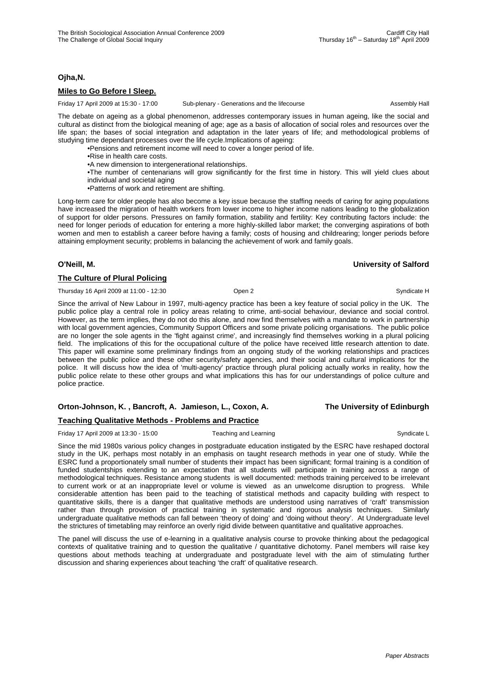## **Ojha,N.**

# **Miles to Go Before I Sleep.**

Friday 17 April 2009 at 15:30 - 17:00 Sub-plenary - Generations and the lifecourse Assembly Hall

The debate on ageing as a global phenomenon, addresses contemporary issues in human ageing, like the social and cultural as distinct from the biological meaning of age; age as a basis of allocation of social roles and resources over the life span; the bases of social integration and adaptation in the later years of life; and methodological problems of studying time dependant processes over the life cycle.Implications of ageing:

•Pensions and retirement income will need to cover a longer period of life.

•Rise in health care costs.

•A new dimension to intergenerational relationships.

•The number of centenarians will grow significantly for the first time in history. This will yield clues about individual and societal aging

•Patterns of work and retirement are shifting.

Long-term care for older people has also become a key issue because the staffing needs of caring for aging populations have increased the migration of health workers from lower income to higher income nations leading to the globalization of support for older persons. Pressures on family formation, stability and fertility: Key contributing factors include: the need for longer periods of education for entering a more highly-skilled labor market; the converging aspirations of both women and men to establish a career before having a family; costs of housing and childrearing; longer periods before attaining employment security; problems in balancing the achievement of work and family goals.

## **The Culture of Plural Policing**

Thursday 16 April 2009 at 11:00 - 12:30 Open 2 Company of Democratic Higgs of April 2009 at 11:00 - 12:30

Since the arrival of New Labour in 1997, multi-agency practice has been a key feature of social policy in the UK. The public police play a central role in policy areas relating to crime, anti-social behaviour, deviance and social control. However, as the term implies, they do not do this alone, and now find themselves with a mandate to work in partnership with local government agencies, Community Support Officers and some private policing organisations. The public police are no longer the sole agents in the 'fight against crime', and increasingly find themselves working in a plural policing field. The implications of this for the occupational culture of the police have received little research attention to date. This paper will examine some preliminary findings from an ongoing study of the working relationships and practices between the public police and these other security/safety agencies, and their social and cultural implications for the police. It will discuss how the idea of 'multi-agency' practice through plural policing actually works in reality, how the public police relate to these other groups and what implications this has for our understandings of police culture and police practice.

## **Orton-Johnson, K. , Bancroft, A. Jamieson, L., Coxon, A. The University of Edinburgh**

## **Teaching Qualitative Methods - Problems and Practice**

Friday 17 April 2009 at 13:30 - 15:00 Teaching and Learning Theory of Syndicate L

Since the mid 1980s various policy changes in postgraduate education instigated by the ESRC have reshaped doctoral study in the UK, perhaps most notably in an emphasis on taught research methods in year one of study. While the ESRC fund a proportionately small number of students their impact has been significant; formal training is a condition of funded studentships extending to an expectation that all students will participate in training across a range of methodological techniques. Resistance among students is well documented: methods training perceived to be irrelevant to current work or at an inappropriate level or volume is viewed as an unwelcome disruption to progress. While considerable attention has been paid to the teaching of statistical methods and capacity building with respect to quantitative skills, there is a danger that qualitative methods are understood using narratives of 'craft' transmission rather than through provision of practical training in systematic and rigorous analysis techniques. Similarly undergraduate qualitative methods can fall between 'theory of doing' and 'doing without theory'. At Undergraduate level the strictures of timetabling may reinforce an overly rigid divide between quantitative and qualitative approaches.

The panel will discuss the use of e-learning in a qualitative analysis course to provoke thinking about the pedagogical contexts of qualitative training and to question the qualitative / quantitative dichotomy. Panel members will raise key questions about methods teaching at undergraduate and postgraduate level with the aim of stimulating further discussion and sharing experiences about teaching 'the craft' of qualitative research.

#### **O'Neill, M. University of Salford**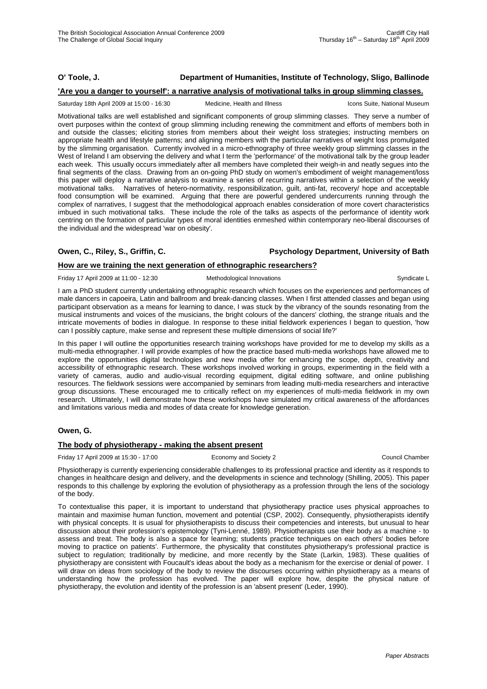# **O' Toole, J. Department of Humanities, Institute of Technology, Sligo, Ballinode**

#### **'Are you a danger to yourself': a narrative analysis of motivational talks in group slimming classes.**

Saturday 18th April 2009 at 15:00 - 16:30 Medicine, Health and Illness Icons Suite, National Museum

Motivational talks are well established and significant components of group slimming classes. They serve a number of overt purposes within the context of group slimming including renewing the commitment and efforts of members both in and outside the classes; eliciting stories from members about their weight loss strategies; instructing members on appropriate health and lifestyle patterns; and aligning members with the particular narratives of weight loss promulgated by the slimming organisation. Currently involved in a micro-ethnography of three weekly group slimming classes in the West of Ireland I am observing the delivery and what I term the 'performance' of the motivational talk by the group leader each week. This usually occurs immediately after all members have completed their weigh-in and neatly segues into the final segments of the class. Drawing from an on-going PhD study on women's embodiment of weight management/loss this paper will deploy a narrative analysis to examine a series of recurring narratives within a selection of the weekly motivational talks. Narratives of hetero-normativity, responsibilization, guilt, anti-fat, recovery/ hope and acceptable food consumption will be examined. Arguing that there are powerful gendered undercurrents running through the complex of narratives, I suggest that the methodological approach enables consideration of more covert characteristics imbued in such motivational talks. These include the role of the talks as aspects of the performance of identity work centring on the formation of particular types of moral identities enmeshed within contemporary neo-liberal discourses of the individual and the widespread 'war on obesity'.

#### **Owen, C., Riley, S., Griffin, C. Psychology Department, University of Bath**

#### **How are we training the next generation of ethnographic researchers?**

Friday 17 April 2009 at 11:00 - 12:30 Methodological Innovations Syndicate L

I am a PhD student currently undertaking ethnographic research which focuses on the experiences and performances of male dancers in capoeira, Latin and ballroom and break-dancing classes. When I first attended classes and began using participant observation as a means for learning to dance, I was stuck by the vibrancy of the sounds resonating from the musical instruments and voices of the musicians, the bright colours of the dancers' clothing, the strange rituals and the intricate movements of bodies in dialogue. In response to these initial fieldwork experiences I began to question, 'how can I possibly capture, make sense and represent these multiple dimensions of social life?'

In this paper I will outline the opportunities research training workshops have provided for me to develop my skills as a multi-media ethnographer. I will provide examples of how the practice based multi-media workshops have allowed me to explore the opportunities digital technologies and new media offer for enhancing the scope, depth, creativity and accessibility of ethnographic research. These workshops involved working in groups, experimenting in the field with a variety of cameras, audio and audio-visual recording equipment, digital editing software, and online publishing resources. The fieldwork sessions were accompanied by seminars from leading multi-media researchers and interactive group discussions. These encouraged me to critically reflect on my experiences of multi-media fieldwork in my own research. Ultimately, I will demonstrate how these workshops have simulated my critical awareness of the affordances and limitations various media and modes of data create for knowledge generation.

## **Owen, G.**

## **The body of physiotherapy - making the absent present**

Friday 17 April 2009 at 15:30 - 17:00 Economy and Society 2 Council Chamber

Physiotherapy is currently experiencing considerable challenges to its professional practice and identity as it responds to changes in healthcare design and delivery, and the developments in science and technology (Shilling, 2005). This paper responds to this challenge by exploring the evolution of physiotherapy as a profession through the lens of the sociology of the body.

To contextualise this paper, it is important to understand that physiotherapy practice uses physical approaches to maintain and maximise human function, movement and potential (CSP, 2002). Consequently, physiotherapists identify with physical concepts. It is usual for physiotherapists to discuss their competencies and interests, but unusual to hear discussion about their profession's epistemology (Tyni-Lenné, 1989). Physiotherapists use their body as a machine - to assess and treat. The body is also a space for learning; students practice techniques on each others' bodies before moving to practice on patients'. Furthermore, the physicality that constitutes physiotherapy's professional practice is subject to regulation; traditionally by medicine, and more recently by the State (Larkin, 1983). These qualities of physiotherapy are consistent with Foucault's ideas about the body as a mechanism for the exercise or denial of power. I will draw on ideas from sociology of the body to review the discourses occurring within physiotherapy as a means of understanding how the profession has evolved. The paper will explore how, despite the physical nature of physiotherapy, the evolution and identity of the profession is an 'absent present' (Leder, 1990).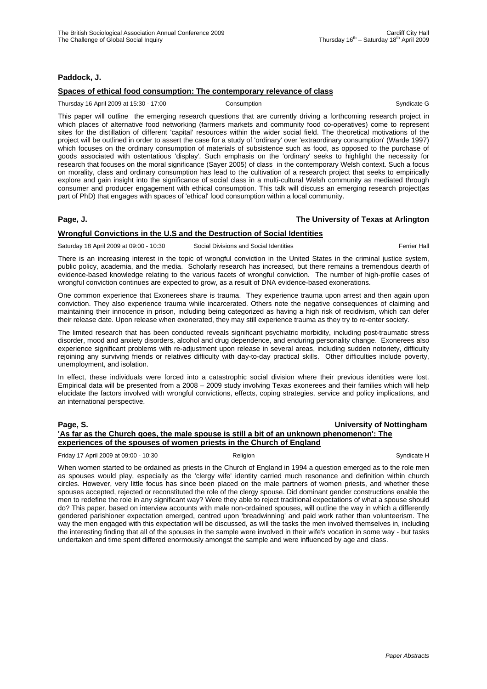## **Paddock, J.**

## **Spaces of ethical food consumption: The contemporary relevance of class**

Thursday 16 April 2009 at 15:30 - 17:00 Consumption Consumption Syndicate G

This paper will outline the emerging research questions that are currently driving a forthcoming research project in which places of alternative food networking (farmers markets and community food co-operatives) come to represent sites for the distillation of different 'capital' resources within the wider social field. The theoretical motivations of the project will be outlined in order to assert the case for a study of 'ordinary' over 'extraordinary consumption' (Warde 1997) which focuses on the ordinary consumption of materials of subsistence such as food, as opposed to the purchase of goods associated with ostentatious 'display'. Such emphasis on the 'ordinary' seeks to highlight the necessity for research that focuses on the moral significance (Sayer 2005) of class in the contemporary Welsh context. Such a focus on morality, class and ordinary consumption has lead to the cultivation of a research project that seeks to empirically explore and gain insight into the significance of social class in a multi-cultural Welsh community as mediated through consumer and producer engagement with ethical consumption. This talk will discuss an emerging research project(as part of PhD) that engages with spaces of 'ethical' food consumption within a local community.

## **Page, J. The University of Texas at Arlington**

## **Wrongful Convictions in the U.S and the Destruction of Social Identities**

Saturday 18 April 2009 at 09:00 - 10:30 Social Divisions and Social Identities Ferrier Hall

There is an increasing interest in the topic of wrongful conviction in the United States in the criminal justice system, public policy, academia, and the media. Scholarly research has increased, but there remains a tremendous dearth of evidence-based knowledge relating to the various facets of wrongful conviction. The number of high-profile cases of wrongful conviction continues are expected to grow, as a result of DNA evidence-based exonerations.

One common experience that Exonerees share is trauma. They experience trauma upon arrest and then again upon conviction. They also experience trauma while incarcerated. Others note the negative consequences of claiming and maintaining their innocence in prison, including being categorized as having a high risk of recidivism, which can defer their release date. Upon release when exonerated, they may still experience trauma as they try to re-enter society.

The limited research that has been conducted reveals significant psychiatric morbidity, including post-traumatic stress disorder, mood and anxiety disorders, alcohol and drug dependence, and enduring personality change. Exonerees also experience significant problems with re-adjustment upon release in several areas, including sudden notoriety, difficulty rejoining any surviving friends or relatives difficulty with day-to-day practical skills. Other difficulties include poverty, unemployment, and isolation.

In effect, these individuals were forced into a catastrophic social division where their previous identities were lost. Empirical data will be presented from a 2008 – 2009 study involving Texas exonerees and their families which will help elucidate the factors involved with wrongful convictions, effects, coping strategies, service and policy implications, and an international perspective.

## **Page, S. University of Nottingham 'As far as the Church goes, the male spouse is still a bit of an unknown phenomenon': The experiences of the spouses of women priests in the Church of England**

Friday 17 April 2009 at 09:00 - 10:30 Religion Religion Religion Syndicate H

When women started to be ordained as priests in the Church of England in 1994 a question emerged as to the role men as spouses would play, especially as the 'clergy wife' identity carried much resonance and definition within church circles. However, very little focus has since been placed on the male partners of women priests, and whether these spouses accepted, rejected or reconstituted the role of the clergy spouse. Did dominant gender constructions enable the men to redefine the role in any significant way? Were they able to reject traditional expectations of what a spouse should do? This paper, based on interview accounts with male non-ordained spouses, will outline the way in which a differently gendered parishioner expectation emerged, centred upon 'breadwinning' and paid work rather than volunteerism. The way the men engaged with this expectation will be discussed, as will the tasks the men involved themselves in, including the interesting finding that all of the spouses in the sample were involved in their wife's vocation in some way - but tasks undertaken and time spent differed enormously amongst the sample and were influenced by age and class.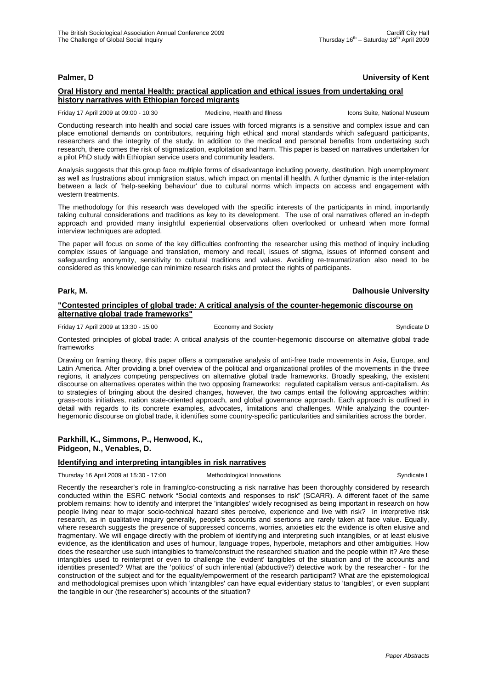## **Palmer, D University of Kent**

## **Oral History and mental Health: practical application and ethical issues from undertaking oral history narratives with Ethiopian forced migrants**

Friday 17 April 2009 at 09:00 - 10:30 Medicine, Health and Illness Icons Suite, National Museum

Conducting research into health and social care issues with forced migrants is a sensitive and complex issue and can place emotional demands on contributors, requiring high ethical and moral standards which safeguard participants, researchers and the integrity of the study. In addition to the medical and personal benefits from undertaking such research, there comes the risk of stigmatization, exploitation and harm. This paper is based on narratives undertaken for a pilot PhD study with Ethiopian service users and community leaders.

Analysis suggests that this group face multiple forms of disadvantage including poverty, destitution, high unemployment as well as frustrations about immigration status, which impact on mental ill health. A further dynamic is the inter-relation between a lack of 'help-seeking behaviour' due to cultural norms which impacts on access and engagement with western treatments.

The methodology for this research was developed with the specific interests of the participants in mind, importantly taking cultural considerations and traditions as key to its development. The use of oral narratives offered an in-depth approach and provided many insightful experiential observations often overlooked or unheard when more formal interview techniques are adopted.

The paper will focus on some of the key difficulties confronting the researcher using this method of inquiry including complex issues of language and translation, memory and recall, issues of stigma, issues of informed consent and safeguarding anonymity, sensitivity to cultural traditions and values. Avoiding re-traumatization also need to be considered as this knowledge can minimize research risks and protect the rights of participants.

## **Park, M. Dalhousie University**

#### **"Contested principles of global trade: A critical analysis of the counter-hegemonic discourse on alternative global trade frameworks"**

Friday 17 April 2009 at 13:30 - 15:00 Economy and Society Syndicate D

Contested principles of global trade: A critical analysis of the counter-hegemonic discourse on alternative global trade frameworks

Drawing on framing theory, this paper offers a comparative analysis of anti-free trade movements in Asia, Europe, and Latin America. After providing a brief overview of the political and organizational profiles of the movements in the three regions, it analyzes competing perspectives on alternative global trade frameworks. Broadly speaking, the existent discourse on alternatives operates within the two opposing frameworks: regulated capitalism versus anti-capitalism. As to strategies of bringing about the desired changes, however, the two camps entail the following approaches within: grass-roots initiatives, nation state-oriented approach, and global governance approach. Each approach is outlined in detail with regards to its concrete examples, advocates, limitations and challenges. While analyzing the counterhegemonic discourse on global trade, it identifies some country-specific particularities and similarities across the border.

## **Parkhill, K., Simmons, P., Henwood, K., Pidgeon, N., Venables, D.**

## **Identifying and interpreting intangibles in risk narratives**

Thursday 16 April 2009 at 15:30 - 17:00 Methodological Innovations Syndicate L

Recently the researcher's role in framing/co-constructing a risk narrative has been thoroughly considered by research conducted within the ESRC network "Social contexts and responses to risk" (SCARR). A different facet of the same problem remains: how to identify and interpret the 'intangibles' widely recognised as being important in research on how people living near to major socio-technical hazard sites perceive, experience and live with risk? In interpretive risk research, as in qualitative inquiry generally, people's accounts and ssertions are rarely taken at face value. Equally, where research suggests the presence of suppressed concerns, worries, anxieties etc the evidence is often elusive and fragmentary. We will engage directly with the problem of identifying and interpreting such intangibles, or at least elusive evidence, as the identification and uses of humour, language tropes, hyperbole, metaphors and other ambiguities. How does the researcher use such intangibles to frame/construct the researched situation and the people within it? Are these intangibles used to reinterpret or even to challenge the 'evident' tangibles of the situation and of the accounts and identities presented? What are the 'politics' of such inferential (abductive?) detective work by the researcher - for the construction of the subject and for the equality/empowerment of the research participant? What are the epistemological and methodological premises upon which 'intangibles' can have equal evidentiary status to 'tangibles', or even supplant the tangible in our (the researcher's) accounts of the situation?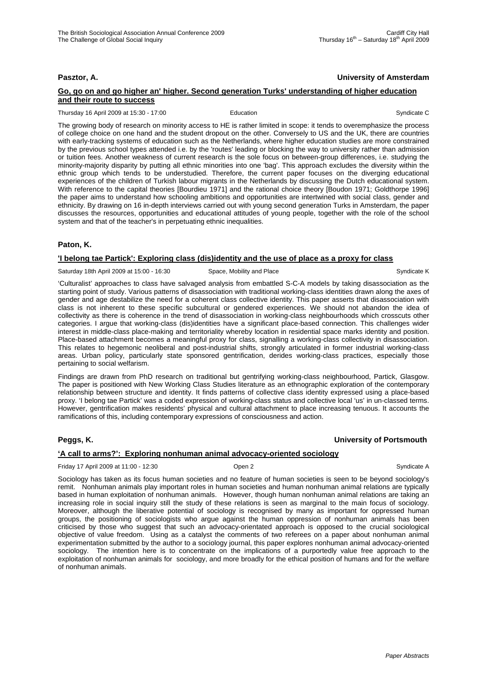## **Pasztor, A. University of Amsterdam**

## **Go, go on and go higher an' higher. Second generation Turks' understanding of higher education and their route to success**

Thursday 16 April 2009 at 15:30 - 17:00 Education Education Syndicate C

The growing body of research on minority access to HE is rather limited in scope: it tends to overemphasize the process of college choice on one hand and the student dropout on the other. Conversely to US and the UK, there are countries with early-tracking systems of education such as the Netherlands, where higher education studies are more constrained by the previous school types attended i.e. by the 'routes' leading or blocking the way to university rather than admission or tuition fees. Another weakness of current research is the sole focus on between-group differences, i.e. studying the minority-majority disparity by putting all ethnic minorities into one 'bag'. This approach excludes the diversity within the ethnic group which tends to be understudied. Therefore, the current paper focuses on the diverging educational experiences of the children of Turkish labour migrants in the Netherlands by discussing the Dutch educational system. With reference to the capital theories [Bourdieu 1971] and the rational choice theory [Boudon 1971; Goldthorpe 1996] the paper aims to understand how schooling ambitions and opportunities are intertwined with social class, gender and ethnicity. By drawing on 16 in-depth interviews carried out with young second generation Turks in Amsterdam, the paper discusses the resources, opportunities and educational attitudes of young people, together with the role of the school system and that of the teacher's in perpetuating ethnic inequalities.

## **Paton, K.**

## **'I belong tae Partick': Exploring class (dis)identity and the use of place as a proxy for class**

Saturday 18th April 2009 at 15:00 - 16:30 Space, Mobility and Place Syndicate K Syndicate K

'Culturalist' approaches to class have salvaged analysis from embattled S-C-A models by taking disassociation as the starting point of study. Various patterns of disassociation with traditional working-class identities drawn along the axes of gender and age destabilize the need for a coherent class collective identity. This paper asserts that disassociation with class is not inherent to these specific subcultural or gendered experiences. We should not abandon the idea of collectivity as there is coherence in the trend of disassociation in working-class neighbourhoods which crosscuts other categories. I argue that working-class (dis)identities have a significant place-based connection. This challenges wider interest in middle-class place-making and territoriality whereby location in residential space marks identity and position. Place-based attachment becomes a meaningful proxy for class, signalling a working-class collectivity in disassociation. This relates to hegemonic neoliberal and post-industrial shifts, strongly articulated in former industrial working-class areas. Urban policy, particularly state sponsored gentrification, derides working-class practices, especially those

Findings are drawn from PhD research on traditional but gentrifying working-class neighbourhood, Partick, Glasgow. The paper is positioned with New Working Class Studies literature as an ethnographic exploration of the contemporary relationship between structure and identity. It finds patterns of collective class identity expressed using a place-based proxy. 'I belong tae Partick' was a coded expression of working-class status and collective local 'us' in un-classed terms. However, gentrification makes residents' physical and cultural attachment to place increasing tenuous. It accounts the ramifications of this, including contemporary expressions of consciousness and action.

## **Peggs, K. University of Portsmouth**

## **'A call to arms?': Exploring nonhuman animal advocacy-oriented sociology**

Friday 17 April 2009 at 11:00 - 12:30 Open 2 Syndicate A

pertaining to social welfarism.

Sociology has taken as its focus human societies and no feature of human societies is seen to be beyond sociology's remit. Nonhuman animals play important roles in human societies and human nonhuman animal relations are typically based in human exploitation of nonhuman animals. However, though human nonhuman animal relations are taking an increasing role in social inquiry still the study of these relations is seen as marginal to the main focus of sociology. Moreover, although the liberative potential of sociology is recognised by many as important for oppressed human groups, the positioning of sociologists who argue against the human oppression of nonhuman animals has been criticised by those who suggest that such an advocacy-orientated approach is opposed to the crucial sociological objective of value freedom. Using as a catalyst the comments of two referees on a paper about nonhuman animal experimentation submitted by the author to a sociology journal, this paper explores nonhuman animal advocacy-oriented sociology. The intention here is to concentrate on the implications of a purportedly value free approach to the exploitation of nonhuman animals for sociology, and more broadly for the ethical position of humans and for the welfare of nonhuman animals.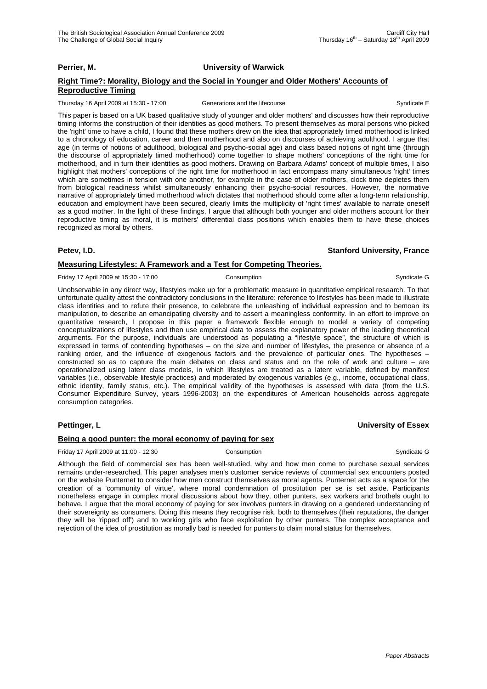## **Perrier, M. University of Warwick**

## **Right Time?: Morality, Biology and the Social in Younger and Older Mothers' Accounts of Reproductive Timing**

Thursday 16 April 2009 at 15:30 - 17:00 Generations and the lifecourse Syndicate E

This paper is based on a UK based qualitative study of younger and older mothers' and discusses how their reproductive timing informs the construction of their identities as good mothers. To present themselves as moral persons who picked the 'right' time to have a child, I found that these mothers drew on the idea that appropriately timed motherhood is linked to a chronology of education, career and then motherhood and also on discourses of achieving adulthood. I argue that age (in terms of notions of adulthood, biological and psycho-social age) and class based notions of right time (through the discourse of appropriately timed motherhood) come together to shape mothers' conceptions of the right time for motherhood, and in turn their identities as good mothers. Drawing on Barbara Adams' concept of multiple times, I also highlight that mothers' conceptions of the right time for motherhood in fact encompass many simultaneous 'right' times which are sometimes in tension with one another, for example in the case of older mothers, clock time depletes them from biological readiness whilst simultaneously enhancing their psycho-social resources. However, the normative narrative of appropriately timed motherhood which dictates that motherhood should come after a long-term relationship, education and employment have been secured, clearly limits the multiplicity of 'right times' available to narrate oneself as a good mother. In the light of these findings, I argue that although both younger and older mothers account for their reproductive timing as moral, it is mothers' differential class positions which enables them to have these choices recognized as moral by others.

## **Petev, I.D. Stanford University, France**

## **Measuring Lifestyles: A Framework and a Test for Competing Theories.**

Friday 17 April 2009 at 15:30 - 17:00 Consumption Consumption Consumption Syndicate G

Unobservable in any direct way, lifestyles make up for a problematic measure in quantitative empirical research. To that unfortunate quality attest the contradictory conclusions in the literature: reference to lifestyles has been made to illustrate class identities and to refute their presence, to celebrate the unleashing of individual expression and to bemoan its manipulation, to describe an emancipating diversity and to assert a meaningless conformity. In an effort to improve on quantitative research, I propose in this paper a framework flexible enough to model a variety of competing conceptualizations of lifestyles and then use empirical data to assess the explanatory power of the leading theoretical arguments. For the purpose, individuals are understood as populating a "lifestyle space", the structure of which is expressed in terms of contending hypotheses – on the size and number of lifestyles, the presence or absence of a ranking order, and the influence of exogenous factors and the prevalence of particular ones. The hypotheses – constructed so as to capture the main debates on class and status and on the role of work and culture – are operationalized using latent class models, in which lifestyles are treated as a latent variable, defined by manifest variables (i.e., observable lifestyle practices) and moderated by exogenous variables (e.g., income, occupational class, ethnic identity, family status, etc.). The empirical validity of the hypotheses is assessed with data (from the U.S. Consumer Expenditure Survey, years 1996-2003) on the expenditures of American households across aggregate consumption categories.

## **Pettinger, L University of Essex**

## **Being a good punter: the moral economy of paying for sex**

Friday 17 April 2009 at 11:00 - 12:30 Consumption Consumption Consumption Syndicate G

Although the field of commercial sex has been well-studied, why and how men come to purchase sexual services remains under-researched. This paper analyses men's customer service reviews of commercial sex encounters posted on the website Punternet to consider how men construct themselves as moral agents. Punternet acts as a space for the creation of a 'community of virtue', where moral condemnation of prostitution per se is set aside. Participants nonetheless engage in complex moral discussions about how they, other punters, sex workers and brothels ought to behave. I argue that the moral economy of paying for sex involves punters in drawing on a gendered understanding of their sovereignty as consumers. Doing this means they recognise risk, both to themselves (their reputations, the danger they will be 'ripped off') and to working girls who face exploitation by other punters. The complex acceptance and rejection of the idea of prostitution as morally bad is needed for punters to claim moral status for themselves.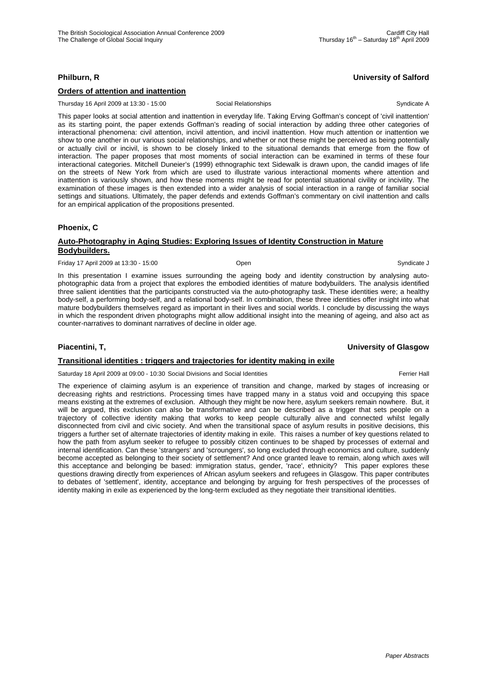# **Philburn, R University of Salford**

# **Orders of attention and inattention**

Thursday 16 April 2009 at 13:30 - 15:00 Social Relationships Syndicate A

This paper looks at social attention and inattention in everyday life. Taking Erving Goffman's concept of 'civil inattention' as its starting point, the paper extends Goffman's reading of social interaction by adding three other categories of interactional phenomena: civil attention, incivil attention, and incivil inattention. How much attention or inattention we show to one another in our various social relationships, and whether or not these might be perceived as being potentially or actually civil or incivil, is shown to be closely linked to the situational demands that emerge from the flow of interaction. The paper proposes that most moments of social interaction can be examined in terms of these four interactional categories. Mitchell Duneier's (1999) ethnographic text Sidewalk is drawn upon, the candid images of life on the streets of New York from which are used to illustrate various interactional moments where attention and inattention is variously shown, and how these moments might be read for potential situational civility or incivility. The examination of these images is then extended into a wider analysis of social interaction in a range of familiar social settings and situations. Ultimately, the paper defends and extends Goffman's commentary on civil inattention and calls for an empirical application of the propositions presented.

# **Phoenix, C**

## **Auto-Photography in Aging Studies: Exploring Issues of Identity Construction in Mature Bodybuilders.**

Friday 17 April 2009 at 13:30 - 15:00 Open Syndicate J

In this presentation I examine issues surrounding the ageing body and identity construction by analysing autophotographic data from a project that explores the embodied identities of mature bodybuilders. The analysis identified three salient identities that the participants constructed via the auto-photography task. These identities were; a healthy body-self, a performing body-self, and a relational body-self. In combination, these three identities offer insight into what mature bodybuilders themselves regard as important in their lives and social worlds. I conclude by discussing the ways in which the respondent driven photographs might allow additional insight into the meaning of ageing, and also act as counter-narratives to dominant narratives of decline in older age.

# **Piacentini, T, University of Glasgow**

# **Transitional identities : triggers and trajectories for identity making in exile**

Saturday 18 April 2009 at 09:00 - 10:30 Social Divisions and Social Identities Ferrier Hall

The experience of claiming asylum is an experience of transition and change, marked by stages of increasing or decreasing rights and restrictions. Processing times have trapped many in a status void and occupying this space means existing at the extremes of exclusion. Although they might be now here, asylum seekers remain nowhere. But, it will be argued, this exclusion can also be transformative and can be described as a trigger that sets people on a trajectory of collective identity making that works to keep people culturally alive and connected whilst legally disconnected from civil and civic society. And when the transitional space of asylum results in positive decisions, this triggers a further set of alternate trajectories of identity making in exile. This raises a number of key questions related to how the path from asylum seeker to refugee to possibly citizen continues to be shaped by processes of external and internal identification. Can these 'strangers' and 'scroungers', so long excluded through economics and culture, suddenly become accepted as belonging to their society of settlement? And once granted leave to remain, along which axes will this acceptance and belonging be based: immigration status, gender, 'race', ethnicity? This paper explores these questions drawing directly from experiences of African asylum seekers and refugees in Glasgow. This paper contributes to debates of 'settlement', identity, acceptance and belonging by arguing for fresh perspectives of the processes of identity making in exile as experienced by the long-term excluded as they negotiate their transitional identities.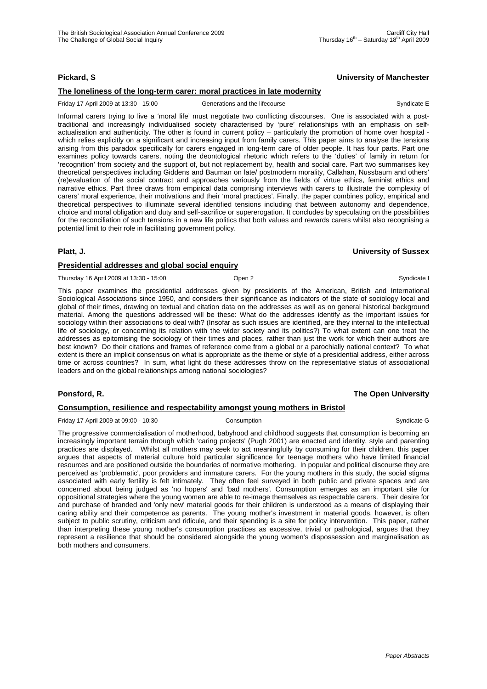## **The loneliness of the long-term carer: moral practices in late modernity**

Friday 17 April 2009 at 13:30 - 15:00 Generations and the lifecourse Syndicate E

Informal carers trying to live a 'moral life' must negotiate two conflicting discourses. One is associated with a posttraditional and increasingly individualised society characterised by 'pure' relationships with an emphasis on selfactualisation and authenticity. The other is found in current policy – particularly the promotion of home over hospital which relies explicitly on a significant and increasing input from family carers. This paper aims to analyse the tensions arising from this paradox specifically for carers engaged in long-term care of older people. It has four parts. Part one examines policy towards carers, noting the deontological rhetoric which refers to the 'duties' of family in return for 'recognition' from society and the support of, but not replacement by, health and social care. Part two summarises key theoretical perspectives including Giddens and Bauman on late/ postmodern morality, Callahan, Nussbaum and others' (re)evaluation of the social contract and approaches variously from the fields of virtue ethics, feminist ethics and narrative ethics. Part three draws from empirical data comprising interviews with carers to illustrate the complexity of carers' moral experience, their motivations and their 'moral practices'. Finally, the paper combines policy, empirical and theoretical perspectives to illuminate several identified tensions including that between autonomy and dependence, choice and moral obligation and duty and self-sacrifice or supererogation. It concludes by speculating on the possibilities for the reconciliation of such tensions in a new life politics that both values and rewards carers whilst also recognising a potential limit to their role in facilitating government policy.

## **Platt, J. University of Sussex**

## **Presidential addresses and global social enquiry**

Thursday 16 April 2009 at 13:30 - 15:00 Cpen 2 Cpen 2 Cpen 2 Syndicate I

This paper examines the presidential addresses given by presidents of the American, British and International Sociological Associations since 1950, and considers their significance as indicators of the state of sociology local and global of their times, drawing on textual and citation data on the addresses as well as on general historical background material. Among the questions addressed will be these: What do the addresses identify as the important issues for sociology within their associations to deal with? (Insofar as such issues are identified, are they internal to the intellectual life of sociology, or concerning its relation with the wider society and its politics?) To what extent can one treat the addresses as epitomising the sociology of their times and places, rather than just the work for which their authors are best known? Do their citations and frames of reference come from a global or a parochially national context? To what extent is there an implicit consensus on what is appropriate as the theme or style of a presidential address, either across time or across countries? In sum, what light do these addresses throw on the representative status of associational leaders and on the global relationships among national sociologies?

# **Ponsford, R. The Open University**

## **Consumption, resilience and respectability amongst young mothers in Bristol**

Friday 17 April 2009 at 09:00 - 10:30 Consumption Consumption Consumption Syndicate G

The progressive commercialisation of motherhood, babyhood and childhood suggests that consumption is becoming an increasingly important terrain through which 'caring projects' (Pugh 2001) are enacted and identity, style and parenting practices are displayed. Whilst all mothers may seek to act meaningfully by consuming for their children, this paper argues that aspects of material culture hold particular significance for teenage mothers who have limited financial resources and are positioned outside the boundaries of normative mothering. In popular and political discourse they are perceived as 'problematic', poor providers and immature carers. For the young mothers in this study, the social stigma associated with early fertility is felt intimately. They often feel surveyed in both public and private spaces and are concerned about being judged as 'no hopers' and 'bad mothers'. Consumption emerges as an important site for oppositional strategies where the young women are able to re-image themselves as respectable carers. Their desire for and purchase of branded and 'only new' material goods for their children is understood as a means of displaying their caring ability and their competence as parents. The young mother's investment in material goods, however, is often subject to public scrutiny, criticism and ridicule, and their spending is a site for policy intervention. This paper, rather than interpreting these young mother's consumption practices as excessive, trivial or pathological, argues that they represent a resilience that should be considered alongside the young women's dispossession and marginalisation as both mothers and consumers.

Thursday  $16^{th}$  – Saturday  $18^{th}$  April 2009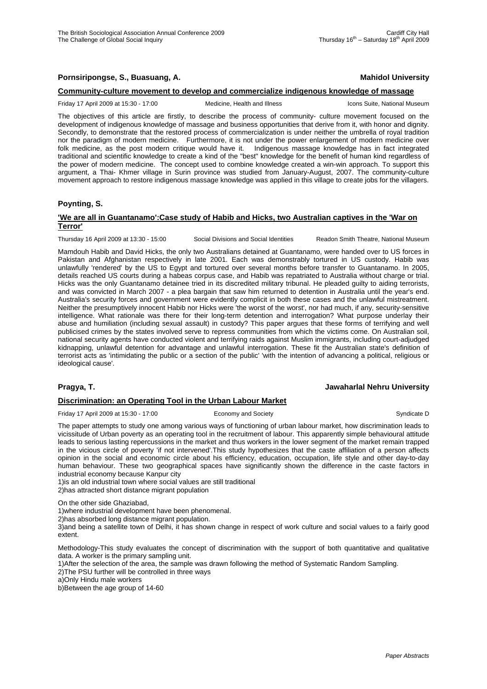## **Pornsiripongse, S., Buasuang, A. Mahidol University Mahidol University**

#### **Community-culture movement to develop and commercialize indigenous knowledge of massage**

Friday 17 April 2009 at 15:30 - 17:00 Medicine, Health and Illness Icons Suite, National Museum

The objectives of this article are firstly, to describe the process of community- culture movement focused on the development of indigenous knowledge of massage and business opportunities that derive from it, with honor and dignity. Secondly, to demonstrate that the restored process of commercialization is under neither the umbrella of royal tradition nor the paradigm of modern medicine. Furthermore, it is not under the power enlargement of modern medicine over folk medicine, as the post modern critique would have it. Indigenous massage knowledge has in fact integrated traditional and scientific knowledge to create a kind of the "best" knowledge for the benefit of human kind regardless of the power of modern medicine. The concept used to combine knowledge created a win-win approach. To support this argument, a Thai- Khmer village in Surin province was studied from January-August, 2007. The community-culture movement approach to restore indigenous massage knowledge was applied in this village to create jobs for the villagers.

## **Poynting, S.**

## **'We are all in Guantanamo':Case study of Habib and Hicks, two Australian captives in the 'War on Terror'**

Thursday 16 April 2009 at 13:30 - 15:00 Social Divisions and Social Identities Readon Smith Theatre, National Museum

Mamdouh Habib and David Hicks, the only two Australians detained at Guantanamo, were handed over to US forces in Pakistan and Afghanistan respectively in late 2001. Each was demonstrably tortured in US custody. Habib was unlawfully 'rendered' by the US to Egypt and tortured over several months before transfer to Guantanamo. In 2005, details reached US courts during a habeas corpus case, and Habib was repatriated to Australia without charge or trial. Hicks was the only Guantanamo detainee tried in its discredited military tribunal. He pleaded guilty to aiding terrorists, and was convicted in March 2007 - a plea bargain that saw him returned to detention in Australia until the year's end. Australia's security forces and government were evidently complicit in both these cases and the unlawful mistreatment. Neither the presumptively innocent Habib nor Hicks were 'the worst of the worst', nor had much, if any, security-sensitive intelligence. What rationale was there for their long-term detention and interrogation? What purpose underlay their abuse and humiliation (including sexual assault) in custody? This paper argues that these forms of terrifying and well publicised crimes by the states involved serve to repress communities from which the victims come. On Australian soil, national security agents have conducted violent and terrifying raids against Muslim immigrants, including court-adjudged kidnapping, unlawful detention for advantage and unlawful interrogation. These fit the Australian state's definition of terrorist acts as 'intimidating the public or a section of the public' 'with the intention of advancing a political, religious or ideological cause'.

## **Pragya, T. Jawaharlal Nehru University**

## **Discrimination: an Operating Tool in the Urban Labour Market**

Friday 17 April 2009 at 15:30 - 17:00 Economy and Society Syndicate D Syndicate D

The paper attempts to study one among various ways of functioning of urban labour market, how discrimination leads to vicissitude of Urban poverty as an operating tool in the recruitment of labour. This apparently simple behavioural attitude leads to serious lasting repercussions in the market and thus workers in the lower segment of the market remain trapped in the vicious circle of poverty 'if not intervened'.This study hypothesizes that the caste affiliation of a person affects opinion in the social and economic circle about his efficiency, education, occupation, life style and other day-to-day human behaviour. These two geographical spaces have significantly shown the difference in the caste factors in industrial economy because Kanpur city

1)is an old industrial town where social values are still traditional 2)has attracted short distance migrant population

On the other side Ghaziabad,

1)where industrial development have been phenomenal.

2)has absorbed long distance migrant population.

3)and being a satellite town of Delhi, it has shown change in respect of work culture and social values to a fairly good extent.

Methodology-This study evaluates the concept of discrimination with the support of both quantitative and qualitative data. A worker is the primary sampling unit.

1)After the selection of the area, the sample was drawn following the method of Systematic Random Sampling. 2)The PSU further will be controlled in three ways

a)Only Hindu male workers

b)Between the age group of 14-60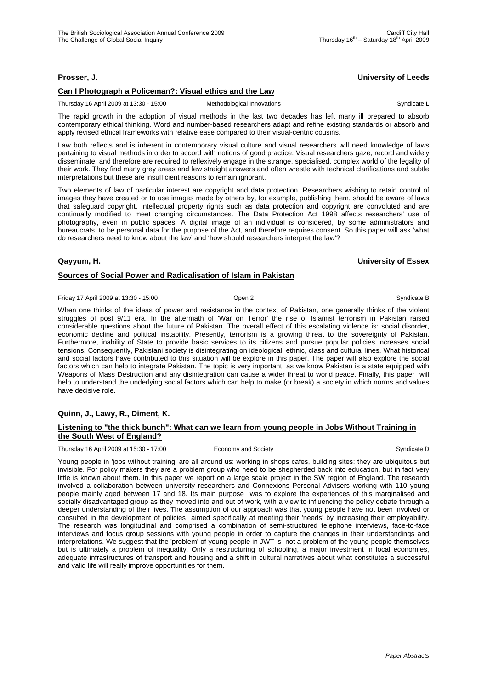# **Prosser, J. University of Leeds**

# **Can I Photograph a Policeman?: Visual ethics and the Law**

Thursday 16 April 2009 at 13:30 - 15:00 Methodological Innovations Syndicate L

The rapid growth in the adoption of visual methods in the last two decades has left many ill prepared to absorb contemporary ethical thinking. Word and number-based researchers adapt and refine existing standards or absorb and apply revised ethical frameworks with relative ease compared to their visual-centric cousins.

Law both reflects and is inherent in contemporary visual culture and visual researchers will need knowledge of laws pertaining to visual methods in order to accord with notions of good practice. Visual researchers gaze, record and widely disseminate, and therefore are required to reflexively engage in the strange, specialised, complex world of the legality of their work. They find many grey areas and few straight answers and often wrestle with technical clarifications and subtle interpretations but these are insufficient reasons to remain ignorant.

Two elements of law of particular interest are copyright and data protection .Researchers wishing to retain control of images they have created or to use images made by others by, for example, publishing them, should be aware of laws that safeguard copyright. Intellectual property rights such as data protection and copyright are convoluted and are continually modified to meet changing circumstances. The Data Protection Act 1998 affects researchers' use of photography, even in public spaces. A digital image of an individual is considered, by some administrators and bureaucrats, to be personal data for the purpose of the Act, and therefore requires consent. So this paper will ask 'what do researchers need to know about the law' and 'how should researchers interpret the law'?

## **Qayyum, H. University of Essex**

# **Sources of Social Power and Radicalisation of Islam in Pakistan**

Friday 17 April 2009 at 13:30 - 15:00 Cpen 2 Cpen 2 Cpen 2 Syndicate B

When one thinks of the ideas of power and resistance in the context of Pakistan, one generally thinks of the violent struggles of post 9/11 era. In the aftermath of 'War on Terror' the rise of Islamist terrorism in Pakistan raised considerable questions about the future of Pakistan. The overall effect of this escalating violence is: social disorder, economic decline and political instability. Presently, terrorism is a growing threat to the sovereignty of Pakistan. Furthermore, inability of State to provide basic services to its citizens and pursue popular policies increases social tensions. Consequently, Pakistani society is disintegrating on ideological, ethnic, class and cultural lines. What historical and social factors have contributed to this situation will be explore in this paper. The paper will also explore the social factors which can help to integrate Pakistan. The topic is very important, as we know Pakistan is a state equipped with Weapons of Mass Destruction and any disintegration can cause a wider threat to world peace. Finally, this paper will help to understand the underlying social factors which can help to make (or break) a society in which norms and values have decisive role.

# **Quinn, J., Lawy, R., Diment, K.**

## **Listening to "the thick bunch": What can we learn from young people in Jobs Without Training in the South West of England?**

Thursday 16 April 2009 at 15:30 - 17:00 Economy and Society Syndicate D Syndicate D

Young people in 'jobs without training' are all around us: working in shops cafes, building sites: they are ubiquitous but invisible. For policy makers they are a problem group who need to be shepherded back into education, but in fact very little is known about them. In this paper we report on a large scale project in the SW region of England. The research involved a collaboration between university researchers and Connexions Personal Advisers working with 110 young people mainly aged between 17 and 18. Its main purpose was to explore the experiences of this marginalised and socially disadvantaged group as they moved into and out of work, with a view to influencing the policy debate through a deeper understanding of their lives. The assumption of our approach was that young people have not been involved or consulted in the development of policies aimed specifically at meeting their 'needs' by increasing their employability. The research was longitudinal and comprised a combination of semi-structured telephone interviews, face-to-face interviews and focus group sessions with young people in order to capture the changes in their understandings and interpretations. We suggest that the 'problem' of young people in JWT is not a problem of the young people themselves but is ultimately a problem of inequality. Only a restructuring of schooling, a major investment in local economies, adequate infrastructures of transport and housing and a shift in cultural narratives about what constitutes a successful and valid life will really improve opportunities for them.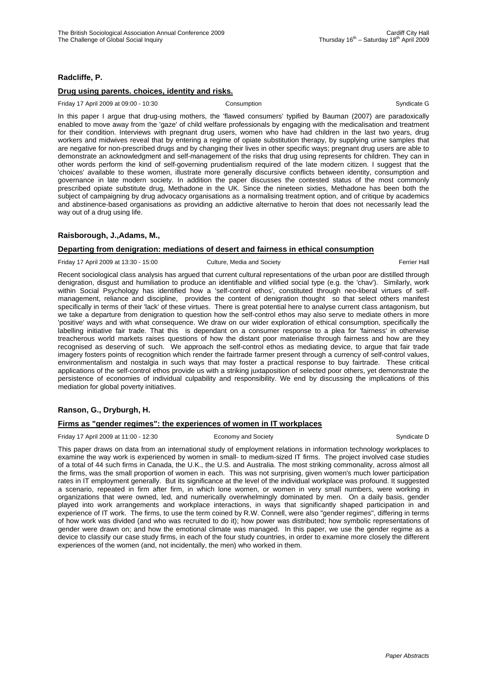# **Radcliffe, P.**

## **Drug using parents. choices, identity and risks.**

Friday 17 April 2009 at 09:00 - 10:30 Consumption Consumption Consumption Syndicate G

In this paper I argue that drug-using mothers, the 'flawed consumers' typified by Bauman (2007) are paradoxically enabled to move away from the 'gaze' of child welfare professionals by engaging with the medicalisation and treatment for their condition. Interviews with pregnant drug users, women who have had children in the last two years, drug workers and midwives reveal that by entering a regime of opiate substitution therapy, by supplying urine samples that are negative for non-prescribed drugs and by changing their lives in other specific ways; pregnant drug users are able to demonstrate an acknowledgment and self-management of the risks that drug using represents for children. They can in other words perform the kind of self-governing prudentialism required of the late modern citizen. I suggest that the 'choices' available to these women, illustrate more generally discursive conflicts between identity, consumption and governance in late modern society. In addition the paper discusses the contested status of the most commonly prescribed opiate substitute drug, Methadone in the UK. Since the nineteen sixties, Methadone has been both the subject of campaigning by drug advocacy organisations as a normalising treatment option, and of critique by academics and abstinence-based organisations as providing an addictive alternative to heroin that does not necessarily lead the way out of a drug using life.

# **Raisborough, J.,Adams, M.,**

## **Departing from denigration: mediations of desert and fairness in ethical consumption**

Friday 17 April 2009 at 13:30 - 15:00 Culture, Media and Society Ferrier Hall

Recent sociological class analysis has argued that current cultural representations of the urban poor are distilled through denigration, disgust and humiliation to produce an identifiable and vilified social type (e.g. the 'chav'). Similarly, work within Social Psychology has identified how a 'self-control ethos', constituted through neo-liberal virtues of selfmanagement, reliance and discipline, provides the content of denigration thought so that select others manifest specifically in terms of their 'lack' of these virtues. There is great potential here to analyse current class antagonism, but we take a departure from denigration to question how the self-control ethos may also serve to mediate others in more 'positive' ways and with what consequence. We draw on our wider exploration of ethical consumption, specifically the labelling initiative fair trade. That this is dependant on a consumer response to a plea for 'fairness' in otherwise treacherous world markets raises questions of how the distant poor materialise through fairness and how are they recognised as deserving of such. We approach the self-control ethos as mediating device, to argue that fair trade imagery fosters points of recognition which render the fairtrade farmer present through a currency of self-control values, environmentalism and nostalgia in such ways that may foster a practical response to buy fairtrade. These critical applications of the self-control ethos provide us with a striking juxtaposition of selected poor others, yet demonstrate the persistence of economies of individual culpability and responsibility. We end by discussing the implications of this mediation for global poverty initiatives.

# **Ranson, G., Dryburgh, H.**

## **Firms as "gender regimes": the experiences of women in IT workplaces**

Friday 17 April 2009 at 11:00 - 12:30 Economy and Society Syndicate D Syndicate D

This paper draws on data from an international study of employment relations in information technology workplaces to examine the way work is experienced by women in small- to medium-sized IT firms. The project involved case studies of a total of 44 such firms in Canada, the U.K., the U.S. and Australia. The most striking commonality, across almost all the firms, was the small proportion of women in each. This was not surprising, given women's much lower participation rates in IT employment generally. But its significance at the level of the individual workplace was profound. It suggested a scenario, repeated in firm after firm, in which lone women, or women in very small numbers, were working in organizations that were owned, led, and numerically overwhelmingly dominated by men. On a daily basis, gender played into work arrangements and workplace interactions, in ways that significantly shaped participation in and experience of IT work. The firms, to use the term coined by R.W. Connell, were also "gender regimes", differing in terms of how work was divided (and who was recruited to do it); how power was distributed; how symbolic representations of gender were drawn on; and how the emotional climate was managed. In this paper, we use the gender regime as a device to classify our case study firms, in each of the four study countries, in order to examine more closely the different experiences of the women (and, not incidentally, the men) who worked in them.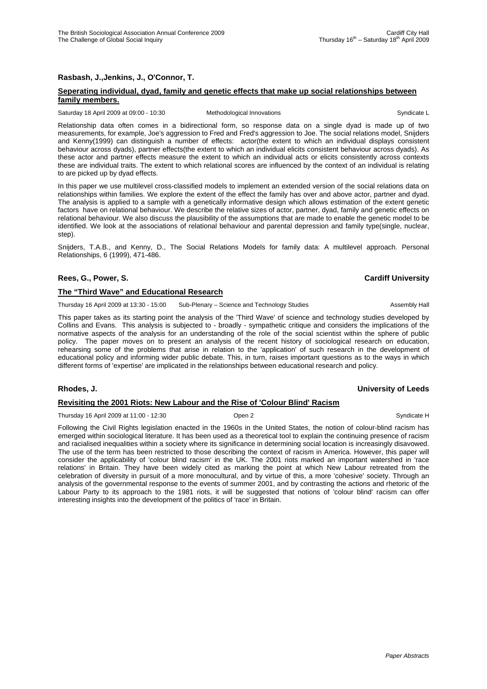## **Rasbash, J.,Jenkins, J., O'Connor, T.**

## **Seperating individual, dyad, family and genetic effects that make up social relationships between family members.**

#### Saturday 18 April 2009 at 09:00 - 10:30 Methodological Innovations Communicate L Syndicate L

Relationship data often comes in a bidirectional form, so response data on a single dyad is made up of two measurements, for example, Joe's aggression to Fred and Fred's aggression to Joe. The social relations model, Snijders and Kenny(1999) can distinguish a number of effects: actor(the extent to which an individual displays consistent behaviour across dyads), partner effects(the extent to which an individual elicits consistent behaviour across dyads). As these actor and partner effects measure the extent to which an individual acts or elicits consistently across contexts these are individual traits. The extent to which relational scores are influenced by the context of an individual is relating to are picked up by dyad effects.

In this paper we use multilevel cross-classified models to implement an extended version of the social relations data on relationships within families. We explore the extent of the effect the family has over and above actor, partner and dyad. The analysis is applied to a sample with a genetically informative design which allows estimation of the extent genetic factors have on relational behaviour. We describe the relative sizes of actor, partner, dyad, family and genetic effects on relational behaviour. We also discuss the plausibility of the assumptions that are made to enable the genetic model to be identified. We look at the associations of relational behaviour and parental depression and family type(single, nuclear, step).

Snijders, T.A.B., and Kenny, D., The Social Relations Models for family data: A multilevel approach. Personal Relationships, 6 (1999), 471-486.

## **Rees, G., Power, S. Cardiff University**

# **The "Third Wave" and Educational Research**

Thursday 16 April 2009 at 13:30 - 15:00 Sub-Plenary – Science and Technology Studies Assembly Hall

This paper takes as its starting point the analysis of the 'Third Wave' of science and technology studies developed by Collins and Evans. This analysis is subjected to - broadly - sympathetic critique and considers the implications of the normative aspects of the analysis for an understanding of the role of the social scientist within the sphere of public policy. The paper moves on to present an analysis of the recent history of sociological research on education, rehearsing some of the problems that arise in relation to the 'application' of such research in the development of educational policy and informing wider public debate. This, in turn, raises important questions as to the ways in which different forms of 'expertise' are implicated in the relationships between educational research and policy.

#### **Rhodes, J. University of Leeds**

#### **Revisiting the 2001 Riots: New Labour and the Rise of 'Colour Blind' Racism**

Thursday 16 April 2009 at 11:00 - 12:30 Coen 2 Company Company Syndicate H

Following the Civil Rights legislation enacted in the 1960s in the United States, the notion of colour-blind racism has emerged within sociological literature. It has been used as a theoretical tool to explain the continuing presence of racism and racialised inequalities within a society where its significance in determining social location is increasingly disavowed. The use of the term has been restricted to those describing the context of racism in America. However, this paper will consider the applicability of 'colour blind racism' in the UK. The 2001 riots marked an important watershed in 'race relations' in Britain. They have been widely cited as marking the point at which New Labour retreated from the celebration of diversity in pursuit of a more monocultural, and by virtue of this, a more 'cohesive' society. Through an analysis of the governmental response to the events of summer 2001, and by contrasting the actions and rhetoric of the Labour Party to its approach to the 1981 riots, it will be suggested that notions of 'colour blind' racism can offer interesting insights into the development of the politics of 'race' in Britain.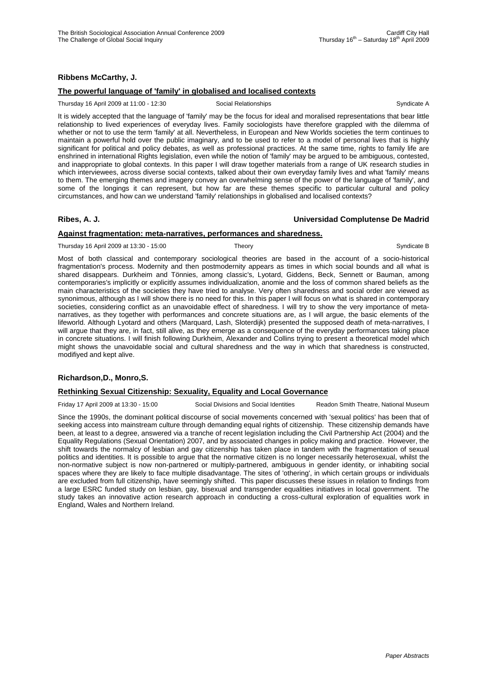## **Ribbens McCarthy, J.**

## **The powerful language of 'family' in globalised and localised contexts**

Thursday 16 April 2009 at 11:00 - 12:30 Social Relationships Syndicate A

It is widely accepted that the language of 'family' may be the focus for ideal and moralised representations that bear little relationship to lived experiences of everyday lives. Family sociologists have therefore grappled with the dilemma of whether or not to use the term 'family' at all. Nevertheless, in European and New Worlds societies the term continues to maintain a powerful hold over the public imaginary, and to be used to refer to a model of personal lives that is highly significant for political and policy debates, as well as professional practices. At the same time, rights to family life are enshrined in international Rights legislation, even while the notion of 'family' may be argued to be ambiguous, contested, and inappropriate to global contexts. In this paper I will draw together materials from a range of UK research studies in which interviewees, across diverse social contexts, talked about their own everyday family lives and what 'family' means to them. The emerging themes and imagery convey an overwhelming sense of the power of the language of 'family', and some of the longings it can represent, but how far are these themes specific to particular cultural and policy circumstances, and how can we understand 'family' relationships in globalised and localised contexts?

## **Ribes, A. J. Universidad Complutense De Madrid**

## **Against fragmentation: meta-narratives, performances and sharedness.**

Thursday 16 April 2009 at 13:30 - 15:00 Theory Theory Syndicate B Syndicate B

Most of both classical and contemporary sociological theories are based in the account of a socio-historical fragmentation's process. Modernity and then postmodernity appears as times in which social bounds and all what is shared disappears. Durkheim and Tönnies, among classic's, Lyotard, Giddens, Beck, Sennett or Bauman, among contemporaries's implicitly or explicitly assumes individualization, anomie and the loss of common shared beliefs as the main characteristics of the societies they have tried to analyse. Very often sharedness and social order are viewed as synonimous, although as I will show there is no need for this. In this paper I will focus on what is shared in contemporary societies, considering conflict as an unavoidable effect of sharedness. I will try to show the very importance of metanarratives, as they together with performances and concrete situations are, as I will argue, the basic elements of the lifeworld. Although Lyotard and others (Marquard, Lash, Sloterdijk) presented the supposed death of meta-narratives, I will argue that they are, in fact, still alive, as they emerge as a consequence of the everyday performances taking place in concrete situations. I will finish following Durkheim, Alexander and Collins trying to present a theoretical model which might shows the unavoidable social and cultural sharedness and the way in which that sharedness is constructed, modifiyed and kept alive.

# **Richardson,D., Monro,S.**

## **Rethinking Sexual Citizenship: Sexuality, Equality and Local Governance**

Friday 17 April 2009 at 13:30 - 15:00 Social Divisions and Social Identities Readon Smith Theatre, National Museum

Since the 1990s, the dominant political discourse of social movements concerned with 'sexual politics' has been that of seeking access into mainstream culture through demanding equal rights of citizenship. These citizenship demands have been, at least to a degree, answered via a tranche of recent legislation including the Civil Partnership Act (2004) and the Equality Regulations (Sexual Orientation) 2007, and by associated changes in policy making and practice. However, the shift towards the normalcy of lesbian and gay citizenship has taken place in tandem with the fragmentation of sexual politics and identities. It is possible to argue that the normative citizen is no longer necessarily heterosexual, whilst the non-normative subject is now non-partnered or multiply-partnered, ambiguous in gender identity, or inhabiting social spaces where they are likely to face multiple disadvantage. The sites of 'othering', in which certain groups or individuals are excluded from full citizenship, have seemingly shifted. This paper discusses these issues in relation to findings from a large ESRC funded study on lesbian, gay, bisexual and transgender equalities initiatives in local government. The study takes an innovative action research approach in conducting a cross-cultural exploration of equalities work in England, Wales and Northern Ireland.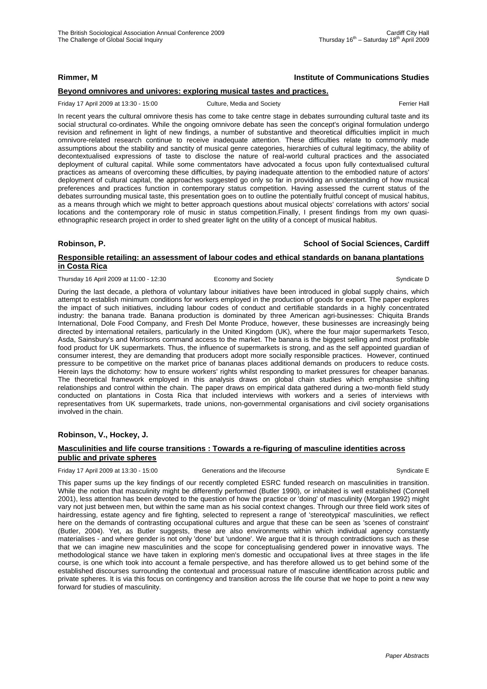# **Rimmer, M Institute of Communications Studies**

## **Beyond omnivores and univores: exploring musical tastes and practices.**

#### Friday 17 April 2009 at 13:30 - 15:00 Culture, Media and Society **Ferrier Hall** Ferrier Hall

In recent years the cultural omnivore thesis has come to take centre stage in debates surrounding cultural taste and its social structural co-ordinates. While the ongoing omnivore debate has seen the concept's original formulation undergo revision and refinement in light of new findings, a number of substantive and theoretical difficulties implicit in much omnivore-related research continue to receive inadequate attention. These difficulties relate to commonly made assumptions about the stability and sanctity of musical genre categories, hierarchies of cultural legitimacy, the ability of decontextualised expressions of taste to disclose the nature of real-world cultural practices and the associated deployment of cultural capital. While some commentators have advocated a focus upon fully contextualised cultural practices as ameans of overcoming these difficulties, by paying inadequate attention to the embodied nature of actors' deployment of cultural capital, the approaches suggested go only so far in providing an understanding of how musical preferences and practices function in contemporary status competition. Having assessed the current status of the debates surrounding musical taste, this presentation goes on to outline the potentially fruitful concept of musical habitus, as a means through which we might to better approach questions about musical objects' correlations with actors' social locations and the contemporary role of music in status competition.Finally, I present findings from my own quasiethnographic research project in order to shed greater light on the utility of a concept of musical habitus.

# **Robinson, P. School of Social Sciences, Cardiff Responsible retailing: an assessment of labour codes and ethical standards on banana plantations in Costa Rica**

Thursday 16 April 2009 at 11:00 - 12:30 Economy and Society Syndicate D Syndicate D

During the last decade, a plethora of voluntary labour initiatives have been introduced in global supply chains, which attempt to establish minimum conditions for workers employed in the production of goods for export. The paper explores the impact of such initiatives, including labour codes of conduct and certifiable standards in a highly concentrated industry: the banana trade. Banana production is dominated by three American agri-businesses: Chiquita Brands International, Dole Food Company, and Fresh Del Monte Produce, however, these businesses are increasingly being directed by international retailers, particularly in the United Kingdom (UK), where the four major supermarkets Tesco, Asda, Sainsbury's and Morrisons command access to the market. The banana is the biggest selling and most profitable food product for UK supermarkets. Thus, the influence of supermarkets is strong, and as the self appointed guardian of consumer interest, they are demanding that producers adopt more socially responsible practices. However, continued pressure to be competitive on the market price of bananas places additional demands on producers to reduce costs. Herein lays the dichotomy: how to ensure workers' rights whilst responding to market pressures for cheaper bananas. The theoretical framework employed in this analysis draws on global chain studies which emphasise shifting relationships and control within the chain. The paper draws on empirical data gathered during a two-month field study conducted on plantations in Costa Rica that included interviews with workers and a series of interviews with representatives from UK supermarkets, trade unions, non-governmental organisations and civil society organisations involved in the chain.

## **Robinson, V., Hockey, J.**

#### **Masculinities and life course transitions : Towards a re-figuring of masculine identities across public and private spheres**

Friday 17 April 2009 at 13:30 - 15:00 Generations and the lifecourse Syndicate E

This paper sums up the key findings of our recently completed ESRC funded research on masculinities in transition. While the notion that masculinity might be differently performed (Butler 1990), or inhabited is well established (Connell 2001), less attention has been devoted to the question of how the practice or 'doing' of masculinity (Morgan 1992) might vary not just between men, but within the same man as his social context changes. Through our three field work sites of hairdressing, estate agency and fire fighting, selected to represent a range of 'stereotypical' masculinities, we reflect here on the demands of contrasting occupational cultures and argue that these can be seen as 'scenes of constraint' (Butler, 2004). Yet, as Butler suggests, these are also environments within which individual agency constantly materialises - and where gender is not only 'done' but 'undone'. We argue that it is through contradictions such as these that we can imagine new masculinities and the scope for conceptualising gendered power in innovative ways. The methodological stance we have taken in exploring men's domestic and occupational lives at three stages in the life course, is one which took into account a female perspective, and has therefore allowed us to get behind some of the established discourses surrounding the contextual and processual nature of masculine identification across public and private spheres. It is via this focus on contingency and transition across the life course that we hope to point a new way forward for studies of masculinity.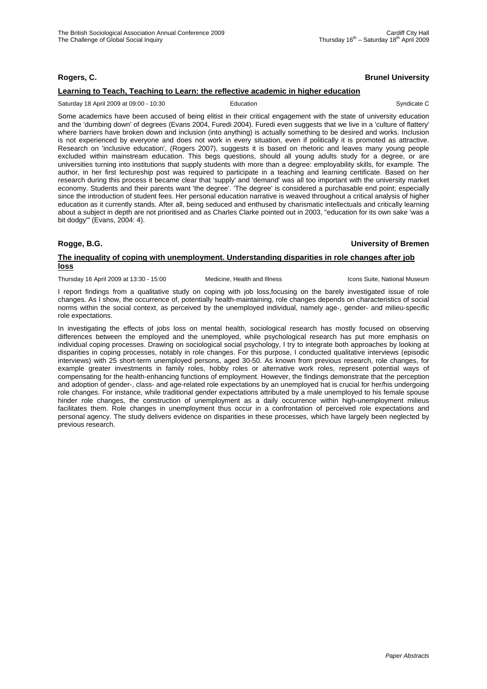## **Rogers, C. Brunel University**

## **Learning to Teach, Teaching to Learn: the reflective academic in higher education**

Saturday 18 April 2009 at 09:00 - 10:30 **Education** Education Syndicate C

Some academics have been accused of being elitist in their critical engagement with the state of university education and the 'dumbing down' of degrees (Evans 2004, Furedi 2004). Furedi even suggests that we live in a 'culture of flattery' where barriers have broken down and inclusion (into anything) is actually something to be desired and works. Inclusion is not experienced by everyone and does not work in every situation, even if politically it is promoted as attractive. Research on 'inclusive education', (Rogers 2007), suggests it is based on rhetoric and leaves many young people excluded within mainstream education. This begs questions, should all young adults study for a degree, or are universities turning into institutions that supply students with more than a degree: employability skills, for example. The author, in her first lectureship post was required to participate in a teaching and learning certificate. Based on her research during this process it became clear that 'supply' and 'demand' was all too important with the university market economy. Students and their parents want 'the degree'. 'The degree' is considered a purchasable end point; especially since the introduction of student fees. Her personal education narrative is weaved throughout a critical analysis of higher education as it currently stands. After all, being seduced and enthused by charismatic intellectuals and critically learning about a subject in depth are not prioritised and as Charles Clarke pointed out in 2003, "education for its own sake 'was a bit dodgy'" (Evans, 2004: 4).

**Rogge, B.G. University of Bremen**

## **The inequality of coping with unemployment. Understanding disparities in role changes after job loss**

Thursday 16 April 2009 at 13:30 - 15:00 Medicine, Health and Illness Icons Suite, National Museum

I report findings from a qualitative study on coping with job loss,focusing on the barely investigated issue of role changes. As I show, the occurrence of, potentially health-maintaining, role changes depends on characteristics of social norms within the social context, as perceived by the unemployed individual, namely age-, gender- and milieu-specific role expectations.

In investigating the effects of jobs loss on mental health, sociological research has mostly focused on observing differences between the employed and the unemployed, while psychological research has put more emphasis on individual coping processes. Drawing on sociological social psychology, I try to integrate both approaches by looking at disparities in coping processes, notably in role changes. For this purpose, I conducted qualitative interviews (episodic interviews) with 25 short-term unemployed persons, aged 30-50. As known from previous research, role changes, for example greater investments in family roles, hobby roles or alternative work roles, represent potential ways of compensating for the health-enhancing functions of employment. However, the findings demonstrate that the perception and adoption of gender-, class- and age-related role expectations by an unemployed hat is crucial for her/his undergoing role changes. For instance, while traditional gender expectations attributed by a male unemployed to his female spouse hinder role changes, the construction of unemployment as a daily occurrence within high-unemployment milieus facilitates them. Role changes in unemployment thus occur in a confrontation of perceived role expectations and personal agency. The study delivers evidence on disparities in these processes, which have largely been neglected by previous research.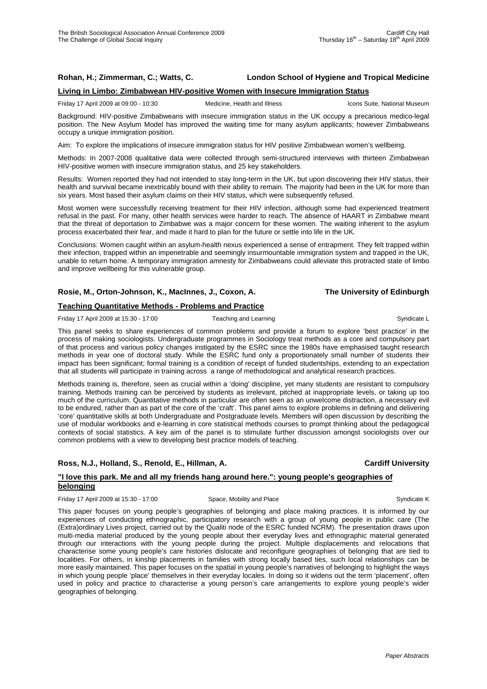## **Rohan, H.; Zimmerman, C.; Watts, C. London School of Hygiene and Tropical Medicine**

## **Living in Limbo: Zimbabwean HIV-positive Women with Insecure Immigration Status**

Friday 17 April 2009 at 09:00 - 10:30 Medicine, Health and Illness Icons Suite, National Museum

Background: HIV-positive Zimbabweans with insecure immigration status in the UK occupy a precarious medico-legal position. The New Asylum Model has improved the waiting time for many asylum applicants; however Zimbabweans occupy a unique immigration position.

Aim: To explore the implications of insecure immigration status for HIV positive Zimbabwean women's wellbeing.

Methods: In 2007-2008 qualitative data were collected through semi-structured interviews with thirteen Zimbabwean HIV-positive women with insecure immigration status, and 25 key stakeholders.

Results: Women reported they had not intended to stay long-term in the UK, but upon discovering their HIV status, their health and survival became inextricably bound with their ability to remain. The majority had been in the UK for more than six years. Most based their asylum claims on their HIV status, which were subsequently refused.

Most women were successfully receiving treatment for their HIV infection, although some had experienced treatment refusal in the past. For many, other health services were harder to reach. The absence of HAART in Zimbabwe meant that the threat of deportation to Zimbabwe was a major concern for these women. The waiting inherent to the asylum process exacerbated their fear, and made it hard to plan for the future or settle into life in the UK.

Conclusions: Women caught within an asylum-health nexus experienced a sense of entrapment. They felt trapped within their infection, trapped within an impenetrable and seemingly insurmountable immigration system and trapped in the UK, unable to return home. A temporary immigration amnesty for Zimbabweans could alleviate this protracted state of limbo and improve wellbeing for this vulnerable group.

#### **Rosie, M., Orton-Johnson, K., MacInnes, J., Coxon, A. The University of Edinburgh**

## **Teaching Quantitative Methods - Problems and Practice**

Friday 17 April 2009 at 15:30 - 17:00 Teaching and Learning Theory of Syndicate L

This panel seeks to share experiences of common problems and provide a forum to explore 'best practice' in the process of making sociologists. Undergraduate programmes in Sociology treat methods as a core and compulsory part of that process and various policy changes instigated by the ESRC since the 1980s have emphasised taught research methods in year one of doctoral study. While the ESRC fund only a proportionately small number of students their impact has been significant; formal training is a condition of receipt of funded studentships, extending to an expectation that all students will participate in training across a range of methodological and analytical research practices.

Methods training is, therefore, seen as crucial within a 'doing' discipline, yet many students are resistant to compulsory training. Methods training can be perceived by students as irrelevant, pitched at inappropriate levels, or taking up too much of the curriculum. Quantitative methods in particular are often seen as an unwelcome distraction, a necessary evil to be endured, rather than as part of the core of the 'craft'. This panel aims to explore problems in defining and delivering 'core' quantitative skills at both Undergraduate and Postgraduate levels. Members will open discussion by describing the use of modular workbooks and e-learning in core statistical methods courses to prompt thinking about the pedagogical contexts of social statistics. A key aim of the panel is to stimulate further discussion amongst sociologists over our common problems with a view to developing best practice models of teaching.

## **Ross, N.J., Holland, S., Renold, E., Hillman, A. Cardiff University**

# **"I love this park. Me and all my friends hang around here.": young people's geographies of belonging**

Friday 17 April 2009 at 15:30 - 17:00 Space, Mobility and Place Syndicate K

This paper focuses on young people's geographies of belonging and place making practices. It is informed by our experiences of conducting ethnographic, participatory research with a group of young people in public care (The (Extra)ordinary Lives project, carried out by the Qualiti node of the ESRC funded NCRM). The presentation draws upon multi-media material produced by the young people about their everyday lives and ethnographic material generated through our interactions with the young people during the project. Multiple displacements and relocations that characterise some young people's care histories dislocate and reconfigure geographies of belonging that are tied to localities. For others, in kinship placements in families with strong locally based ties, such local relationships can be more easily maintained. This paper focuses on the spatial in young people's narratives of belonging to highlight the ways in which young people 'place' themselves in their everyday locales. In doing so it widens out the term 'placement', often used in policy and practice to characterise a young person's care arrangements to explore young people's wider geographies of belonging.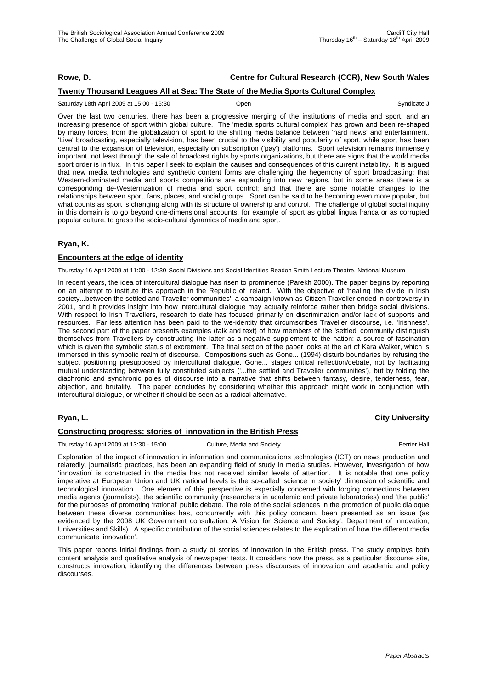# **Rowe, D. Centre for Cultural Research (CCR), New South Wales**

## **Twenty Thousand Leagues All at Sea: The State of the Media Sports Cultural Complex**

Saturday 18th April 2009 at 15:00 - 16:30 Open Syndicate J

Over the last two centuries, there has been a progressive merging of the institutions of media and sport, and an increasing presence of sport within global culture. The 'media sports cultural complex' has grown and been re-shaped by many forces, from the globalization of sport to the shifting media balance between 'hard news' and entertainment. 'Live' broadcasting, especially television, has been crucial to the visibility and popularity of sport, while sport has been central to the expansion of television, especially on subscription ('pay') platforms. Sport television remains immensely important, not least through the sale of broadcast rights by sports organizations, but there are signs that the world media sport order is in flux. In this paper I seek to explain the causes and consequences of this current instability. It is argued that new media technologies and synthetic content forms are challenging the hegemony of sport broadcasting; that Western-dominated media and sports competitions are expanding into new regions, but in some areas there is a corresponding de-Westernization of media and sport control; and that there are some notable changes to the relationships between sport, fans, places, and social groups. Sport can be said to be becoming even more popular, but what counts as sport is changing along with its structure of ownership and control. The challenge of global social inquiry in this domain is to go beyond one-dimensional accounts, for example of sport as global lingua franca or as corrupted popular culture, to grasp the socio-cultural dynamics of media and sport.

## **Ryan, K.**

#### **Encounters at the edge of identity**

Thursday 16 April 2009 at 11:00 - 12:30 Social Divisions and Social Identities Readon Smith Lecture Theatre, National Museum

In recent years, the idea of intercultural dialogue has risen to prominence (Parekh 2000). The paper begins by reporting on an attempt to institute this approach in the Republic of Ireland. With the objective of 'healing the divide in Irish society...between the settled and Traveller communities', a campaign known as Citizen Traveller ended in controversy in 2001, and it provides insight into how intercultural dialogue may actually reinforce rather then bridge social divisions. With respect to Irish Travellers, research to date has focused primarily on discrimination and/or lack of supports and resources. Far less attention has been paid to the we-identity that circumscribes Traveller discourse, i.e. 'Irishness'. The second part of the paper presents examples (talk and text) of how members of the 'settled' community distinguish themselves from Travellers by constructing the latter as a negative supplement to the nation: a source of fascination which is given the symbolic status of excrement. The final section of the paper looks at the art of Kara Walker, which is immersed in this symbolic realm of discourse. Compositions such as Gone... (1994) disturb boundaries by refusing the subject positioning presupposed by intercultural dialogue. Gone... stages critical reflection/debate, not by facilitating mutual understanding between fully constituted subjects ('...the settled and Traveller communities'), but by folding the diachronic and synchronic poles of discourse into a narrative that shifts between fantasy, desire, tenderness, fear, abjection, and brutality. The paper concludes by considering whether this approach might work in conjunction with intercultural dialogue, or whether it should be seen as a radical alternative.

# **Ryan, L. City University**

#### **Constructing progress: stories of innovation in the British Press**

Thursday 16 April 2009 at 13:30 - 15:00 Culture, Media and Society Ferrier Hall

Exploration of the impact of innovation in information and communications technologies (ICT) on news production and relatedly, journalistic practices, has been an expanding field of study in media studies. However, investigation of how 'innovation' is constructed in the media has not received similar levels of attention. It is notable that one policy imperative at European Union and UK national levels is the so-called 'science in society' dimension of scientific and technological innovation. One element of this perspective is especially concerned with forging connections between media agents (journalists), the scientific community (researchers in academic and private laboratories) and 'the public' for the purposes of promoting 'rational' public debate. The role of the social sciences in the promotion of public dialogue between these diverse communities has, concurrently with this policy concern, been presented as an issue (as evidenced by the 2008 UK Government consultation, A Vision for Science and Society', Department of Innovation, Universities and Skills). A specific contribution of the social sciences relates to the explication of how the different media communicate 'innovation'.

This paper reports initial findings from a study of stories of innovation in the British press. The study employs both content analysis and qualitative analysis of newspaper texts. It considers how the press, as a particular discourse site, constructs innovation, identifying the differences between press discourses of innovation and academic and policy discourses.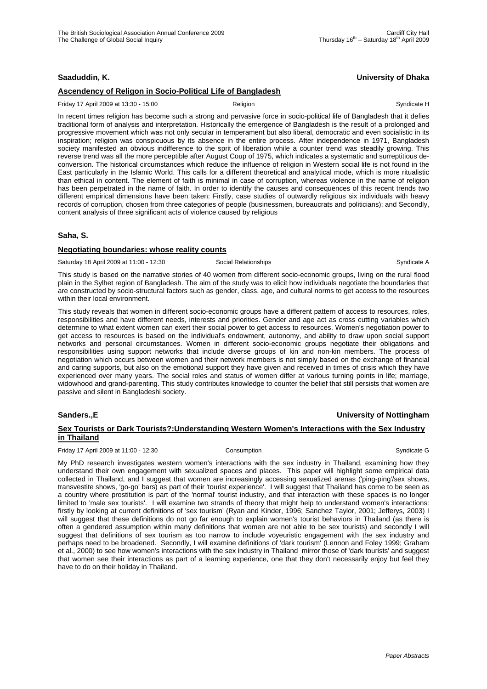## **Saaduddin, K. University of Dhaka**

# **Ascendency of Religon in Socio-Political Life of Bangladesh**

### Friday 17 April 2009 at 13:30 - 15:00 **Religion** Religion **Religion** Syndicate H

In recent times religion has become such a strong and pervasive force in socio-political life of Bangladesh that it defies traditional form of analysis and interpretation. Historically the emergence of Bangladesh is the result of a prolonged and progressive movement which was not only secular in temperament but also liberal, democratic and even socialistic in its inspiration; religion was conspicuous by its absence in the entire process. After independence in 1971, Bangladesh society manifested an obvious indifference to the sprit of liberation while a counter trend was steadily growing. This reverse trend was all the more perceptible after August Coup of 1975, which indicates a systematic and surreptitious deconversion. The historical circumstances which reduce the influence of religion in Western social life is not found in the East particularly in the Islamic World. This calls for a different theoretical and analytical mode, which is more ritualistic than ethical in content. The element of faith is minimal in case of corruption, whereas violence in the name of religion has been perpetrated in the name of faith. In order to identify the causes and consequences of this recent trends two different empirical dimensions have been taken: Firstly, case studies of outwardly religious six individuals with heavy records of corruption, chosen from three categories of people (businessmen, bureaucrats and politicians); and Secondly, content analysis of three significant acts of violence caused by religious

#### **Saha, S.**

#### **Negotiating boundaries: whose reality counts**

Saturday 18 April 2009 at 11:00 - 12:30 Social Relationships Syndicate A

This study is based on the narrative stories of 40 women from different socio-economic groups, living on the rural flood plain in the Sylhet region of Bangladesh. The aim of the study was to elicit how individuals negotiate the boundaries that are constructed by socio-structural factors such as gender, class, age, and cultural norms to get access to the resources within their local environment.

This study reveals that women in different socio-economic groups have a different pattern of access to resources, roles, responsibilities and have different needs, interests and priorities. Gender and age act as cross cutting variables which determine to what extent women can exert their social power to get access to resources. Women's negotiation power to get access to resources is based on the individual's endowment, autonomy, and ability to draw upon social support networks and personal circumstances. Women in different socio-economic groups negotiate their obligations and responsibilities using support networks that include diverse groups of kin and non-kin members. The process of negotiation which occurs between women and their network members is not simply based on the exchange of financial and caring supports, but also on the emotional support they have given and received in times of crisis which they have experienced over many years. The social roles and status of women differ at various turning points in life; marriage, widowhood and grand-parenting. This study contributes knowledge to counter the belief that still persists that women are passive and silent in Bangladeshi society.

## **Sanders.,E University of Nottingham**

# **Sex Tourists or Dark Tourists?:Understanding Western Women's Interactions with the Sex Industry in Thailand**

Friday 17 April 2009 at 11:00 - 12:30 Consumption Consumption Consumption Syndicate G

My PhD research investigates western women's interactions with the sex industry in Thailand, examining how they understand their own engagement with sexualized spaces and places. This paper will highlight some empirical data collected in Thailand, and I suggest that women are increasingly accessing sexualized arenas ('ping-ping'/sex shows, transvestite shows, 'go-go' bars) as part of their 'tourist experience'. I will suggest that Thailand has come to be seen as a country where prostitution is part of the 'normal' tourist industry, and that interaction with these spaces is no longer limited to 'male sex tourists'. I will examine two strands of theory that might help to understand women's interactions: firstly by looking at current definitions of 'sex tourism' (Ryan and Kinder, 1996; Sanchez Taylor, 2001; Jefferys, 2003) I will suggest that these definitions do not go far enough to explain women's tourist behaviors in Thailand (as there is often a gendered assumption within many definitions that women are not able to be sex tourists) and secondly I will suggest that definitions of sex tourism as too narrow to include voyeuristic engagement with the sex industry and perhaps need to be broadened. Secondly, I will examine definitions of 'dark tourism' (Lennon and Foley 1999; Graham et al., 2000) to see how women's interactions with the sex industry in Thailand mirror those of 'dark tourists' and suggest that women see their interactions as part of a learning experience, one that they don't necessarily enjoy but feel they have to do on their holiday in Thailand.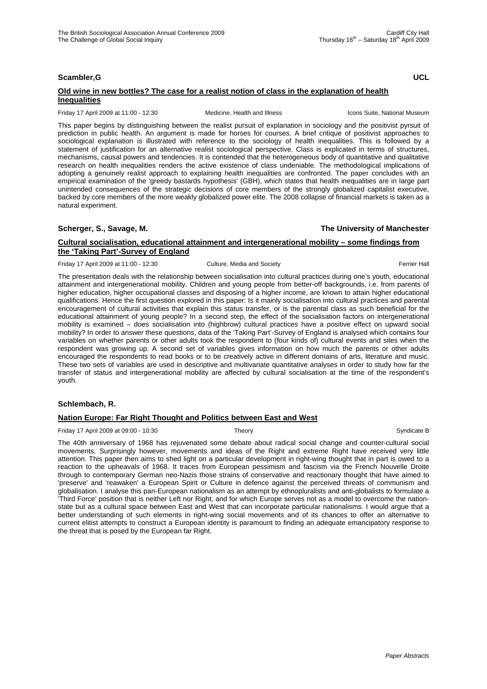# **Scambler,G UCL**

## **Old wine in new bottles? The case for a realist notion of class in the explanation of health Inequalities**

Friday 17 April 2009 at 11:00 - 12:30 Medicine, Health and Illness Icons Suite, National Museum

This paper begins by distinguishing between the realist pursuit of explanation in sociology and the positivist pyrsuit of prediction in public health. An argument is made for horses for courses. A brief critique of positivist approaches to sociological explanation is illustrated with reference to the sociology of health inequalities. This is followed by a statement of justification for an alternative realist sociological perspective. Class is explicated in terms of structures, mechanisms, causal powers and tendencies. It is contended that the heterogeneous body of quantitative and qualitative research on health inequalities renders the active existence of class undeniable. The methodological implications of adopting a genuinely realist approach to explaining health inequalities are confronted. The paper concludes with an empirical examination of the 'greedy bastards hypothesis' (GBH), which states that health inequalities are in large part unintended consequences of the strategic decisions of core members of the strongly globalized capitalist executive, backed by core members of the more weakly globalized power elite. The 2008 collapse of financial markets is taken as a natural experiment.

## **Scherger, S., Savage, M. The University of Manchester**

## **Cultural socialisation, educational attainment and intergenerational mobility – some findings from the 'Taking Part'-Survey of England**

Friday 17 April 2009 at 11:00 - 12:30 Culture, Media and Society **Ferrier Hall** Ferrier Hall

The presentation deals with the relationship between socialisation into cultural practices during one's youth, educational attainment and intergenerational mobility. Children and young people from better-off backgrounds, i.e. from parents of higher education, higher occupational classes and disposing of a higher income, are known to attain higher educational qualifications. Hence the first question explored in this paper: Is it mainly socialisation into cultural practices and parental encouragement of cultural activities that explain this status transfer, or is the parental class as such beneficial for the educational attainment of young people? In a second step, the effect of the socialisation factors on intergenerational mobility is examined – does socialisation into (highbrow) cultural practices have a positive effect on upward social mobility? In order to answer these questions, data of the 'Taking Part'-Survey of England is analysed which contains four variables on whether parents or other adults took the respondent to (four kinds of) cultural events and sites when the respondent was growing up. A second set of variables gives information on how much the parents or other adults encouraged the respondents to read books or to be creatively active in different domains of arts, literature and music. These two sets of variables are used in descriptive and multivariate quantitative analyses in order to study how far the transfer of status and intergenerational mobility are affected by cultural socialisation at the time of the respondent's youth.

## **Schlembach, R.**

## **Nation Europe: Far Right Thought and Politics between East and West**

Friday 17 April 2009 at 09:00 - 10:30 Theory Theory Syndicate B Syndicate B

The 40th anniversary of 1968 has rejuvenated some debate about radical social change and counter-cultural social movements. Surprisingly however, movements and ideas of the Right and extreme Right have received very little attention. This paper then aims to shed light on a particular development in right-wing thought that in part is owed to a reaction to the upheavals of 1968. It traces from European pessimism and fascism via the French Nouvelle Droite through to contemporary German neo-Nazis those strains of conservative and reactionary thought that have aimed to 'preserve' and 'reawaken' a European Spirit or Culture in defence against the perceived threats of communism and globalisation. I analyse this pan-European nationalism as an attempt by ethnopluralists and anti-globalists to formulate a 'Third Force' position that is neither Left nor Right, and for which Europe serves not as a model to overcome the nationstate but as a cultural space between East and West that can incorporate particular nationalisms. I would argue that a better understanding of such elements in right-wing social movements and of its chances to offer an alternative to current elitist attempts to construct a European identity is paramount to finding an adequate emancipatory response to the threat that is posed by the European far Right.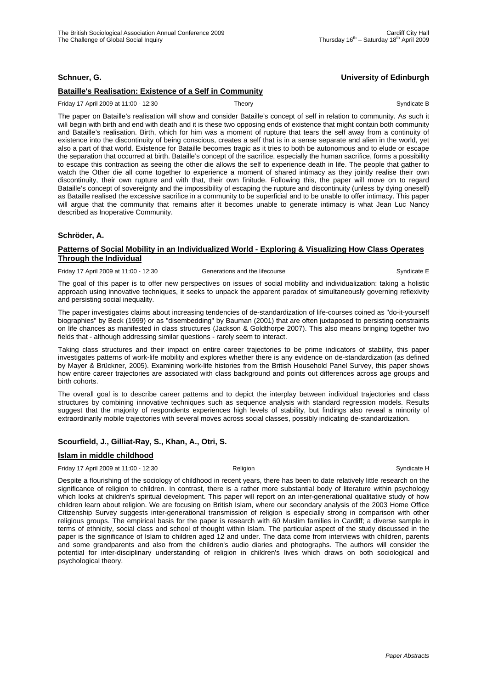# **Schnuer, G. University of Edinburgh**

# **Bataille's Realisation: Existence of a Self in Community**

#### Friday 17 April 2009 at 11:00 - 12:30 Theory Theory Syndicate B

The paper on Bataille's realisation will show and consider Bataille's concept of self in relation to community. As such it will begin with birth and end with death and it is these two opposing ends of existence that might contain both community and Bataille's realisation. Birth, which for him was a moment of rupture that tears the self away from a continuity of existence into the discontinuity of being conscious, creates a self that is in a sense separate and alien in the world, yet also a part of that world. Existence for Bataille becomes tragic as it tries to both be autonomous and to elude or escape the separation that occurred at birth. Bataille's concept of the sacrifice, especially the human sacrifice, forms a possibility to escape this contraction as seeing the other die allows the self to experience death in life. The people that gather to watch the Other die all come together to experience a moment of shared intimacy as they jointly realise their own discontinuity, their own rupture and with that, their own finitude. Following this, the paper will move on to regard Bataille's concept of sovereignty and the impossibility of escaping the rupture and discontinuity (unless by dying oneself) as Bataille realised the excessive sacrifice in a community to be superficial and to be unable to offer intimacy. This paper will argue that the community that remains after it becomes unable to generate intimacy is what Jean Luc Nancy described as Inoperative Community.

## **Schröder, A.**

## **Patterns of Social Mobility in an Individualized World - Exploring & Visualizing How Class Operates Through the Individual**

Friday 17 April 2009 at 11:00 - 12:30 Generations and the lifecourse Syndicate E

The goal of this paper is to offer new perspectives on issues of social mobility and individualization: taking a holistic approach using innovative techniques, it seeks to unpack the apparent paradox of simultaneously governing reflexivity and persisting social inequality.

The paper investigates claims about increasing tendencies of de-standardization of life-courses coined as "do-it-yourself biographies" by Beck (1999) or as "disembedding" by Bauman (2001) that are often juxtaposed to persisting constraints on life chances as manifested in class structures (Jackson & Goldthorpe 2007). This also means bringing together two fields that - although addressing similar questions - rarely seem to interact.

Taking class structures and their impact on entire career trajectories to be prime indicators of stability, this paper investigates patterns of work-life mobility and explores whether there is any evidence on de-standardization (as defined by Mayer & Brückner, 2005). Examining work-life histories from the British Household Panel Survey, this paper shows how entire career trajectories are associated with class background and points out differences across age groups and birth cohorts.

The overall goal is to describe career patterns and to depict the interplay between individual trajectories and class structures by combining innovative techniques such as sequence analysis with standard regression models. Results suggest that the majority of respondents experiences high levels of stability, but findings also reveal a minority of extraordinarily mobile trajectories with several moves across social classes, possibly indicating de-standardization.

# **Scourfield, J., Gilliat-Ray, S., Khan, A., Otri, S.**

## **Islam in middle childhood**

Friday 17 April 2009 at 11:00 - 12:30 **Religion** Religion **Religion** Syndicate H

Despite a flourishing of the sociology of childhood in recent years, there has been to date relatively little research on the significance of religion to children. In contrast, there is a rather more substantial body of literature within psychology which looks at children's spiritual development. This paper will report on an inter-generational qualitative study of how children learn about religion. We are focusing on British Islam, where our secondary analysis of the 2003 Home Office Citizenship Survey suggests inter-generational transmission of religion is especially strong in comparison with other religious groups. The empirical basis for the paper is research with 60 Muslim families in Cardiff; a diverse sample in terms of ethnicity, social class and school of thought within Islam. The particular aspect of the study discussed in the paper is the significance of Islam to children aged 12 and under. The data come from interviews with children, parents and some grandparents and also from the children's audio diaries and photographs. The authors will consider the potential for inter-disciplinary understanding of religion in children's lives which draws on both sociological and psychological theory.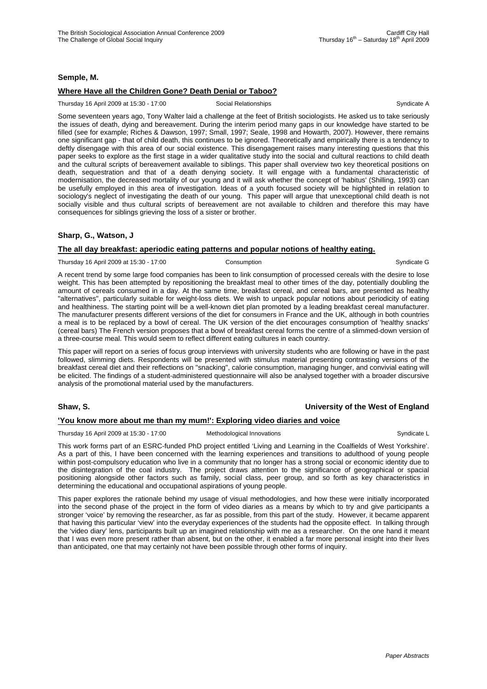## **Semple, M.**

## **Where Have all the Children Gone? Death Denial or Taboo?**

Thursday 16 April 2009 at 15:30 - 17:00 Social Relationships Syndicate A

Some seventeen years ago, Tony Walter laid a challenge at the feet of British sociologists. He asked us to take seriously the issues of death, dying and bereavement. During the interim period many gaps in our knowledge have started to be filled (see for example; Riches & Dawson, 1997; Small, 1997; Seale, 1998 and Howarth, 2007). However, there remains one significant gap - that of child death, this continues to be ignored. Theoretically and empirically there is a tendency to deftly disengage with this area of our social existence. This disengagement raises many interesting questions that this paper seeks to explore as the first stage in a wider qualitative study into the social and cultural reactions to child death and the cultural scripts of bereavement available to siblings. This paper shall overview two key theoretical positions on death, sequestration and that of a death denying society. It will engage with a fundamental characteristic of modernisation, the decreased mortality of our young and it will ask whether the concept of 'habitus' (Shilling, 1993) can be usefully employed in this area of investigation. Ideas of a youth focused society will be highlighted in relation to sociology's neglect of investigating the death of our young. This paper will argue that unexceptional child death is not socially visible and thus cultural scripts of bereavement are not available to children and therefore this may have consequences for siblings grieving the loss of a sister or brother.

# **Sharp, G., Watson, J**

## **The all day breakfast: aperiodic eating patterns and popular notions of healthy eating.**

Thursday 16 April 2009 at 15:30 - 17:00 Consumption Consumption Syndicate G

A recent trend by some large food companies has been to link consumption of processed cereals with the desire to lose weight. This has been attempted by repositioning the breakfast meal to other times of the day, potentially doubling the amount of cereals consumed in a day. At the same time, breakfast cereal, and cereal bars, are presented as healthy "alternatives", particularly suitable for weight-loss diets. We wish to unpack popular notions about periodicity of eating and healthiness. The starting point will be a well-known diet plan promoted by a leading breakfast cereal manufacturer. The manufacturer presents different versions of the diet for consumers in France and the UK, although in both countries a meal is to be replaced by a bowl of cereal. The UK version of the diet encourages consumption of 'healthy snacks' (cereal bars) The French version proposes that a bowl of breakfast cereal forms the centre of a slimmed-down version of a three-course meal. This would seem to reflect different eating cultures in each country.

This paper will report on a series of focus group interviews with university students who are following or have in the past followed, slimming diets. Respondents will be presented with stimulus material presenting contrasting versions of the breakfast cereal diet and their reflections on "snacking", calorie consumption, managing hunger, and convivial eating will be elicited. The findings of a student-administered questionnaire will also be analysed together with a broader discursive analysis of the promotional material used by the manufacturers.

# **Shaw, S. University of the West of England**

## **'You know more about me than my mum!': Exploring video diaries and voice**

Thursday 16 April 2009 at 15:30 - 17:00 Methodological Innovations **Syndicate L** 

This work forms part of an ESRC-funded PhD project entitled 'Living and Learning in the Coalfields of West Yorkshire'. As a part of this, I have been concerned with the learning experiences and transitions to adulthood of young people within post-compulsory education who live in a community that no longer has a strong social or economic identity due to the disintegration of the coal industry. The project draws attention to the significance of geographical or spacial positioning alongside other factors such as family, social class, peer group, and so forth as key characteristics in determining the educational and occupational aspirations of young people.

This paper explores the rationale behind my usage of visual methodologies, and how these were initially incorporated into the second phase of the project in the form of video diaries as a means by which to try and give participants a stronger 'voice' by removing the researcher, as far as possible, from this part of the study. However, it became apparent that having this particular 'view' into the everyday experiences of the students had the opposite effect. In talking through the 'video diary' lens, participants built up an imagined relationship with me as a researcher. On the one hand it meant that I was even more present rather than absent, but on the other, it enabled a far more personal insight into their lives than anticipated, one that may certainly not have been possible through other forms of inquiry.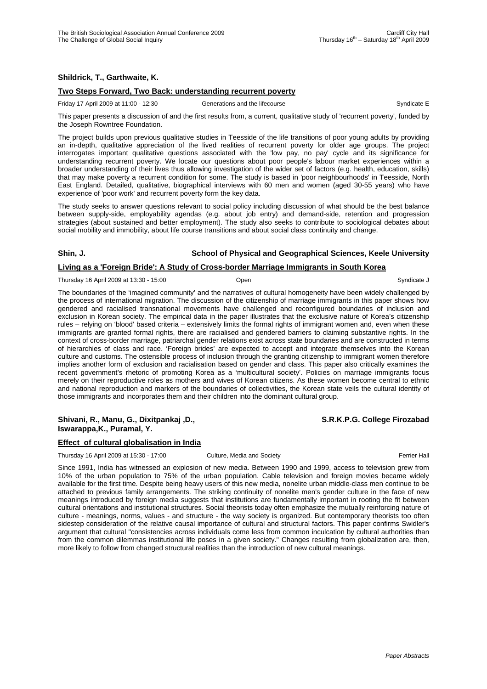# **Shildrick, T., Garthwaite, K.**

## **Two Steps Forward, Two Back: understanding recurrent poverty**

Friday 17 April 2009 at 11:00 - 12:30 Generations and the lifecourse Syndicate E

This paper presents a discussion of and the first results from, a current, qualitative study of 'recurrent poverty', funded by the Joseph Rowntree Foundation.

The project builds upon previous qualitative studies in Teesside of the life transitions of poor young adults by providing an in-depth, qualitative appreciation of the lived realities of recurrent poverty for older age groups. The project interrogates important qualitative questions associated with the 'low pay, no pay' cycle and its significance for understanding recurrent poverty. We locate our questions about poor people's labour market experiences within a broader understanding of their lives thus allowing investigation of the wider set of factors (e.g. health, education, skills) that may make poverty a recurrent condition for some. The study is based in 'poor neighbourhoods' in Teesside, North East England. Detailed, qualitative, biographical interviews with 60 men and women (aged 30-55 years) who have experience of 'poor work' and recurrent poverty form the key data.

The study seeks to answer questions relevant to social policy including discussion of what should be the best balance between supply-side, employability agendas (e.g. about job entry) and demand-side, retention and progression strategies (about sustained and better employment). The study also seeks to contribute to sociological debates about social mobility and immobility, about life course transitions and about social class continuity and change.

# **Shin, J. School of Physical and Geographical Sciences, Keele University**

## **Living as a 'Foreign Bride': A Study of Cross-border Marriage Immigrants in South Korea**

Thursday 16 April 2009 at 13:30 - 15:00 **Open** Open Syndicate J Syndicate J Syndicate J

The boundaries of the 'imagined community' and the narratives of cultural homogeneity have been widely challenged by the process of international migration. The discussion of the citizenship of marriage immigrants in this paper shows how gendered and racialised transnational movements have challenged and reconfigured boundaries of inclusion and exclusion in Korean society. The empirical data in the paper illustrates that the exclusive nature of Korea's citizenship rules – relying on 'blood' based criteria – extensively limits the formal rights of immigrant women and, even when these immigrants are granted formal rights, there are racialised and gendered barriers to claiming substantive rights. In the context of cross-border marriage, patriarchal gender relations exist across state boundaries and are constructed in terms of hierarchies of class and race. 'Foreign brides' are expected to accept and integrate themselves into the Korean culture and customs. The ostensible process of inclusion through the granting citizenship to immigrant women therefore implies another form of exclusion and racialisation based on gender and class. This paper also critically examines the recent government's rhetoric of promoting Korea as a 'multicultural society'. Policies on marriage immigrants focus merely on their reproductive roles as mothers and wives of Korean citizens. As these women become central to ethnic and national reproduction and markers of the boundaries of collectivities, the Korean state veils the cultural identity of those immigrants and incorporates them and their children into the dominant cultural group.

## **Shivani, R., Manu, G., Dixitpankaj ,D., S.R.K.P.G. College Firozabad Iswarappa,K., Puramal, Y.**

# **Effect of cultural globalisation in India**

Thursday 16 April 2009 at 15:30 - 17:00 Culture, Media and Society Ferrier Hall

Since 1991, India has witnessed an explosion of new media. Between 1990 and 1999, access to television grew from 10% of the urban population to 75% of the urban population. Cable television and foreign movies became widely available for the first time. Despite being heavy users of this new media, nonelite urban middle-class men continue to be attached to previous family arrangements. The striking continuity of nonelite men's gender culture in the face of new meanings introduced by foreign media suggests that institutions are fundamentally important in rooting the fit between cultural orientations and institutional structures. Social theorists today often emphasize the mutually reinforcing nature of culture - meanings, norms, values - and structure - the way society is organized. But contemporary theorists too often sidestep consideration of the relative causal importance of cultural and structural factors. This paper confirms Swidler's argument that cultural "consistencies across individuals come less from common inculcation by cultural authorities than from the common dilemmas institutional life poses in a given society." Changes resulting from globalization are, then, more likely to follow from changed structural realities than the introduction of new cultural meanings.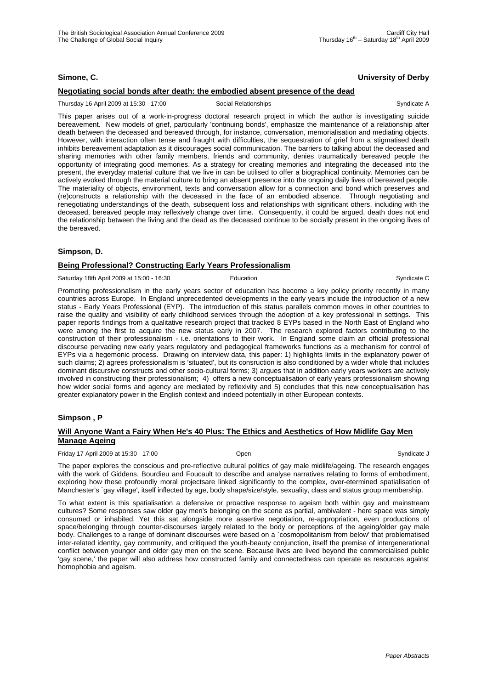# **Simone, C. University of Derby**

## **Negotiating social bonds after death: the embodied absent presence of the dead**

Thursday 16 April 2009 at 15:30 - 17:00 Social Relationships Syndicate A

This paper arises out of a work-in-progress doctoral research project in which the author is investigating suicide bereavement. New models of grief, particularly 'continuing bonds', emphasize the maintenance of a relationship after death between the deceased and bereaved through, for instance, conversation, memorialisation and mediating objects. However, with interaction often tense and fraught with difficulties, the sequestration of grief from a stigmatised death inhibits bereavement adaptation as it discourages social communication. The barriers to talking about the deceased and sharing memories with other family members, friends and community, denies traumatically bereaved people the opportunity of integrating good memories. As a strategy for creating memories and integrating the deceased into the present, the everyday material culture that we live in can be utilised to offer a biographical continuity. Memories can be actively evoked through the material culture to bring an absent presence into the ongoing daily lives of bereaved people. The materiality of objects, environment, texts and conversation allow for a connection and bond which preserves and (re)constructs a relationship with the deceased in the face of an embodied absence. Through negotiating and renegotiating understandings of the death, subsequent loss and relationships with significant others, including with the deceased, bereaved people may reflexively change over time. Consequently, it could be argued, death does not end the relationship between the living and the dead as the deceased continue to be socially present in the ongoing lives of the bereaved.

## **Simpson, D.**

## **Being Professional? Constructing Early Years Professionalism**

Saturday 18th April 2009 at 15:00 - 16:30 **Education** Education Syndicate C

Promoting professionalism in the early years sector of education has become a key policy priority recently in many countries across Europe. In England unprecedented developments in the early years include the introduction of a new status - Early Years Professional (EYP). The introduction of this status parallels common moves in other countries to raise the quality and visibility of early childhood services through the adoption of a key professional in settings. This paper reports findings from a qualitative research project that tracked 8 EYPs based in the North East of England who were among the first to acquire the new status early in 2007. The research explored factors contributing to the construction of their professionalism - i.e. orientations to their work. In England some claim an official professional discourse pervading new early years regulatory and pedagogical frameworks functions as a mechanism for control of EYPs via a hegemonic process. Drawing on interview data, this paper: 1) highlights limits in the explanatory power of such claims; 2) agrees professionalism is 'situated', but its consruction is also conditioned by a wider whole that includes dominant discursive constructs and other socio-cultural forms; 3) argues that in addition early years workers are actively involved in constructing their professionalism; 4) offers a new conceptualisation of early years professionalism showing how wider social forms and agency are mediated by reflexivity and 5) concludes that this new conceptualisation has greater explanatory power in the English context and indeed potentially in other European contexts.

## **Simpson , P**

## **Will Anyone Want a Fairy When He's 40 Plus: The Ethics and Aesthetics of How Midlife Gay Men Manage Ageing**

Friday 17 April 2009 at 15:30 - 17:00 Open Syndicate J

The paper explores the conscious and pre-reflective cultural politics of gay male midlife/ageing. The research engages with the work of Giddens, Bourdieu and Foucault to describe and analyse narratives relating to forms of embodiment, exploring how these profoundly moral projectsare linked significantly to the complex, over-etermined spatialisation of Manchester's `gay village', itself inflected by age, body shape/size/style, sexuality, class and status group membership.

To what extent is this spatialisation a defensive or proactive response to ageism both within gay and mainstream cultures? Some responses saw older gay men's belonging on the scene as partial, ambivalent - here space was simply consumed or inhabited. Yet this sat alongside more assertive negotiation, re-appropriation, even productions of space/belonging through counter-discourses largely related to the body or perceptions of the ageing/older gay male body. Challenges to a range of dominant discourses were based on a `cosmopolitanism from below' that problematised inter-related identity, gay community, and critiqued the youth-beauty conjunction, itself the premise of intergenerational conflict between younger and older gay men on the scene. Because lives are lived beyond the commercialised public 'gay scene,' the paper will also address how constructed family and connectedness can operate as resources against homophobia and ageism.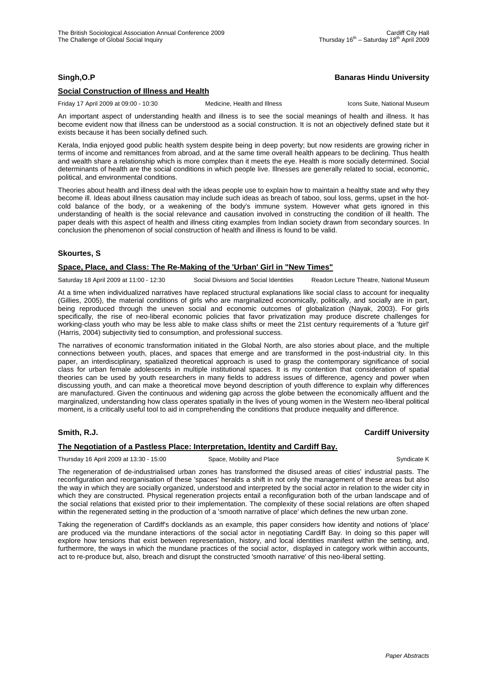# **Singh,O.P Banaras Hindu University**

## **Social Construction of Illness and Health**

Friday 17 April 2009 at 09:00 - 10:30 Medicine, Health and Illness Icons Suite, National Museum

An important aspect of understanding health and illness is to see the social meanings of health and illness. It has become evident now that illness can be understood as a social construction. It is not an objectively defined state but it exists because it has been socially defined such.

Kerala, India enjoyed good public health system despite being in deep poverty; but now residents are growing richer in terms of income and remittances from abroad, and at the same time overall health appears to be declining. Thus health and wealth share a relationship which is more complex than it meets the eye. Health is more socially determined. Social determinants of health are the social conditions in which people live. Illnesses are generally related to social, economic, political, and environmental conditions.

Theories about health and illness deal with the ideas people use to explain how to maintain a healthy state and why they become ill. Ideas about illness causation may include such ideas as breach of taboo, soul loss, germs, upset in the hotcold balance of the body, or a weakening of the body's immune system. However what gets ignored in this understanding of health is the social relevance and causation involved in constructing the condition of ill health. The paper deals with this aspect of health and illness citing examples from Indian society drawn from secondary sources. In conclusion the phenomenon of social construction of health and illness is found to be valid.

# **Skourtes, S**

# **Space, Place, and Class: The Re-Making of the 'Urban' Girl in "New Times"**

Saturday 18 April 2009 at 11:00 - 12:30 Social Divisions and Social Identities Readon Lecture Theatre, National Museum

At a time when individualized narratives have replaced structural explanations like social class to account for inequality (Gillies, 2005), the material conditions of girls who are marginalized economically, politically, and socially are in part, being reproduced through the uneven social and economic outcomes of globalization (Nayak, 2003). For girls specifically, the rise of neo-liberal economic policies that favor privatization may produce discrete challenges for working-class youth who may be less able to make class shifts or meet the 21st century requirements of a 'future girl' (Harris, 2004) subjectivity tied to consumption, and professional success.

The narratives of economic transformation initiated in the Global North, are also stories about place, and the multiple connections between youth, places, and spaces that emerge and are transformed in the post-industrial city. In this paper, an interdisciplinary, spatialized theoretical approach is used to grasp the contemporary significance of social class for urban female adolescents in multiple institutional spaces. It is my contention that consideration of spatial theories can be used by youth researchers in many fields to address issues of difference, agency and power when discussing youth, and can make a theoretical move beyond description of youth difference to explain why differences are manufactured. Given the continuous and widening gap across the globe between the economically affluent and the marginalized, understanding how class operates spatially in the lives of young women in the Western neo-liberal political moment, is a critically useful tool to aid in comprehending the conditions that produce inequality and difference.

## **Smith, R.J. Cardiff University**

# **The Negotiation of a Pastless Place: Interpretation, Identity and Cardiff Bay.**

Thursday 16 April 2009 at 13:30 - 15:00 Space, Mobility and Place Syndicate K Syndicate K

The regeneration of de-industrialised urban zones has transformed the disused areas of cities' industrial pasts. The reconfiguration and reorganisation of these 'spaces' heralds a shift in not only the management of these areas but also the way in which they are socially organized, understood and interpreted by the social actor in relation to the wider city in which they are constructed. Physical regeneration projects entail a reconfiguration both of the urban landscape and of the social relations that existed prior to their implementation. The complexity of these social relations are often shaped within the regenerated setting in the production of a 'smooth narrative of place' which defines the new urban zone.

Taking the regeneration of Cardiff's docklands as an example, this paper considers how identity and notions of 'place' are produced via the mundane interactions of the social actor in negotiating Cardiff Bay. In doing so this paper will explore how tensions that exist between representation, history, and local identities manifest within the setting, and, furthermore, the ways in which the mundane practices of the social actor, displayed in category work within accounts, act to re-produce but, also, breach and disrupt the constructed 'smooth narrative' of this neo-liberal setting.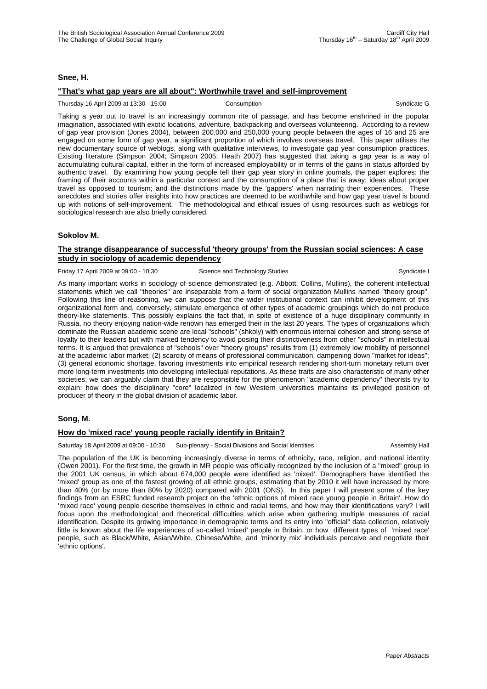## **Snee, H.**

## **"That's what gap years are all about": Worthwhile travel and self-improvement**

Thursday 16 April 2009 at 13:30 - 15:00 Consumption Consumption Consumption Syndicate G

Taking a year out to travel is an increasingly common rite of passage, and has become enshrined in the popular imagination, associated with exotic locations, adventure, backpacking and overseas volunteering. According to a review of gap year provision (Jones 2004), between 200,000 and 250,000 young people between the ages of 16 and 25 are engaged on some form of gap year, a significant proportion of which involves overseas travel. This paper utilises the new documentary source of weblogs, along with qualitative interviews, to investigate gap year consumption practices. Existing literature (Simpson 2004; Simpson 2005; Heath 2007) has suggested that taking a gap year is a way of accumulating cultural capital, either in the form of increased employability or in terms of the gains in status afforded by authentic travel. By examining how young people tell their gap year story in online journals, the paper explores: the framing of their accounts within a particular context and the consumption of a place that is away; ideas about proper travel as opposed to tourism; and the distinctions made by the 'gappers' when narrating their experiences. These anecdotes and stories offer insights into how practices are deemed to be worthwhile and how gap year travel is bound up with notions of self-improvement. The methodological and ethical issues of using resources such as weblogs for sociological research are also briefly considered.

## **Sokolov M.**

## **The strange disappearance of successful 'theory groups' from the Russian social sciences: A case study in sociology of academic dependency**

Friday 17 April 2009 at 09:00 - 10:30 Science and Technology Studies Syndicate I Syndicate I

As many important works in sociology of science demonstrated (e.g. Abbott, Collins, Mullins), the coherent intellectual statements which we call "theories" are inseparable from a form of social organization Mullins named "theory group". Following this line of reasoning, we can suppose that the wider institutional context can inhibit development of this organizational form and, conversely, stimulate emergence of other types of academic groupings which do not produce theory-like statements. This possibly explains the fact that, in spite of existence of a huge disciplinary community in Russia, no theory enjoying nation-wide renown has emerged their in the last 20 years. The types of organizations which dominate the Russian academic scene are local "schools" (shkoly) with enormous internal cohesion and strong sense of loyalty to their leaders but with marked tendency to avoid posing their distinctiveness from other "schools" in intellectual terms. It is argued that prevalence of "schools" over "theory groups" results from (1) extremely low mobility of personnel at the academic labor market; (2) scarcity of means of professional communication, dampening down "market for ideas"; (3) general economic shortage, favoring investments into empirical research rendering short-turn monetary return over more long-term investments into developing intellectual reputations. As these traits are also characteristic of many other societies, we can arguably claim that they are responsible for the phenomenon "academic dependency" theorists try to explain: how does the disciplinary "core" localized in few Western universities maintains its privileged position of producer of theory in the global division of academic labor.

## **Song, M.**

## **How do 'mixed race' young people racially identify in Britain?**

Saturday 18 April 2009 at 09:00 - 10:30 Sub-plenary - Social Divisions and Social Identities Assembly Hall

The population of the UK is becoming increasingly diverse in terms of ethnicity, race, religion, and national identity (Owen 2001). For the first time, the growth in MR people was officially recognized by the inclusion of a "mixed" group in the 2001 UK census, in which about 674,000 people were identified as 'mixed'. Demographers have identified the 'mixed' group as one of the fastest growing of all ethnic groups, estimating that by 2010 it will have increased by more than 40% (or by more than 80% by 2020) compared with 2001 (ONS). In this paper I will present some of the key findings from an ESRC funded research project on the 'ethnic options of mixed race young people in Britain'. How do 'mixed race' young people describe themselves in ethnic and racial terms, and how may their identifications vary? I will focus upon the methodological and theoretical difficulties which arise when gathering multiple measures of racial identification. Despite its growing importance in demographic terms and its entry into "official" data collection, relatively little is known about the life experiences of so-called 'mixed' people in Britain, or how different types of 'mixed race' people, such as Black/White, Asian/White, Chinese/White, and 'minority mix' individuals perceive and negotiate their 'ethnic options'.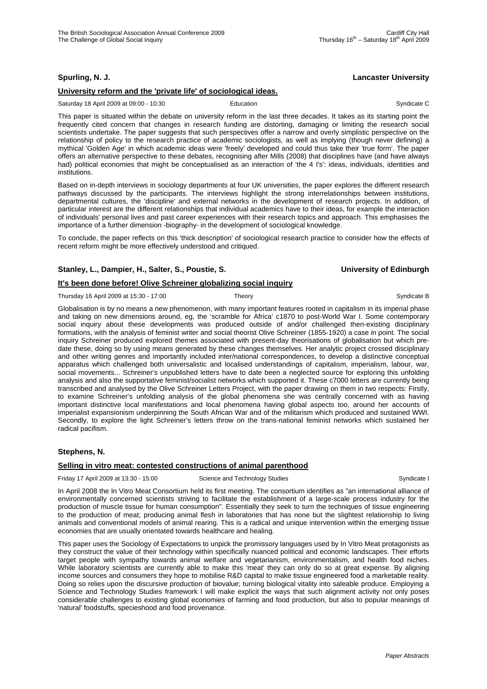# **Spurling, N. J. Lancaster University**

# **University reform and the 'private life' of sociological ideas.**

Saturday 18 April 2009 at 09:00 - 10:30 **Education** Education Syndicate C

This paper is situated within the debate on university reform in the last three decades. It takes as its starting point the frequently cited concern that changes in research funding are distorting, damaging or limiting the research social scientists undertake. The paper suggests that such perspectives offer a narrow and overly simplistic perspective on the relationship of policy to the research practice of academic sociologists, as well as implying (though never defining) a mythical 'Golden Age' in which academic ideas were 'freely' developed and could thus take their 'true form'. The paper offers an alternative perspective to these debates, recognising after Mills (2008) that disciplines have (and have always had) political economies that might be conceptualised as an interaction of 'the 4 I's': ideas, individuals, identities and institutions.

Based on in-depth interviews in sociology departments at four UK universities, the paper explores the different research pathways discussed by the participants. The interviews highlight the strong interrelationships between institutions, departmental cultures, the 'discipline' and external networks in the development of research projects. In addition, of particular interest are the different relationships that individual academics have to their ideas, for example the interaction of individuals' personal lives and past career experiences with their research topics and approach. This emphasises the importance of a further dimension -biography- in the development of sociological knowledge.

To conclude, the paper reflects on this 'thick description' of sociological research practice to consider how the effects of recent reform might be more effectively understood and critiqued.

# **Stanley, L., Dampier, H., Salter, S., Poustie, S. University of Edinburgh**

## **It's been done before! Olive Schreiner globalizing social inquiry**

Thursday 16 April 2009 at 15:30 - 17:00 Theory Theory Syndicate B Syndicate B

Globalisation is by no means a new phenomenon, with many important features rooted in capitalism in its imperial phase and taking on new dimensions around, eg, the 'scramble for Africa' c1870 to post-World War I. Some contemporary social inquiry about these developments was produced outside of and/or challenged then-existing disciplinary formations, with the analysis of feminist writer and social theorist Olive Schreiner (1855-1920) a case in point. The social inquiry Schreiner produced explored themes associated with present-day theorisations of globalisation but which predate these, doing so by using means generated by these changes themselves. Her analytic project crossed disciplinary and other writing genres and importantly included inter/national correspondences, to develop a distinctive conceptual apparatus which challenged both universalistic and localised understandings of capitalism, imperialism, labour, war, social movements... Schreiner's unpublished letters have to date been a neglected source for exploring this unfolding analysis and also the supportative feminist/socialist networks which supported it. These c7000 letters are currently being transcribed and analysed by the Olive Schreiner Letters Project, with the paper drawing on them in two respects: Firstly, to examine Schreiner's unfolding analysis of the global phenomena she was centrally concerned with as having important distinctive local manifestations and local phenomena having global aspects too, around her accounts of imperialist expansionism underpinning the South African War and of the militarism which produced and sustained WWI. Secondly, to explore the light Schreiner's letters throw on the trans-national feminist networks which sustained her radical pacifism.

# **Stephens, N.**

# **Selling in vitro meat: contested constructions of animal parenthood**

Friday 17 April 2009 at 13:30 - 15:00 Science and Technology Studies Syndicate I Syndicate I

In April 2008 the In Vitro Meat Consortium held its first meeting. The consortium identifies as "an international alliance of environmentally concerned scientists striving to facilitate the establishment of a large-scale process industry for the production of muscle tissue for human consumption". Essentially they seek to turn the techniques of tissue engineering to the production of meat; producing animal flesh in laboratories that has none but the slightest relationship to living animals and conventional models of animal rearing. This is a radical and unique intervention within the emerging tissue economies that are usually orientated towards healthcare and healing.

This paper uses the Sociology of Expectations to unpick the promissory languages used by In Vitro Meat protagonists as they construct the value of their technology within specifically nuanced political and economic landscapes. Their efforts target people with sympathy towards animal welfare and vegetarianism, environmentalism, and health food niches. While laboratory scientists are currently able to make this 'meat' they can only do so at great expense. By aligning income sources and consumers they hope to mobilise R&D capital to make tissue engineered food a marketable reality. Doing so relies upon the discursive production of biovalue; turning biological vitality into saleable produce. Employing a Science and Technology Studies framework I will make explicit the ways that such alignment activity not only poses considerable challenges to existing global economies of farming and food production, but also to popular meanings of 'natural' foodstuffs, specieshood and food provenance.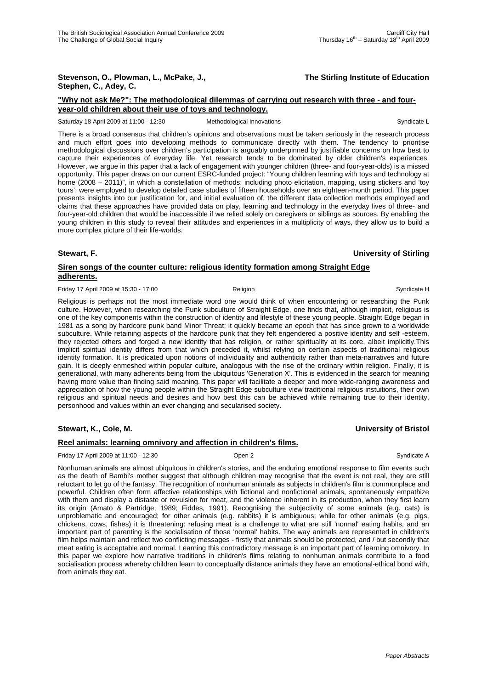#### **Stevenson, O., Plowman, L., McPake, J., The Stirling Institute of Education Stephen, C., Adey, C.**

## **"Why not ask Me?": The methodological dilemmas of carrying out research with three - and fouryear-old children about their use of toys and technology.**

Saturday 18 April 2009 at 11:00 - 12:30 Methodological Innovations Syndicate L

There is a broad consensus that children's opinions and observations must be taken seriously in the research process and much effort goes into developing methods to communicate directly with them. The tendency to prioritise methodological discussions over children's participation is arguably underpinned by justifiable concerns on how best to capture their experiences of everyday life. Yet research tends to be dominated by older children's experiences. However, we argue in this paper that a lack of engagement with younger children (three- and four-year-olds) is a missed opportunity. This paper draws on our current ESRC-funded project: "Young children learning with toys and technology at home (2008 – 2011)", in which a constellation of methods: including photo elicitation, mapping, using stickers and 'toy tours'; were employed to develop detailed case studies of fifteen households over an eighteen-month period. This paper presents insights into our justification for, and initial evaluation of, the different data collection methods employed and claims that these approaches have provided data on play, learning and technology in the everyday lives of three- and four-year-old children that would be inaccessible if we relied solely on caregivers or siblings as sources. By enabling the young children in this study to reveal their attitudes and experiences in a multiplicity of ways, they allow us to build a more complex picture of their life-worlds.

### **Stewart, F. University of Stirling**

## **Siren songs of the counter culture: religious identity formation among Straight Edge adherents.**

Friday 17 April 2009 at 15:30 - 17:00 **Religion** Religion **Religion** Syndicate H

Religious is perhaps not the most immediate word one would think of when encountering or researching the Punk culture. However, when researching the Punk subculture of Straight Edge, one finds that, although implicit, religious is one of the key components within the construction of identity and lifestyle of these young people. Straight Edge began in 1981 as a song by hardcore punk band Minor Threat; it quickly became an epoch that has since grown to a worldwide subculture. While retaining aspects of the hardcore punk that they felt engendered a positive identity and self -esteem, they rejected others and forged a new identity that has religion, or rather spirituality at its core, albeit implicitly.This implicit spiritual identity differs from that which preceded it, whilst relying on certain aspects of traditional religious identity formation. It is predicated upon notions of individuality and authenticity rather than meta-narratives and future gain. It is deeply enmeshed within popular culture, analogous with the rise of the ordinary within religion. Finally, it is generational, with many adherents being from the ubiquitous 'Generation X'. This is evidenced in the search for meaning having more value than finding said meaning. This paper will facilitate a deeper and more wide-ranging awareness and appreciation of how the young people within the Straight Edge subculture view traditional religious instuitions, their own religious and spiritual needs and desires and how best this can be achieved while remaining true to their identity, personhood and values within an ever changing and secularised society.

## **Stewart, K., Cole, M. University of Bristol**

### **Reel animals: learning omnivory and affection in children's films.**

Friday 17 April 2009 at 11:00 - 12:30 Open 2 Syndicate A

Nonhuman animals are almost ubiquitous in children's stories, and the enduring emotional response to film events such as the death of Bambi's mother suggest that although children may recognise that the event is not real, they are still reluctant to let go of the fantasy. The recognition of nonhuman animals as subjects in children's film is commonplace and powerful. Children often form affective relationships with fictional and nonfictional animals, spontaneously empathize with them and display a distaste or revulsion for meat, and the violence inherent in its production, when they first learn its origin (Amato & Partridge, 1989; Fiddes, 1991). Recognising the subjectivity of some animals (e.g. cats) is unproblematic and encouraged; for other animals (e.g. rabbits) it is ambiguous; while for other animals (e.g. pigs, chickens, cows, fishes) it is threatening: refusing meat is a challenge to what are still 'normal' eating habits, and an important part of parenting is the socialisation of those 'normal' habits. The way animals are represented in children's film helps maintain and reflect two conflicting messages - firstly that animals should be protected, and / but secondly that meat eating is acceptable and normal. Learning this contradictory message is an important part of learning omnivory. In this paper we explore how narrative traditions in children's films relating to nonhuman animals contribute to a food socialisation process whereby children learn to conceptually distance animals they have an emotional-ethical bond with, from animals they eat.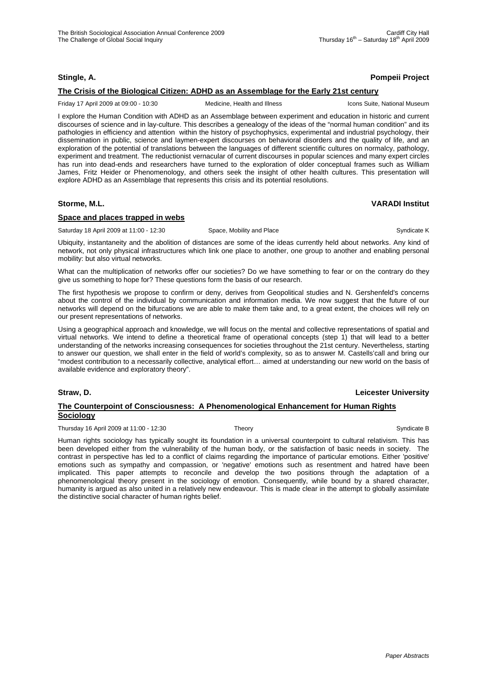## **Stingle, A. Pompeii Project**

## **The Crisis of the Biological Citizen: ADHD as an Assemblage for the Early 21st century**

Friday 17 April 2009 at 09:00 - 10:30 Medicine, Health and Illness Icons Suite, National Museum

I explore the Human Condition with ADHD as an Assemblage between experiment and education in historic and current discourses of science and in lay-culture. This describes a genealogy of the ideas of the "normal human condition" and its pathologies in efficiency and attention within the history of psychophysics, experimental and industrial psychology, their dissemination in public, science and laymen-expert discourses on behavioral disorders and the quality of life, and an exploration of the potential of translations between the languages of different scientific cultures on normalcy, pathology, experiment and treatment. The reductionist vernacular of current discourses in popular sciences and many expert circles has run into dead-ends and researchers have turned to the exploration of older conceptual frames such as William James, Fritz Heider or Phenomenology, and others seek the insight of other health cultures. This presentation will explore ADHD as an Assemblage that represents this crisis and its potential resolutions.

## **Storme, M.L. VARADI Institut**

## **Space and places trapped in webs**

Saturday 18 April 2009 at 11:00 - 12:30 Space, Mobility and Place Syndicate K Syndicate K

Ubiquity, instantaneity and the abolition of distances are some of the ideas currently held about networks. Any kind of network, not only physical infrastructures which link one place to another, one group to another and enabling personal mobility: but also virtual networks.

What can the multiplication of networks offer our societies? Do we have something to fear or on the contrary do they give us something to hope for? These questions form the basis of our research.

The first hypothesis we propose to confirm or deny, derives from Geopolitical studies and N. Gershenfeld's concerns about the control of the individual by communication and information media. We now suggest that the future of our networks will depend on the bifurcations we are able to make them take and, to a great extent, the choices will rely on our present representations of networks.

Using a geographical approach and knowledge, we will focus on the mental and collective representations of spatial and virtual networks. We intend to define a theoretical frame of operational concepts (step 1) that will lead to a better understanding of the networks increasing consequences for societies throughout the 21st century. Nevertheless, starting to answer our question, we shall enter in the field of world's complexity, so as to answer M. Castells'call and bring our "modest contribution to a necessarily collective, analytical effort… aimed at understanding our new world on the basis of available evidence and exploratory theory".

### **Straw, D. Leicester University**

## **The Counterpoint of Consciousness: A Phenomenological Enhancement for Human Rights Sociology**

Thursday 16 April 2009 at 11:00 - 12:30 Theory Theory Syndicate B Syndicate B

Human rights sociology has typically sought its foundation in a universal counterpoint to cultural relativism. This has been developed either from the vulnerability of the human body, or the satisfaction of basic needs in society. The contrast in perspective has led to a conflict of claims regarding the importance of particular emotions. Either 'positive' emotions such as sympathy and compassion, or 'negative' emotions such as resentment and hatred have been implicated. This paper attempts to reconcile and develop the two positions through the adaptation of a phenomenological theory present in the sociology of emotion. Consequently, while bound by a shared character, humanity is argued as also united in a relatively new endeavour. This is made clear in the attempt to globally assimilate the distinctive social character of human rights belief.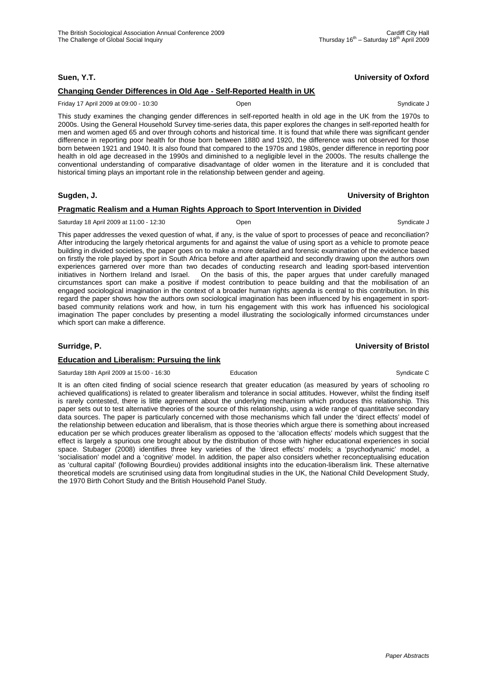## **Suen, Y.T. University of Oxford**

## **Changing Gender Differences in Old Age - Self-Reported Health in UK**

#### Friday 17 April 2009 at 09:00 - 10:30 Open Syndicate J

This study examines the changing gender differences in self-reported health in old age in the UK from the 1970s to 2000s. Using the General Household Survey time-series data, this paper explores the changes in self-reported health for men and women aged 65 and over through cohorts and historical time. It is found that while there was significant gender difference in reporting poor health for those born between 1880 and 1920, the difference was not observed for those born between 1921 and 1940. It is also found that compared to the 1970s and 1980s, gender difference in reporting poor health in old age decreased in the 1990s and diminished to a negligible level in the 2000s. The results challenge the conventional understanding of comparative disadvantage of older women in the literature and it is concluded that historical timing plays an important role in the relationship between gender and ageing.

## **Sugden, J. University of Brighton**

## **Pragmatic Realism and a Human Rights Approach to Sport Intervention in Divided**

#### Saturday 18 April 2009 at 11:00 - 12:30 **Open** Communicate J Syndicate J Syndicate J Syndicate J

This paper addresses the vexed question of what, if any, is the value of sport to processes of peace and reconciliation? After introducing the largely rhetorical arguments for and against the value of using sport as a vehicle to promote peace building in divided societies, the paper goes on to make a more detailed and forensic examination of the evidence based on firstly the role played by sport in South Africa before and after apartheid and secondly drawing upon the authors own experiences garnered over more than two decades of conducting research and leading sport-based intervention initiatives in Northern Ireland and Israel. On the basis of this, the paper argues that under carefully managed circumstances sport can make a positive if modest contribution to peace building and that the mobilisation of an engaged sociological imagination in the context of a broader human rights agenda is central to this contribution. In this regard the paper shows how the authors own sociological imagination has been influenced by his engagement in sportbased community relations work and how, in turn his engagement with this work has influenced his sociological imagination The paper concludes by presenting a model illustrating the sociologically informed circumstances under which sport can make a difference.

## **Surridge, P. University of Bristol**

### **Education and Liberalism: Pursuing the link**

Saturday 18th April 2009 at 15:00 - 16:30 **Education** Education Syndicate C

It is an often cited finding of social science research that greater education (as measured by years of schooling ro achieved qualifications) is related to greater liberalism and tolerance in social attitudes. However, whilst the finding itself is rarely contested, there is little agreement about the underlying mechanism which produces this relationship. This paper sets out to test alternative theories of the source of this relationship, using a wide range of quantitative secondary data sources. The paper is particularly concerned with those mechanisms which fall under the 'direct effects' model of the relationship between education and liberalism, that is those theories which argue there is something about increased education per se which produces greater liberalism as opposed to the 'allocation effects' models which suggest that the effect is largely a spurious one brought about by the distribution of those with higher educational experiences in social space. Stubager (2008) identifies three key varieties of the 'direct effects' models; a 'psychodynamic' model, a 'socialisation' model and a 'cognitive' model. In addition, the paper also considers whether reconceptualising education as 'cultural capital' (following Bourdieu) provides additional insights into the education-liberalism link. These alternative theoretical models are scrutinised using data from longitudinal studies in the UK, the National Child Development Study, the 1970 Birth Cohort Study and the British Household Panel Study.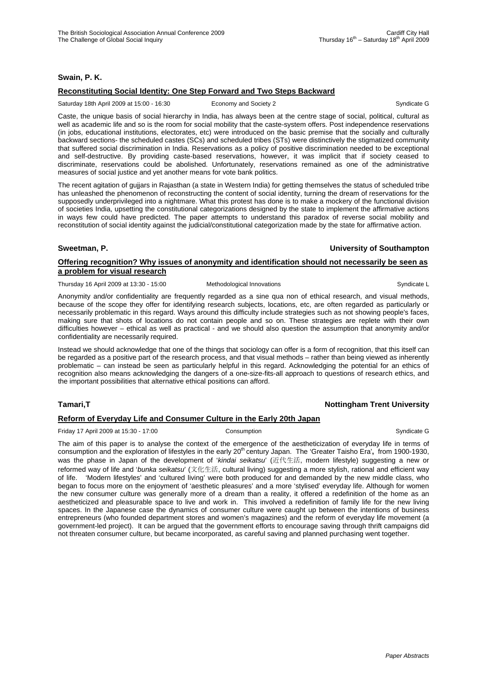## **Swain, P. K.**

## **Reconstituting Social Identity: One Step Forward and Two Steps Backward**

Saturday 18th April 2009 at 15:00 - 16:30 Economy and Society 2 Syndicate G

Caste, the unique basis of social hierarchy in India, has always been at the centre stage of social, political, cultural as well as academic life and so is the room for social mobility that the caste-system offers. Post independence reservations (in jobs, educational institutions, electorates, etc) were introduced on the basic premise that the socially and culturally backward sections- the scheduled castes (SCs) and scheduled tribes (STs) were distinctively the stigmatized community that suffered social discrimination in India. Reservations as a policy of positive discrimination needed to be exceptional and self-destructive. By providing caste-based reservations, however, it was implicit that if society ceased to discriminate, reservations could be abolished. Unfortunately, reservations remained as one of the administrative measures of social justice and yet another means for vote bank politics.

The recent agitation of gujjars in Rajasthan (a state in Western India) for getting themselves the status of scheduled tribe has unleashed the phenomenon of reconstructing the content of social identity, turning the dream of reservations for the supposedly underprivileged into a nightmare. What this protest has done is to make a mockery of the functional division of societies India, upsetting the constitutional categorizations designed by the state to implement the affirmative actions in ways few could have predicted. The paper attempts to understand this paradox of reverse social mobility and reconstitution of social identity against the judicial/constitutional categorization made by the state for affirmative action.

### **Sweetman, P. University of Southampton**

## **Offering recognition? Why issues of anonymity and identification should not necessarily be seen as a problem for visual research**

Thursday 16 April 2009 at 13:30 - 15:00 Methodological Innovations **Syndicate L** Syndicate L

Anonymity and/or confidentiality are frequently regarded as a sine qua non of ethical research, and visual methods, because of the scope they offer for identifying research subjects, locations, etc, are often regarded as particularly or necessarily problematic in this regard. Ways around this difficulty include strategies such as not showing people's faces, making sure that shots of locations do not contain people and so on. These strategies are replete with their own difficulties however – ethical as well as practical - and we should also question the assumption that anonymity and/or confidentiality are necessarily required.

Instead we should acknowledge that one of the things that sociology can offer is a form of recognition, that this itself can be regarded as a positive part of the research process, and that visual methods – rather than being viewed as inherently problematic – can instead be seen as particularly helpful in this regard. Acknowledging the potential for an ethics of recognition also means acknowledging the dangers of a one-size-fits-all approach to questions of research ethics, and the important possibilities that alternative ethical positions can afford.

## **Tamari,T Nottingham Trent University**

## **Reform of Everyday Life and Consumer Culture in the Early 20th Japan**

Friday 17 April 2009 at 15:30 - 17:00 Consumption Consumption Consumption Syndicate G

The aim of this paper is to analyse the context of the emergence of the aestheticization of everyday life in terms of consumption and the exploration of lifestyles in the early 20<sup>th</sup> century Japan. The 'Greater Taisho Era', from 1900-1930, was the phase in Japan of the development of '*kindai seikatsu*' (近代生活, modern lifestyle) suggesting a new or reformed way of life and '*bunka seikatsu*' (文化生活, cultural living) suggesting a more stylish, rational and efficient way of life. 'Modern lifestyles' and 'cultured living' were both produced for and demanded by the new middle class, who began to focus more on the enjoyment of 'aesthetic pleasures' and a more 'stylised' everyday life. Although for women the new consumer culture was generally more of a dream than a reality, it offered a redefinition of the home as an aestheticized and pleasurable space to live and work in. This involved a redefinition of family life for the new living spaces. In the Japanese case the dynamics of consumer culture were caught up between the intentions of business entrepreneurs (who founded department stores and women's magazines) and the reform of everyday life movement (a government-led project). It can be argued that the government efforts to encourage saving through thrift campaigns did not threaten consumer culture, but became incorporated, as careful saving and planned purchasing went together.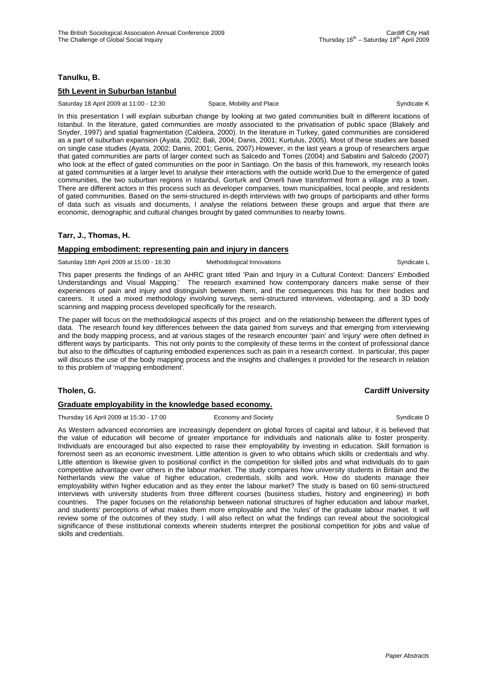## **Tanulku, B.**

## **5th Levent in Suburban Istanbul**

Saturday 18 April 2009 at 11:00 - 12:30 Space, Mobility and Place Syndicate K Syndicate K

In this presentation I will explain suburban change by looking at two gated communities built in different locations of Istanbul. In the literature, gated communities are mostly associated to the privatisation of public space (Blakely and Snyder, 1997) and spatial fragmentation (Caldeira, 2000). In the literature in Turkey, gated communities are considered as a part of suburban expansion (Ayata, 2002; Bali, 2004; Danis, 2001; Kurtulus, 2005). Most of these studies are based on single case studies (Ayata, 2002; Danis, 2001; Genis, 2007).However, in the last years a group of researchers argue that gated communities are parts of larger context such as Salcedo and Torres (2004) and Sabatini and Salcedo (2007) who look at the effect of gated communities on the poor in Santiago. On the basis of this framework, my research looks at gated communities at a larger level to analyse their interactions with the outside world.Due to the emergence of gated communities, the two suburban regions in Istanbul, Gorturk and Omerli have transformed from a village into a town. There are different actors in this process such as developer companies, town municipalities, local people, and residents of gated communities. Based on the semi-structured in-depth interviews with two groups of participants and other forms of data such as visuals and documents, I analyse the relations between these groups and argue that there are economic, demographic and cultural changes brought by gated communities to nearby towns.

## **Tarr, J., Thomas, H.**

### **Mapping embodiment: representing pain and injury in dancers**

Saturday 18th April 2009 at 15:00 - 16:30 Methodological Innovations Communicate L

This paper presents the findings of an AHRC grant titled 'Pain and Injury in a Cultural Context: Dancers' Embodied Understandings and Visual Mapping.' The research examined how contemporary dancers make sense of their experiences of pain and injury and distinguish between them, and the consequences this has for their bodies and careers. It used a mixed methodology involving surveys, semi-structured interviews, videotaping, and a 3D body scanning and mapping process developed specifically for the research.

The paper will focus on the methodological aspects of this project and on the relationship between the different types of data. The research found key differences between the data gained from surveys and that emerging from interviewing and the body mapping process, and at various stages of the research encounter 'pain' and 'injury' were often defined in different ways by participants. This not only points to the complexity of these terms in the context of professional dance but also to the difficulties of capturing embodied experiences such as pain in a research context. In particular, this paper will discuss the use of the body mapping process and the insights and challenges it provided for the research in relation to this problem of 'mapping embodiment'.

### **Graduate employability in the knowledge based economy.**

Thursday 16 April 2009 at 15:30 - 17:00 Economy and Society Syndicate D Syndicate D

As Western advanced economies are increasingly dependent on global forces of capital and labour, it is believed that the value of education will become of greater importance for individuals and nationals alike to foster prosperity. Individuals are encouraged but also expected to raise their employability by investing in education. Skill formation is foremost seen as an economic investment. Little attention is given to who obtains which skills or credentials and why. Little attention is likewise given to positional conflict in the competition for skilled jobs and what individuals do to gain competitive advantage over others in the labour market. The study compares how university students in Britain and the Netherlands view the value of higher education, credentials, skills and work. How do students manage their employability within higher education and as they enter the labour market? The study is based on 60 semi-structured interviews with university students from three different courses (business studies, history and engineering) in both countries. The paper focuses on the relationship between national structures of higher education and labour market, and students' perceptions of what makes them more employable and the 'rules' of the graduate labour market. It will review some of the outcomes of they study. I will also reflect on what the findings can reveal about the sociological significance of these institutional contexts wherein students interpret the positional competition for jobs and value of skills and credentials.

## **Tholen, G. Cardiff University**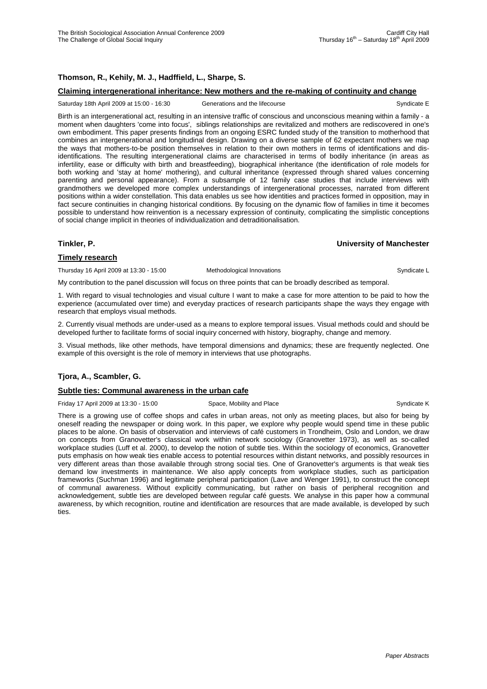## **Thomson, R., Kehily, M. J., Hadffield, L., Sharpe, S.**

#### **Claiming intergenerational inheritance: New mothers and the re-making of continuity and change**

Saturday 18th April 2009 at 15:00 - 16:30 Generations and the lifecourse Syndicate E

Birth is an intergenerational act, resulting in an intensive traffic of conscious and unconscious meaning within a family - a moment when daughters 'come into focus', siblings relationships are revitalized and mothers are rediscovered in one's own embodiment. This paper presents findings from an ongoing ESRC funded study of the transition to motherhood that combines an intergenerational and longitudinal design. Drawing on a diverse sample of 62 expectant mothers we map the ways that mothers-to-be position themselves in relation to their own mothers in terms of identifications and disidentifications. The resulting intergenerational claims are characterised in terms of bodily inheritance (in areas as infertility, ease or difficulty with birth and breastfeeding), biographical inheritance (the identification of role models for both working and 'stay at home' mothering), and cultural inheritance (expressed through shared values concerning parenting and personal appearance). From a subsample of 12 family case studies that include interviews with grandmothers we developed more complex understandings of intergenerational processes, narrated from different positions within a wider constellation. This data enables us see how identities and practices formed in opposition, may in fact secure continuities in changing historical conditions. By focusing on the dynamic flow of families in time it becomes possible to understand how reinvention is a necessary expression of continuity, complicating the simplistic conceptions of social change implicit in theories of individualization and detraditionalisation.

### **Tinkler, P. University of Manchester**

### **Timely research**

Thursday 16 April 2009 at 13:30 - 15:00 Methodological Innovations **Syndicate L** Syndicate L

My contribution to the panel discussion will focus on three points that can be broadly described as temporal.

1. With regard to visual technologies and visual culture I want to make a case for more attention to be paid to how the experience (accumulated over time) and everyday practices of research participants shape the ways they engage with research that employs visual methods.

2. Currently visual methods are under-used as a means to explore temporal issues. Visual methods could and should be developed further to facilitate forms of social inquiry concerned with history, biography, change and memory.

3. Visual methods, like other methods, have temporal dimensions and dynamics; these are frequently neglected. One example of this oversight is the role of memory in interviews that use photographs.

### **Tjora, A., Scambler, G.**

### **Subtle ties: Communal awareness in the urban cafe**

Friday 17 April 2009 at 13:30 - 15:00 Space, Mobility and Place Syndicate K Syndicate K

There is a growing use of coffee shops and cafes in urban areas, not only as meeting places, but also for being by oneself reading the newspaper or doing work. In this paper, we explore why people would spend time in these public places to be alone. On basis of observation and interviews of café customers in Trondheim, Oslo and London, we draw on concepts from Granovetter's classical work within network sociology (Granovetter 1973), as well as so-called workplace studies (Luff et al. 2000), to develop the notion of subtle ties. Within the sociology of economics, Granovetter puts emphasis on how weak ties enable access to potential resources within distant networks, and possibly resources in very different areas than those available through strong social ties. One of Granovetter's arguments is that weak ties demand low investments in maintenance. We also apply concepts from workplace studies, such as participation frameworks (Suchman 1996) and legitimate peripheral participation (Lave and Wenger 1991), to construct the concept of communal awareness. Without explicitly communicating, but rather on basis of peripheral recognition and acknowledgement, subtle ties are developed between regular café guests. We analyse in this paper how a communal awareness, by which recognition, routine and identification are resources that are made available, is developed by such ties.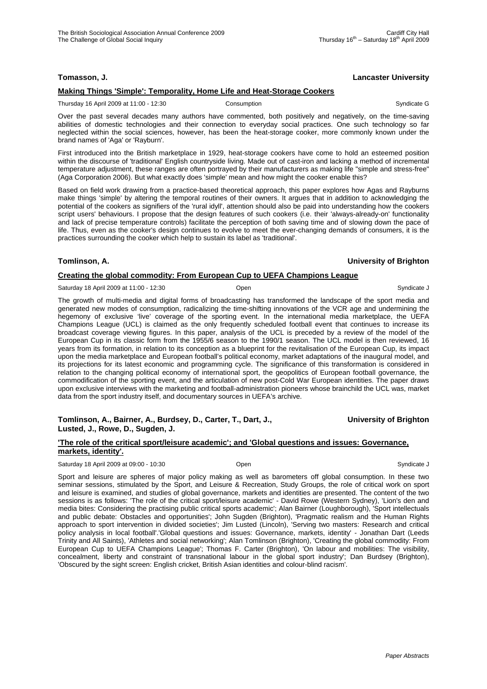## **Tomasson, J. Lancaster University**

## **Making Things 'Simple': Temporality, Home Life and Heat-Storage Cookers**

Thursday 16 April 2009 at 11:00 - 12:30 Consumption Consumption Syndicate G

Over the past several decades many authors have commented, both positively and negatively, on the time-saving abilities of domestic technologies and their connection to everyday social practices. One such technology so far neglected within the social sciences, however, has been the heat-storage cooker, more commonly known under the brand names of 'Aga' or 'Rayburn'.

First introduced into the British marketplace in 1929, heat-storage cookers have come to hold an esteemed position within the discourse of 'traditional' English countryside living. Made out of cast-iron and lacking a method of incremental temperature adjustment, these ranges are often portrayed by their manufacturers as making life "simple and stress-free" (Aga Corporation 2006). But what exactly does 'simple' mean and how might the cooker enable this?

Based on field work drawing from a practice-based theoretical approach, this paper explores how Agas and Rayburns make things 'simple' by altering the temporal routines of their owners. It argues that in addition to acknowledging the potential of the cookers as signifiers of the 'rural idyll', attention should also be paid into understanding how the cookers script users' behaviours. I propose that the design features of such cookers (i.e. their 'always-already-on' functionality and lack of precise temperature controls) facilitate the perception of both saving time and of slowing down the pace of life. Thus, even as the cooker's design continues to evolve to meet the ever-changing demands of consumers, it is the practices surrounding the cooker which help to sustain its label as 'traditional'.

## **Tomlinson, A. University of Brighton**

## **Creating the global commodity: From European Cup to UEFA Champions League**

Saturday 18 April 2009 at 11:00 - 12:30 Copen Copen Syndicate J Syndicate J

The growth of multi-media and digital forms of broadcasting has transformed the landscape of the sport media and generated new modes of consumption, radicalizing the time-shifting innovations of the VCR age and undermining the hegemony of exclusive 'live' coverage of the sporting event. In the international media marketplace, the UEFA Champions League (UCL) is claimed as the only frequently scheduled football event that continues to increase its broadcast coverage viewing figures. In this paper, analysis of the UCL is preceded by a review of the model of the European Cup in its classic form from the 1955/6 season to the 1990/1 season. The UCL model is then reviewed, 16 years from its formation, in relation to its conception as a blueprint for the revitalisation of the European Cup, its impact upon the media marketplace and European football's political economy, market adaptations of the inaugural model, and its projections for its latest economic and programming cycle. The significance of this transformation is considered in relation to the changing political economy of international sport, the geopolitics of European football governance, the commodification of the sporting event, and the articulation of new post-Cold War European identities. The paper draws upon exclusive interviews with the marketing and football-administration pioneers whose brainchild the UCL was, market data from the sport industry itself, and documentary sources in UEFA's archive.

### **Tomlinson, A., Bairner, A., Burdsey, D., Carter, T., Dart, J., C. Eq. 3. Intersity of Brighton Lusted, J., Rowe, D., Sugden, J.**

#### **'The role of the critical sport/leisure academic'; and 'Global questions and issues: Governance, markets, identity'.**

| Saturday 18 April 2009 at 09:00 - 10:30 | Open | Svndicate J |
|-----------------------------------------|------|-------------|
|                                         |      |             |

Sport and leisure are spheres of major policy making as well as barometers off global consumption. In these two seminar sessions, stimulated by the Sport, and Leisure & Recreation, Study Groups, the role of critical work on sport and leisure is examined, and studies of global governance, markets and identities are presented. The content of the two sessions is as follows: 'The role of the critical sport/leisure academic' - David Rowe (Western Sydney), 'Lion's den and media bites: Considering the practising public critical sports academic'; Alan Bairner (Loughborough), 'Sport intellectuals and public debate: Obstacles and opportunities'; John Sugden (Brighton), 'Pragmatic realism and the Human Rights approach to sport intervention in divided societies'; Jim Lusted (Lincoln), 'Serving two masters: Research and critical policy analysis in local football'.'Global questions and issues: Governance, markets, identity' - Jonathan Dart (Leeds Trinity and All Saints), 'Athletes and social networking'; Alan Tomlinson (Brighton), 'Creating the global commodity: From European Cup to UEFA Champions League'; Thomas F. Carter (Brighton), 'On labour and mobilities: The visibility, concealment, liberty and constraint of transnational labour in the global sport industry'; Dan Burdsey (Brighton), 'Obscured by the sight screen: English cricket, British Asian identities and colour-blind racism'.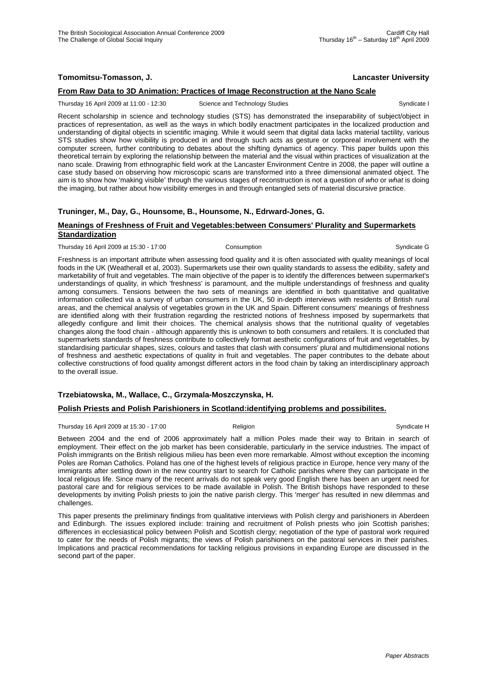## **Tomomitsu-Tomasson, J. Lancaster University**

## **From Raw Data to 3D Animation: Practices of Image Reconstruction at the Nano Scale**

Thursday 16 April 2009 at 11:00 - 12:30 Science and Technology Studies Syndicate I Syndicate I

Recent scholarship in science and technology studies (STS) has demonstrated the inseparability of subject/object in practices of representation, as well as the ways in which bodily enactment participates in the localized production and understanding of digital objects in scientific imaging. While it would seem that digital data lacks material tactility, various STS studies show how visibility is produced in and through such acts as gesture or corporeal involvement with the computer screen, further contributing to debates about the shifting dynamics of agency. This paper builds upon this theoretical terrain by exploring the relationship between the material and the visual within practices of visualization at the nano scale. Drawing from ethnographic field work at the Lancaster Environment Centre in 2008, the paper will outline a case study based on observing how microscopic scans are transformed into a three dimensional animated object. The aim is to show how 'making visible' through the various stages of reconstruction is not a question of *who* or *what* is doing the imaging, but rather about how visibility emerges in and through entangled sets of material discursive practice.

## **Truninger, M., Day, G., Hounsome, B., Hounsome, N., Edrward-Jones, G.**

#### **Meanings of Freshness of Fruit and Vegetables:between Consumers' Plurality and Supermarkets Standardization**

Thursday 16 April 2009 at 15:30 - 17:00 Consumption Consumption Syndicate G

Freshness is an important attribute when assessing food quality and it is often associated with quality meanings of local foods in the UK (Weatherall et al, 2003). Supermarkets use their own quality standards to assess the edibility, safety and marketability of fruit and vegetables. The main objective of the paper is to identify the differences between supermarket's understandings of quality, in which 'freshness' is paramount, and the multiple understandings of freshness and quality among consumers. Tensions between the two sets of meanings are identified in both quantitative and qualitative information collected via a survey of urban consumers in the UK, 50 in-depth interviews with residents of British rural areas, and the chemical analysis of vegetables grown in the UK and Spain. Different consumers' meanings of freshness are identified along with their frustration regarding the restricted notions of freshness imposed by supermarkets that allegedly configure and limit their choices. The chemical analysis shows that the nutritional quality of vegetables changes along the food chain - although apparently this is unknown to both consumers and retailers. It is concluded that supermarkets standards of freshness contribute to collectively format aesthetic configurations of fruit and vegetables, by standardising particular shapes, sizes, colours and tastes that clash with consumers' plural and multidimensional notions of freshness and aesthetic expectations of quality in fruit and vegetables. The paper contributes to the debate about collective constructions of food quality amongst different actors in the food chain by taking an interdisciplinary approach to the overall issue.

## **Trzebiatowska, M., Wallace, C., Grzymala-Moszczynska, H.**

### **Polish Priests and Polish Parishioners in Scotland:identifying problems and possibilites.**

Thursday 16 April 2009 at 15:30 - 17:00 Religion Religion Syndicate H

Between 2004 and the end of 2006 approximately half a million Poles made their way to Britain in search of employment. Their effect on the job market has been considerable, particularly in the service industries. The impact of Polish immigrants on the British religious milieu has been even more remarkable. Almost without exception the incoming Poles are Roman Catholics. Poland has one of the highest levels of religious practice in Europe, hence very many of the immigrants after settling down in the new country start to search for Catholic parishes where they can participate in the local religious life. Since many of the recent arrivals do not speak very good English there has been an urgent need for pastoral care and for religious services to be made available in Polish. The British bishops have responded to these developments by inviting Polish priests to join the native parish clergy. This 'merger' has resulted in new dilemmas and challenges.

This paper presents the preliminary findings from qualitative interviews with Polish clergy and parishioners in Aberdeen and Edinburgh. The issues explored include: training and recruitment of Polish priests who join Scottish parishes; differences in ecclesiastical policy between Polish and Scottish clergy; negotiation of the type of pastoral work required to cater for the needs of Polish migrants; the views of Polish parishioners on the pastoral services in their parishes. Implications and practical recommendations for tackling religious provisions in expanding Europe are discussed in the second part of the paper.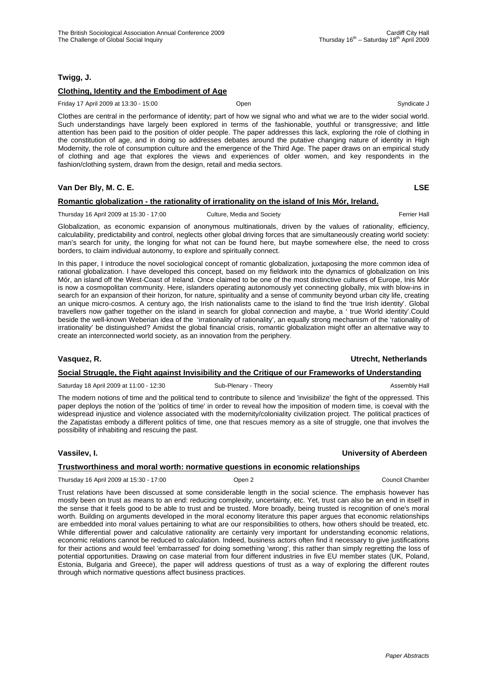## **Twigg, J.**

## **Clothing, Identity and the Embodiment of Age**

Friday 17 April 2009 at 13:30 - 15:00 Open Syndicate J

Clothes are central in the performance of identity; part of how we signal who and what we are to the wider social world. Such understandings have largely been explored in terms of the fashionable, youthful or transgressive; and little attention has been paid to the position of older people. The paper addresses this lack, exploring the role of clothing in the constitution of age, and in doing so addresses debates around the putative changing nature of identity in High Modernity, the role of consumption culture and the emergence of the Third Age. The paper draws on an empirical study of clothing and age that explores the views and experiences of older women, and key respondents in the fashion/clothing system, drawn from the design, retail and media sectors.

## **Van Der Bly, M. C. E. LSE**

## **Romantic globalization - the rationality of irrationality on the island of Inis Mór, Ireland.**

Thursday 16 April 2009 at 15:30 - 17:00 Culture, Media and Society Ferrier Hall Ferrier Hall

Globalization, as economic expansion of anonymous multinationals, driven by the values of rationality, efficiency, calculability, predictability and control, neglects other global driving forces that are simultaneously creating world society: man's search for unity, the longing for what not can be found here, but maybe somewhere else, the need to cross borders, to claim individual autonomy, to explore and spiritually connect.

In this paper, I introduce the novel sociological concept of romantic globalization, juxtaposing the more common idea of rational globalization. I have developed this concept, based on my fieldwork into the dynamics of globalization on Inis Mór, an island off the West-Coast of Ireland. Once claimed to be one of the most distinctive cultures of Europe, Inis Mór is now a cosmopolitan community. Here, islanders operating autonomously yet connecting globally, mix with blow-ins in search for an expansion of their horizon, for nature, spirituality and a sense of community beyond urban city life, creating an unique micro-cosmos. A century ago, the Irish nationalists came to the island to find the 'true Irish identity'. Global travellers now gather together on the island in search for global connection and maybe, a ' true World identity'.Could beside the well-known Weberian idea of the 'irrationality of rationality', an equally strong mechanism of the 'rationality of irrationality' be distinguished? Amidst the global financial crisis, romantic globalization might offer an alternative way to create an interconnected world society, as an innovation from the periphery.

### **Vasquez, R. Utrecht, Netherlands**

# **Social Struggle, the Fight against Invisibility and the Critique of our Frameworks of Understanding**

Saturday 18 April 2009 at 11:00 - 12:30 Sub-Plenary - Theory Sub-Plenary - Theory Sub-Plenary - Theory Assembly Hall

The modern notions of time and the political tend to contribute to silence and 'invisibilize' the fight of the oppressed. This paper deploys the notion of the 'politics of time' in order to reveal how the imposition of modern time, is coeval with the widespread injustice and violence associated with the modernity/coloniality civilization project. The political practices of the Zapatistas embody a different politics of time, one that rescues memory as a site of struggle, one that involves the possibility of inhabiting and rescuing the past.

## **Vassilev, I. University of Aberdeen**

## **Trustworthiness and moral worth: normative questions in economic relationships**

Thursday 16 April 2009 at 15:30 - 17:00 **Open 2** Council Chamber Council Chamber Council Chamber Council Chamber Council Chamber Council Chamber Council Chamber Council Chamber Council Chamber Council Chamber Council Chamb

Trust relations have been discussed at some considerable length in the social science. The emphasis however has mostly been on trust as means to an end: reducing complexity, uncertainty, etc. Yet, trust can also be an end in itself in the sense that it feels good to be able to trust and be trusted. More broadly, being trusted is recognition of one's moral worth. Building on arguments developed in the moral economy literature this paper argues that economic relationships are embedded into moral values pertaining to what are our responsibilities to others, how others should be treated, etc. While differential power and calculative rationality are certainly very important for understanding economic relations, economic relations cannot be reduced to calculation. Indeed, business actors often find it necessary to give justifications for their actions and would feel 'embarrassed' for doing something 'wrong', this rather than simply regretting the loss of potential opportunities. Drawing on case material from four different industries in five EU member states (UK, Poland, Estonia, Bulgaria and Greece), the paper will address questions of trust as a way of exploring the different routes through which normative questions affect business practices.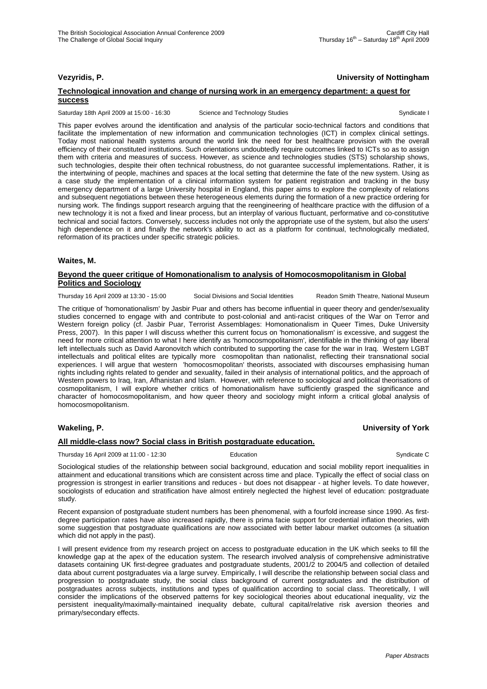## **Vezyridis, P. University of Nottingham**

### **Technological innovation and change of nursing work in an emergency department: a quest for success**

Saturday 18th April 2009 at 15:00 - 16:30 Science and Technology Studies Syndicate I Syndicate I

This paper evolves around the identification and analysis of the particular socio-technical factors and conditions that facilitate the implementation of new information and communication technologies (ICT) in complex clinical settings. Today most national health systems around the world link the need for best healthcare provision with the overall efficiency of their constituted institutions. Such orientations undoubtedly require outcomes linked to ICTs so as to assign them with criteria and measures of success. However, as science and technologies studies (STS) scholarship shows, such technologies, despite their often technical robustness, do not guarantee successful implementations. Rather, it is the intertwining of people, machines and spaces at the local setting that determine the fate of the new system. Using as a case study the implementation of a clinical information system for patient registration and tracking in the busy emergency department of a large University hospital in England, this paper aims to explore the complexity of relations and subsequent negotiations between these heterogeneous elements during the formation of a new practice ordering for nursing work. The findings support research arguing that the reengineering of healthcare practice with the diffusion of a new technology it is not a fixed and linear process, but an interplay of various fluctuant, performative and co-constitutive technical and social factors. Conversely, success includes not only the appropriate use of the system, but also the users' high dependence on it and finally the network's ability to act as a platform for continual, technologically mediated, reformation of its practices under specific strategic policies.

#### **Waites, M.**

#### **Beyond the queer critique of Homonationalism to analysis of Homocosmopolitanism in Global Politics and Sociology**

Thursday 16 April 2009 at 13:30 - 15:00 Social Divisions and Social Identities Readon Smith Theatre, National Museum

The critique of 'homonationalism' by Jasbir Puar and others has become influential in queer theory and gender/sexuality studies concerned to engage with and contribute to post-colonial and anti-racist critiques of the War on Terror and Western foreign policy (cf. Jasbir Puar, Terrorist Assemblages: Homonationalism in Queer Times, Duke University Press, 2007). In this paper I will discuss whether this current focus on 'homonationalism' is excessive, and suggest the need for more critical attention to what I here identify as 'homocosmopolitanism', identifiable in the thinking of gay liberal left intellectuals such as David Aaronovitch which contributed to supporting the case for the war in Iraq. Western LGBT intellectuals and political elites are typically more cosmopolitan than nationalist, reflecting their transnational social experiences. I will argue that western 'homocosmopolitan' theorists, associated with discourses emphasising human rights including rights related to gender and sexuality, failed in their analysis of international politics, and the approach of Western powers to Iraq, Iran, Afhanistan and Islam. However, with reference to sociological and political theorisations of cosmopolitanism, I will explore whether critics of homonationalism have sufficiently grasped the significance and character of homocosmopolitanism, and how queer theory and sociology might inform a critical global analysis of homocosmopolitanism.

## **Wakeling, P. University of York**

#### **All middle-class now? Social class in British postgraduate education.**

Thursday 16 April 2009 at 11:00 - 12:30 Education Education Syndicate C

Sociological studies of the relationship between social background, education and social mobility report inequalities in attainment and educational transitions which are consistent across time and place. Typically the effect of social class on progression is strongest in earlier transitions and reduces - but does not disappear - at higher levels. To date however, sociologists of education and stratification have almost entirely neglected the highest level of education: postgraduate study.

Recent expansion of postgraduate student numbers has been phenomenal, with a fourfold increase since 1990. As firstdegree participation rates have also increased rapidly, there is prima facie support for credential inflation theories, with some suggestion that postgraduate qualifications are now associated with better labour market outcomes (a situation which did not apply in the past).

I will present evidence from my research project on access to postgraduate education in the UK which seeks to fill the knowledge gap at the apex of the education system. The research involved analysis of comprehensive administrative datasets containing UK first-degree graduates and postgraduate students, 2001/2 to 2004/5 and collection of detailed data about current postgraduates via a large survey. Empirically, I will describe the relationship between social class and progression to postgraduate study, the social class background of current postgraduates and the distribution of postgraduates across subjects, institutions and types of qualification according to social class. Theoretically, I will consider the implications of the observed patterns for key sociological theories about educational inequality, viz the persistent inequality/maximally-maintained inequality debate, cultural capital/relative risk aversion theories and primary/secondary effects.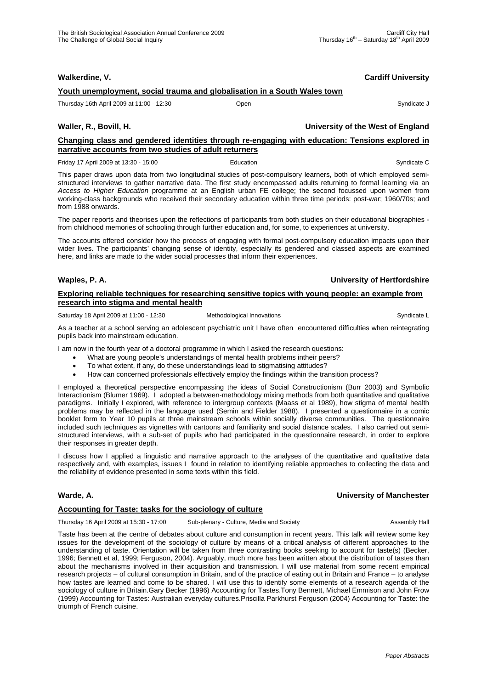| Walkerdine, V.                                                                                                                                            |                                   | <b>Cardiff University</b> |
|-----------------------------------------------------------------------------------------------------------------------------------------------------------|-----------------------------------|---------------------------|
| Youth unemployment, social trauma and globalisation in a South Wales town                                                                                 |                                   |                           |
| Thursday 16th April 2009 at 11:00 - 12:30                                                                                                                 | Open                              | Syndicate J               |
| Waller, R., Bovill, H.                                                                                                                                    | University of the West of England |                           |
| Changing class and gendered identities through re-engaging with education: Tensions explored in<br>narrative accounts from two studies of adult returners |                                   |                           |
| Friday 17 April 2009 at 13:30 - 15:00                                                                                                                     | Education                         | Syndicate C               |

This paper draws upon data from two longitudinal studies of post-compulsory learners, both of which employed semistructured interviews to gather narrative data. The first study encompassed adults returning to formal learning via an *Access to Higher Education* programme at an English urban FE college; the second focussed upon women from working-class backgrounds who received their secondary education within three time periods: post-war; 1960/70s; and from 1988 onwards.

The paper reports and theorises upon the reflections of participants from both studies on their educational biographies from childhood memories of schooling through further education and, for some, to experiences at university.

The accounts offered consider how the process of engaging with formal post-compulsory education impacts upon their wider lives. The participants' changing sense of identity, especially its gendered and classed aspects are examined here, and links are made to the wider social processes that inform their experiences.

## **Waples, P. A. University of Hertfordshire**

## **Exploring reliable techniques for researching sensitive topics with young people: an example from research into stigma and mental health**

Saturday 18 April 2009 at 11:00 - 12:30 Methodological Innovations Cyndicate L

As a teacher at a school serving an adolescent psychiatric unit I have often encountered difficulties when reintegrating pupils back into mainstream education.

I am now in the fourth year of a doctoral programme in which I asked the research questions:

- What are young people's understandings of mental health problems intheir peers?
- To what extent, if any, do these understandings lead to stigmatising attitudes?
- How can concerned professionals effectively employ the findings within the transition process?

I employed a theoretical perspective encompassing the ideas of Social Constructionism (Burr 2003) and Symbolic Interactionism (Blumer 1969). I adopted a between-methodology mixing methods from both quantitative and qualitative paradigms. Initially I explored, with reference to intergroup contexts (Maass et al 1989), how stigma of mental health problems may be reflected in the language used (Semin and Fielder 1988). I presented a questionnaire in a comic booklet form to Year 10 pupils at three mainstream schools within socially diverse communities. The questionnaire included such techniques as vignettes with cartoons and familiarity and social distance scales. I also carried out semistructured interviews, with a sub-set of pupils who had participated in the questionnaire research, in order to explore their responses in greater depth.

I discuss how I applied a linguistic and narrative approach to the analyses of the quantitative and qualitative data respectively and, with examples, issues I found in relation to identifying reliable approaches to collecting the data and the reliability of evidence presented in some texts within this field.

## **Warde, A. University of Manchester**

## **Accounting for Taste: tasks for the sociology of culture**

Thursday 16 April 2009 at 15:30 - 17:00 Sub-plenary - Culture, Media and Society **Assembly Hall** Assembly Hall

Taste has been at the centre of debates about culture and consumption in recent years. This talk will review some key issues for the development of the sociology of culture by means of a critical analysis of different approaches to the understanding of taste. Orientation will be taken from three contrasting books seeking to account for taste(s) (Becker, 1996; Bennett et al, 1999; Ferguson, 2004). Arguably, much more has been written about the distribution of tastes than about the mechanisms involved in their acquisition and transmission. I will use material from some recent empirical research projects – of cultural consumption in Britain, and of the practice of eating out in Britain and France – to analyse how tastes are learned and come to be shared. I will use this to identify some elements of a research agenda of the sociology of culture in Britain.Gary Becker (1996) Accounting for Tastes.Tony Bennett, Michael Emmison and John Frow (1999) Accounting for Tastes: Australian everyday cultures.Priscilla Parkhurst Ferguson (2004) Accounting for Taste: the triumph of French cuisine.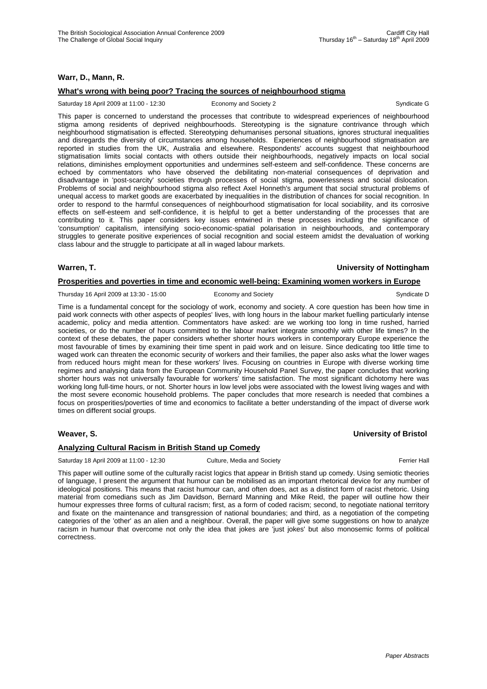## **Warr, D., Mann, R.**

## **What's wrong with being poor? Tracing the sources of neighbourhood stigma**

#### Saturday 18 April 2009 at 11:00 - 12:30 Economy and Society 2 Syndicate G

This paper is concerned to understand the processes that contribute to widespread experiences of neighbourhood stigma among residents of deprived neighbourhoods. Stereotyping is the signature contrivance through which neighbourhood stigmatisation is effected. Stereotyping dehumanises personal situations, ignores structural inequalities and disregards the diversity of circumstances among households. Experiences of neighbourhood stigmatisation are reported in studies from the UK, Australia and elsewhere. Respondents' accounts suggest that neighbourhood stigmatisation limits social contacts with others outside their neighbourhoods, negatively impacts on local social relations, diminishes employment opportunities and undermines self-esteem and self-confidence. These concerns are echoed by commentators who have observed the debilitating non-material consequences of deprivation and disadvantage in 'post-scarcity' societies through processes of social stigma, powerlessness and social dislocation. Problems of social and neighbourhood stigma also reflect Axel Honneth's argument that social structural problems of unequal access to market goods are exacerbated by inequalities in the distribution of chances for social recognition. In order to respond to the harmful consequences of neighbourhood stigmatisation for local sociability, and its corrosive effects on self-esteem and self-confidence, it is helpful to get a better understanding of the processes that are contributing to it. This paper considers key issues entwined in these processes including the significance of 'consumption' capitalism, intensifying socio-economic-spatial polarisation in neighbourhoods, and contemporary struggles to generate positive experiences of social recognition and social esteem amidst the devaluation of working class labour and the struggle to participate at all in waged labour markets.

#### **Warren, T. University of Nottingham**

## **Prosperities and poverties in time and economic well-being: Examining women workers in Europe**

Thursday 16 April 2009 at 13:30 - 15:00 Economy and Society Syndicate D Syndicate D

Time is a fundamental concept for the sociology of work, economy and society. A core question has been how time in paid work connects with other aspects of peoples' lives, with long hours in the labour market fuelling particularly intense academic, policy and media attention. Commentators have asked: are we working too long in time rushed, harried societies, or do the number of hours committed to the labour market integrate smoothly with other life times? In the context of these debates, the paper considers whether shorter hours workers in contemporary Europe experience the most favourable of times by examining their time spent in paid work and on leisure. Since dedicating too little time to waged work can threaten the economic security of workers and their families, the paper also asks what the lower wages from reduced hours might mean for these workers' lives. Focusing on countries in Europe with diverse working time regimes and analysing data from the European Community Household Panel Survey, the paper concludes that working shorter hours was not universally favourable for workers' time satisfaction. The most significant dichotomy here was working long full-time hours, or not. Shorter hours in low level jobs were associated with the lowest living wages and with the most severe economic household problems. The paper concludes that more research is needed that combines a focus on prosperities/poverties of time and economics to facilitate a better understanding of the impact of diverse work times on different social groups.

## **Weaver, S. University of Bristol**

## **Analyzing Cultural Racism in British Stand up Comedy**

Saturday 18 April 2009 at 11:00 - 12:30 Culture, Media and Society **Ferrier Hall** Ferrier Hall

This paper will outline some of the culturally racist logics that appear in British stand up comedy. Using semiotic theories of language, I present the argument that humour can be mobilised as an important rhetorical device for any number of ideological positions. This means that racist humour can, and often does, act as a distinct form of racist rhetoric. Using material from comedians such as Jim Davidson, Bernard Manning and Mike Reid, the paper will outline how their humour expresses three forms of cultural racism; first, as a form of coded racism; second, to negotiate national territory and fixate on the maintenance and transgression of national boundaries; and third, as a negotiation of the competing categories of the 'other' as an alien and a neighbour. Overall, the paper will give some suggestions on how to analyze racism in humour that overcome not only the idea that jokes are 'just jokes' but also monosemic forms of political correctness.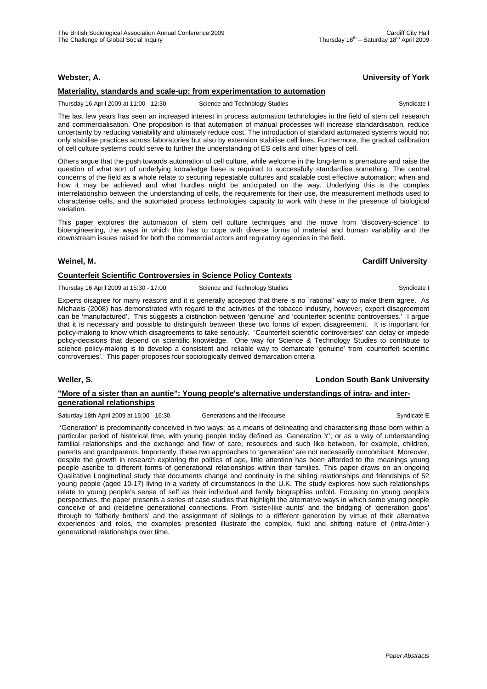## **Webster, A. University of York**

## **Materiality, standards and scale-up: from experimentation to automation**

Thursday 16 April 2009 at 11:00 - 12:30 Science and Technology Studies Syndicate I Syndicate I

The last few years has seen an increased interest in process automation technologies in the field of stem cell research and commercialisation. One proposition is that automation of manual processes will increase standardisation, reduce uncertainty by reducing variability and ultimately reduce cost. The introduction of standard automated systems would not only stabilise practices across laboratories but also by extension stabilise cell lines. Furthermore, the gradual calibration of cell culture systems could serve to further the understanding of ES cells and other types of cell.

Others argue that the push towards automation of cell culture, while welcome in the long-term is premature and raise the question of what sort of underlying knowledge base is required to successfully standardise something. The central concerns of the field as a whole relate to securing repeatable cultures and scalable cost effective automation; when and how it may be achieved and what hurdles might be anticipated on the way. Underlying this is the complex interrelationship between the understanding of cells, the requirements for their use, the measurement methods used to characterise cells, and the automated process technologies capacity to work with these in the presence of biological variation.

This paper explores the automation of stem cell culture techniques and the move from 'discovery-science' to bioengineering, the ways in which this has to cope with diverse forms of material and human variability and the downstream issues raised for both the commercial actors and regulatory agencies in the field.

### **Weinel, M. Cardiff University**

## **Counterfeit Scientific Controversies in Science Policy Contexts**

Thursday 16 April 2009 at 15:30 - 17:00 Science and Technology Studies Syndicate I

Experts disagree for many reasons and it is generally accepted that there is no `rational' way to make them agree. As Michaels (2008) has demonstrated with regard to the activities of the tobacco industry, however, expert disagreement can be 'manufactured'. This suggests a distinction between 'genuine' and 'counterfeit scientific controversies.' I argue that it is necessary and possible to distinguish between these two forms of expert disagreement. It is important for policy-making to know which disagreements to take seriously. 'Counterfeit scientific controversies' can delay or impede policy-decisions that depend on scientific knowledge. One way for Science & Technology Studies to contribute to science policy-making is to develop a consistent and reliable way to demarcate 'genuine' from 'counterfeit scientific controversies'. This paper proposes four sociologically derived demarcation criteria

# **Weller, S. London South Bank University**

## **"More of a sister than an auntie": Young people's alternative understandings of intra- and intergenerational relationships**

Saturday 18th April 2009 at 15:00 - 16:30 Generations and the lifecourse Syndicate E

 'Generation' is predominantly conceived in two ways; as a means of delineating and characterising those born within a particular period of historical time, with young people today defined as 'Generation Y'; or as a way of understanding familial relationships and the exchange and flow of care, resources and such like between, for example, children, parents and grandparents. Importantly, these two approaches to 'generation' are not necessarily concomitant. Moreover, despite the growth in research exploring the politics of age, little attention has been afforded to the meanings young people ascribe to different forms of generational relationships within their families. This paper draws on an ongoing Qualitative Longitudinal study that documents change and continuity in the sibling relationships and friendships of 52 young people (aged 10-17) living in a variety of circumstances in the U.K. The study explores how such relationships relate to young people's sense of self as their individual and family biographies unfold. Focusing on young people's perspectives, the paper presents a series of case studies that highlight the alternative ways in which some young people conceive of and (re)define generational connections. From 'sister-like aunts' and the bridging of 'generation gaps' through to 'fatherly brothers' and the assignment of siblings to a different generation by virtue of their alternative experiences and roles, the examples presented illustrate the complex, fluid and shifting nature of (intra-/inter-) generational relationships over time.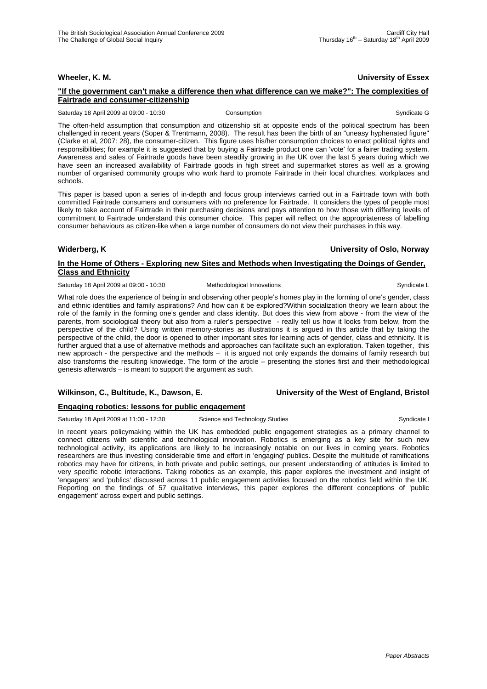**Wheeler, K. M. University of Essex**

#### **"If the government can't make a difference then what difference can we make?": The complexities of Fairtrade and consumer-citizenship**

Saturday 18 April 2009 at 09:00 - 10:30 Consumption Consumption Syndicate G

The often-held assumption that consumption and citizenship sit at opposite ends of the political spectrum has been challenged in recent years (Soper & Trentmann, 2008). The result has been the birth of an "uneasy hyphenated figure" (Clarke et al, 2007: 28), the consumer-citizen. This figure uses his/her consumption choices to enact political rights and responsibilities; for example it is suggested that by buying a Fairtrade product one can 'vote' for a fairer trading system. Awareness and sales of Fairtrade goods have been steadily growing in the UK over the last 5 years during which we have seen an increased availability of Fairtrade goods in high street and supermarket stores as well as a growing number of organised community groups who work hard to promote Fairtrade in their local churches, workplaces and schools.

This paper is based upon a series of in-depth and focus group interviews carried out in a Fairtrade town with both committed Fairtrade consumers and consumers with no preference for Fairtrade. It considers the types of people most likely to take account of Fairtrade in their purchasing decisions and pays attention to how those with differing levels of commitment to Fairtrade understand this consumer choice. This paper will reflect on the appropriateness of labelling consumer behaviours as citizen-like when a large number of consumers do not view their purchases in this way.

**Widerberg, K University of Oslo, Norway**

## **In the Home of Others - Exploring new Sites and Methods when Investigating the Doings of Gender, Class and Ethnicity**

Saturday 18 April 2009 at 09:00 - 10:30 Methodological Innovations Communicate L

What role does the experience of being in and observing other people's homes play in the forming of one's gender, class and ethnic identities and family aspirations? And how can it be explored?Within socialization theory we learn about the role of the family in the forming one's gender and class identity. But does this view from above - from the view of the parents, from sociological theory but also from a ruler's perspective - really tell us how it looks from below, from the perspective of the child? Using written memory-stories as illustrations it is argued in this article that by taking the perspective of the child, the door is opened to other important sites for learning acts of gender, class and ethnicity. It is further argued that a use of alternative methods and approaches can facilitate such an exploration. Taken together, this new approach - the perspective and the methods – it is argued not only expands the domains of family research but also transforms the resulting knowledge. The form of the article – presenting the stories first and their methodological genesis afterwards – is meant to support the argument as such.

## Wilkinson, C., Bultitude, K., Dawson, E. **Wilkinson, C., Bultitude, K., Dawson, E.** University of the West of England, Bristol

## **Engaging robotics: lessons for public engagement**

Saturday 18 April 2009 at 11:00 - 12:30 Science and Technology Studies Syndicate I Syndicate I

In recent years policymaking within the UK has embedded public engagement strategies as a primary channel to connect citizens with scientific and technological innovation. Robotics is emerging as a key site for such new technological activity, its applications are likely to be increasingly notable on our lives in coming years. Robotics researchers are thus investing considerable time and effort in 'engaging' publics. Despite the multitude of ramifications robotics may have for citizens, in both private and public settings, our present understanding of attitudes is limited to very specific robotic interactions. Taking robotics as an example, this paper explores the investment and insight of 'engagers' and 'publics' discussed across 11 public engagement activities focused on the robotics field within the UK. Reporting on the findings of 57 qualitative interviews, this paper explores the different conceptions of 'public engagement' across expert and public settings.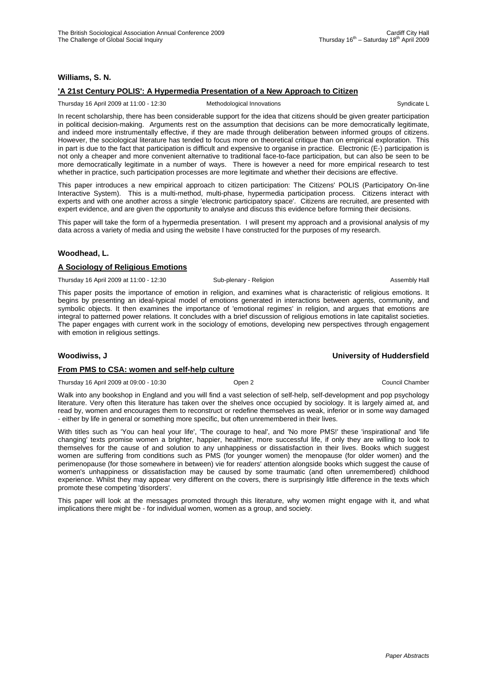## **Williams, S. N.**

## **'A 21st Century POLIS': A Hypermedia Presentation of a New Approach to Citizen**

Thursday 16 April 2009 at 11:00 - 12:30 Methodological Innovations Syndicate L

In recent scholarship, there has been considerable support for the idea that citizens should be given greater participation in political decision-making. Arguments rest on the assumption that decisions can be more democratically legitimate, and indeed more instrumentally effective, if they are made through deliberation between informed groups of citizens. However, the sociological literature has tended to focus more on theoretical critique than on empirical exploration. This in part is due to the fact that participation is difficult and expensive to organise in practice. Electronic (E-) participation is not only a cheaper and more convenient alternative to traditional face-to-face participation, but can also be seen to be more democratically legitimate in a number of ways. There is however a need for more empirical research to test whether in practice, such participation processes are more legitimate and whether their decisions are effective.

This paper introduces a new empirical approach to citizen participation: The Citizens' POLIS (Participatory On-line Interactive System). This is a multi-method, multi-phase, hypermedia participation process. Citizens interact with experts and with one another across a single 'electronic participatory space'. Citizens are recruited, are presented with expert evidence, and are given the opportunity to analyse and discuss this evidence before forming their decisions.

This paper will take the form of a hypermedia presentation. I will present my approach and a provisional analysis of my data across a variety of media and using the website I have constructed for the purposes of my research.

## **Woodhead, L.**

## **A Sociology of Religious Emotions**

Thursday 16 April 2009 at 11:00 - 12:30 Sub-plenary - Religion **Assembly Hall** Assembly Hall

This paper posits the importance of emotion in religion, and examines what is characteristic of religious emotions. It begins by presenting an ideal-typical model of emotions generated in interactions between agents, community, and symbolic objects. It then examines the importance of 'emotional regimes' in religion, and argues that emotions are integral to patterned power relations. It concludes with a brief discussion of religious emotions in late capitalist societies. The paper engages with current work in the sociology of emotions, developing new perspectives through engagement with emotion in religious settings.

### **From PMS to CSA: women and self-help culture**

Thursday 16 April 2009 at 09:00 - 10:30 Open 2 Council Chamber Council Chamber Council Chamber

Walk into any bookshop in England and you will find a vast selection of self-help, self-development and pop psychology literature. Very often this literature has taken over the shelves once occupied by sociology. It is largely aimed at, and read by, women and encourages them to reconstruct or redefine themselves as weak, inferior or in some way damaged - either by life in general or something more specific, but often unremembered in their lives.

With titles such as 'You can heal your life', 'The courage to heal', and 'No more PMS!' these 'inspirational' and 'life changing' texts promise women a brighter, happier, healthier, more successful life, if only they are willing to look to themselves for the cause of and solution to any unhappiness or dissatisfaction in their lives. Books which suggest women are suffering from conditions such as PMS (for younger women) the menopause (for older women) and the perimenopause (for those somewhere in between) vie for readers' attention alongside books which suggest the cause of women's unhappiness or dissatisfaction may be caused by some traumatic (and often unremembered) childhood experience. Whilst they may appear very different on the covers, there is surprisingly little difference in the texts which promote these competing 'disorders'.

This paper will look at the messages promoted through this literature, why women might engage with it, and what implications there might be - for individual women, women as a group, and society.

#### **Woodiwiss, J University of Huddersfield**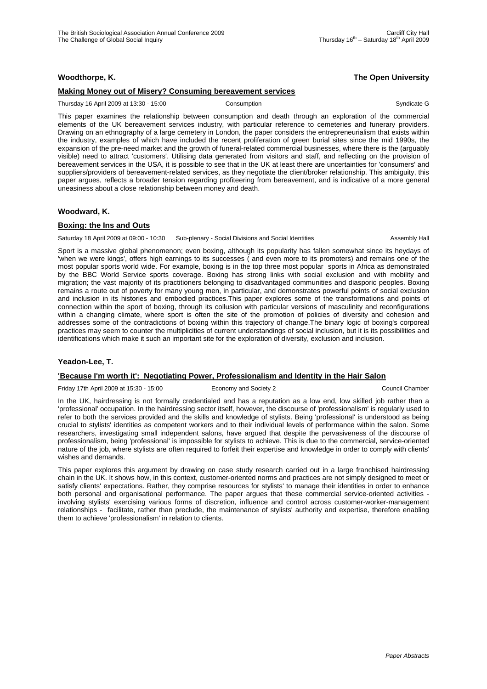## **Woodthorpe, K. The Open University**

## **Making Money out of Misery? Consuming bereavement services**

Thursday 16 April 2009 at 13:30 - 15:00 Consumption Consumption Consumption Syndicate G

This paper examines the relationship between consumption and death through an exploration of the commercial elements of the UK bereavement services industry, with particular reference to cemeteries and funerary providers. Drawing on an ethnography of a large cemetery in London, the paper considers the entrepreneurialism that exists within the industry, examples of which have included the recent proliferation of green burial sites since the mid 1990s, the expansion of the pre-need market and the growth of funeral-related commercial businesses, where there is the (arguably visible) need to attract 'customers'. Utilising data generated from visitors and staff, and reflecting on the provision of bereavement services in the USA, it is possible to see that in the UK at least there are uncertainties for 'consumers' and suppliers/providers of bereavement-related services, as they negotiate the client/broker relationship. This ambiguity, this paper argues, reflects a broader tension regarding profiteering from bereavement, and is indicative of a more general uneasiness about a close relationship between money and death.

## **Woodward, K.**

## **Boxing: the Ins and Outs**

Saturday 18 April 2009 at 09:00 - 10:30 Sub-plenary - Social Divisions and Social Identities Assembly Hall

Sport is a massive global phenomenon; even boxing, although its popularity has fallen somewhat since its heydays of 'when we were kings', offers high earnings to its successes ( and even more to its promoters) and remains one of the most popular sports world wide. For example, boxing is in the top three most popular sports in Africa as demonstrated by the BBC World Service sports coverage. Boxing has strong links with social exclusion and with mobility and migration; the vast majority of its practitioners belonging to disadvantaged communities and diasporic peoples. Boxing remains a route out of poverty for many young men, in particular, and demonstrates powerful points of social exclusion and inclusion in its histories and embodied practices.This paper explores some of the transformations and points of connection within the sport of boxing, through its collusion with particular versions of masculinity and reconfigurations within a changing climate, where sport is often the site of the promotion of policies of diversity and cohesion and addresses some of the contradictions of boxing within this trajectory of change.The binary logic of boxing's corporeal practices may seem to counter the multiplicities of current understandings of social inclusion, but it is its possibilities and identifications which make it such an important site for the exploration of diversity, exclusion and inclusion.

### **Yeadon-Lee, T.**

### **'Because I'm worth it': Negotiating Power, Professionalism and Identity in the Hair Salon**

Friday 17th April 2009 at 15:30 - 15:00 Economy and Society 2 Council Chamber

In the UK, hairdressing is not formally credentialed and has a reputation as a low end, low skilled job rather than a 'professional' occupation. In the hairdressing sector itself, however, the discourse of 'professionalism' is regularly used to refer to both the services provided and the skills and knowledge of stylists. Being 'professional' is understood as being crucial to stylists' identities as competent workers and to their individual levels of performance within the salon. Some researchers, investigating small independent salons, have argued that despite the pervasiveness of the discourse of professionalism, being 'professional' is impossible for stylists to achieve. This is due to the commercial, service-oriented nature of the job, where stylists are often required to forfeit their expertise and knowledge in order to comply with clients' wishes and demands.

This paper explores this argument by drawing on case study research carried out in a large franchised hairdressing chain in the UK. It shows how, in this context, customer-oriented norms and practices are not simply designed to meet or satisfy clients' expectations. Rather, they comprise resources for stylists' to manage their identities in order to enhance both personal and organisational performance. The paper argues that these commercial service-oriented activities involving stylists' exercising various forms of discretion, influence and control across customer-worker-management relationships - facilitate, rather than preclude, the maintenance of stylists' authority and expertise, therefore enabling them to achieve 'professionalism' in relation to clients.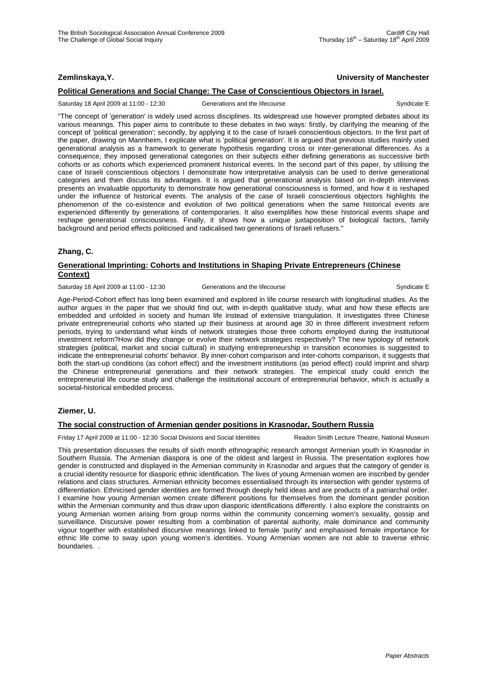## **Zemlinskaya,Y. University of Manchester**

## **Political Generations and Social Change: The Case of Conscientious Objectors in Israel.**

Saturday 18 April 2009 at 11:00 - 12:30 Generations and the lifecourse Syndicate E

"The concept of 'generation' is widely used across disciplines. Its widespread use however prompted debates about its various meanings. This paper aims to contribute to these debates in two ways: firstly, by clarifying the meaning of the concept of 'political generation'; secondly, by applying it to the case of Israeli conscientious objectors. In the first part of the paper, drawing on Mannheim, I explicate what is 'political generation'. It is argued that previous studies mainly used generational analysis as a framework to generate hypothesis regarding cross or inter-generational differences. As a consequence, they imposed generational categories on their subjects either defining generations as successive birth cohorts or as cohorts which experienced prominent historical events. In the second part of this paper, by utilising the case of Israeli conscientious objectors I demonstrate how interpretative analysis can be used to derive generational categories and then discuss its advantages. It is argued that generational analysis based on in-depth interviews presents an invaluable opportunity to demonstrate how generational consciousness is formed, and how it is reshaped under the influence of historical events. The analysis of the case of Israeli conscientious objectors highlights the phenomenon of the co-existence and evolution of two political generations when the same historical events are experienced differently by generations of contemporaries. It also exemplifies how these historical events shape and reshape generational consciousness. Finally, it shows how a unique juxtaposition of biological factors, family background and period effects politicised and radicalised two generations of Israeli refusers."

## **Zhang, C.**

## **Generational Imprinting: Cohorts and Institutions in Shaping Private Entrepreneurs (Chinese Context)**

#### Saturday 18 April 2009 at 11:00 - 12:30 Generations and the lifecourse Company of the Syndicate E

Age-Period-Cohort effect has long been examined and explored in life course research with longitudinal studies. As the author argues in the paper that we should find out, with in-depth qualitative study, what and how these effects are embedded and unfolded in society and human life instead of extensive triangulation. It investigates three Chinese private entrepreneurial cohorts who started up their business at around age 30 in three different investment reform periods, trying to understand what kinds of network strategies those three cohorts employed during the institutional investment reform?How did they change or evolve their network strategies respectively? The new typology of network strategies (political, market and social cultural) in studying entrepreneurship in transition economies is suggested to indicate the entrepreneurial cohorts' behavior. By inner-cohort comparison and inter-cohorts comparison, it suggests that both the start-up conditions (as cohort effect) and the investment institutions (as period effect) could imprint and sharp the Chinese entrepreneurial generations and their network strategies. The empirical study could enrich the entrepreneurial life course study and challenge the institutional account of entrepreneurial behavior, which is actually a societal-historical embedded process.

### **Ziemer, U.**

### **The social construction of Armenian gender positions in Krasnodar, Southern Russia**

Friday 17 April 2009 at 11:00 - 12:30 Social Divisions and Social Identities Readon Smith Lecture Theatre, National Museum

This presentation discusses the results of sixth month ethnographic research amongst Armenian youth in Krasnodar in Southern Russia. The Armenian diaspora is one of the oldest and largest in Russia. The presentation explores how gender is constructed and displayed in the Armenian community in Krasnodar and argues that the category of gender is a crucial identity resource for diasporic ethnic identification. The lives of young Armenian women are inscribed by gender relations and class structures. Armenian ethnicity becomes essentialised through its intersection with gender systems of differentiation. Ethnicised gender identities are formed through deeply held ideas and are products of a patriarchal order. I examine how young Armenian women create different positions for themselves from the dominant gender position within the Armenian community and thus draw upon diasporic identifications differently. I also explore the constraints on young Armenian women arising from group norms within the community concerning women's sexuality, gossip and surveillance. Discursive power resulting from a combination of parental authority, male dominance and community vigour together with established discursive meanings linked to female 'purity' and emphasised female importance for ethnic life come to sway upon young women's identities. Young Armenian women are not able to traverse ethnic boundaries. .